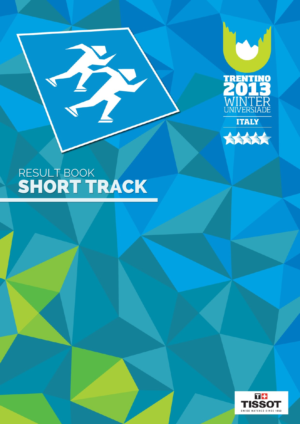



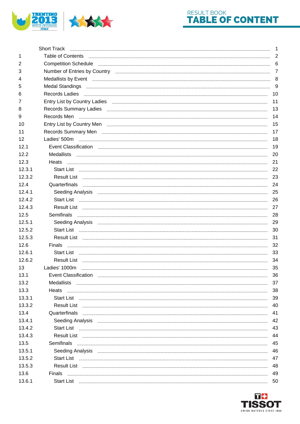



|        | <b>Short Track</b>                                                                                                                                                                                                                                                                                                                                                                                                                                                                                                       | $\mathbf{1}$   |
|--------|--------------------------------------------------------------------------------------------------------------------------------------------------------------------------------------------------------------------------------------------------------------------------------------------------------------------------------------------------------------------------------------------------------------------------------------------------------------------------------------------------------------------------|----------------|
| 1      | Table of Contents <b>Contents and Contents and Contents and Contents and Contents and Contents and Contents and Contents and Contents and Contents and Contents and Contents and Contents and Contents and Contents and Contents</b>                                                                                                                                                                                                                                                                                     | 2              |
| 2      | Competition Schedule 2008 Competition Schedule 2008 Competition Schedule 2008 Competition Schedule 2008 Competition 3 Competition 3 Competition 3 Competition 3 Competition 3 Competition 3 Competition 3 Competition 3 Compet                                                                                                                                                                                                                                                                                           |                |
| 3      | Number of Entries by Country <b>contract and the Country</b> and Country and Country and Country and Country and Country                                                                                                                                                                                                                                                                                                                                                                                                 | $\overline{7}$ |
| 4      | Medallists by Event 2008 and 2009 and 2009 and 2009 and 2009 and 2009 and 2009 and 2009 and 2009 and 2009 and 2009 and 2009 and 2009 and 2009 and 2009 and 2009 and 2009 and 2009 and 2009 and 2009 and 2009 and 2009 and 2009                                                                                                                                                                                                                                                                                           |                |
| 5      |                                                                                                                                                                                                                                                                                                                                                                                                                                                                                                                          |                |
| 6      |                                                                                                                                                                                                                                                                                                                                                                                                                                                                                                                          | 10             |
| 7      | Entry List by Country Ladies <u>entitled and the control of the control of the control of the control of the control of</u>                                                                                                                                                                                                                                                                                                                                                                                              | 11             |
| 8      | Records Summary Ladies <u>Commission Commission Commission Commission Commission Commission Commission</u>                                                                                                                                                                                                                                                                                                                                                                                                               | 13             |
| 9      | Records Men                                                                                                                                                                                                                                                                                                                                                                                                                                                                                                              | 14             |
| 10     | Entry List by Country Menter and the control of the control of the control of the control of the control of the control of the control of the control of the control of the control of the control of the control of the contr                                                                                                                                                                                                                                                                                           | 15             |
| 11     | Records Summary Men <b>Exercise Contract Contract Contract Contract Contract Contract Contract Contract Contract Contract Contract Contract Contract Contract Contract Contract Contract Contract Contract Contract Contract Con</b>                                                                                                                                                                                                                                                                                     | 17             |
| 12     |                                                                                                                                                                                                                                                                                                                                                                                                                                                                                                                          | 18             |
| 12.1   | Event Classification <b>Exercise Classification</b>                                                                                                                                                                                                                                                                                                                                                                                                                                                                      | 19             |
| 12.2   |                                                                                                                                                                                                                                                                                                                                                                                                                                                                                                                          | -20            |
| 12.3   | Heats                                                                                                                                                                                                                                                                                                                                                                                                                                                                                                                    | 21             |
| 12.31  | Start List 22                                                                                                                                                                                                                                                                                                                                                                                                                                                                                                            |                |
| 12.3.2 |                                                                                                                                                                                                                                                                                                                                                                                                                                                                                                                          | 23             |
| 12.4   | Quarterfinals <b>with a series of the contract of the contract of the contract of the contract of the contract of the contract of the contract of the contract of the contract of the contract of the contract of the contract o</b>                                                                                                                                                                                                                                                                                     | 24             |
| 12.4.1 | Seeding Analysis <u>Committee Committee and Committee Committee and Committee and Committee and Committee and Co</u>                                                                                                                                                                                                                                                                                                                                                                                                     | 25             |
| 12.4.2 | $\text{Start List} \quad \text{ } \underline{\quad \quad }$                                                                                                                                                                                                                                                                                                                                                                                                                                                              | 26             |
| 12.4.3 |                                                                                                                                                                                                                                                                                                                                                                                                                                                                                                                          | 27             |
| 12.5   | Semifinals                                                                                                                                                                                                                                                                                                                                                                                                                                                                                                               | 28             |
| 12.5.1 |                                                                                                                                                                                                                                                                                                                                                                                                                                                                                                                          | 29             |
| 12.5.2 | $\textbf{Start List} \quad \textcolor{red}{\textbf{--} \quad \textbf{--} \quad \textbf{--} \quad \textbf{--} \quad \textbf{--} \quad \textbf{--} \quad \textbf{--} \quad \textbf{--} \quad \textbf{--} \quad \textbf{--} \quad \textbf{--} \quad \textbf{--} \quad \textbf{--} \quad \textbf{--} \quad \textbf{--} \quad \textbf{--} \quad \textbf{--} \quad \textbf{--} \quad \textbf{--} \quad \textbf{--} \quad \textbf{--} \quad \textbf{--} \quad \textbf{--} \quad \textbf{--} \quad \textbf{--} \quad \textbf{--$ | 30             |
| 12.5.3 |                                                                                                                                                                                                                                                                                                                                                                                                                                                                                                                          | 31             |
| 12.6   | Finals                                                                                                                                                                                                                                                                                                                                                                                                                                                                                                                   | 32             |
| 12.6.1 |                                                                                                                                                                                                                                                                                                                                                                                                                                                                                                                          | 33             |
| 12.6.2 | Result List                                                                                                                                                                                                                                                                                                                                                                                                                                                                                                              | 34             |
| 13     |                                                                                                                                                                                                                                                                                                                                                                                                                                                                                                                          | 35             |
| 13.1   | Event Classification<br>,我们就会在这里,我们就会在这里,我们就会在这里,我们就会在这里,我们就会在这里,我们就会在这里,我们就会在这里,我们就会在这里,我们就会不会不会。""我们,我<br>第251章 我们的时候,我们就会在这里,我们就会在这里,我们就会在这里,我们就会在这里,我们就会在这里,我们就会在这里,我们就会不会不会不会。我们就会不会不会不                                                                                                                                                                                                                                                                                                                             | 36             |
| 13.2   | <b>Medallists</b>                                                                                                                                                                                                                                                                                                                                                                                                                                                                                                        | 37             |
| 13.3   | Heats                                                                                                                                                                                                                                                                                                                                                                                                                                                                                                                    | 38             |
| 13.3.1 |                                                                                                                                                                                                                                                                                                                                                                                                                                                                                                                          | 39             |
| 13.3.2 |                                                                                                                                                                                                                                                                                                                                                                                                                                                                                                                          | 40             |
| 13.4   | Quarterfinals experience and the contract of the contract of the contract of the contract of the contract of the contract of the contract of the contract of the contract of the contract of the contract of the contract of t                                                                                                                                                                                                                                                                                           | 41             |
| 13.4.1 | Seeding Analysis <u>entitled and a second control of the second control of the second control of the second control of</u>                                                                                                                                                                                                                                                                                                                                                                                               | 42             |
| 13.4.2 | Start List                                                                                                                                                                                                                                                                                                                                                                                                                                                                                                               | 43             |
| 13.4.3 |                                                                                                                                                                                                                                                                                                                                                                                                                                                                                                                          | 44             |
| 13.5   | <b>Semifinals</b>                                                                                                                                                                                                                                                                                                                                                                                                                                                                                                        | 45             |
| 13.5.1 |                                                                                                                                                                                                                                                                                                                                                                                                                                                                                                                          | 46             |
| 13.5.2 | Start List                                                                                                                                                                                                                                                                                                                                                                                                                                                                                                               | 47             |
| 13.5.3 |                                                                                                                                                                                                                                                                                                                                                                                                                                                                                                                          | 48             |
| 13.6   | <b>Finals</b>                                                                                                                                                                                                                                                                                                                                                                                                                                                                                                            | 49             |
| 13.6.1 |                                                                                                                                                                                                                                                                                                                                                                                                                                                                                                                          | 50             |

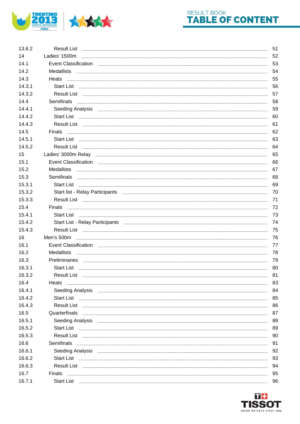

## RESULT BOOK TABLE OF CONTENT

| 13.6.2 |                                                                                                                         | 51 |
|--------|-------------------------------------------------------------------------------------------------------------------------|----|
| 14     |                                                                                                                         | 52 |
| 14.1   | Event Classification <b>Exercise Classification</b>                                                                     | 53 |
| 14.2   |                                                                                                                         | 54 |
| 14.3   |                                                                                                                         | 55 |
| 14.3.1 |                                                                                                                         | 56 |
| 14.3.2 |                                                                                                                         | 57 |
| 14.4   | Semifinals <b>Example 2018</b> Semifinals                                                                               | 58 |
| 14.4.1 |                                                                                                                         | 59 |
| 14.4.2 |                                                                                                                         | 60 |
| 14.4.3 | Result List                                                                                                             | 61 |
| 14.5   |                                                                                                                         | 62 |
| 14.5.1 |                                                                                                                         | 63 |
| 14.5.2 |                                                                                                                         | 64 |
| 15     |                                                                                                                         | 65 |
| 15.1   |                                                                                                                         | 66 |
| 15.2   |                                                                                                                         | 67 |
| 15.3   |                                                                                                                         | 68 |
| 15.3.1 |                                                                                                                         | 69 |
| 15.3.2 | Start list - Relay Participants <b>Constitution and Constitution</b> and Constitution and Constitution and Constitution | 70 |
| 15.3.3 | Result List                                                                                                             | 71 |
| 15.4   | Finals                                                                                                                  | 72 |
| 15.4.1 |                                                                                                                         | 73 |
|        |                                                                                                                         |    |
| 15.4.2 |                                                                                                                         | 74 |
| 15.4.3 | Start List - Relay Participants <b>Exercise Start Constants</b> 2014                                                    | 75 |
| 16     |                                                                                                                         | 76 |
| 16.1   | Event Classification <b>Exercise Classification</b>                                                                     | 77 |
| 16.2   |                                                                                                                         | 78 |
| 16.3   |                                                                                                                         | 79 |
| 16.3.1 | Start List                                                                                                              | 80 |
| 16.3.2 |                                                                                                                         | 81 |
| 16.4   | Heats                                                                                                                   | 83 |
| 16.4.1 |                                                                                                                         | 84 |
| 16.4.2 |                                                                                                                         | 85 |
| 16.4.3 |                                                                                                                         | 86 |
| 16.5   | Quarterfinals                                                                                                           | 87 |
| 16.5.1 |                                                                                                                         | 88 |
| 16.5.2 |                                                                                                                         | 89 |
| 16.5.3 |                                                                                                                         | 90 |
| 16.6   | Semifinals                                                                                                              | 91 |
| 16.6.1 |                                                                                                                         | 92 |
| 16.6.2 | Start List                                                                                                              | 93 |
| 16.6.3 |                                                                                                                         | 94 |
| 16.7   | Finals                                                                                                                  | 95 |
| 16.7.1 |                                                                                                                         | 96 |

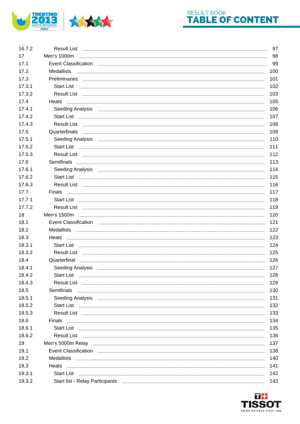

## RESULT BOOK TABLE OF CONTENT

| 16.7.2 |                                                                                                                                                                                                                                                                                                                                                                                                                                                                                                     | 97  |
|--------|-----------------------------------------------------------------------------------------------------------------------------------------------------------------------------------------------------------------------------------------------------------------------------------------------------------------------------------------------------------------------------------------------------------------------------------------------------------------------------------------------------|-----|
| 17     | Men's 1000m                                                                                                                                                                                                                                                                                                                                                                                                                                                                                         | 98  |
| 17.1   |                                                                                                                                                                                                                                                                                                                                                                                                                                                                                                     | 99  |
| 17.2   |                                                                                                                                                                                                                                                                                                                                                                                                                                                                                                     | 100 |
| 17.3   |                                                                                                                                                                                                                                                                                                                                                                                                                                                                                                     | 101 |
| 17.3.1 |                                                                                                                                                                                                                                                                                                                                                                                                                                                                                                     | 102 |
| 17.3.2 |                                                                                                                                                                                                                                                                                                                                                                                                                                                                                                     | 103 |
| 17.4   |                                                                                                                                                                                                                                                                                                                                                                                                                                                                                                     | 105 |
| 17.4.1 |                                                                                                                                                                                                                                                                                                                                                                                                                                                                                                     | 106 |
| 17.4.2 |                                                                                                                                                                                                                                                                                                                                                                                                                                                                                                     | 107 |
| 17.4.3 |                                                                                                                                                                                                                                                                                                                                                                                                                                                                                                     | 108 |
| 17.5   | Quarterfinals<br><u>,一个人都不能在这个人的时候,我们就会在这个人的时候,我们就会在这个人的时候,我们就会在这个人的时候,我们就会在这个人的时候,我们就会在这个人的时</u> 候,我们就会                                                                                                                                                                                                                                                                                                                                                                                            | 109 |
| 17.5.1 |                                                                                                                                                                                                                                                                                                                                                                                                                                                                                                     | 110 |
| 17.5.2 |                                                                                                                                                                                                                                                                                                                                                                                                                                                                                                     | 111 |
| 17.5.3 |                                                                                                                                                                                                                                                                                                                                                                                                                                                                                                     | 112 |
| 17.6   |                                                                                                                                                                                                                                                                                                                                                                                                                                                                                                     | 113 |
| 17.6.1 |                                                                                                                                                                                                                                                                                                                                                                                                                                                                                                     | 114 |
| 17.6.2 |                                                                                                                                                                                                                                                                                                                                                                                                                                                                                                     | 115 |
| 17.6.3 |                                                                                                                                                                                                                                                                                                                                                                                                                                                                                                     | 116 |
| 17.7   |                                                                                                                                                                                                                                                                                                                                                                                                                                                                                                     | 117 |
| 17.7.1 | $\text{start } \text{List} \quad \text{} \quad \text{} \quad \text{} \quad \text{} \quad \text{} \quad \text{} \quad \text{} \quad \text{} \quad \text{} \quad \text{} \quad \text{} \quad \text{} \quad \text{} \quad \text{} \quad \text{} \quad \text{} \quad \text{} \quad \text{} \quad \text{} \quad \text{} \quad \text{} \quad \text{} \quad \text{} \quad \text{} \quad \text{} \quad \text{} \quad \text{} \quad \text{} \quad \text{} \quad \$                                           | 118 |
| 17.7.2 |                                                                                                                                                                                                                                                                                                                                                                                                                                                                                                     | 119 |
| 18     | Men's 1500m                                                                                                                                                                                                                                                                                                                                                                                                                                                                                         | 120 |
| 18.1   | Event Classification <b>Exercise Classification</b>                                                                                                                                                                                                                                                                                                                                                                                                                                                 | 121 |
| 18.2   |                                                                                                                                                                                                                                                                                                                                                                                                                                                                                                     | 122 |
| 18.3   | Heats                                                                                                                                                                                                                                                                                                                                                                                                                                                                                               | 123 |
| 18.3.1 |                                                                                                                                                                                                                                                                                                                                                                                                                                                                                                     | 124 |
| 18.3.2 | Result List                                                                                                                                                                                                                                                                                                                                                                                                                                                                                         | 125 |
| 18.4   | Quarterfinal <u>examples and contact and contact and contact and contact and contact and contact and contact and contact and contact and contact and contact and contact and contact and contact and contact and contact and con</u>                                                                                                                                                                                                                                                                | 126 |
| 18.4.1 | Seeding Analysis <b>Example 20</b> and 20 and 20 analysis <b>CONFIDENTIAL CONTRACT 20 and 20 analysis</b> 20 and 20 and 20 and 20 and 20 and 20 and 20 and 20 and 20 and 20 and 20 and 20 and 20 and 20 and 20 and 20 and 20 and 20 and                                                                                                                                                                                                                                                             | 127 |
| 18.4.2 | <b>Start List</b>                                                                                                                                                                                                                                                                                                                                                                                                                                                                                   | 128 |
| 18.4.3 |                                                                                                                                                                                                                                                                                                                                                                                                                                                                                                     | 129 |
| 18.5   | <b>Semifinals</b>                                                                                                                                                                                                                                                                                                                                                                                                                                                                                   | 130 |
| 18.5.1 | Seeding Analysis <u>entitled and a second control of the second control of the second control of the second control of the second control of the second control of the second control of the second control of the second contro</u>                                                                                                                                                                                                                                                                | 131 |
| 18.5.2 | Start List                                                                                                                                                                                                                                                                                                                                                                                                                                                                                          | 132 |
| 18.5.3 |                                                                                                                                                                                                                                                                                                                                                                                                                                                                                                     | 133 |
| 18.6   | Finals                                                                                                                                                                                                                                                                                                                                                                                                                                                                                              | 134 |
| 18.6.1 | $\textbf{Start List} \begin{minipage}{14.5\textwidth} \centering \begin{tabular}{ c c c c c } \hline \textbf{Start List} & \textbf{if } \textbf{if } \textbf{if } \textbf{if } \textbf{if } \textbf{if } \textbf{if } \textbf{if } \textbf{if } \textbf{if } \textbf{if } \textbf{if } \textbf{if } \textbf{if } \textbf{if } \textbf{if } \textbf{if } \textbf{if } \textbf{if } \textbf{if } \textbf{if } \textbf{if } \textbf{if } \textbf{if } \textbf{if } \textbf{if } \textbf{if } \textbf{$ | 135 |
| 18.6.2 |                                                                                                                                                                                                                                                                                                                                                                                                                                                                                                     | 136 |
| 19     |                                                                                                                                                                                                                                                                                                                                                                                                                                                                                                     | 137 |
| 19.1   | Event Classification <b>Exercise Classification Exercise Classification</b>                                                                                                                                                                                                                                                                                                                                                                                                                         | 138 |
| 19.2   |                                                                                                                                                                                                                                                                                                                                                                                                                                                                                                     | 140 |
| 19.3   | Heats                                                                                                                                                                                                                                                                                                                                                                                                                                                                                               | 141 |
| 19.3.1 |                                                                                                                                                                                                                                                                                                                                                                                                                                                                                                     | 142 |
| 19.3.2 |                                                                                                                                                                                                                                                                                                                                                                                                                                                                                                     | 143 |

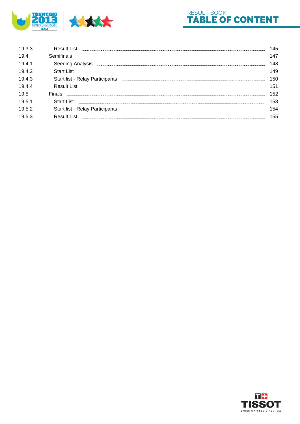



| 19.3.3 |                                        | 145 |
|--------|----------------------------------------|-----|
| 19.4   | Semifinals                             | 147 |
| 19.4.1 |                                        | 148 |
| 19.4.2 |                                        | 149 |
| 19.4.3 | <b>Start list - Relay Participants</b> | 150 |
| 19.4.4 |                                        | 151 |
| 19.5   |                                        | 152 |
| 19.5.1 | Start List <b>Start List</b>           | 153 |
| 19.5.2 | Start list - Relay Participants        | 154 |
| 19.5.3 |                                        | 155 |
|        |                                        |     |

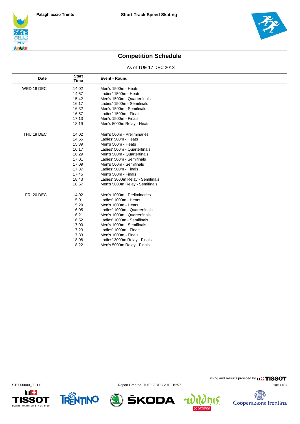



Timing and Results provided by **THISSOT** 

15.

 $\overline{\mathbf{f}}$ 

Extra Cooperazione Trentina

Page 1 of 1

## **Competition Schedule**

As of TUE 17 DEC 2013

| Date       | <b>Start</b><br><b>Time</b> | <b>Event - Round</b>             |
|------------|-----------------------------|----------------------------------|
| WED 18 DEC | 14:02                       | Men's 1500m - Heats              |
|            | 14:57                       | Ladies' 1500m - Heats            |
|            | 15:42                       | Men's 1500m - Quarterfinals      |
|            | 16:17                       | Ladies' 1500m - Semifinals       |
|            | 16:32                       | Men's 1500m - Semifinals         |
|            | 16:57                       | Ladies' 1500m - Finals           |
|            | 17:13                       | Men's 1500m - Finals             |
|            | 18:19                       | Men's 5000m Relay - Heats        |
| THU 19 DEC | 14:02                       | Men's 500m - Preliminaries       |
|            | 14:55                       | Ladies' 500m - Heats             |
|            | 15:39                       | Men's 500m - Heats               |
|            | 16:17                       | Ladies' 500m - Quarterfinals     |
|            | 16:29                       | Men's 500m - Quarterfinals       |
|            | 17:01                       | Ladies' 500m - Semifinals        |
|            | 17:09                       | Men's 500m - Semifinals          |
|            | 17:37                       | Ladies' 500m - Finals            |
|            | 17:45                       | Men's 500m - Finals              |
|            | 18:43                       | Ladies' 3000m Relay - Semifinals |
|            | 18:57                       | Men's 5000m Relay - Semifinals   |
| FRI 20 DEC | 14:02                       | Men's 1000m - Preliminaries      |
|            | 15:01                       | Ladies' 1000m - Heats            |
|            | 15:29                       | Men's 1000m - Heats              |
|            | 16:05                       | Ladies' 1000m - Quarterfinals    |
|            | 16:21                       | Men's 1000m - Quarterfinals      |
|            | 16:52                       | Ladies' 1000m - Semifinals       |
|            | 17:00                       | Men's 1000m - Semifinals         |
|            | 17:23                       | Ladies' 1000m - Finals           |
|            | 17:33                       | Men's 1000m - Finals             |
|            | 18:08                       | Ladies' 3000m Relay - Finals     |
|            | 18:22                       | Men's 5000m Relay - Finals       |





ST0000000\_08 1.0 Report Created TUE 17 DEC 2013 15:57

ŠKODA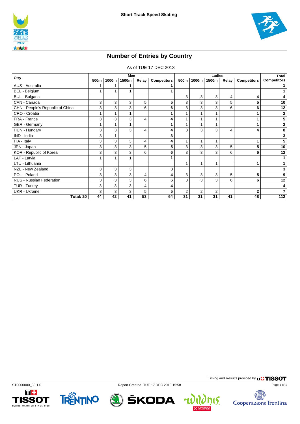



## **Number of Entries by Country**

As of TUE 17 DEC 2013

| Ctry                             |    |       | Men   |                |                    | Ladies         |       |       |       | Total              |                    |
|----------------------------------|----|-------|-------|----------------|--------------------|----------------|-------|-------|-------|--------------------|--------------------|
|                                  |    | 1000m | 1500m | Relay          | <b>Competitors</b> | 500m           | 1000m | 1500m | Relay | <b>Competitors</b> | <b>Competitors</b> |
| AUS - Australia                  |    |       |       |                |                    |                |       |       |       |                    |                    |
| <b>BEL</b> - Belgium             |    | 1     | 1     |                |                    |                |       |       |       |                    |                    |
| BUL - Bulgaria                   |    |       |       |                |                    | 3              | 3     | 3     | 4     | 4                  | 4                  |
| CAN - Canada                     | 3  | 3     | 3     | 5              | 5                  | 3              | 3     | 3     | 5     | 5                  | 10                 |
| CHN - People's Republic of China | 3  | 3     | 3     | 6              | 6                  | 3              | 3     | 3     | 6     | 6                  | 12                 |
| CRO - Croatia                    |    | 1     | 1     |                |                    |                |       |       |       |                    | 2                  |
| FRA - France                     | 3  | 3     | 3     | $\overline{4}$ | 4                  |                |       |       |       |                    | 5                  |
| GER - Germany                    |    | 1     | 1     |                |                    | 1              | 1     | 1     |       |                    | 2                  |
| HUN - Hungary                    | 3  | 3     | 3     | $\overline{4}$ | 4                  | 3              | 3     | 3     | 4     | 4                  | 8                  |
| IND - India                      | 3  | 1     |       |                | 3                  |                |       |       |       |                    | 3                  |
| ITA - Italy                      | 3  | 3     | 3     | 4              | 4                  | 1              | 1     | 1     |       |                    | 5                  |
| JPN - Japan                      | 3  | 3     | 3     | 5              | 5                  | 3              | 3     | 3     | 5     | 5                  | 10                 |
| KOR - Republic of Korea          | 3  | 3     | 3     | 6              | 6                  | 3              | 3     | 3     | 6     | 6                  | 12                 |
| LAT - Latvia                     |    | 1     | 1     |                |                    |                |       |       |       |                    |                    |
| LTU - Lithuania                  |    |       |       |                |                    | 1              | 1     | 1     |       |                    | 1                  |
| NZL - New Zealand                | 3  | 3     | 3     |                | 3                  |                |       |       |       |                    | 3                  |
| POL - Poland                     | 3  | 3     | 3     | $\overline{4}$ | 4                  | 3              | 3     | 3     | 5     | 5                  | 9                  |
| <b>RUS - Russian Federation</b>  | 3  | 3     | 3     | 6              | 6                  | 3              | 3     | 3     | 6     | 6                  | 12                 |
| TUR - Turkey                     | 3  | 3     | 3     | $\overline{4}$ | 4                  |                |       |       |       |                    | 4                  |
| <b>UKR</b> - Ukraine             | 3  | 3     | 3     | 5              | 5                  | $\overline{2}$ | 2     | 2     |       | $\overline{2}$     | $\overline{7}$     |
| Total: 20                        | 44 | 42    | 41    | 53             | 64                 | 31             | 31    | 31    | 41    | 48                 | 112                |





ST0000000\_30 1.0 Report Created TUE 17 DEC 2013 15:58



Timing and Results provided by **THISSOT** 

nis.

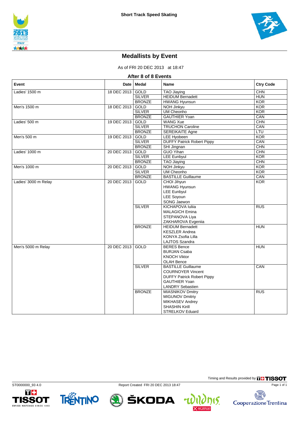

## **Medallists by Event**

As of FRI 20 DEC 2013 at 18:47

| After 8 of 8 Events  |             |               |                                   |                  |  |  |  |  |
|----------------------|-------------|---------------|-----------------------------------|------------------|--|--|--|--|
| Event                | Date        | <b>Medal</b>  | <b>Name</b>                       | <b>Ctry Code</b> |  |  |  |  |
| Ladies' 1500 m       | 18 DEC 2013 | GOLD          | <b>TAO Jiaving</b>                | CHN              |  |  |  |  |
|                      |             | <b>SILVER</b> | <b>HEIDUM Bernadett</b>           | <b>HUN</b>       |  |  |  |  |
|                      |             | <b>BRONZE</b> | <b>HWANG Hyunsun</b>              | <b>KOR</b>       |  |  |  |  |
| Men's 1500 m         | 18 DEC 2013 | GOLD          | NOH Jinkyu                        | <b>KOR</b>       |  |  |  |  |
|                      |             | <b>SILVER</b> | <b>UM Cheonho</b>                 | KOR              |  |  |  |  |
|                      |             | <b>BRONZE</b> | <b>GAUTHIER Yoan</b>              | CAN              |  |  |  |  |
| Ladies' 500 m        | 19 DEC 2013 | <b>GOLD</b>   | <b>WANG Xue</b>                   | <b>CHN</b>       |  |  |  |  |
|                      |             | <b>SILVER</b> | <b>TRUCHON Caroline</b>           | CAN              |  |  |  |  |
|                      |             | <b>BRONZE</b> | <b>SEREIKAITE Agne</b>            | <b>LTU</b>       |  |  |  |  |
| Men's 500 m          | 19 DEC 2013 | GOLD          | LEE Hyobeen                       | <b>KOR</b>       |  |  |  |  |
|                      |             | <b>SILVER</b> | <b>DUFFY Patrick Robert Pippy</b> | CAN              |  |  |  |  |
|                      |             | <b>BRONZE</b> | SHI Jingnan                       | CHN              |  |  |  |  |
| Ladies' 1000 m       | 20 DEC 2013 | GOLD          | <b>GUO Yihan</b>                  | CHN              |  |  |  |  |
|                      |             | <b>SILVER</b> | <b>LEE Eunbyul</b>                | <b>KOR</b>       |  |  |  |  |
|                      |             | <b>BRONZE</b> | <b>TAO Jiaying</b>                | <b>CHN</b>       |  |  |  |  |
| Men's 1000 m         | 20 DEC 2013 | GOLD          | NOH Jinkyu                        | <b>KOR</b>       |  |  |  |  |
|                      |             | <b>SILVER</b> | <b>UM Cheonho</b>                 | KOR              |  |  |  |  |
|                      |             | <b>BRONZE</b> | <b>BASTILLE Guillaume</b>         | CAN              |  |  |  |  |
| Ladies' 3000 m Relay | 20 DEC 2013 | <b>GOLD</b>   | CHOI Jihyun                       | <b>KOR</b>       |  |  |  |  |
|                      |             |               | <b>HWANG Hyunsun</b>              |                  |  |  |  |  |
|                      |             |               | <b>LEE Eunbyul</b>                |                  |  |  |  |  |
|                      |             |               | <b>LEE Sovoun</b>                 |                  |  |  |  |  |
|                      |             |               | SONG Jaewon                       |                  |  |  |  |  |
|                      |             | <b>SILVER</b> | <b>KICHAPOVA Iuliia</b>           | RUS              |  |  |  |  |
|                      |             |               | <b>MALAGICH Emina</b>             |                  |  |  |  |  |
|                      |             |               | STEPANOVA Liya                    |                  |  |  |  |  |
|                      |             |               | ZAKHAROVA Evgeniia                |                  |  |  |  |  |
|                      |             | <b>BRONZE</b> | <b>HEIDUM Bernadett</b>           | <b>HUN</b>       |  |  |  |  |
|                      |             |               | <b>KESZLER Andrea</b>             |                  |  |  |  |  |
|                      |             |               | KONYA Zsofia Lilla                |                  |  |  |  |  |
|                      |             |               | LAJTOS Szandra                    |                  |  |  |  |  |
| Men's 5000 m Relay   | 20 DEC 2013 | <b>GOLD</b>   | <b>BERES Bence</b>                | <b>HUN</b>       |  |  |  |  |
|                      |             |               | <b>BURJAN Csaba</b>               |                  |  |  |  |  |
|                      |             |               | <b>KNOCH Viktor</b>               |                  |  |  |  |  |
|                      |             |               | <b>OLAH Bence</b>                 |                  |  |  |  |  |
|                      |             | <b>SILVER</b> | <b>BASTILLE Guillaume</b>         | CAN              |  |  |  |  |
|                      |             |               | <b>COURNOYER Vincent</b>          |                  |  |  |  |  |
|                      |             |               | <b>DUFFY Patrick Robert Pippy</b> |                  |  |  |  |  |
|                      |             |               | <b>GAUTHIER Yoan</b>              |                  |  |  |  |  |
|                      |             |               | <b>LANDRY Sebastien</b>           |                  |  |  |  |  |
|                      |             | <b>BRONZE</b> | <b>MIASNIKOV Dmitry</b>           | RUS              |  |  |  |  |
|                      |             |               | MIGUNOV Dmitriy                   |                  |  |  |  |  |
|                      |             |               | MIKHASEV Andrey                   |                  |  |  |  |  |
|                      |             |               | <b>SHASHIN Kirill</b>             |                  |  |  |  |  |
|                      |             |               | <b>STRELKOV Eduard</b>            |                  |  |  |  |  |









Timing and Results provided by **THISSOT**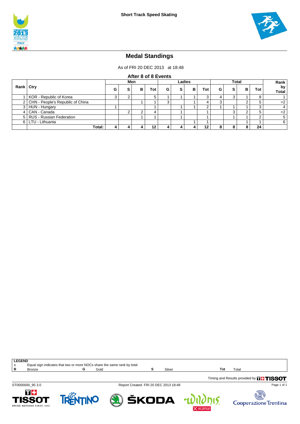



### **Medal Standings**

As of FRI 20 DEC 2013 at 18:48

| After 8 of 8 Events |                                   |     |  |   |     |        |   |   |              |   |   |      |            |                    |
|---------------------|-----------------------------------|-----|--|---|-----|--------|---|---|--------------|---|---|------|------------|--------------------|
|                     |                                   | Men |  |   |     | Ladies |   |   | <b>Total</b> |   |   | Rank |            |                    |
| Rank   Ctry         |                                   | G   |  | в | Tot | G      | s | в | Tot          | G | s | в    | Tot        | by<br><b>Total</b> |
|                     | KOR - Republic of Korea           |     |  |   |     |        |   |   |              |   |   |      |            |                    |
| 2 <sub>1</sub>      | CHN - People's Republic of China  |     |  |   |     | ົ<br>J |   |   |              |   |   |      |            | $=2$               |
| 3 I                 | HUN - Hungary                     |     |  |   |     |        |   |   | ົ            |   |   |      | $\sqrt{2}$ |                    |
| 4 <sup>1</sup>      | CAN - Canada                      |     |  |   |     |        |   |   |              |   | ว | ົ    |            | $=2$               |
| 5 <sub>1</sub>      | <b>RUS - Russian Federation</b>   |     |  |   |     |        |   |   |              |   |   |      | ◠          | 5                  |
|                     | LTU - Lithuania<br>6 <sup>1</sup> |     |  |   |     |        |   |   |              | 6 |   |      |            |                    |
|                     | Total:                            |     |  |   | 12  |        |   |   | 12           |   | o | o    | 24         |                    |

| <b>LEGEND</b> |                                                                         |  |      |  |        |     |       |  |
|---------------|-------------------------------------------------------------------------|--|------|--|--------|-----|-------|--|
|               | Equal sign indicates that two or more NOCs share the same rank by total |  |      |  |        |     |       |  |
| P             | Bronze                                                                  |  | Gold |  | Silver | Tot | Total |  |
|               |                                                                         |  |      |  |        |     |       |  |

ST0000000\_95 3.0 Report Created FRI 20 DEC 2013 18:48

4

Timing and Results provided by **FHISSOT** 









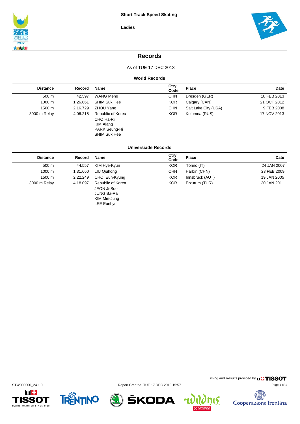



### **Records**

As of TUE 17 DEC 2013

#### **World Records**

| <b>Distance</b> | Record   | Name                                                                                | Ctry<br>Code | Place                | Date        |
|-----------------|----------|-------------------------------------------------------------------------------------|--------------|----------------------|-------------|
| 500 m           | 42.597   | <b>WANG Meng</b>                                                                    | CHN          | Dresden (GER)        | 10 FEB 2013 |
| 1000 m          | 1:26.661 | <b>SHIM Suk Hee</b>                                                                 | <b>KOR</b>   | Calgary (CAN)        | 21 OCT 2012 |
| 1500 m          | 2:16.729 | ZHOU Yang                                                                           | <b>CHN</b>   | Salt Lake City (USA) | 9 FEB 2008  |
| 3000 m Relay    | 4:06.215 | Republic of Korea<br>CHO Ha-Ri<br>KIM Alang<br>PARK Seung-Hi<br><b>SHIM Suk Hee</b> | <b>KOR</b>   | Kolomna (RUS)        | 17 NOV 2013 |

#### **Universiade Records**

| <b>Distance</b> | Record   | <b>Name</b>                                                                          | Ctry<br>Code | <b>Place</b>    | Date        |
|-----------------|----------|--------------------------------------------------------------------------------------|--------------|-----------------|-------------|
| 500 m           | 44.557   | KIM Hye-Kyun                                                                         | <b>KOR</b>   | Torino (IT)     | 24 JAN 2007 |
| 1000 m          | 1:31.660 | LIU Qiuhong                                                                          | <b>CHN</b>   | Harbin (CHN)    | 23 FEB 2009 |
| 1500 m          | 2:22.249 | CHOI Eun-Kyung                                                                       | <b>KOR</b>   | Innsbruck (AUT) | 19 JAN 2005 |
| 3000 m Relay    | 4:18.097 | Republic of Korea<br>JEON Ji-Soo<br>JUNG Ba-Ra<br>KIM Min-Jung<br><b>LEE Eunbyul</b> | <b>KOR</b>   | Erzurum (TUR)   | 30 JAN 2011 |

STW000000\_24 1.0 Report Created TUE 17 DEC 2013 15:57







ŠKODA





Timing and Results provided by **THISSOT**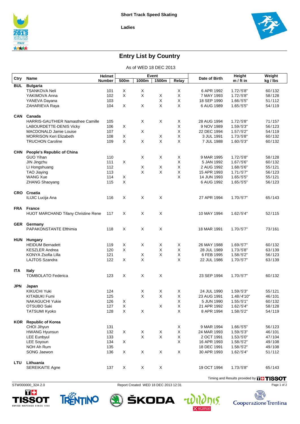



## **Entry List by Country**

As of WED 18 DEC 2013

|            |                                            | <b>Helmet</b> |        |             | Event                     |              |               | <b>Height</b> | Weight   |
|------------|--------------------------------------------|---------------|--------|-------------|---------------------------|--------------|---------------|---------------|----------|
| Ctry       | Name                                       | <b>Number</b> | 500m   | 1000m       | 1500m                     | Relay        | Date of Birth | $m / ft$ in   | kg / lbs |
| <b>BUL</b> | <b>Bulgaria</b>                            |               |        |             |                           |              |               |               |          |
|            | <b>TSANKOVA Neli</b>                       | 101           | X      | X           |                           | X            | 6 APR 1992    | 1.72/5'8"     | 60/132   |
|            | YAKIMOVA Anna                              | 102           | X      | $\mathsf X$ | X                         | $\mathsf X$  | 7 MAY 1993    | 1.72/5'8"     | 58/128   |
|            | YANEVA Dayana                              | 103           |        |             | X                         | X            | 18 SEP 1990   | 1.66/5'5"     | 51/112   |
|            | ZAHARIEVA Raya                             | 104           | X      | X           | X                         | $\times$     | 6 AUG 1989    | 1.65/55"      | 54/119   |
|            |                                            |               |        |             |                           |              |               |               |          |
| <b>CAN</b> | Canada                                     |               |        |             |                           |              |               |               |          |
|            | <b>HARRIS-GAUTHIER Namasthee Camille</b>   | 105           |        | X           | X                         | X            | 28 AUG 1994   | 1.72/5'8"     | 71/157   |
|            | LABOURDETTE-DENIS Vicky                    | 106           | X      |             |                           | X            | 9 NOV 1989    | 1.59/5'3"     | 56/123   |
|            | MACDONALD Jamie Louise                     | 107           |        | X           |                           | X            | 22 DEC 1994   | 1.57/5'2"     | 54/119   |
|            | <b>MORRISON Keri Elizabeth</b>             | 108           | X      |             | X                         | X            | 3 JUL 1991    | 1.73/5'8"     | 60/132   |
|            | <b>TRUCHON Caroline</b>                    | 109           | X      | X           | $\pmb{\times}$            | $\mathsf{X}$ | 7 JUL 1988    | 1.60/5'3"     | 60/132   |
|            |                                            |               |        |             |                           |              |               |               |          |
| <b>CHN</b> | <b>People's Republic of China</b>          |               |        |             |                           |              |               |               |          |
|            | GUO Yihan                                  | 110           |        | Χ           | X                         | X            | 9 MAR 1995    | 1.72/5'8"     | 58/128   |
|            | JIN Jingzhu                                | 111           | X      |             |                           | X            | 5 JAN 1992    | 1.67/5'6"     | 60/132   |
|            | LI Hongshuang                              | 112           |        | X           | X                         | X            | 2 AUG 1992    | 1.68/5'6"     | 55/121   |
|            | TAO Jiaying                                | 113           |        | X           | X                         | $\mathsf X$  | 15 APR 1993   | 1.71/5'7"     | 56/123   |
|            | <b>WANG Xue</b>                            | 114           | X      |             |                           | X            | 14 JUN 1993   | 1.65/55"      | 55/121   |
|            | <b>ZHANG Shaoyang</b>                      | 115           | X      |             |                           |              | 6 AUG 1992    | 1.65/55"      | 56/123   |
|            |                                            |               |        |             |                           |              |               |               |          |
|            | CRO Croatia                                |               |        |             |                           |              |               |               |          |
|            | ILIJIC Lucija Ana                          | 116           | X      | X           | X                         |              | 27 APR 1994   | 1.70/5'7"     | 65/143   |
|            |                                            |               |        |             |                           |              |               |               |          |
|            | FRA France                                 |               |        |             |                           |              |               |               |          |
|            | <b>HUOT MARCHAND Tifany Christine Rene</b> | 117           | X      | X           | $\mathsf X$               |              | 10 MAY 1994   | 1.62/5'4"     | 52/115   |
|            |                                            |               |        |             |                           |              |               |               |          |
| <b>GER</b> | Germany                                    |               |        |             |                           |              |               |               |          |
|            | PAPAKONSTANTE Efthimia                     | 118           | X      | X           | X                         |              | 18 MAR 1991   | 1.70/5'7"     | 73/161   |
|            |                                            |               |        |             |                           |              |               |               |          |
| <b>HUN</b> |                                            |               |        |             |                           |              |               |               |          |
|            | <b>Hungary</b><br><b>HEIDUM Bernadett</b>  |               |        | X           |                           | X            |               |               |          |
|            |                                            | 119           | X<br>X |             | X<br>X                    | X            | 26 MAY 1988   | 1.69/5'7"     | 60/132   |
|            | <b>KESZLER Andrea</b>                      | 120           |        | X           | X                         | X            | 28 JUL 1989   | 1.73/5'8"     | 63/139   |
|            | KONYA Zsofia Lilla                         | 121           | X      | X           |                           | $\times$     | 6 FEB 1995    | 1.58/5'2"     | 56/123   |
|            | <b>LAJTOS Szandra</b>                      | 122           |        |             |                           |              | 22 JUL 1986   | 1.70/5'7"     | 63/139   |
|            |                                            |               |        |             |                           |              |               |               |          |
| <b>ITA</b> | <b>Italy</b>                               |               |        |             |                           |              |               |               |          |
|            | <b>TOMBOLATO Federica</b>                  | 123           | X      | X           | $\boldsymbol{\mathsf{X}}$ |              | 23 SEP 1994   | 1.70/5'7"     | 60/132   |
|            |                                            |               |        |             |                           |              |               |               |          |
| <b>JPN</b> | Japan                                      |               |        |             |                           |              |               |               |          |
|            | <b>KIKUCHI Yuki</b>                        | 124           |        | Х           | X                         | X            | 24 JUL 1990   | 1.59/5'3"     | 55/121   |
|            | <b>KITABUKI Fumi</b>                       | 125           |        | X           | X                         | X            | 23 AUG 1991   | 1.48/4'10"    | 46/101   |
|            | NAKAGUCHI Yukie                            | 126           | X      |             |                           | X            | 5 JUN 1990    | 1.55/5'1"     | 60/132   |
|            | OTSUBO Saki                                | 127           | Χ      |             | $\mathsf X$               | X            | 21 APR 1992   | 1.62/5'4"     | 58/128   |
|            | <b>TATSUMI Kyoko</b>                       | 128           | Χ      | X           |                           | X            | 8 APR 1994    | 1.58/5'2"     | 54/119   |
|            |                                            |               |        |             |                           |              |               |               |          |
|            | <b>KOR</b> Republic of Korea               |               |        |             |                           |              |               |               |          |
|            | CHOI Jihyun                                | 131           |        |             |                           | $\mathsf X$  | 9 MAR 1994    | 1.66/5'5"     | 56/123   |
|            | <b>HWANG Hyunsun</b>                       | 132           | X      | $\mathsf X$ | $\mathsf X$               | X            | 24 MAR 1993   | 1.59/5'3"     | 46/101   |
|            | <b>LEE Eunbyul</b>                         | 133           |        | X           | X                         | X            | 2 OCT 1991    | 1.53/5'0''    | 47/104   |
|            | LEE Soyoun                                 | 134           | X      |             |                           | X            | 16 APR 1993   | 1.58/5'2"     | 49/108   |
|            | NOH Ah Rum                                 | 135           |        |             |                           |              | 18 DEC 1991   | 1.58/52"      | 49/108   |
|            | SONG Jaewon                                | 136           | X      | X           | X                         | $\mathsf X$  | 30 APR 1993   | 1.62/5'4"     | 51/112   |
|            | Lithuania                                  |               |        |             |                           |              |               |               |          |
| LTU        | <b>SEREIKAITE Agne</b>                     | 137           | X      | X           | $\mathsf X$               |              | 19 OCT 1994   | 1.73/5'8"     | 65/143   |
|            |                                            |               |        |             |                           |              |               |               |          |





STW000000\_32A 2.0 Report Created WED 18 DEC 2013 12:31

ŠKODA

 $\mathbf{r}$ 

Timing and Results provided by **THISSOT** Page 1 of 2

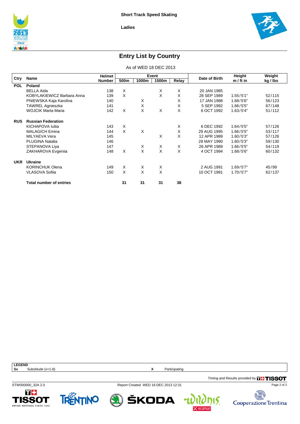



### **Entry List by Country**

As of WED 18 DEC 2013

|            | Name                           | Helmet |      |       | Event    |       | Date of Birth | Height      | Weight   |
|------------|--------------------------------|--------|------|-------|----------|-------|---------------|-------------|----------|
| Ctry       |                                | Number | 500m | 1000m | 1500m    | Relay |               | $m / ft$ in | kg / lbs |
| <b>POL</b> | Poland                         |        |      |       |          |       |               |             |          |
|            | <b>BELLA Aida</b>              | 138    | X    |       | X        | X     | 20 JAN 1985   |             |          |
|            | KOBYLAKIEWICZ Barbara Anna     | 139    | X    |       | X        | X     | 28 SEP 1989   | 1.55/5'1"   | 52/115   |
|            | PNIEWSKA Kaja Karolina         | 140    |      | X     |          | X     | 17 JAN 1988   | 1.68/5'6"   | 56/123   |
|            | <b>TAWREL Agnieszka</b>        | 141    |      | X     |          | X     | 5 SEP 1992    | 1.66/5'5"   | 67/148   |
|            | <b>WOJCIK Marta Maria</b>      | 142    | X    | X     | X        | X     | 6 OCT 1992    | 1.63/5'4"   | 51/112   |
| <b>RUS</b> | <b>Russian Federation</b>      |        |      |       |          |       |               |             |          |
|            | KICHAPOVA Iulija               | 143    | X    |       |          | X     | 6 DEC 1992    | 1.64/5'5"   | 57/126   |
|            | <b>MALAGICH Emina</b>          | 144    | X    | X     |          | X     | 29 AUG 1995   | 1.66/5'5"   | 53/117   |
|            | MILYAEVA Vera                  | 145    |      |       | X        | X     | 12 APR 1989   | 1.60/5'3"   | 57/126   |
|            | <b>PLUGINA Natalia</b>         | 146    |      |       |          |       | 28 MAY 1990   | 1.60/5'3"   | 59/130   |
|            | STEPANOVA Liya                 | 147    |      | X     | X        | X     | 26 APR 1989   | 1.66/5'5"   | 54/119   |
|            | ZAKHAROVA Evgenija             | 148    | X    | X     | X        | X     | 4 OCT 1994    | 1.68/5'6"   | 60/132   |
| <b>UKR</b> | Ukraine                        |        |      |       |          |       |               |             |          |
|            | <b>KORINCHUK Olena</b>         | 149    | X    | X     | X        |       | 2 AUG 1991    | 1.69/5'7"   | 45/99    |
|            | <b>VLASOVA Sofija</b>          | 150    | X    | X     | $\times$ |       | 10 OCT 1991   | 1.70/5'7"   | 62/137   |
|            | <b>Total number of entries</b> |        | 31   | 31    | 31       | 38    |               |             |          |

**LEGEND**<br>Sx **Sx** Substitude (x=1-8) **X** Participating

Timing and Results provided by **THISSOT** 

15





STW000000\_32A 2.0 Report Created WED 18 DEC 2013 12:31

Page 2 of 2

exte

Cooperazione Trentina

ŠKODA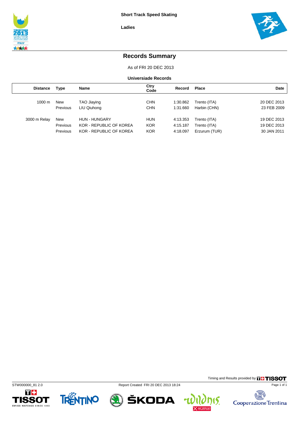



### **Records Summary**

As of FRI 20 DEC 2013

**Universiade Records**

| <b>Distance</b>  | <b>Type</b> | Name                    | Ctry<br>Code | Record   | <b>Place</b>  | <b>Date</b> |
|------------------|-------------|-------------------------|--------------|----------|---------------|-------------|
|                  |             |                         |              |          |               |             |
| $1000 \text{ m}$ | New         | TAO Jiaying             | <b>CHN</b>   | 1:30.862 | Trento (ITA)  | 20 DEC 2013 |
|                  | Previous    | LIU Qiuhong             | <b>CHN</b>   | 1:31.660 | Harbin (CHN)  | 23 FEB 2009 |
|                  |             |                         |              |          |               |             |
| 3000 m Relay     | New         | <b>HUN - HUNGARY</b>    | <b>HUN</b>   | 4:13.353 | Trento (ITA)  | 19 DEC 2013 |
|                  | Previous    | KOR - REPUBLIC OF KOREA | <b>KOR</b>   | 4:15.187 | Trento (ITA)  | 19 DEC 2013 |
|                  | Previous    | KOR - REPUBLIC OF KOREA | <b>KOR</b>   | 4:18.097 | Erzurum (TUR) | 30 JAN 2011 |
|                  |             |                         |              |          |               |             |





STW000000\_81 2.0 Report Created FRI 20 DEC 2013 18:24



Timing and Results provided by **THISSOT** Page 1 of 1

15.

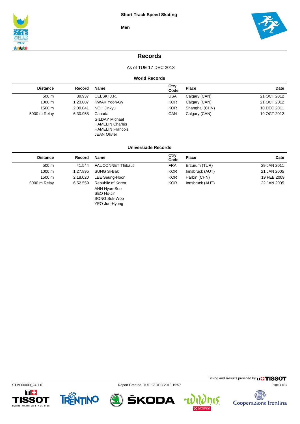



### **Records**

As of TUE 17 DEC 2013

#### **World Records**

| <b>Distance</b> | Record   | <b>Name</b>                                                                                                 | Ctry<br>Code | Place          | Date        |
|-----------------|----------|-------------------------------------------------------------------------------------------------------------|--------------|----------------|-------------|
| 500 m           | 39.937   | CELSKI J.R.                                                                                                 | USA          | Calgary (CAN)  | 21 OCT 2012 |
| 1000 m          | 1:23.007 | KWAK Yoon-Gy                                                                                                | <b>KOR</b>   | Calgary (CAN)  | 21 OCT 2012 |
| 1500 m          | 2:09.041 | NOH Jinkyu                                                                                                  | <b>KOR</b>   | Shanghai (CHN) | 10 DEC 2011 |
| 5000 m Relay    | 6:30.958 | Canada<br><b>GILDAY Michael</b><br><b>HAMELIN Charles</b><br><b>HAMELIN Francois</b><br><b>JEAN Olivier</b> | <b>CAN</b>   | Calgary (CAN)  | 19 OCT 2012 |

#### **Universiade Records**

| <b>Distance</b> | Record   | <b>Name</b>                                                                      | Ctry<br>Code | Place           | Date        |  |
|-----------------|----------|----------------------------------------------------------------------------------|--------------|-----------------|-------------|--|
| 500 m           | 41.544   | <b>FAUCONNET Thibaut</b>                                                         | <b>FRA</b>   | Erzurum (TUR)   | 29 JAN 2011 |  |
| 1000 m          | 1:27.895 | <b>SUNG Si-Bak</b>                                                               | <b>KOR</b>   | Innsbruck (AUT) | 21 JAN 2005 |  |
| 1500 m          | 2:18.020 | LEE Seung-Hoon                                                                   | <b>KOR</b>   | Harbin (CHN)    | 19 FEB 2009 |  |
| 5000 m Relay    | 6:52.559 | Republic of Korea<br>AHN Hyun-Soo<br>SEO Ho-Jin<br>SONG Suk-Woo<br>YEO Jun-Hyung | <b>KOR</b>   | Innsbruck (AUT) | 22 JAN 2005 |  |





STM000000\_24 1.0 Report Created TUE 17 DEC 2013 15:57



Timing and Results provided by **THISSOT** 

15.

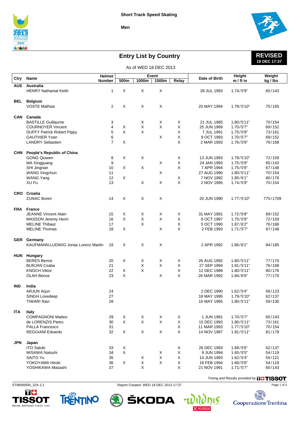



## **Entry List by Country**

#### **REVISED 18 DEC 17:37**

|            |                                                         |                |              |        | As of WED 18 DEC 2013 |        |                            |                          |                  |
|------------|---------------------------------------------------------|----------------|--------------|--------|-----------------------|--------|----------------------------|--------------------------|------------------|
|            |                                                         | Helmet         |              |        | Event                 |        |                            | <b>Height</b>            | Weight           |
| Ctry       | Name                                                    | <b>Number</b>  | 500m         | 1000m  | 1500m                 | Relay  | Date of Birth              | m / ft in                | kg / lbs         |
| <b>AUS</b> | <b>Australia</b>                                        |                |              |        |                       |        |                            |                          |                  |
|            | <b>HENRY Nathanial Keith</b>                            | $\mathbf{1}$   | X            | X      | X                     |        | 28 JUL 1993                | 1.74/5'9''               | 65/143           |
|            |                                                         |                |              |        |                       |        |                            |                          |                  |
| BEL        | <b>Belgium</b><br><b>VOSTE Mathias</b>                  | 2              | X            | Χ      | X                     |        | 20 MAY 1994                | 1.78/5'10"               | 75/165           |
|            |                                                         |                |              |        |                       |        |                            |                          |                  |
| CAN        | Canada                                                  |                |              |        |                       |        |                            |                          |                  |
|            | <b>BASTILLE Guillaume</b>                               | 3              |              | X      | X                     | X      | 21 JUL 1985                | 1.80/5'11"               | 70/154           |
|            | <b>COURNOYER Vincent</b>                                | 4              | X            | X      | X                     | X      | 25 JUN 1989                | 1.70/5'7"                | 69/152           |
|            | <b>DUFFY Patrick Robert Pippy</b>                       | 5              | $\mathsf{X}$ | X      |                       | X      | 7 JUL 1991                 | 1.75/5'9"                | 73/161           |
|            | <b>GAUTHIER Yoan</b>                                    | 6              |              |        | Χ                     | Х      | 9 OCT 1993                 | 1.70/5'7"                | 69/152           |
|            | <b>LANDRY Sebastien</b>                                 | $\overline{7}$ | X            |        |                       | X      | 2 MAR 1993                 | 1.76/5'9"                | 76/168           |
|            |                                                         |                |              |        |                       |        |                            |                          |                  |
| <b>CHN</b> | <b>People's Republic of China</b><br><b>GONG Qiuwen</b> | 8              | X            | Χ      |                       | Χ      | 13 JUN 1993                | 1.78/5'10"               | 72/159           |
|            | MA Xingguang                                            | 9              |              |        | X                     | X      | 24 JAN 1993                | 1.75/5'9"                | 65/143           |
|            | SHI Jingnan                                             | 10             | X            | Χ      |                       | X      | 7 APR 1994                 | 1.75/5'9"                | 67/148           |
|            | <b>WANG Xingchun</b>                                    | 11             |              |        | X                     |        | 27 AUG 1990                | 1.80/5'11"               | 70/154           |
|            | <b>WANG Yang</b>                                        | 12             | X            |        |                       | Χ      | 7 NOV 1992                 | 1.85/6'1"                | 80/176           |
|            | XU Fu                                                   | 13             |              | X      | X                     | X      | 2 NOV 1995                 | 1.74/5'9''               | 70/154           |
|            |                                                         |                |              |        |                       |        |                            |                          |                  |
|            | CRO Croatia                                             |                |              |        |                       |        |                            |                          |                  |
|            | <b>ZUNAC Boren</b>                                      | 14             | Χ            | Χ      | X                     |        | 20 JUN 1990                | 1.77/5'10"               | 775/1709         |
|            |                                                         |                |              |        |                       |        |                            |                          |                  |
|            | FRA France                                              |                |              |        |                       |        |                            |                          |                  |
|            | <b>JEANNE Vincent Alain</b>                             | 15             | Χ            | Χ      | Χ                     | Χ      | 31 MAY 1991                | 1.72/5'8"                | 69/152           |
|            | <b>MASSON Jeremy Henri</b>                              | 16             | X            | X      | X                     | X      | 6 OCT 1987                 | 1.75/5'9"                | 72/159           |
|            | <b>MELINE Thibaut</b><br><b>MELINE Thomas</b>           | 17<br>18       |              | X      |                       | X<br>X | 5 OCT 1990                 | 1.87/6'2"                | 76/168           |
|            |                                                         |                | X            |        | Χ                     |        | 2 FEB 1993                 | 1.71/5'7"                | 67/148           |
|            | <b>GER</b> Germany                                      |                |              |        |                       |        |                            |                          |                  |
|            | KAUFMANN-LUDWIG Jonas Lorenz Martin                     | 19             | X            | X      | X                     |        | 2 APR 1992                 | 1.86/6'1"                | 84/185           |
|            |                                                         |                |              |        |                       |        |                            |                          |                  |
|            | HUN Hungary                                             |                |              |        |                       |        |                            |                          |                  |
|            | <b>BERES Bence</b>                                      | 20             | X            | X      | X                     | X      | 26 AUG 1992                | 1.80/5'11"               | 77/170           |
|            | <b>BURJAN Csaba</b>                                     | 21             |              | X      | X                     | X      | 27 SEP 1994                | 1.81/5'11"               | 76/168           |
|            | <b>KNOCH Viktor</b>                                     | 22             | X            | X      |                       | X      | 12 DEC 1989                | 1.80/5'11"               | 80/176           |
|            | <b>OLAH Bence</b>                                       | 23             | X            |        | X                     | X      | 26 MAR 1992                | 1.84/6'0''               | 77/170           |
| <b>IND</b> | India                                                   |                |              |        |                       |        |                            |                          |                  |
|            | ARJUN Arjun                                             | 24             |              |        |                       |        | 2 DEC 1990                 | 1.62/5'4"                | 56/123           |
|            | SINGH Lovedeep                                          | 27             |              |        |                       |        | 18 MAY 1995                | 1.79/5'10"               | 62/137           |
|            | <b>TIWARI Ravi</b>                                      | 28             |              |        |                       |        | 10 MAY 1995                | 1.80/5'11"               | 59/130           |
|            |                                                         |                |              |        |                       |        |                            |                          |                  |
| <b>ITA</b> | Italy                                                   |                |              |        |                       |        |                            |                          |                  |
|            | <b>COMPAGNONI Matteo</b>                                | 29             | X<br>X       | Χ<br>X | Χ<br>X                | X      | 1 JUN 1991                 | 1.70/5'7"                | 65/143           |
|            | de LORENZIS Pietro<br><b>PALLA Francesco</b>            | 30<br>31       |              |        |                       | X<br>X | 15 DEC 1993<br>11 MAR 1993 | 1.80/5'11"<br>1.77/5'10" | 73/161<br>70/154 |
|            | REGGIANI Edoardo                                        | 32             | X            | X      | X                     | Χ      | 14 NOV 1987                | 1.81/5'11"               | 81/179           |
|            |                                                         |                |              |        |                       |        |                            |                          |                  |
| <b>JPN</b> | Japan                                                   |                |              |        |                       |        |                            |                          |                  |
|            | <b>ITO Satoki</b>                                       | 33             | X            |        |                       | X      | 26 DEC 1993                | 1.68/5'6"                | 62/137           |
|            | MISAWA Natsuhi                                          | 34             | X            |        | X                     | X      | 9 JUN 1994                 | 1.65/55"                 | 54/119           |
|            | <b>SAITO Yu</b>                                         | 35             |              | X      | X                     | X      | 14 JUN 1993                | 1.62/5'4"                | 55/121           |
|            | YOKOYAMA Hiroki                                         | 36             | X            | X      | X                     | X      | 18 FEB 1994                | 1.68/56"                 | 54/119           |
|            | YOSHIKAWA Masashi                                       | 37             |              | X      |                       | X      | 21 NOV 1991                | 1.71/5'7"                | 65/143           |

П÷ TISSOT WATCHES SINCE 1853



STM000000\_32A 2.1 Report Created WED 18 DEC 2013 17:37

Timing and Results provided by **THISSOT** Page 1 of 2

nis.



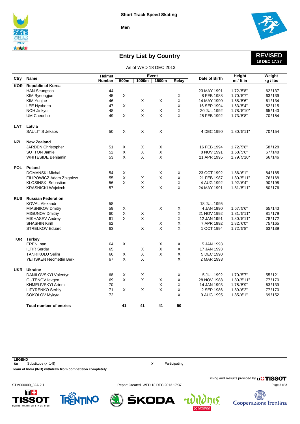



## **Entry List by Country**

#### **REVISED 18 DEC 17:37**

|            | As of WED 18 DEC 2013                    |               |                    |             |              |             |               |               |          |  |  |  |
|------------|------------------------------------------|---------------|--------------------|-------------|--------------|-------------|---------------|---------------|----------|--|--|--|
|            | Name                                     | <b>Helmet</b> |                    |             | <b>Event</b> |             | Date of Birth | <b>Height</b> | Weight   |  |  |  |
| Ctry       |                                          | <b>Number</b> | 500m               | 1000m       | 1500m        | Relay       |               | $m / ft$ in   | kg / lbs |  |  |  |
| <b>KOR</b> | <b>Republic of Korea</b>                 |               |                    |             |              |             |               |               |          |  |  |  |
|            | <b>HAN Seungsoo</b>                      | 44            |                    |             |              |             | 23 MAY 1991   | 1.72/5'8"     | 62/137   |  |  |  |
|            | KIM Byeongjun                            | 45            | X                  |             |              | X           | 8 FEB 1988    | 1.70/5'7"     | 63/139   |  |  |  |
|            | KIM Yunjae                               | 46            |                    | X           | X            | X           | 14 MAY 1990   | 1.68/5'6"     | 61/134   |  |  |  |
|            | <b>LEE Hyobeen</b>                       | 47            | X                  |             |              | X           | 16 SEP 1994   | 1.63/5'4"     | 52/115   |  |  |  |
|            | <b>NOH Jinkyu</b>                        | 48            |                    | X           | X            | X           | 20 JUL 1992   | 1.78/5'10"    | 65/143   |  |  |  |
|            | <b>UM Cheonho</b>                        | 49            | X                  | X           | X            | X           | 25 FEB 1992   | 1.73/5'8"     | 70/154   |  |  |  |
| <b>LAT</b> | Latvia                                   |               |                    |             |              |             |               |               |          |  |  |  |
|            | SAULITIS Jekabs                          | 50            | X                  | X           | X            |             | 4 DEC 1990    | 1.80/5'11"    | 70/154   |  |  |  |
|            |                                          |               |                    |             |              |             |               |               |          |  |  |  |
| <b>NZL</b> | <b>New Zealand</b><br>JARDEN Christopher | 51            | Χ                  | X           | X            |             | 16 FEB 1994   | 1.72/5'8"     | 58/128   |  |  |  |
|            | <b>SUTTON Jamie</b>                      | 52            | X                  | X           | Χ            |             | 8 NOV 1991    | 1.68/5'6"     | 67/148   |  |  |  |
|            | <b>WHITESIDE Benjamin</b>                | 53            | X                  | X           | X            |             | 21 APR 1995   | 1.79/5'10"    | 66/146   |  |  |  |
|            |                                          |               |                    |             |              |             |               |               |          |  |  |  |
| <b>POL</b> | Poland                                   |               |                    |             |              |             |               |               |          |  |  |  |
|            | <b>DOMANSKI Michal</b>                   | 54            | X                  |             | X            | X           | 23 OCT 1992   | 1.86/6'1"     | 84/185   |  |  |  |
|            | FILIPOWICZ Adam Zbigniew                 | 55            | X                  | X           | X            | X           | 21 FEB 1987   | 1.80/5'11"    | 76/168   |  |  |  |
|            | <b>KLOSINSKI Sebastian</b>               | 56            | X                  | X           |              | X           | 4 AUG 1992    | 1.92/6'4"     | 90/198   |  |  |  |
|            | <b>KRASNICKI Wojciech</b>                | 57            |                    | X           | X            | X           | 24 MAY 1991   | 1.81/5'11"    | 80/176   |  |  |  |
| <b>RUS</b> | <b>Russian Federation</b>                |               |                    |             |              |             |               |               |          |  |  |  |
|            | <b>KOVAL Alexandr</b>                    | 58            |                    |             |              |             | 18 JUL 1995   |               |          |  |  |  |
|            | <b>MIASNIKOV Dmitry</b>                  | 59            | X                  |             | X            | X           | 4 JAN 1990    | 1.67/56"      | 65/143   |  |  |  |
|            | <b>MIGUNOV Dmitriy</b>                   | 60            | $\mathsf{X}% _{0}$ | $\mathsf X$ |              | $\mathsf X$ | 21 NOV 1992   | 1.81/5'11"    | 81/179   |  |  |  |
|            | MIKHASEV Andrey                          | 61            | X                  | X           |              | X           | 12 JAN 1991   | 1.80/5'11"    | 78/172   |  |  |  |
|            | <b>SHASHIN Kirill</b>                    | 62            |                    |             | X            | X           | 7 APR 1992    | 1.82/6'0''    | 75/165   |  |  |  |
|            | <b>STRELKOV Eduard</b>                   | 63            |                    | X           | X            | X           | 1 OCT 1994    | 1.72/5'8"     | 63/139   |  |  |  |
| <b>TUR</b> | Turkey                                   |               |                    |             |              |             |               |               |          |  |  |  |
|            | <b>EREN</b> Inan                         | 64            | X                  |             | X            | X           | 5 JAN 1993    |               |          |  |  |  |
|            | <b>ILTIR Serdar</b>                      | 65            |                    | X           | X            | X           | 17 JAN 1993   |               |          |  |  |  |
|            | <b>TANRIKULU Selim</b>                   | 66            | X                  | X           | X            | $\mathsf X$ | 5 DEC 1990    |               |          |  |  |  |
|            | YETISKEN Necmettin Berk                  | 67            | X                  | $\mathsf X$ |              | X           | 2 MAR 1993    |               |          |  |  |  |
|            |                                          |               |                    |             |              |             |               |               |          |  |  |  |
|            | <b>UKR</b> Ukraine                       |               |                    |             |              |             |               |               |          |  |  |  |
|            | DANILOVSKYI Valentyn                     | 68            | $\mathsf X$        | X           |              | X           | 5 JUL 1992    | 1.70/5'7"     | 55/121   |  |  |  |
|            | <b>GUTENOV levgen</b>                    | 69            | X                  | X           | X            | X           | 28 NOV 1988   | 1.80/5'11"    | 77/170   |  |  |  |
|            | KHMELIVSKYI Artem                        | 70            |                    |             | $\mathsf X$  | X           | 14 JAN 1993   | 1.75/5'9"     | 63/139   |  |  |  |
|            | <b>LIFYRENKO Serhiy</b>                  | 71            | X                  | X           | X            | X           | 2 SEP 1986    | 1.89/6'2"     | 77/170   |  |  |  |
|            | SOKOLOV Mykyta                           | 72            |                    |             |              | X           | 9 AUG 1995    | 1.85/6'1"     | 69/152   |  |  |  |
|            | <b>Total number of entries</b>           |               | 41                 | 41          | 41           | 50          |               |               |          |  |  |  |

**LEGEND**<br>Sx **Sx** Substitude (x=1-8) **X** Participating **Team of India (IND) withdraw from competition completely**

T+

**ISSOT** 

WATCHES SINCE 1853

STM000000\_32A 2.1 Report Created WED 18 DEC 2013 17:37

ŠKODA



Timing and Results provided by **THISSOT** 

15.

4

**TRENTINO**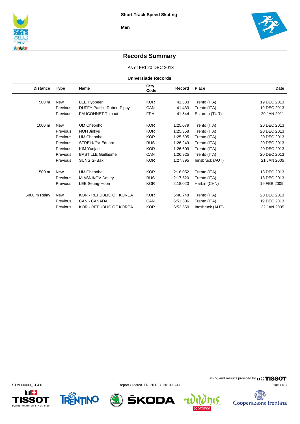

### **Records Summary**

As of FRI 20 DEC 2013

**Universiade Records**

| <b>Distance</b> | Type       | Name                              | Ctry<br>Code | Record   | Place           | Date        |
|-----------------|------------|-----------------------------------|--------------|----------|-----------------|-------------|
|                 |            |                                   |              |          |                 |             |
| 500 m           | New        | LEE Hyobeen                       | <b>KOR</b>   | 41.383   | Trento (ITA)    | 19 DEC 2013 |
|                 | Previous   | <b>DUFFY Patrick Robert Pippy</b> | CAN          | 41.433   | Trento (ITA)    | 19 DEC 2013 |
|                 | Previous   | <b>FAUCONNET Thibaut</b>          | <b>FRA</b>   | 41.544   | Erzurum (TUR)   | 29 JAN 2011 |
| 1000 m          | <b>New</b> | <b>UM Cheonho</b>                 | <b>KOR</b>   | 1:25.079 | Trento (ITA)    | 20 DEC 2013 |
|                 | Previous   | NOH Jinkyu                        | <b>KOR</b>   | 1:25.358 | Trento (ITA)    | 20 DEC 2013 |
|                 | Previous   | UM Cheonho                        | <b>KOR</b>   | 1:25.595 | Trento (ITA)    | 20 DEC 2013 |
|                 | Previous   | <b>STRELKOV Eduard</b>            | <b>RUS</b>   | 1:26.249 | Trento (ITA)    | 20 DEC 2013 |
|                 | Previous   | KIM Yunjae                        | <b>KOR</b>   | 1:26.609 | Trento (ITA)    | 20 DEC 2013 |
|                 | Previous   | <b>BASTILLE Guillaume</b>         | CAN          | 1:26.925 | Trento (ITA)    | 20 DEC 2013 |
|                 | Previous   | SUNG Si-Bak                       | <b>KOR</b>   | 1:27.895 | Innsbruck (AUT) | 21 JAN 2005 |
| 1500 m          | <b>New</b> | UM Cheonho                        | <b>KOR</b>   | 2:16.052 | Trento (ITA)    | 18 DEC 2013 |
|                 | Previous   | <b>MIASNIKOV Dmitry</b>           | <b>RUS</b>   | 2:17.520 | Trento (ITA)    | 18 DEC 2013 |
|                 | Previous   | LEE Seung-Hoon                    | <b>KOR</b>   | 2:18.020 | Harbin (CHN)    | 19 FEB 2009 |
| 5000 m Relay    | <b>New</b> | <b>KOR - REPUBLIC OF KOREA</b>    | <b>KOR</b>   | 6:40.748 | Trento (ITA)    | 20 DEC 2013 |
|                 | Previous   | CAN - CANADA                      | CAN          | 6:51.506 | Trento (ITA)    | 19 DEC 2013 |
|                 | Previous   | <b>KOR - REPUBLIC OF KOREA</b>    | <b>KOR</b>   | 6:52.559 | Innsbruck (AUT) | 22 JAN 2005 |









Timing and Results provided by **THISSOT** Page 1 of 1

碣

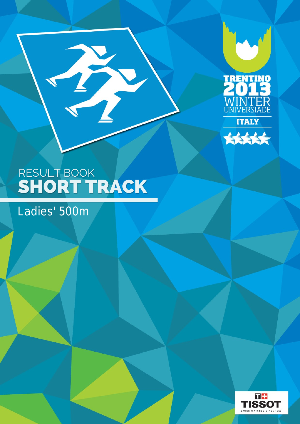



Ladies' 500m

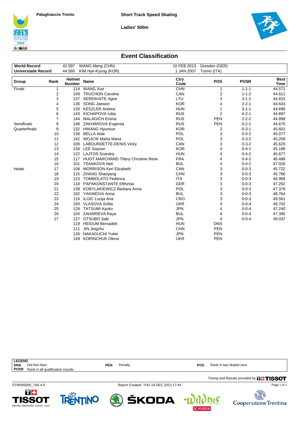**Ladies' 500m**





#### **Event Classification**

| <b>World Record</b>       |      | 42.597        | WANG Meng (CHN)                            | 10 FEB 2013  | Dresden (GER)  |             |             |
|---------------------------|------|---------------|--------------------------------------------|--------------|----------------|-------------|-------------|
| <b>Universiade Record</b> |      | 44.560        | KIM Hye-Kyung (KOR)                        | 1 JAN 2007   | Torino (ITA)   |             |             |
|                           |      | <b>Helmet</b> |                                            |              |                |             | <b>Best</b> |
| Group                     | Rank | <b>Number</b> | <b>Name</b>                                | Ctry<br>Code | <b>POS</b>     | <b>POSR</b> | Time        |
| Finals                    | 1    | 114           | <b>WANG Xue</b>                            | <b>CHN</b>   | 1              | $1 - 1 - 1$ | 44.571      |
|                           | 2    | 109           | <b>TRUCHON Caroline</b>                    | CAN          | $\overline{c}$ | $1 - 1 - 2$ | 44.611      |
|                           | 3    | 137           | <b>SEREIKAITE Agne</b>                     | LTU          | 3              | $3 - 1 - 1$ | 44.815      |
|                           | 4    | 136           | SONG Jaewon                                | <b>KOR</b>   | 4              | $2 - 2 - 1$ | 44.643      |
|                           | 5    | 120           | <b>KESZLER Andrea</b>                      | <b>HUN</b>   | 1              | $3 - 1 - 1$ | 44.696      |
|                           | 6    | 143           | <b>KICHAPOVA Iulija</b>                    | <b>RUS</b>   | $\overline{2}$ | $4 - 2 - 1$ | 44.897      |
|                           | 7    | 144           | <b>MALAGICH Emina</b>                      | <b>RUS</b>   | <b>PEN</b>     | $2 - 2 - 2$ | 44.898      |
| Semifinals                | 8    |               | 148 ZAKHAROVA Evgenija                     | <b>RUS</b>   | <b>PEN</b>     | $0 - 2 - 1$ | 44.675      |
| Quarterfinals             | 9    |               | 132 HWANG Hyunsun                          | <b>KOR</b>   | 3              | $0 - 3 - 1$ | 45.601      |
|                           | 10   | 138           | <b>BELLA Aida</b>                          | POL          | 3              | $0 - 3 - 2$ | 45.077      |
|                           | 11   |               | 142 WOJCIK Marta Maria                     | POL          | 3              | $0 - 3 - 2$ | 45.258      |
|                           | 12   |               | 106 LABOURDETTE-DENIS Vicky                | CAN          | 3              | $0 - 3 - 2$ | 45.625      |
|                           | 13   |               | 134 LEE Soyoun                             | <b>KOR</b>   | 4              | $0 - 4 - 1$ | 45.198      |
|                           | 14   | 122           | LAJTOS Szandra                             | <b>HUN</b>   | 4              | $0 - 4 - 2$ | 45.677      |
|                           | 15   | 117           | <b>HUOT MARCHAND Tifany Christine Rene</b> | <b>FRA</b>   | 4              | $0 - 4 - 2$ | 46.488      |
|                           | 16   | 101           | <b>TSANKOVA Neli</b>                       | <b>BUL</b>   | 4              | $0 - 4 - 2$ | 47.026      |
| Heats                     | 17   | 108           | <b>MORRISON Keri Elizabeth</b>             | CAN          | 3              | $0 - 0 - 3$ | 45.722      |
|                           | 18   |               | 115 ZHANG Shaoyang                         | <b>CHN</b>   | 3              | $0 - 0 - 3$ | 45.766      |
|                           | 19   | 123           | <b>TOMBOLATO Federica</b>                  | <b>ITA</b>   | 3              | $0 - 0 - 3$ | 46.968      |
|                           | 20   | 118           | <b>PAPAKONSTANTE Efthimia</b>              | <b>GER</b>   | 3              | $0 - 0 - 3$ | 47.262      |
|                           | 21   | 139           | KOBYLAKIEWICZ Barbara Anna                 | <b>POL</b>   | 3              | $0 - 0 - 3$ | 47.378      |
|                           | 22   |               | 102 YAKIMOVA Anna                          | <b>BUL</b>   | 3              | $0 - 0 - 3$ | 48.764      |
|                           | 23   | 116           | ILIJIC Lucija Ana                          | CRO          | 3              | $0 - 0 - 3$ | 49.561      |
|                           | 24   | 150           | VLASOVA Sofiia                             | <b>UKR</b>   | 4              | $0 - 0 - 4$ | 46.702      |
|                           | 25   | 128           | <b>TATSUMI Kyoko</b>                       | <b>JPN</b>   | 4              | $0 - 0 - 4$ | 47.240      |
|                           | 26   |               | 104 ZAHARIEVA Raya                         | <b>BUL</b>   | 4              | $0 - 0 - 4$ | 47.395      |
|                           | 27   | 127           | OTSUBO Saki                                | <b>JPN</b>   | 4              | $0 - 0 - 4$ | 48.037      |
|                           |      | 119           | <b>HEIDUM Bernadett</b>                    | <b>HUN</b>   | <b>DNS</b>     |             |             |
|                           |      | 111           | JIN Jingzhu                                | <b>CHN</b>   | <b>PEN</b>     |             |             |
|                           |      | 126           | <b>NAKAGUCHI Yukie</b>                     | <b>JPN</b>   | <b>PEN</b>     |             |             |
|                           |      | 149           | <b>KORINCHUK Olena</b>                     | <b>UKR</b>   | <b>PEN</b>     |             |             |

| <b>LEGEND</b> |                                  |            |                                      |            |                                               |
|---------------|----------------------------------|------------|--------------------------------------|------------|-----------------------------------------------|
| <b>DNS</b>    | Did Not Start                    | <b>PEN</b> | Penalty                              | <b>POS</b> | Rank in last skated race                      |
| <b>POSR</b>   | Rank in all qualification rounds |            |                                      |            |                                               |
|               |                                  |            |                                      |            | Timing and Results provided by <b>THISSOT</b> |
|               | STW005000 74A 4.0                |            | Report Created THU 19 DEC 2013 17:44 |            | Page 1 of 1                                   |

 $\bigcircledast$  škoda  $\psi$ 

Cooperazione Trentina

 $\mathfrak{h}(\zeta)$ 



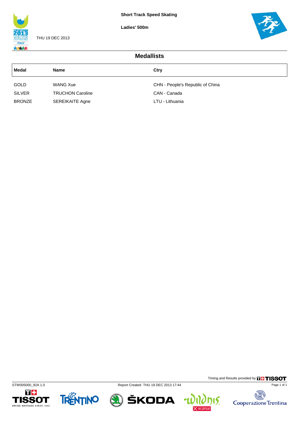**Ladies' 500m**



THU 19 DEC 2013



| <b>Medallists</b> |                         |                                  |  |  |  |  |  |
|-------------------|-------------------------|----------------------------------|--|--|--|--|--|
| Medal             | <b>Name</b>             | Ctry                             |  |  |  |  |  |
| <b>GOLD</b>       | <b>WANG Xue</b>         | CHN - People's Republic of China |  |  |  |  |  |
| <b>SILVER</b>     | <b>TRUCHON Caroline</b> | CAN - Canada                     |  |  |  |  |  |
| <b>BRONZE</b>     | <b>SEREIKAITE Agne</b>  | LTU - Lithuania                  |  |  |  |  |  |









Timing and Results provided by **THISSOT** 

**nis.** 

 $\mathbf{u}$ 

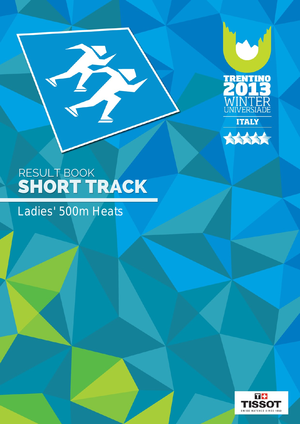



## Ladies' 500m Heats

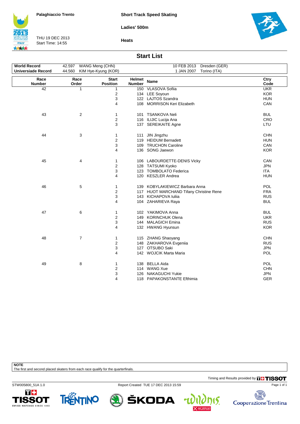**Short Track Speed Skating**

**Ladies' 500m**



THU 19 DEC 2013 Start Time: 14:55





#### **Start List**

| <b>World Record</b>       | 42.597 WANG Meng (CHN) |                                 |                  | 10 FEB 2013 Dresden (GER)               |              |
|---------------------------|------------------------|---------------------------------|------------------|-----------------------------------------|--------------|
| <b>Universiade Record</b> | 44.560                 | KIM Hye-Kyung (KOR)             |                  | 1 JAN 2007 Torino (ITA)                 |              |
|                           |                        |                                 |                  |                                         |              |
| Race<br><b>Number</b>     | Race<br>Order          | <b>Start</b><br><b>Position</b> | Helmet<br>Number | <b>Name</b>                             | Ctry<br>Code |
| 42                        | 1                      | 1                               |                  | 150 VLASOVA Sofiia                      | <b>UKR</b>   |
|                           |                        | 2                               |                  | 134 LEE Soyoun                          | <b>KOR</b>   |
|                           |                        | 3                               |                  | 122 LAJTOS Szandra                      | <b>HUN</b>   |
|                           |                        | 4                               |                  | 108 MORRISON Keri Elizabeth             | CAN          |
| 43                        | $\overline{c}$         | 1                               |                  | 101 TSANKOVA Neli                       | <b>BUL</b>   |
|                           |                        | $\overline{\mathbf{c}}$         |                  | 116 ILIJIC Lucija Ana                   | CRO          |
|                           |                        | 3                               |                  | 137 SEREIKAITE Agne                     | LTU          |
| 44                        | 3                      | 1                               |                  | 111 JIN Jingzhu                         | <b>CHN</b>   |
|                           |                        | $\overline{\mathbf{c}}$         |                  | 119 HEIDUM Bernadett                    | <b>HUN</b>   |
|                           |                        | 3                               |                  | 109 TRUCHON Caroline                    | CAN          |
|                           |                        | 4                               |                  | 136 SONG Jaewon                         | <b>KOR</b>   |
| 45                        | 4                      | 1                               |                  | 106 LABOURDETTE-DENIS Vicky             | CAN          |
|                           |                        | $\overline{\mathbf{c}}$         |                  | 128 TATSUMI Kyoko                       | <b>JPN</b>   |
|                           |                        | 3                               |                  | 123 TOMBOLATO Federica                  | <b>ITA</b>   |
|                           |                        | 4                               |                  | 120 KESZLER Andrea                      | <b>HUN</b>   |
| 46                        | 5                      | 1                               |                  | 139 KOBYLAKIEWICZ Barbara Anna          | POL          |
|                           |                        | $\overline{\mathbf{c}}$         |                  | 117 HUOT MARCHAND Tifany Christine Rene | <b>FRA</b>   |
|                           |                        | 3                               |                  | 143 KICHAPOVA Iuliia                    | <b>RUS</b>   |
|                           |                        | 4                               |                  | 104 ZAHARIEVA Raya                      | <b>BUL</b>   |
| 47                        | 6                      | 1                               |                  | 102 YAKIMOVA Anna                       | <b>BUL</b>   |
|                           |                        | 2                               |                  | 149 KORINCHUK Olena                     | <b>UKR</b>   |
|                           |                        | 3                               |                  | 144 MALAGICH Emina                      | <b>RUS</b>   |
|                           |                        | 4                               |                  | 132 HWANG Hyunsun                       | <b>KOR</b>   |
| 48                        | $\overline{7}$         | 1                               |                  | 115 ZHANG Shaoyang                      | <b>CHN</b>   |
|                           |                        | $\overline{\mathbf{c}}$         |                  | 148 ZAKHAROVA Evgenija                  | <b>RUS</b>   |
|                           |                        | 3                               |                  | 127 OTSUBO Saki                         | <b>JPN</b>   |
|                           |                        | 4                               |                  | 142 WOJCIK Marta Maria                  | <b>POL</b>   |
| 49                        | 8                      | 1                               |                  | 138 BELLA Aida                          | POL          |
|                           |                        | 2                               |                  | 114 WANG Xue                            | <b>CHN</b>   |
|                           |                        | 3                               |                  | 126 NAKAGUCHI Yukie                     | <b>JPN</b>   |
|                           |                        | 4                               |                  | 118 PAPAKONSTANTE Efthimia              | <b>GER</b>   |

**NOTE**

The first and second placed skaters from each race qualify for the quarterfinals.

Timing and Results provided by **THISSOT** 

15.

STW005800\_51A 1.0 Report Created TUE 17 DEC 2013 15:59







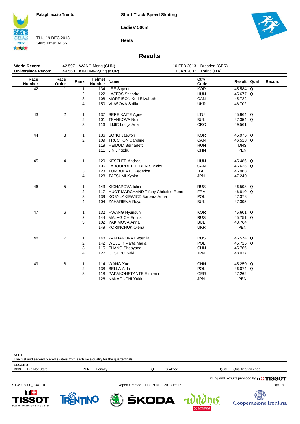**Ladies' 500m**



THU 19 DEC 2013 Start Time: 14:55



**Heats**

#### **Results**

| <b>World Record</b> | 42.597         |      | WANG Meng (CHN)         |                                         | 10 FEB 2013<br>Dresden (GER) |             |        |
|---------------------|----------------|------|-------------------------|-----------------------------------------|------------------------------|-------------|--------|
| Universiade Record  | 44.560         |      | KIM Hye-Kyung (KOR)     |                                         | 1 JAN 2007<br>Torino (ITA)   |             |        |
| Race<br>Number      | Race<br>Order  | Rank | Helmet<br><b>Number</b> | <b>Name</b>                             | Ctry<br>Code                 | Result Qual | Record |
| 42                  | 1              | 1    |                         | 134 LEE Soyoun                          | <b>KOR</b>                   | 45.584 Q    |        |
|                     |                | 2    |                         | 122 LAJTOS Szandra                      | <b>HUN</b>                   | 45.677 Q    |        |
|                     |                | 3    |                         | 108 MORRISON Keri Elizabeth             | CAN                          | 45.722      |        |
|                     |                | 4    |                         | 150 VLASOVA Sofiia                      | <b>UKR</b>                   | 46.702      |        |
| 43                  | $\overline{c}$ | 1    |                         | 137 SEREIKAITE Agne                     | LTU                          | 45.964 Q    |        |
|                     |                | 2    | 101                     | <b>TSANKOVA Neli</b>                    | <b>BUL</b>                   | 47.354 Q    |        |
|                     |                | 3    |                         | 116 ILIJIC Lucija Ana                   | CRO                          | 49.561      |        |
| 44                  | 3              | 1    |                         | 136 SONG Jaewon                         | <b>KOR</b>                   | 45.976 Q    |        |
|                     |                | 2    | 109                     | <b>TRUCHON Caroline</b>                 | CAN                          | 46.518 Q    |        |
|                     |                |      |                         | 119 HEIDUM Bernadett                    | <b>HUN</b>                   | <b>DNS</b>  |        |
|                     |                |      | 111                     | JIN Jingzhu                             | <b>CHN</b>                   | PEN         |        |
| 45                  | 4              | 1    |                         | 120 KESZLER Andrea                      | <b>HUN</b>                   | 45.486 Q    |        |
|                     |                | 2    |                         | 106 LABOURDETTE-DENIS Vicky             | CAN                          | 45.625 Q    |        |
|                     |                | 3    |                         | 123 TOMBOLATO Federica                  | ITA                          | 46.968      |        |
|                     |                | 4    |                         | 128 TATSUMI Kyoko                       | <b>JPN</b>                   | 47.240      |        |
| 46                  | 5              | 1    |                         | 143 KICHAPOVA Iuliia                    | <b>RUS</b>                   | 46.598 Q    |        |
|                     |                | 2    |                         | 117 HUOT MARCHAND Tifany Christine Rene | <b>FRA</b>                   | 46.810 Q    |        |
|                     |                | 3    |                         | 139 KOBYLAKIEWICZ Barbara Anna          | <b>POL</b>                   | 47.378      |        |
|                     |                | 4    |                         | 104 ZAHARIEVA Raya                      | <b>BUL</b>                   | 47.395      |        |
| 47                  | 6              | 1    |                         | 132 HWANG Hyunsun                       | <b>KOR</b>                   | 45.601 Q    |        |
|                     |                | 2    |                         | 144 MALAGICH Emina                      | <b>RUS</b>                   | 45.751 Q    |        |
|                     |                | 3    |                         | 102 YAKIMOVA Anna                       | <b>BUL</b>                   | 48.764      |        |
|                     |                |      |                         | 149 KORINCHUK Olena                     | <b>UKR</b>                   | PEN         |        |
| 48                  | 7              | 1    |                         | 148 ZAKHAROVA Evgenija                  | <b>RUS</b>                   | 45.574 Q    |        |
|                     |                | 2    |                         | 142 WOJCIK Marta Maria                  | POL                          | 45.715 Q    |        |
|                     |                | 3    |                         | 115 ZHANG Shaoyang                      | <b>CHN</b>                   | 45.766      |        |
|                     |                | 4    |                         | 127 OTSUBO Saki                         | <b>JPN</b>                   | 48.037      |        |
| 49                  | 8              | 1    |                         | 114 WANG Xue                            | <b>CHN</b>                   | 45.250 Q    |        |
|                     |                | 2    |                         | 138 BELLA Aida                          | <b>POL</b>                   | 46.074 Q    |        |
|                     |                | 3    |                         | 118 PAPAKONSTANTE Efthimia              | GER                          | 47.262      |        |
|                     |                |      |                         | 126 NAKAGUCHI Yukie                     | <b>JPN</b>                   | <b>PEN</b>  |        |

| <b>NOTE</b>   |                                                                                   |     |         |  |           |      |                    |  |  |  |
|---------------|-----------------------------------------------------------------------------------|-----|---------|--|-----------|------|--------------------|--|--|--|
|               | The first and second placed skaters from each race qualify for the quarterfinals. |     |         |  |           |      |                    |  |  |  |
| <b>LEGEND</b> |                                                                                   |     |         |  |           |      |                    |  |  |  |
| <b>DNS</b>    | Did Not Start                                                                     | PEN | Penalty |  | Qualified | Qual | Qualification code |  |  |  |
|               |                                                                                   |     |         |  |           |      |                    |  |  |  |

Timing and Results provided by **THISSOT** 

15.

STW005800\_73A 1.0 Report Created THU 19 DEC 2013 15:17







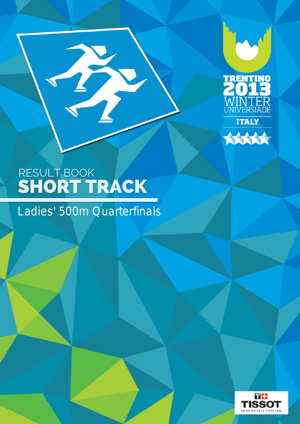



B

Ladies' 500m Quarterfinals

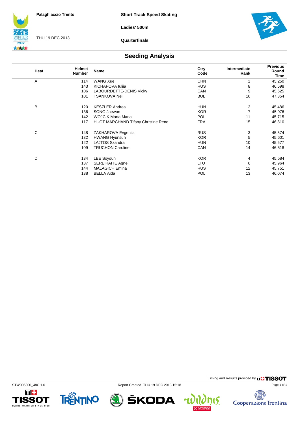**Ladies' 500m**



THU 19 DEC 2013

**Quarterfinals**



#### **Seeding Analysis**

| Heat | <b>Helmet</b><br><b>Number</b> | <b>Name</b>                                | Ctry<br>Code | Intermediate<br>Rank | <b>Previous</b><br>Round<br>Time |
|------|--------------------------------|--------------------------------------------|--------------|----------------------|----------------------------------|
| Α    | 114                            | <b>WANG Xue</b>                            | <b>CHN</b>   |                      | 45.250                           |
|      | 143                            | KICHAPOVA Iuliia                           | <b>RUS</b>   | 8                    | 46.598                           |
|      | 106                            | LABOURDETTE-DENIS Vicky                    | CAN          | 9                    | 45.625                           |
|      | 101                            | <b>TSANKOVA Neli</b>                       | <b>BUL</b>   | 16                   | 47.354                           |
| В    | 120                            | <b>KESZLER Andrea</b>                      | <b>HUN</b>   | 2                    | 45.486                           |
|      | 136                            | SONG Jaewon                                | <b>KOR</b>   | 7                    | 45.976                           |
|      | 142                            | <b>WOJCIK Marta Maria</b>                  | <b>POL</b>   | 11                   | 45.715                           |
|      | 117                            | <b>HUOT MARCHAND Tifany Christine Rene</b> | <b>FRA</b>   | 15                   | 46.810                           |
| С    | 148                            | ZAKHAROVA Evgeniia                         | <b>RUS</b>   | 3                    | 45.574                           |
|      | 132                            | <b>HWANG Hyunsun</b>                       | <b>KOR</b>   | 5                    | 45.601                           |
|      | 122                            | <b>LAJTOS Szandra</b>                      | <b>HUN</b>   | 10                   | 45.677                           |
|      | 109                            | <b>TRUCHON Caroline</b>                    | CAN          | 14                   | 46.518                           |
| D    | 134                            | LEE Soyoun                                 | <b>KOR</b>   | 4                    | 45.584                           |
|      | 137                            | <b>SEREIKAITE Agne</b>                     | LTU          | 6                    | 45.964                           |
|      | 144                            | <b>MALAGICH Emina</b>                      | <b>RUS</b>   | 12                   | 45.751                           |
|      | 138                            | <b>BELLA Aida</b>                          | <b>POL</b>   | 13                   | 46.074                           |





STW005300\_48C 1.0 Report Created THU 19 DEC 2013 15:18



Timing and Results provided by **THISSOT** 

15.

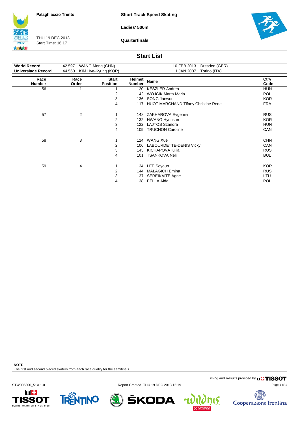**Short Track Speed Skating**

**Ladies' 500m**

**ITALY** 大大大大

THU 19 DEC 2013 Start Time: 16:17

**Quarterfinals**



#### **Start List**

| <b>World Record</b>   | 42.597        | WANG Meng (CHN)                 | 10 FEB 2013<br>Dresden (GER) |                                            |              |  |
|-----------------------|---------------|---------------------------------|------------------------------|--------------------------------------------|--------------|--|
| Universiade Record    | 44.560        | KIM Hye-Kyung (KOR)             |                              | 1 JAN 2007<br>Torino (ITA)                 |              |  |
| Race<br><b>Number</b> | Race<br>Order | <b>Start</b><br><b>Position</b> | Helmet<br><b>Number</b>      | Name                                       | Ctry<br>Code |  |
| 56                    |               |                                 | 120                          | <b>KESZLER Andrea</b>                      | <b>HUN</b>   |  |
|                       |               | 2                               | 142                          | <b>WOJCIK Marta Maria</b>                  | <b>POL</b>   |  |
|                       |               | 3                               | 136                          | SONG Jaewon                                | <b>KOR</b>   |  |
|                       |               | 4                               | 117                          | <b>HUOT MARCHAND Tifany Christine Rene</b> | <b>FRA</b>   |  |
| 57                    | 2             |                                 |                              | 148 ZAKHAROVA Evgenija                     | <b>RUS</b>   |  |
|                       |               | 2                               | 132                          | <b>HWANG Hyunsun</b>                       | <b>KOR</b>   |  |
|                       |               | 3                               | 122                          | <b>LAJTOS Szandra</b>                      | <b>HUN</b>   |  |
|                       |               | 4                               | 109                          | <b>TRUCHON Caroline</b>                    | CAN          |  |
| 58                    | 3             |                                 |                              | 114 WANG Xue                               | <b>CHN</b>   |  |
|                       |               | 2                               | 106                          | LABOURDETTE-DENIS Vicky                    | CAN          |  |
|                       |               | 3                               | 143                          | KICHAPOVA Iulija                           | <b>RUS</b>   |  |
|                       |               | 4                               | 101                          | <b>TSANKOVA Neli</b>                       | <b>BUL</b>   |  |
| 59                    | 4             |                                 |                              | 134 LEE Soyoun                             | <b>KOR</b>   |  |
|                       |               | 2                               | 144                          | <b>MALAGICH Emina</b>                      | <b>RUS</b>   |  |
|                       |               | 3                               | 137                          | <b>SEREIKAITE Agne</b>                     | LTU          |  |
|                       |               | 4                               | 138                          | <b>BELLA Aida</b>                          | POL          |  |
|                       |               |                                 |                              |                                            |              |  |

**NOTE**

The first and second placed skaters from each race qualify for the semifinals.

Timing and Results provided by **THISSOT** 

STW005300\_51A 1.0 Report Created THU 19 DEC 2013 15:19





ŠKODA



4

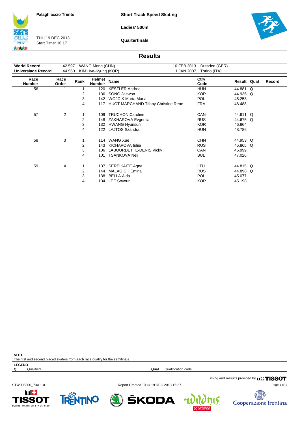**Short Track Speed Skating**

**Ladies' 500m**

**ITALY** 大大大大

THU 19 DEC 2013 Start Time: 16:17

**Quarterfinals**



#### **Results**

| <b>World Record</b>   | WANG Meng (CHN)<br>42.597 |      |                         |                                            | 10 FEB 2013<br>Dresden (GER) |             |   |        |
|-----------------------|---------------------------|------|-------------------------|--------------------------------------------|------------------------------|-------------|---|--------|
| Universiade Record    | 44.560                    |      | KIM Hye-Kyung (KOR)     | 1 JAN 2007                                 | Torino (ITA)                 |             |   |        |
| Race<br><b>Number</b> | Race<br>Order             | Rank | Helmet<br><b>Number</b> | Name                                       | Ctry<br>Code                 | Result Qual |   | Record |
| 56                    |                           |      | 120                     | <b>KESZLER Andrea</b>                      | <b>HUN</b>                   | 44.881      | Q |        |
|                       |                           | 2    | 136                     | SONG Jaewon                                | <b>KOR</b>                   | 44.936      | Q |        |
|                       |                           | 3    | 142                     | <b>WOJCIK Marta Maria</b>                  | <b>POL</b>                   | 45.258      |   |        |
|                       |                           | 4    | 117                     | <b>HUOT MARCHAND Tifany Christine Rene</b> | <b>FRA</b>                   | 46.488      |   |        |
|                       |                           |      |                         |                                            |                              |             |   |        |
| 57                    | $\overline{2}$            |      | 109                     | <b>TRUCHON Caroline</b>                    | CAN                          | 44.611 Q    |   |        |
|                       |                           | 2    | 148                     | ZAKHAROVA Evgenija                         | <b>RUS</b>                   | 44.675 Q    |   |        |
|                       |                           | 3    | 132                     | <b>HWANG Hyunsun</b>                       | KOR.                         | 46.864      |   |        |
|                       |                           | 4    | 122                     | LAJTOS Szandra                             | <b>HUN</b>                   | 48.786      |   |        |
|                       |                           |      |                         |                                            |                              |             |   |        |
| 58                    | 3                         |      | 114                     | <b>WANG Xue</b>                            | <b>CHN</b>                   | 44.953 Q    |   |        |
|                       |                           | 2    | 143                     | <b>KICHAPOVA Iulija</b>                    | <b>RUS</b>                   | 45.865      | Q |        |
|                       |                           | 3    | 106                     | LABOURDETTE-DENIS Vicky                    | CAN                          | 45.999      |   |        |
|                       |                           | 4    | 101                     | <b>TSANKOVA Neli</b>                       | <b>BUL</b>                   | 47.026      |   |        |
|                       |                           |      |                         |                                            |                              |             |   |        |
| 59                    | 4                         |      | 137                     | <b>SEREIKAITE Agne</b>                     | LTU                          | 44.815 Q    |   |        |
|                       |                           | 2    | 144                     | <b>MALAGICH Emina</b>                      | <b>RUS</b>                   | 44.898 Q    |   |        |
|                       |                           | 3    | 138                     | <b>BELLA Aida</b>                          | <b>POL</b>                   | 45.077      |   |        |
|                       |                           |      |                         |                                            |                              |             |   |        |
|                       |                           | 4    | 134                     | LEE Soyoun                                 | <b>KOR</b>                   | 45.198      |   |        |

| <b>NOTE</b>                                                                    |           |      |                    |  |  |  |  |  |
|--------------------------------------------------------------------------------|-----------|------|--------------------|--|--|--|--|--|
| The first and second placed skaters from each race qualify for the semifinals. |           |      |                    |  |  |  |  |  |
| <b>LEGEND</b>                                                                  |           |      |                    |  |  |  |  |  |
| Q                                                                              | Qualified | Qual | Qualification code |  |  |  |  |  |
|                                                                                |           |      |                    |  |  |  |  |  |

STW005300\_73A 1.0 Report Created THU 19 DEC 2013 16:27











Page 1 of 1

Timing and Results provided by **THISSOT**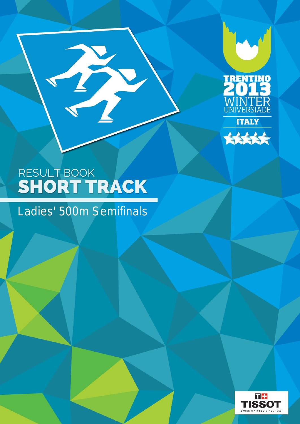



Ladies' 500m Semifinals

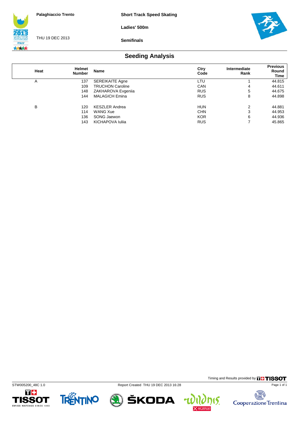**Short Track Speed Skating**

**Ladies' 500m**



THU 19 DEC 2013

**Semifinals**



### **Seeding Analysis**

| Heat | <b>Helmet</b><br><b>Number</b> | Name                    | Ctry<br>Code | Intermediate<br>Rank | <b>Previous</b><br>Round<br>Time |
|------|--------------------------------|-------------------------|--------------|----------------------|----------------------------------|
| A    | 137                            | <b>SEREIKAITE Agne</b>  | LTU          |                      | 44.815                           |
|      | 109                            | <b>TRUCHON Caroline</b> | CAN          | 4                    | 44.611                           |
|      | 148                            | ZAKHAROVA Evgenija      | <b>RUS</b>   | 5                    | 44.675                           |
|      | 144                            | <b>MALAGICH Emina</b>   | <b>RUS</b>   | 8                    | 44.898                           |
| в    | 120                            | <b>KESZLER Andrea</b>   | <b>HUN</b>   | 2                    | 44.881                           |
|      | 114                            | <b>WANG Xue</b>         | <b>CHN</b>   | 3                    | 44.953                           |
|      | 136                            | SONG Jaewon             | <b>KOR</b>   | 6                    | 44.936                           |
|      | 143                            | KICHAPOVA Iulija        | <b>RUS</b>   |                      | 45.865                           |





STW005200\_48C 1.0 Report Created THU 19 DEC 2013 16:28



Timing and Results provided by **THISSOT** Page 1 of 1

15.

 $\overline{\mathbf{r}}$ 

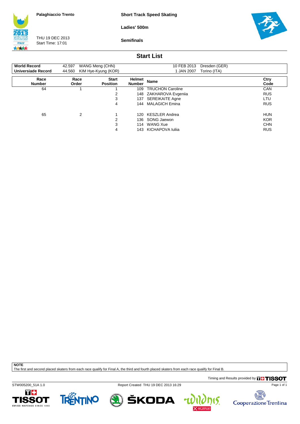**Short Track Speed Skating**

**Ladies' 500m**

**ITALY** 大大大大

THU 19 DEC 2013 Start Time: 17:01

**Semifinals**



#### **Start List**

| <b>World Record</b><br><b>Universiade Record</b> | WANG Meng (CHN)<br>42.597<br>44.560<br>KIM Hye-Kyung (KOR) |                                 |                  | 10 FEB 2013<br>Dresden (GER)<br>1 JAN 2007<br>Torino (ITA) |              |
|--------------------------------------------------|------------------------------------------------------------|---------------------------------|------------------|------------------------------------------------------------|--------------|
| Race<br><b>Number</b>                            | Race<br>Order                                              | <b>Start</b><br><b>Position</b> | Helmet<br>Number | <b>Name</b>                                                | Ctry<br>Code |
| 64                                               |                                                            |                                 | 109              | <b>TRUCHON Caroline</b>                                    | CAN          |
|                                                  |                                                            | 2                               | 148              | ZAKHAROVA Evgeniia                                         | <b>RUS</b>   |
|                                                  |                                                            | 3                               | 137              | <b>SEREIKAITE Agne</b>                                     | LTU          |
|                                                  |                                                            | 4                               | 144              | <b>MALAGICH Emina</b>                                      | <b>RUS</b>   |
| 65                                               | 2                                                          |                                 | 120              | <b>KESZLER Andrea</b>                                      | <b>HUN</b>   |
|                                                  |                                                            | 2                               | 136              | SONG Jaewon                                                | <b>KOR</b>   |
|                                                  |                                                            | 3                               | 114              | WANG Xue                                                   | <b>CHN</b>   |
|                                                  |                                                            | 4                               | 143              | KICHAPOVA Iulija                                           | <b>RUS</b>   |

**NOTE**

The first and second placed skaters from each race qualify for Final A, the third and fourth placed skaters from each race qualify for Final B.

Timing and Results provided by **THISSOT** 

STW005200\_51A 1.0 Report Created THU 19 DEC 2013 16:29





ŠKODA



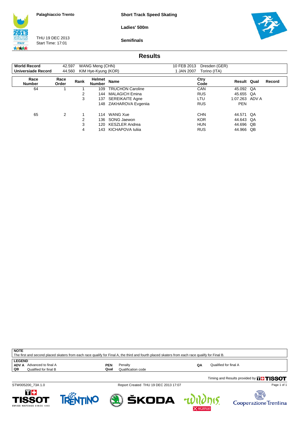**Short Track Speed Skating**

**Ladies' 500m**

**ITALY** 大大大大

THU 19 DEC 2013 Start Time: 17:01

**Semifinals**



#### **Results**

| <b>World Record</b>   | 42.597        |      | WANG Meng (CHN)         |                         | 10 FEB 2013 | Dresden (GER) |                    |    |        |
|-----------------------|---------------|------|-------------------------|-------------------------|-------------|---------------|--------------------|----|--------|
| Universiade Record    | 44.560        |      | KIM Hye-Kyung (KOR)     |                         | 1 JAN 2007  | Torino (ITA)  |                    |    |        |
| Race<br><b>Number</b> | Race<br>Order | Rank | Helmet<br><b>Number</b> | <b>Name</b>             |             | Ctry<br>Code  | <b>Result Qual</b> |    | Record |
| 64                    |               |      | 109                     | <b>TRUCHON Caroline</b> |             | <b>CAN</b>    | 45.092 QA          |    |        |
|                       |               | 2    | 144                     | <b>MALAGICH Emina</b>   |             | <b>RUS</b>    | 45.655             | QA |        |
|                       |               | 3    | 137                     | <b>SEREIKAITE Agne</b>  |             | <b>LTU</b>    | 1:07.263 ADV A     |    |        |
|                       |               |      | 148                     | ZAKHAROVA Evgenija      |             | <b>RUS</b>    | <b>PEN</b>         |    |        |
| 65                    | 2             |      | 114                     | <b>WANG Xue</b>         |             | <b>CHN</b>    | 44.571 QA          |    |        |
|                       |               | 2    | 136                     | SONG Jaewon             |             | <b>KOR</b>    | 44.643 QA          |    |        |
|                       |               | 3    | 120                     | <b>KESZLER Andrea</b>   |             | <b>HUN</b>    | 44.696 QB          |    |        |
|                       |               | 4    | 143                     | KICHAPOVA Iulija        |             | <b>RUS</b>    | 44.966             | QB |        |

| <b>NOTE</b><br>The first and second placed skaters from each race qualify for Final A, the third and fourth placed skaters from each race qualify for Final B. |             |                               |    |                                                   |  |  |  |  |  |  |
|----------------------------------------------------------------------------------------------------------------------------------------------------------------|-------------|-------------------------------|----|---------------------------------------------------|--|--|--|--|--|--|
| <b>LEGEND</b><br><b>ADV A</b> Advanced to final A<br>QB<br>Qualified for final B                                                                               | PEN<br>Qual | Penalty<br>Qualification code | QΑ | Qualified for final A                             |  |  |  |  |  |  |
|                                                                                                                                                                |             |                               |    | Timing and Results provided by <b>FILL TICCOT</b> |  |  |  |  |  |  |

STW005200\_73A 1.0 Report Created THU 19 DEC 2013 17:07

Timing and Results provided by









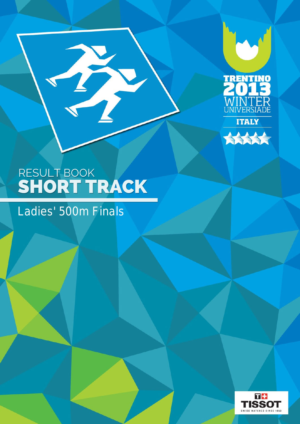



## Ladies' 500m Finals

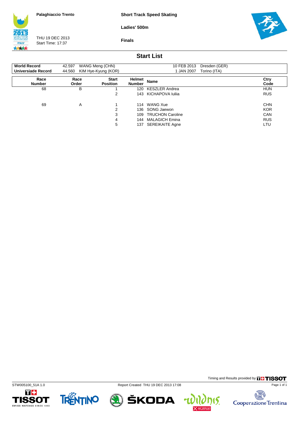**Short Track Speed Skating**

**Ladies' 500m**



THU 19 DEC 2013 Start Time: 17:37





#### **Start List**

| <b>World Record</b><br>Universiade Record | 42.597<br>44.560 | WANG Meng (CHN)<br>KIM Hye-Kyung (KOR) |                         | Dresden (GER)<br>10 FEB 2013<br>1 JAN 2007<br>Torino (ITA) |              |
|-------------------------------------------|------------------|----------------------------------------|-------------------------|------------------------------------------------------------|--------------|
| Race<br><b>Number</b>                     | Race<br>Order    | <b>Start</b><br><b>Position</b>        | Helmet<br><b>Number</b> | <b>Name</b>                                                | Ctry<br>Code |
| 68                                        | B                |                                        | 120                     | <b>KESZLER Andrea</b>                                      | <b>HUN</b>   |
|                                           |                  | 2                                      | 143                     | KICHAPOVA Iulija                                           | <b>RUS</b>   |
| 69                                        | A                |                                        | 114                     | WANG Xue                                                   | <b>CHN</b>   |
|                                           |                  | 2                                      | 136                     | SONG Jaewon                                                | <b>KOR</b>   |
|                                           |                  | 3                                      | 109                     | <b>TRUCHON Caroline</b>                                    | <b>CAN</b>   |
|                                           |                  | 4                                      | 144                     | <b>MALAGICH Emina</b>                                      | <b>RUS</b>   |
|                                           |                  | 5                                      | 137                     | <b>SEREIKAITE Agne</b>                                     | LTU          |











15.

电大学 Cooperazione Trentina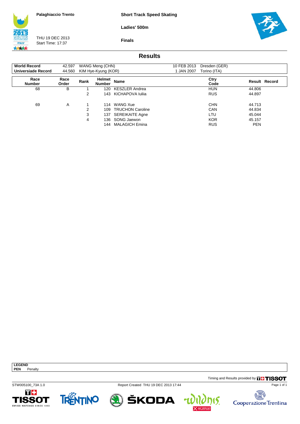**Short Track Speed Skating**

**Ladies' 500m**

**Finals**



THU 19 DEC 2013 Start Time: 17:37



#### **Results**

| <b>World Record</b>   | 42.597        |      | WANG Meng (CHN)         |                         | 10 FEB 2013 | Dresden (GER) |                      |  |
|-----------------------|---------------|------|-------------------------|-------------------------|-------------|---------------|----------------------|--|
| Universiade Record    | 44.560        |      | KIM Hye-Kyung (KOR)     |                         | I JAN 2007  | Torino (ITA)  |                      |  |
| Race<br><b>Number</b> | Race<br>Order | Rank | Helmet<br><b>Number</b> | <b>Name</b>             |             | Ctry<br>Code  | <b>Result Record</b> |  |
| 68                    | В             |      | 120                     | KESZLER Andrea          |             | <b>HUN</b>    | 44.806               |  |
|                       |               | 2    | 143.                    | KICHAPOVA Iulija        |             | <b>RUS</b>    | 44.897               |  |
| 69                    | A             |      | 114                     | WANG Xue                |             | <b>CHN</b>    | 44.713               |  |
|                       |               | 2    | 109                     | <b>TRUCHON Caroline</b> |             | CAN           | 44.834               |  |
|                       |               | 3    | 137                     | <b>SEREIKAITE Agne</b>  |             | LTU           | 45.044               |  |
|                       |               | 4    | 136                     | SONG Jaewon             |             | <b>KOR</b>    | 45.157               |  |
|                       |               |      | 144                     | <b>MALAGICH Emina</b>   |             | <b>RUS</b>    | <b>PEN</b>           |  |

**LEGEND PEN** Penalty

Timing and Results provided by **THISSOT** 

STW005100\_73A 1.0 Report Created THU 19 DEC 2013 17:44

ŠKODA







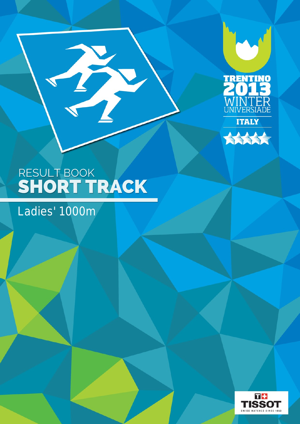



Ladies' 1000m

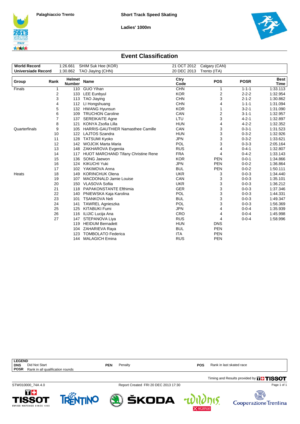





#### **Event Classification**

| <b>World Record</b>       |                | 1:26.661                       | SHIM Suk Hee (KOR)                         | 21 OCT 2012  | Calgary (CAN)           |             |                     |
|---------------------------|----------------|--------------------------------|--------------------------------------------|--------------|-------------------------|-------------|---------------------|
| <b>Universiade Record</b> |                | 1:30.862                       | TAO Jiaying (CHN)                          | 20 DEC 2013  | Trento (ITA)            |             |                     |
|                           |                |                                |                                            |              |                         |             |                     |
| Group                     | Rank           | <b>Helmet</b><br><b>Number</b> | <b>Name</b>                                | Ctry<br>Code | <b>POS</b>              | <b>POSR</b> | <b>Best</b><br>Time |
| Finals                    | 1              |                                | 110 GUO Yihan                              | <b>CHN</b>   | 1                       | $1 - 1 - 1$ | 1:33.113            |
|                           | 2              | 133                            | <b>LEE Eunbyul</b>                         | <b>KOR</b>   | $\overline{\mathbf{c}}$ | $2 - 2 - 2$ | 1:32.954            |
|                           | 3              | 113                            | <b>TAO Jiaving</b>                         | <b>CHN</b>   | 3                       | $2 - 1 - 2$ | 1:30.862            |
|                           | 4              | 112                            | LI Hongshuang                              | <b>CHN</b>   | 4                       | $1 - 1 - 1$ | 1:31.094            |
|                           | 5              | 132                            | <b>HWANG Hyunsun</b>                       | <b>KOR</b>   | 1                       | $3 - 2 - 1$ | 1:31.090            |
|                           | 6              | 109                            | <b>TRUCHON Caroline</b>                    | CAN          | $\overline{c}$          | $3 - 1 - 1$ | 1:32.957            |
|                           | $\overline{7}$ | 137                            | <b>SEREIKAITE Agne</b>                     | LTU          | 3                       | $4 - 2 - 1$ | 1:32.897            |
|                           | 8              | 121                            | KONYA Zsofia Lilla                         | <b>HUN</b>   | 4                       | $4 - 2 - 2$ | 1:32.352            |
| Quarterfinals             | 9              | 105                            | <b>HARRIS-GAUTHIER Namasthee Camille</b>   | CAN          | 3                       | $0 - 3 - 1$ | 1:31.523            |
|                           | 10             | 122                            | LAJTOS Szandra                             | <b>HUN</b>   | 3                       | $0 - 3 - 2$ | 1:32.926            |
|                           | 11             | 128                            | <b>TATSUMI Kyoko</b>                       | <b>JPN</b>   | 3                       | $0 - 3 - 2$ | 1:33.621            |
|                           | 12             |                                | 142 WOJCIK Marta Maria                     | POL          | 3                       | $0 - 3 - 3$ | 2:05.164            |
|                           | 13             | 148                            | ZAKHAROVA Evgenija                         | <b>RUS</b>   | 4                       | $0 - 4 - 1$ | 1:32.807            |
|                           | 14             | 117                            | <b>HUOT MARCHAND Tifany Christine Rene</b> | <b>FRA</b>   | 4                       | $0 - 4 - 2$ | 1:33.143            |
|                           | 15             | 136                            | SONG Jaewon                                | <b>KOR</b>   | <b>PEN</b>              | $0 - 0 - 1$ | 1:34.866            |
|                           | 16             | 124                            | <b>KIKUCHI Yuki</b>                        | <b>JPN</b>   | <b>PEN</b>              | $0 - 0 - 2$ | 1:36.864            |
|                           | 17             | 102                            | YAKIMOVA Anna                              | <b>BUL</b>   | <b>PEN</b>              | $0 - 0 - 2$ | 1:50.111            |
| Heats                     | 18             | 149                            | <b>KORINCHUK Olena</b>                     | <b>UKR</b>   | 3                       | $0 - 0 - 3$ | 1:34.440            |
|                           | 19             | 107                            | <b>MACDONALD Jamie Louise</b>              | CAN          | 3                       | $0 - 0 - 3$ | 1:35.101            |
|                           | 20             | 150                            | <b>VLASOVA Sofiia</b>                      | <b>UKR</b>   | 3                       | $0 - 0 - 3$ | 1:36.212            |
|                           | 21             | 118                            | PAPAKONSTANTE Efthimia                     | <b>GER</b>   | 3                       | $0 - 0 - 3$ | 1:37.346            |
|                           | 22             | 140                            | PNIEWSKA Kaja Karolina                     | POL          | 3                       | $0 - 0 - 3$ | 1:44.331            |
|                           | 23             | 101                            | <b>TSANKOVA Neli</b>                       | <b>BUL</b>   | 3                       | $0 - 0 - 3$ | 1:49.347            |
|                           | 24             | 141                            | <b>TAWREL Agnieszka</b>                    | POL          | 3                       | $0 - 0 - 3$ | 1:56.369            |
|                           | 25             | 125                            | <b>KITABUKI Fumi</b>                       | <b>JPN</b>   | 4                       | $0 - 0 - 4$ | 1:35.939            |
|                           | 26             | 116                            | ILIJIC Lucija Ana                          | CRO          | 4                       | $0 - 0 - 4$ | 1:45.998            |
|                           | 27             | 147                            | STEPANOVA Liya                             | <b>RUS</b>   | 4                       | $0 - 0 - 4$ | 1:58.996            |
|                           |                | 119                            | <b>HEIDUM Bernadett</b>                    | <b>HUN</b>   | <b>DNS</b>              |             |                     |
|                           |                | 104                            | ZAHARIEVA Raya                             | <b>BUL</b>   | <b>PEN</b>              |             |                     |
|                           |                | 123                            | <b>TOMBOLATO Federica</b>                  | <b>ITA</b>   | <b>PEN</b>              |             |                     |
|                           |                | 144                            | <b>MALAGICH Emina</b>                      | <b>RUS</b>   | <b>PEN</b>              |             |                     |

| <b>LEGEND</b>     |                                  |     |                                      |            |                                               |
|-------------------|----------------------------------|-----|--------------------------------------|------------|-----------------------------------------------|
| <b>DNS</b>        | Did Not Start                    | PEN | Penalty                              | <b>POS</b> | Rank in last skated race                      |
| <b>POSR</b>       | Rank in all qualification rounds |     |                                      |            |                                               |
|                   |                                  |     |                                      |            | Timing and Results provided by <b>THISSOT</b> |
| STW010000 74A 4.0 |                                  |     | Report Created FRI 20 DEC 2013 17:30 |            | Page 1 of 1                                   |

T+

TISSOT

SWISS WATCHES SINCE 1853

TRENTINO

 $\textcircled{S}$ 



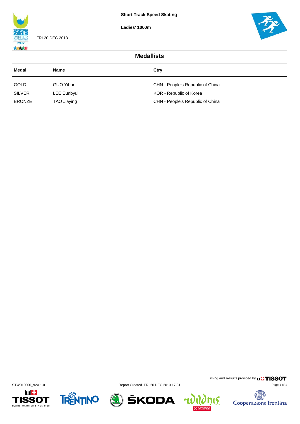**Ladies' 1000m**



FRI 20 DEC 2013



| <b>Medallists</b> |                    |                                  |  |  |  |  |  |
|-------------------|--------------------|----------------------------------|--|--|--|--|--|
| Medal             | <b>Name</b>        | Ctry                             |  |  |  |  |  |
| <b>GOLD</b>       | GUO Yihan          | CHN - People's Republic of China |  |  |  |  |  |
| <b>SILVER</b>     | <b>LEE Eunbyul</b> | KOR - Republic of Korea          |  |  |  |  |  |
| <b>BRONZE</b>     | TAO Jiaying        | CHN - People's Republic of China |  |  |  |  |  |





STW010000\_92A 1.0 Report Created FRI 20 DEC 2013 17:31







Page 1 of 1

Timing and Results provided by **THISSOT**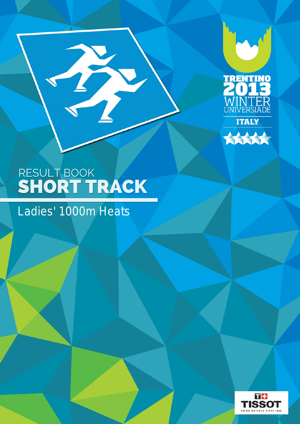



### Ladies' 1000m Heats

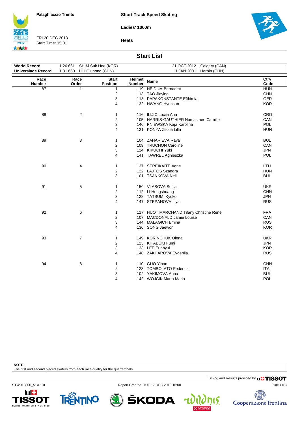**Short Track Speed Skating**

**Ladies' 1000m**



FRI 20 DEC 2013 Start Time: 15:01





#### **Start List**

| <b>World Record</b>       | 1:26.661       | SHIM Suk Hee (KOR)      |               | 21 OCT 2012 Calgary (CAN)               |            |
|---------------------------|----------------|-------------------------|---------------|-----------------------------------------|------------|
| <b>Universiade Record</b> | 1:31.660       | LIU Qiuhong (CHN)       |               | 1 JAN 2001<br>Harbin (CHN)              |            |
|                           |                |                         |               |                                         |            |
| Race                      | Race           | <b>Start</b>            | Helmet        | <b>Name</b>                             | Ctry       |
| <b>Number</b>             | Order          | <b>Position</b>         | <b>Number</b> |                                         | Code       |
| 87                        | 1              | 1                       |               | 119 HEIDUM Bernadett                    | <b>HUN</b> |
|                           |                | $\overline{\mathbf{c}}$ |               | 113 TAO Jiaying                         | <b>CHN</b> |
|                           |                | 3                       |               | 118 PAPAKONSTANTE Efthimia              | <b>GER</b> |
|                           |                | 4                       |               | 132 HWANG Hyunsun                       | <b>KOR</b> |
| 88                        | 2              | 1                       |               | 116 ILIJIC Lucija Ana                   | <b>CRO</b> |
|                           |                | $\overline{\mathbf{c}}$ |               | 105 HARRIS-GAUTHIER Namasthee Camille   | CAN        |
|                           |                | 3                       |               | 140 PNIEWSKA Kaja Karolina              | <b>POL</b> |
|                           |                | 4                       |               | 121 KONYA Zsofia Lilla                  | <b>HUN</b> |
| 89                        | 3              | 1                       |               | 104 ZAHARIEVA Raya                      | <b>BUL</b> |
|                           |                | $\overline{2}$          |               | 109 TRUCHON Caroline                    | CAN        |
|                           |                | 3                       |               | 124 KIKUCHI Yuki                        | <b>JPN</b> |
|                           |                | 4                       |               | 141 TAWREL Agnieszka                    | <b>POL</b> |
| 90                        | 4              | 1                       |               | 137 SEREIKAITE Agne                     | LTU        |
|                           |                | $\overline{2}$          |               | 122 LAJTOS Szandra                      | <b>HUN</b> |
|                           |                | 3                       |               | 101 TSANKOVA Neli                       | <b>BUL</b> |
| 91                        | 5              | 1                       |               | 150 VLASOVA Sofiia                      | <b>UKR</b> |
|                           |                | 2                       |               | 112 LI Hongshuang                       | <b>CHN</b> |
|                           |                | 3                       |               | 128 TATSUMI Kyoko                       | <b>JPN</b> |
|                           |                | 4                       |               | 147 STEPANOVA Liya                      | <b>RUS</b> |
| 92                        | 6              | 1                       |               | 117 HUOT MARCHAND Tifany Christine Rene | <b>FRA</b> |
|                           |                | 2                       |               | 107 MACDONALD Jamie Louise              | CAN        |
|                           |                | 3                       |               | 144 MALAGICH Emina                      | <b>RUS</b> |
|                           |                | 4                       |               | 136 SONG Jaewon                         | <b>KOR</b> |
| 93                        | $\overline{7}$ | 1                       |               | 149 KORINCHUK Olena                     | <b>UKR</b> |
|                           |                | $\overline{\mathbf{c}}$ |               | 125 KITABUKI Fumi                       | <b>JPN</b> |
|                           |                | 3                       |               | 133 LEE Eunbyul                         | <b>KOR</b> |
|                           |                | 4                       |               | 148 ZAKHAROVA Evgeniia                  | <b>RUS</b> |
| 94                        | 8              | 1                       |               | 110 GUO Yihan                           | <b>CHN</b> |
|                           |                | 2                       |               | 123 TOMBOLATO Federica                  | <b>ITA</b> |
|                           |                | 3                       |               | 102 YAKIMOVA Anna                       | <b>BUL</b> |
|                           |                | 4                       |               | 142 WOJCIK Marta Maria                  | POL        |

#### **NOTE**

The first and second placed skaters from each race qualify for the quarterfinals.

Timing and Results provided by **THISSOT** 

STW010800\_51A 1.0 Report Created TUE 17 DEC 2013 16:00







ŠKODA



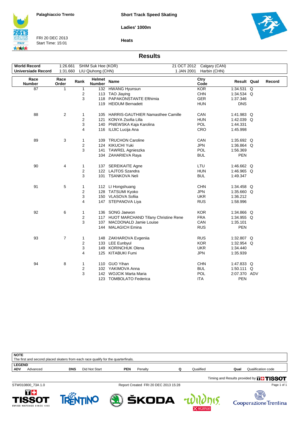**Ladies' 1000m**



FRI 20 DEC 2013 Start Time: 15:01



٦

**Heats**

#### **Results**

| <b>World Record</b><br><b>Universiade Record</b> | 1:26.661<br>1:31.660 |                         | SHIM Suk Hee (KOR)<br>LIU Qiuhong (CHN) |                                         | 1 JAN 2001 | 21 OCT 2012 Calgary (CAN)<br>Harbin (CHN) |              |        |
|--------------------------------------------------|----------------------|-------------------------|-----------------------------------------|-----------------------------------------|------------|-------------------------------------------|--------------|--------|
|                                                  |                      |                         |                                         |                                         |            |                                           |              |        |
| Race<br>Number                                   | Race<br>Order        | Rank                    | Helmet<br><b>Number</b>                 | <b>Name</b>                             |            | Ctry<br>Code                              | Result Qual  | Record |
| 87                                               | 1                    | 1                       |                                         | 132 HWANG Hyunsun                       |            | <b>KOR</b>                                | 1:34.531 Q   |        |
|                                                  |                      | 2                       |                                         | 113 TAO Jiaying                         |            | <b>CHN</b>                                | 1:34.534 Q   |        |
|                                                  |                      | 3                       |                                         | 118 PAPAKONSTANTE Efthimia              |            | <b>GER</b>                                | 1:37.346     |        |
|                                                  |                      |                         |                                         | 119 HEIDUM Bernadett                    |            | <b>HUN</b>                                | <b>DNS</b>   |        |
| 88                                               | $\overline{2}$       | 1                       |                                         | 105 HARRIS-GAUTHIER Namasthee Camille   |            | CAN                                       | 1:41.983 Q   |        |
|                                                  |                      | $\overline{\mathbf{c}}$ |                                         | 121 KONYA Zsofia Lilla                  |            | <b>HUN</b>                                | 1:42.039 Q   |        |
|                                                  |                      | 3                       |                                         | 140 PNIEWSKA Kaja Karolina              |            | <b>POL</b>                                | 1:44.331     |        |
|                                                  |                      | 4                       |                                         | 116 ILIJIC Lucija Ana                   |            | CRO                                       | 1:45.998     |        |
| 89                                               | 3                    | $\mathbf{1}$            |                                         | 109 TRUCHON Caroline                    |            | CAN                                       | 1:35.692 Q   |        |
|                                                  |                      | 2                       |                                         | 124 KIKUCHI Yuki                        |            | <b>JPN</b>                                | 1:36.864 Q   |        |
|                                                  |                      | 3                       |                                         | 141 TAWREL Agnieszka                    |            | POL                                       | 1:56.369     |        |
|                                                  |                      |                         |                                         | 104 ZAHARIEVA Raya                      |            | <b>BUL</b>                                | <b>PEN</b>   |        |
| 90                                               | 4                    | 1                       |                                         | 137 SEREIKAITE Agne                     |            | LTU                                       | 1:46.662 Q   |        |
|                                                  |                      | $\overline{\mathbf{c}}$ |                                         | 122 LAJTOS Szandra                      |            | <b>HUN</b>                                | 1:46.965 Q   |        |
|                                                  |                      | 3                       |                                         | 101 TSANKOVA Neli                       |            | <b>BUL</b>                                | 1:49.347     |        |
| 91                                               | 5                    | 1                       |                                         | 112 LI Hongshuang                       |            | <b>CHN</b>                                | 1:34.458 Q   |        |
|                                                  |                      | $\overline{\mathbf{c}}$ |                                         | 128 TATSUMI Kyoko                       |            | <b>JPN</b>                                | 1:35.660 Q   |        |
|                                                  |                      | 3                       |                                         | 150 VLASOVA Sofiia                      |            | <b>UKR</b>                                | 1:36.212     |        |
|                                                  |                      | 4                       |                                         | 147 STEPANOVA Liya                      |            | <b>RUS</b>                                | 1:58.996     |        |
| 92                                               | 6                    | 1                       |                                         | 136 SONG Jaewon                         |            | <b>KOR</b>                                | 1:34.866 Q   |        |
|                                                  |                      | $\overline{c}$          |                                         | 117 HUOT MARCHAND Tifany Christine Rene |            | <b>FRA</b>                                | 1:34.955 Q   |        |
|                                                  |                      | 3                       | 107                                     | <b>MACDONALD Jamie Louise</b>           |            | CAN                                       | 1:35.101     |        |
|                                                  |                      |                         |                                         | 144 MALAGICH Emina                      |            | <b>RUS</b>                                | <b>PEN</b>   |        |
| 93                                               | 7                    | 1                       |                                         | 148 ZAKHAROVA Evgenija                  |            | <b>RUS</b>                                | 1:32.807 Q   |        |
|                                                  |                      | $\overline{\mathbf{c}}$ |                                         | 133 LEE Eunbyul                         |            | <b>KOR</b>                                | 1:32.954 Q   |        |
|                                                  |                      | 3                       |                                         | 149 KORINCHUK Olena                     |            | <b>UKR</b>                                | 1:34.440     |        |
|                                                  |                      | 4                       |                                         | 125 KITABUKI Fumi                       |            | <b>JPN</b>                                | 1:35.939     |        |
| 94                                               | 8                    | 1                       |                                         | 110 GUO Yihan                           |            | <b>CHN</b>                                | 1:47.833 Q   |        |
|                                                  |                      | $\overline{c}$          |                                         | 102 YAKIMOVA Anna                       |            | <b>BUL</b>                                | 1:50.111 Q   |        |
|                                                  |                      | 3                       |                                         | 142 WOJCIK Marta Maria                  |            | POL                                       | 2:07.370 ADV |        |
|                                                  |                      |                         |                                         | 123 TOMBOLATO Federica                  |            | <b>ITA</b>                                | <b>PEN</b>   |        |



Timing and Results provided by **THISSOT** 

STW010800\_73A 1.0 Report Created FRI 20 DEC 2013 15:28









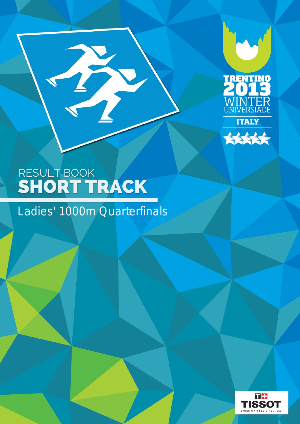



B

# Ladies' 1000m Quarterfinals

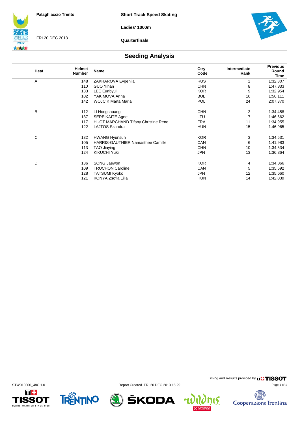**Ladies' 1000m**



FRI 20 DEC 2013

**Quarterfinals**



### **Seeding Analysis**

| Heat | <b>Helmet</b><br><b>Number</b> | Name                                       | Ctry<br>Code | Intermediate<br>Rank | <b>Previous</b><br>Round<br>Time |
|------|--------------------------------|--------------------------------------------|--------------|----------------------|----------------------------------|
| Α    | 148                            | ZAKHAROVA Evgeniia                         | <b>RUS</b>   |                      | 1:32.807                         |
|      | 110                            | <b>GUO Yihan</b>                           | <b>CHN</b>   | 8                    | 1:47.833                         |
|      | 133                            | <b>LEE Eunbyul</b>                         | <b>KOR</b>   | 9                    | 1:32.954                         |
|      | 102                            | YAKIMOVA Anna                              | <b>BUL</b>   | 16                   | 1:50.111                         |
|      | 142                            | <b>WOJCIK Marta Maria</b>                  | <b>POL</b>   | 24                   | 2:07.370                         |
| B    | 112                            | LI Hongshuang                              | <b>CHN</b>   | 2                    | 1:34.458                         |
|      | 137                            | <b>SEREIKAITE Agne</b>                     | LTU          | 7                    | 1:46.662                         |
|      | 117                            | <b>HUOT MARCHAND Tifany Christine Rene</b> | <b>FRA</b>   | 11                   | 1:34.955                         |
|      | 122                            | LAJTOS Szandra                             | <b>HUN</b>   | 15                   | 1:46.965                         |
| C    | 132                            | <b>HWANG Hyunsun</b>                       | <b>KOR</b>   | 3                    | 1:34.531                         |
|      | 105                            | <b>HARRIS-GAUTHIER Namasthee Camille</b>   | CAN          | 6                    | 1:41.983                         |
|      | 113                            | <b>TAO Jiaying</b>                         | <b>CHN</b>   | 10                   | 1:34.534                         |
|      | 124                            | <b>KIKUCHI Yuki</b>                        | <b>JPN</b>   | 13                   | 1:36.864                         |
| D    | 136                            | SONG Jaewon                                | <b>KOR</b>   | 4                    | 1:34.866                         |
|      | 109                            | <b>TRUCHON Caroline</b>                    | CAN          | 5                    | 1:35.692                         |
|      | 128                            | <b>TATSUMI Kyoko</b>                       | JPN          | 12                   | 1:35.660                         |
|      | 121                            | KONYA Zsofia Lilla                         | <b>HUN</b>   | 14                   | 1:42.039                         |









15.



碣

Cooperazione Trentina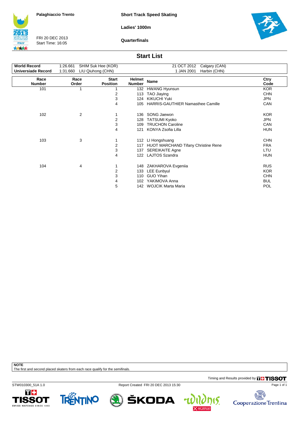**Short Track Speed Skating**

**Ladies' 1000m**



FRI 20 DEC 2013 Start Time: 16:05

**Quarterfinals**



#### **Start List**

| <b>World Record</b><br><b>Universiade Record</b> | 1:26.661<br>1:31.660 | SHIM Suk Hee (KOR)<br>LIU Qiuhong (CHN) | 21 OCT 2012<br>Calgary (CAN)<br>1 JAN 2001<br>Harbin (CHN) |                                          |              |  |  |
|--------------------------------------------------|----------------------|-----------------------------------------|------------------------------------------------------------|------------------------------------------|--------------|--|--|
| Race<br><b>Number</b>                            | Race<br>Order        | <b>Start</b><br><b>Position</b>         | Helmet<br><b>Number</b>                                    | <b>Name</b>                              | Ctry<br>Code |  |  |
| 101                                              | 1                    |                                         | 132                                                        | <b>HWANG Hyunsun</b>                     | <b>KOR</b>   |  |  |
|                                                  |                      | 2                                       | 113                                                        | TAO Jiaying                              | <b>CHN</b>   |  |  |
|                                                  |                      | 3                                       | 124                                                        | <b>KIKUCHI Yuki</b>                      | <b>JPN</b>   |  |  |
|                                                  |                      | 4                                       | 105                                                        | <b>HARRIS-GAUTHIER Namasthee Camille</b> | CAN          |  |  |
| 102                                              | 2                    |                                         | 136                                                        | SONG Jaewon                              | <b>KOR</b>   |  |  |
|                                                  |                      | $\overline{\mathbf{c}}$                 | 128                                                        | <b>TATSUMI Kyoko</b>                     | JPN          |  |  |
|                                                  |                      | 3                                       | 109                                                        | <b>TRUCHON Caroline</b>                  | CAN          |  |  |
|                                                  |                      | 4                                       | 121                                                        | KONYA Zsofia Lilla                       | <b>HUN</b>   |  |  |
| 103                                              | 3                    |                                         | 112                                                        | LI Hongshuang                            | <b>CHN</b>   |  |  |
|                                                  |                      | 2                                       | 117                                                        | HUOT MARCHAND Tifany Christine Rene      | <b>FRA</b>   |  |  |
|                                                  |                      | 3                                       | 137                                                        | <b>SEREIKAITE Agne</b>                   | LTU          |  |  |
|                                                  |                      | 4                                       | 122                                                        | <b>LAJTOS Szandra</b>                    | <b>HUN</b>   |  |  |
| 104                                              | 4                    |                                         |                                                            | 148 ZAKHAROVA Evgenija                   | <b>RUS</b>   |  |  |
|                                                  |                      | $\overline{2}$                          | 133                                                        | LEE Eunbyul                              | <b>KOR</b>   |  |  |
|                                                  |                      | 3                                       | 110                                                        | <b>GUO Yihan</b>                         | <b>CHN</b>   |  |  |
|                                                  |                      | 4                                       | 102                                                        | YAKIMOVA Anna                            | <b>BUL</b>   |  |  |
|                                                  |                      | 5                                       |                                                            | 142 WOJCIK Marta Maria                   | POL          |  |  |

**NOTE**

The first and second placed skaters from each race qualify for the semifinals.

Timing and Results provided by **THISSOT** 

STW010300\_51A 1.0 Report Created FRI 20 DEC 2013 15:30





ŠKODA



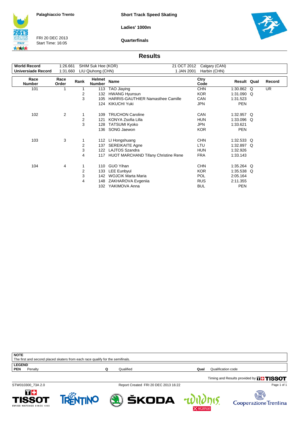**Short Track Speed Skating**

**Ladies' 1000m**



FRI 20 DEC 2013 Start Time: 16:05

**Quarterfinals**



#### **Results**

| <b>World Record</b><br>Universiade Record | 1:26.661<br>1:31.660 |      | SHIM Suk Hee (KOR)<br>LIU Qiuhong (CHN) | 21 OCT 2012<br>1 JAN 2001                  | Calgary (CAN)<br>Harbin (CHN) |              |   |           |
|-------------------------------------------|----------------------|------|-----------------------------------------|--------------------------------------------|-------------------------------|--------------|---|-----------|
| Race<br><b>Number</b>                     | Race<br>Order        | Rank | Helmet<br><b>Number</b>                 | Name                                       | Ctry<br>Code                  | Result Qual  |   | Record    |
| 101                                       | 1                    |      | 113                                     | TAO Jiaying                                | <b>CHN</b>                    | 1:30.862     | Q | <b>UR</b> |
|                                           |                      | 2    | 132                                     | <b>HWANG Hyunsun</b>                       | <b>KOR</b>                    | 1:31.090     | Q |           |
|                                           |                      | 3    | 105                                     | <b>HARRIS-GAUTHIER Namasthee Camille</b>   | CAN                           | 1:31.523     |   |           |
|                                           |                      |      | 124                                     | <b>KIKUCHI Yuki</b>                        | <b>JPN</b>                    | <b>PEN</b>   |   |           |
| 102                                       | 2                    |      | 109                                     | <b>TRUCHON Caroline</b>                    | CAN                           | 1:32.957 Q   |   |           |
|                                           |                      | 2    | 121                                     | KONYA Zsofia Lilla                         | <b>HUN</b>                    | 1:33.096 Q   |   |           |
|                                           |                      | 3    | 128                                     | <b>TATSUMI Kyoko</b>                       | JPN                           | 1:33.621     |   |           |
|                                           |                      |      | 136                                     | SONG Jaewon                                | <b>KOR</b>                    | <b>PEN</b>   |   |           |
| 103                                       | 3                    |      | 112                                     | LI Hongshuang                              | <b>CHN</b>                    | $1:32.533$ Q |   |           |
|                                           |                      | 2    | 137                                     | <b>SEREIKAITE Agne</b>                     | LTU                           | 1:32.897 Q   |   |           |
|                                           |                      | 3    | 122                                     | <b>LAJTOS Szandra</b>                      | <b>HUN</b>                    | 1:32.926     |   |           |
|                                           |                      | 4    | 117                                     | <b>HUOT MARCHAND Tifany Christine Rene</b> | <b>FRA</b>                    | 1:33.143     |   |           |
| 104                                       | 4                    |      | 110                                     | <b>GUO Yihan</b>                           | <b>CHN</b>                    | 1:35.264 Q   |   |           |
|                                           |                      | 2    | 133                                     | <b>LEE Eunbyul</b>                         | <b>KOR</b>                    | 1:35.538     | Q |           |
|                                           |                      | 3    | 142                                     | <b>WOJCIK Marta Maria</b>                  | <b>POL</b>                    | 2:05.164     |   |           |
|                                           |                      | 4    | 148                                     | ZAKHAROVA Evgenija                         | <b>RUS</b>                    | 2:11.355     |   |           |
|                                           |                      |      | 102                                     | YAKIMOVA Anna                              | <b>BUL</b>                    | PEN          |   |           |

| ∣ NOTE        |                                                                                |           |                                               |
|---------------|--------------------------------------------------------------------------------|-----------|-----------------------------------------------|
|               | The first and second placed skaters from each race qualify for the semifinals. |           |                                               |
| <b>LEGEND</b> |                                                                                |           |                                               |
| <b>PEN</b>    | Penalty                                                                        | Qualified | Qualification code<br>Qual                    |
|               |                                                                                |           |                                               |
|               |                                                                                |           | Timing and Results provided by <b>THISSOT</b> |

STW010300\_73A 2.0 Report Created FRI 20 DEC 2013 16:22

Page 1 of 1

Cooperazione Trentina







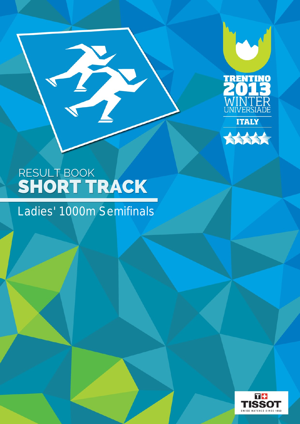



B

### Ladies' 1000m Semifinals

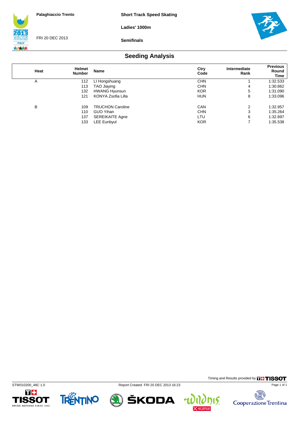**Ladies' 1000m**



FRI 20 DEC 2013

**Semifinals**



### **Seeding Analysis**

| Heat | Helmet<br><b>Number</b> | Name                    | Ctry<br>Code | Intermediate<br>Rank | <b>Previous</b><br>Round<br>Time |
|------|-------------------------|-------------------------|--------------|----------------------|----------------------------------|
| A    | 112                     | LI Hongshuang           | <b>CHN</b>   |                      | 1:32.533                         |
|      | 113                     | TAO Jiaying             | <b>CHN</b>   | 4                    | 1:30.862                         |
|      | 132                     | <b>HWANG Hyunsun</b>    | <b>KOR</b>   | 5                    | 1:31.090                         |
|      | 121                     | KONYA Zsofia Lilla      | <b>HUN</b>   | 8                    | 1:33.096                         |
| в    | 109                     | <b>TRUCHON Caroline</b> | CAN          | 2                    | 1:32.957                         |
|      | 110                     | <b>GUO Yihan</b>        | <b>CHN</b>   | 3                    | 1:35.264                         |
|      | 137                     | <b>SEREIKAITE Agne</b>  | LTU          | 6                    | 1:32.897                         |
|      | 133                     | <b>LEE Eunbyul</b>      | <b>KOR</b>   |                      | 1:35.538                         |









Timing and Results provided by **THISSOT** 

15.

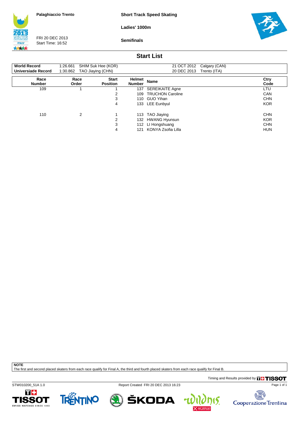**Short Track Speed Skating**

**Ladies' 1000m**

**ITALY** 大大大大

FRI 20 DEC 2013 Start Time: 16:52

**Semifinals**



#### **Start List**

| <b>World Record</b><br>Universiade Record | 1:26.661<br>1:30.862 | SHIM Suk Hee (KOR)<br>TAO Jiaying (CHN) |                                | 21 OCT 2012<br>Calgary (CAN)<br>20 DEC 2013<br>Trento (ITA) |              |
|-------------------------------------------|----------------------|-----------------------------------------|--------------------------------|-------------------------------------------------------------|--------------|
| Race<br><b>Number</b>                     | Race<br>Order        | <b>Start</b><br><b>Position</b>         | <b>Helmet</b><br><b>Number</b> | <b>Name</b>                                                 | Ctry<br>Code |
| 109                                       |                      |                                         | 137                            | <b>SEREIKAITE Agne</b>                                      | LTU          |
|                                           |                      | 2                                       | 109                            | <b>TRUCHON Caroline</b>                                     | CAN          |
|                                           |                      | 3                                       | 110                            | <b>GUO Yihan</b>                                            | <b>CHN</b>   |
|                                           |                      | 4                                       |                                | 133 LEE Eunbyul                                             | <b>KOR</b>   |
| 110                                       | 2                    |                                         | 113                            | TAO Jiaying                                                 | <b>CHN</b>   |
|                                           |                      | 2                                       |                                | 132 HWANG Hyunsun                                           | <b>KOR</b>   |
|                                           |                      | 3                                       |                                | 112 LI Hongshuang                                           | <b>CHN</b>   |
|                                           |                      | 4                                       | 121                            | KONYA Zsofia Lilla                                          | <b>HUN</b>   |

**NOTE**

The first and second placed skaters from each race qualify for Final A, the third and fourth placed skaters from each race qualify for Final B.

Timing and Results provided by **THISSOT** 

STW010200\_51A 1.0 Report Created FRI 20 DEC 2013 16:23









4

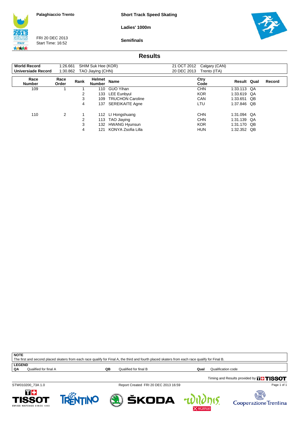**Short Track Speed Skating**

**Ladies' 1000m**



FRI 20 DEC 2013 Start Time: 16:52

**Semifinals**



#### **Results**

| <b>World Record</b>   | 1:26.661      |      | SHIM Suk Hee (KOR)      |                         | 21 OCT 2012 | Calgary (CAN) |             |        |
|-----------------------|---------------|------|-------------------------|-------------------------|-------------|---------------|-------------|--------|
| Universiade Record    | 1:30.862      |      | TAO Jiaying (CHN)       |                         | 20 DEC 2013 | Trento (ITA)  |             |        |
| Race<br><b>Number</b> | Race<br>Order | Rank | Helmet<br><b>Number</b> | <b>Name</b>             |             | Ctry<br>Code  | Result Qual | Record |
| 109                   |               |      | 110                     | <b>GUO Yihan</b>        |             | <b>CHN</b>    | 1:33.113 QA |        |
|                       |               | 2    | 133                     | <b>LEE Eunbyul</b>      |             | <b>KOR</b>    | 1:33.619 QA |        |
|                       |               | 3    | 109                     | <b>TRUCHON Caroline</b> |             | <b>CAN</b>    | 1:33.651 QB |        |
|                       |               | 4    | 137                     | <b>SEREIKAITE Agne</b>  |             | LTU           | 1:37.846 QB |        |
| 110                   | 2             |      |                         | 112 LI Hongshuang       |             | <b>CHN</b>    | 1:31.094 QA |        |
|                       |               | 2    | 113                     | TAO Jiaying             |             | <b>CHN</b>    | 1:31.139 QA |        |
|                       |               | 3    | 132                     | <b>HWANG Hyunsun</b>    |             | <b>KOR</b>    | 1:31.170 QB |        |
|                       |               | 4    | 121                     | KONYA Zsofia Lilla      |             | <b>HUN</b>    | 1:32.352 QB |        |

**NOTE** The first and second placed skaters from each race qualify for Final A, the third and fourth placed skaters from each race qualify for Final B.

**LEGEND**<br>QA Qualified for final A

**QB** Qualified for final B **Qualification Code Qualification code** 

STW010200\_73A 1.0 Report Created FRI 20 DEC 2013 16:59

Timing and Results provided by **THISSOT** 





ŠKODA



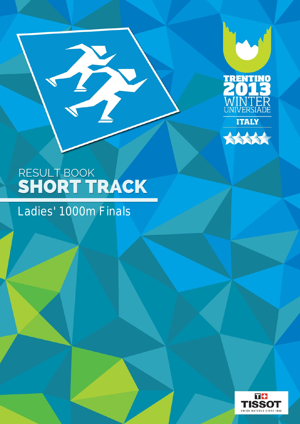



### Ladies' 1000m Finals

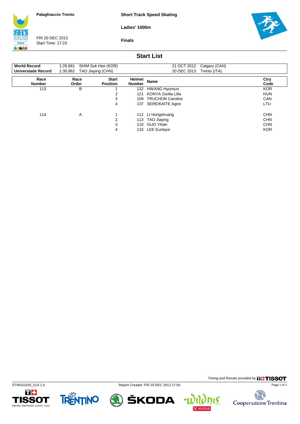**Short Track Speed Skating**

**Ladies' 1000m**



FRI 20 DEC 2013 Start Time: 17:23

**Finals**



#### **Start List**

| <b>World Record</b><br><b>Universiade Record</b> | 1:26.661<br>1:30.862 | SHIM Suk Hee (KOR)<br>TAO Jiaying (CHN) |                         | 21 OCT 2012<br>Calgary (CAN)<br>20 DEC 2013<br>Trento (ITA) |              |
|--------------------------------------------------|----------------------|-----------------------------------------|-------------------------|-------------------------------------------------------------|--------------|
| Race<br><b>Number</b>                            | Race<br>Order        | <b>Start</b><br><b>Position</b>         | Helmet<br><b>Number</b> | <b>Name</b>                                                 | Ctry<br>Code |
| 113                                              | B                    |                                         | 132                     | <b>HWANG Hyunsun</b>                                        | <b>KOR</b>   |
|                                                  |                      | 2                                       | 121                     | KONYA Zsofia Lilla                                          | <b>HUN</b>   |
|                                                  |                      | 3                                       | 109                     | <b>TRUCHON Caroline</b>                                     | CAN          |
|                                                  |                      | 4                                       | 137                     | <b>SEREIKAITE Agne</b>                                      | LTU          |
| 114                                              | Α                    |                                         | 112                     | LI Hongshuang                                               | <b>CHN</b>   |
|                                                  |                      | 2                                       | 113                     | TAO Jiaying                                                 | <b>CHN</b>   |
|                                                  |                      | 3                                       | 110                     | <b>GUO Yihan</b>                                            | <b>CHN</b>   |
|                                                  |                      | 4                                       | 133                     | <b>LEE Eunbyul</b>                                          | <b>KOR</b>   |









 $\mathbf{r}$ 

Timing and Results provided by **THISSOT** 

15.

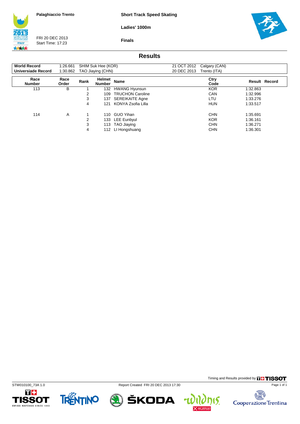**Short Track Speed Skating**

**Ladies' 1000m**



FRI 20 DEC 2013 Start Time: 17:23



**Finals**

### **Results**

| <b>World Record</b>       | 1:26.661      |      | SHIM Suk Hee (KOR)      |                         | 21 OCT 2012 | Calgary (CAN) |          |                      |
|---------------------------|---------------|------|-------------------------|-------------------------|-------------|---------------|----------|----------------------|
| <b>Universiade Record</b> | 1:30.862      |      | TAO Jiaying (CHN)       |                         | 20 DEC 2013 | Trento (ITA)  |          |                      |
| Race<br><b>Number</b>     | Race<br>Order | Rank | Helmet<br><b>Number</b> | Name                    |             | Ctry<br>Code  |          | <b>Result Record</b> |
| 113                       | в             |      | 132                     | <b>HWANG Hyunsun</b>    |             | <b>KOR</b>    | 1:32.863 |                      |
|                           |               | 2    | 109                     | <b>TRUCHON Caroline</b> |             | CAN           | 1:32.996 |                      |
|                           |               | 3    | 137                     | <b>SEREIKAITE Agne</b>  |             | LTU           | 1:33.276 |                      |
|                           |               | 4    | 121                     | KONYA Zsofia Lilla      |             | <b>HUN</b>    | 1:33.517 |                      |
| 114                       | Α             |      | 110                     | <b>GUO Yihan</b>        |             | <b>CHN</b>    | 1:35.691 |                      |
|                           |               | 2    | 133                     | <b>LEE Eunbyul</b>      |             | <b>KOR</b>    | 1:36.161 |                      |
|                           |               | 3    |                         | 113 TAO Jiaying         |             | <b>CHN</b>    | 1:36.271 |                      |
|                           |               | 4    |                         | 112 LI Hongshuang       |             | <b>CHN</b>    | 1:36.301 |                      |



STW010100\_73A 1.0 Report Created FRI 20 DEC 2013 17:30



Timing and Results provided by **THISSOT** 

15.

 $\mathbf{r}$ 

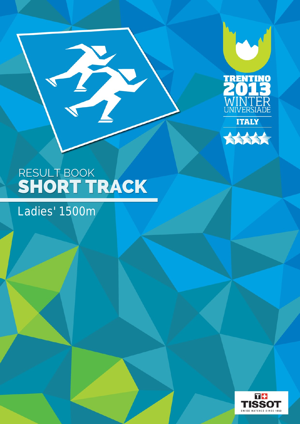



Ladies' 1500m

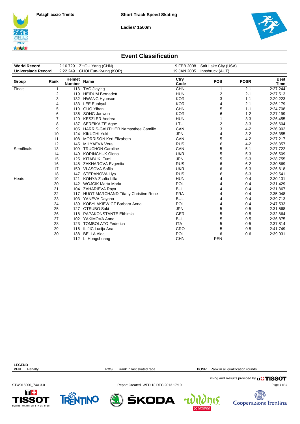





#### **Event Classification**

| <b>World Record</b>       |      | 2:16.729                       | ZHOU Yang (CHN)                            | 9 FEB 2008   | Salt Lake City (USA)    |             |                       |
|---------------------------|------|--------------------------------|--------------------------------------------|--------------|-------------------------|-------------|-----------------------|
| <b>Universiade Record</b> |      | 2:22.249                       | CHOI Eun-Kyung (KOR)                       | 19 JAN 2005  | Innsbruck (AUT)         |             |                       |
| Group                     | Rank | <b>Helmet</b><br><b>Number</b> | Name                                       | Ctry<br>Code | <b>POS</b>              | <b>POSR</b> | Best  <br><b>Time</b> |
| Finals                    |      | 1                              | 113 TAO Jiaying                            | <b>CHN</b>   | 1                       | $2 - 1$     | 2:27.244              |
|                           |      | 2<br>119                       | <b>HEIDUM Bernadett</b>                    | <b>HUN</b>   | $\overline{\mathbf{c}}$ | $2 - 1$     | 2:27.513              |
|                           |      | 3                              | 132 HWANG Hyunsun                          | <b>KOR</b>   | 3                       | $1 - 1$     | 2:29.223              |
|                           |      | 4<br>133                       | <b>LEE Eunbyul</b>                         | <b>KOR</b>   | 4                       | $2 - 1$     | 2:26.179              |
|                           |      | 5<br>110                       | <b>GUO Yihan</b>                           | <b>CHN</b>   | 5                       | $1 - 1$     | 2:24.708              |
|                           |      | 6<br>136                       | SONG Jaewon                                | <b>KOR</b>   | 6                       | $1 - 2$     | 2:27.199              |
|                           |      | 7<br>120                       | <b>KESZLER Andrea</b>                      | <b>HUN</b>   | 1                       | $3 - 3$     | 2:26.455              |
|                           |      | 8<br>137                       | <b>SEREIKAITE Agne</b>                     | LTU          | $\overline{2}$          | $3-3$       | 2:26.604              |
|                           |      | 9<br>105                       | HARRIS-GAUTHIER Namasthee Camille          | CAN          | 3                       | $4 - 2$     | 2:26.902              |
|                           | 10   |                                | 124 KIKUCHI Yuki                           | <b>JPN</b>   | 4                       | $3 - 2$     | 2:26.355              |
|                           | 11   | 108                            | <b>MORRISON Keri Elizabeth</b>             | CAN          | 5                       | $4 - 2$     | 2:27.217              |
|                           | 12   | 145                            | MILYAEVA Vera                              | <b>RUS</b>   | 6                       | $4 - 2$     | 2:26.357              |
| Semifinals                | 13   | 109                            | <b>TRUCHON Caroline</b>                    | CAN          | 5                       | $5 - 1$     | 2:27.722              |
|                           | 14   | 149                            | <b>KORINCHUK Olena</b>                     | <b>UKR</b>   | 5                       | $5 - 3$     | 2:26.509              |
|                           | 15   | 125                            | <b>KITABUKI Fumi</b>                       | <b>JPN</b>   | 5                       | $5 - 3$     | 2:28.755              |
|                           | 16   | 148                            | ZAKHAROVA Evgeniia                         | <b>RUS</b>   | 6                       | $6 - 2$     | 2:30.569              |
|                           | 17   |                                | 150 VLASOVA Sofiia                         | <b>UKR</b>   | 6                       | $6 - 3$     | 2:26.618              |
|                           | 18   | 147                            | STEPANOVA Liya                             | <b>RUS</b>   | 6                       | $6 - 3$     | 2:29.541              |
| Heats                     | 19   | 121                            | KONYA Zsofia Lilla                         | <b>HUN</b>   | 4                       | $0 - 4$     | 2:30.131              |
|                           | 20   |                                | 142 WOJCIK Marta Maria                     | POL          | 4                       | $0 - 4$     | 2:31.429              |
|                           | 21   |                                | 104 ZAHARIEVA Raya                         | <b>BUL</b>   | 4                       | $0 - 4$     | 2:31.867              |
|                           | 22   | 117                            | <b>HUOT MARCHAND Tifany Christine Rene</b> | <b>FRA</b>   | 4                       | $0 - 4$     | 2:35.048              |
|                           | 23   |                                | 103 YANEVA Dayana                          | <b>BUL</b>   | 4                       | $0 - 4$     | 2:39.713              |
|                           | 24   | 139                            | KOBYLAKIEWICZ Barbara Anna                 | POL          | 4                       | $0 - 4$     | 2:47.533              |
|                           | 25   |                                | 127 OTSUBO Saki                            | <b>JPN</b>   | 5                       | $0 - 5$     | 2:31.568              |
|                           | 26   | 118                            | <b>PAPAKONSTANTE Efthimia</b>              | <b>GER</b>   | 5                       | $0 - 5$     | 2:32.864              |
|                           | 27   |                                | 102 YAKIMOVA Anna                          | <b>BUL</b>   | 5                       | $0-5$       | 2:36.875              |
|                           | 28   | 123                            | <b>TOMBOLATO Federica</b>                  | <b>ITA</b>   | 5                       | $0 - 5$     | 2:37.814              |
|                           | 29   | 116                            | ILIJIC Lucija Ana                          | <b>CRO</b>   | 5                       | $0 - 5$     | 2:41.749              |
|                           | 30   | 138                            | <b>BELLA Aida</b>                          | POL          | 6                       | $0-6$       | 2:39.931              |
|                           |      | 112                            | LI Hongshuang                              | <b>CHN</b>   | <b>PEN</b>              |             |                       |

Timing and Results provided by **THISSOT LEGEND**<br>**PEN** Penalty **POS** Rank in last skated race **POSR** Rank in all qualification rounds

STW015000\_74A 3.0 Report Created WED 18 DEC 2013 17:10

Page 1 of 1





ŠKODA

 $\frac{1}{2}$ Cooperazione Trentina

15.

4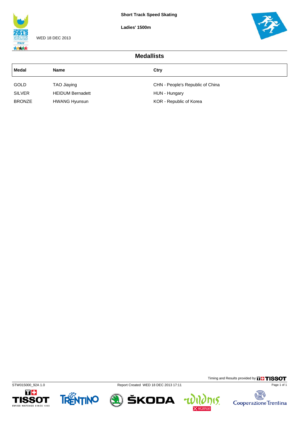**Ladies' 1500m**



WED 18 DEC 2013



| <b>Medallists</b> |                         |                                  |  |  |
|-------------------|-------------------------|----------------------------------|--|--|
| Medal             | <b>Name</b>             | Ctry                             |  |  |
| <b>GOLD</b>       | TAO Jiaying             | CHN - People's Republic of China |  |  |
| <b>SILVER</b>     | <b>HEIDUM Bernadett</b> | HUN - Hungary                    |  |  |
| <b>BRONZE</b>     | <b>HWANG Hyunsun</b>    | KOR - Republic of Korea          |  |  |











**nis.** 

 $\mathbf{u}$ 

Cooperazione Trentina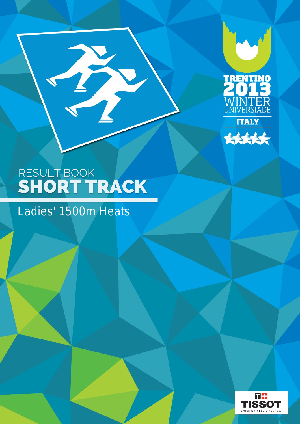



### Ladies' 1500m Heats

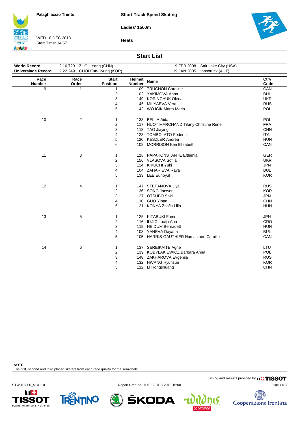**Short Track Speed Skating**

**Ladies' 1500m**



WED 18 DEC 2013 Start Time: 14:57

**Heats**



#### **Start List**

| <b>World Record</b><br><b>Universiade Record</b> | 2:16.729 ZHOU Yang (CHN)<br>2:22.249 CHOI Eun-Kyung (KOR) |                                 |                                | 9 FEB 2008<br>Salt Lake City (USA)<br>19 JAN 2005<br>Innsbruck (AUT) |              |
|--------------------------------------------------|-----------------------------------------------------------|---------------------------------|--------------------------------|----------------------------------------------------------------------|--------------|
| Race<br><b>Number</b>                            | Race<br>Order                                             | <b>Start</b><br><b>Position</b> | <b>Helmet</b><br><b>Number</b> | <b>Name</b>                                                          | Ctry<br>Code |
| 9                                                | 1                                                         | $\mathbf{1}$                    |                                | 109 TRUCHON Caroline                                                 | CAN          |
|                                                  |                                                           | 2                               |                                | 102 YAKIMOVA Anna                                                    | <b>BUL</b>   |
|                                                  |                                                           | 3                               |                                | 149 KORINCHUK Olena                                                  | <b>UKR</b>   |
|                                                  |                                                           | 4                               |                                | 145 MILYAEVA Vera                                                    | <b>RUS</b>   |
|                                                  |                                                           | 5                               |                                | 142 WOJCIK Marta Maria                                               | <b>POL</b>   |
| 10                                               | 2                                                         | 1                               |                                | 138 BELLA Aida                                                       | <b>POL</b>   |
|                                                  |                                                           | $\overline{\mathbf{c}}$         |                                | 117 HUOT MARCHAND Tifany Christine Rene                              | <b>FRA</b>   |
|                                                  |                                                           | 3                               |                                | 113 TAO Jiaying                                                      | <b>CHN</b>   |
|                                                  |                                                           | 4                               |                                | 123 TOMBOLATO Federica                                               | <b>ITA</b>   |
|                                                  |                                                           | 5                               |                                | 120 KESZLER Andrea                                                   | <b>HUN</b>   |
|                                                  |                                                           | 6                               |                                | 108 MORRISON Keri Elizabeth                                          | CAN          |
| 11                                               | 3                                                         | 1                               |                                | 118 PAPAKONSTANTE Efthimia                                           | <b>GER</b>   |
|                                                  |                                                           | $\overline{2}$                  |                                | 150 VLASOVA Sofiia                                                   | <b>UKR</b>   |
|                                                  |                                                           | 3                               |                                | 124 KIKUCHI Yuki                                                     | <b>JPN</b>   |
|                                                  |                                                           | 4                               |                                | 104 ZAHARIEVA Raya                                                   | <b>BUL</b>   |
|                                                  |                                                           | 5                               |                                | 133 LEE Eunbyul                                                      | <b>KOR</b>   |
| 12                                               | 4                                                         | 1                               |                                | 147 STEPANOVA Liya                                                   | <b>RUS</b>   |
|                                                  |                                                           | $\overline{\mathbf{c}}$         |                                | 136 SONG Jaewon                                                      | <b>KOR</b>   |
|                                                  |                                                           | 3                               |                                | 127 OTSUBO Saki                                                      | <b>JPN</b>   |
|                                                  |                                                           | 4                               |                                | 110 GUO Yihan                                                        | <b>CHN</b>   |
|                                                  |                                                           | 5                               | 121                            | KONYA Zsofia Lilla                                                   | <b>HUN</b>   |
| 13                                               | 5                                                         | 1                               |                                | 125 KITABUKI Fumi                                                    | <b>JPN</b>   |
|                                                  |                                                           | $\overline{2}$                  |                                | 116 ILIJIC Lucija Ana                                                | <b>CRO</b>   |
|                                                  |                                                           | 3                               |                                | 119 HEIDUM Bernadett                                                 | <b>HUN</b>   |
|                                                  |                                                           | 4                               |                                | 103 YANEVA Dayana                                                    | <b>BUL</b>   |
|                                                  |                                                           | 5                               |                                | 105 HARRIS-GAUTHIER Namasthee Camille                                | CAN          |
| 14                                               | 6                                                         | 1                               |                                | 137 SEREIKAITE Agne                                                  | LTU          |
|                                                  |                                                           | $\overline{2}$                  |                                | 139 KOBYLAKIEWICZ Barbara Anna                                       | <b>POL</b>   |
|                                                  |                                                           | 3                               |                                | 148 ZAKHAROVA Evgeniia                                               | <b>RUS</b>   |
|                                                  |                                                           | 4                               |                                | 132 HWANG Hyunsun                                                    | <b>KOR</b>   |
|                                                  |                                                           | 5                               |                                | 112 LI Hongshuang                                                    | <b>CHN</b>   |
|                                                  |                                                           |                                 |                                |                                                                      |              |

**NOTE**

The first, second and third placed skaters from each race qualify for the semifinals.

Timing and Results provided by **THISSOT** 

Page 1 of 1

STW015800\_51A 1.0 Report Created TUE 17 DEC 2013 16:00







٣

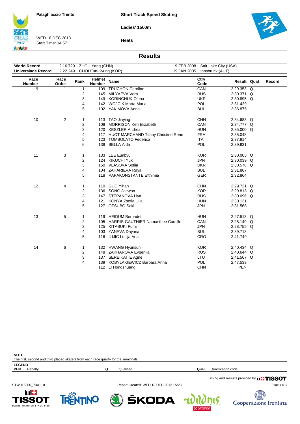**Ladies' 1500m**



WED 18 DEC 2013 Start Time: 14:57



**Heats**

#### **Results**

| <b>World Record</b>       | 2:16.729      |      | ZHOU Yang (CHN)         | 9 FEB 2008                              | Salt Lake City (USA) |             |        |
|---------------------------|---------------|------|-------------------------|-----------------------------------------|----------------------|-------------|--------|
| <b>Universiade Record</b> | 2:22.249      |      | CHOI Eun-Kyung (KOR)    | 19 JAN 2005                             | Innsbruck (AUT)      |             |        |
|                           |               |      |                         |                                         |                      |             |        |
| Race<br><b>Number</b>     | Race<br>Order | Rank | Helmet<br><b>Number</b> | <b>Name</b>                             | Ctry<br>Code         | Result Qual | Record |
| 9                         | 1             | 1    | 109                     | <b>TRUCHON Caroline</b>                 | CAN                  | 2:29.353 Q  |        |
|                           |               | 2    |                         | 145 MILYAEVA Vera                       | <b>RUS</b>           | 2:30.371 Q  |        |
|                           |               | 3    |                         | 149 KORINCHUK Olena                     | <b>UKR</b>           | 2:30.895 Q  |        |
|                           |               | 4    |                         | 142 WOJCIK Marta Maria                  | <b>POL</b>           | 2:31.429    |        |
|                           |               | 5    |                         | 102 YAKIMOVA Anna                       | <b>BUL</b>           | 2:36.875    |        |
|                           |               |      |                         |                                         |                      |             |        |
| 10                        | 2             | 1    |                         | 113 TAO Jiaying                         | <b>CHN</b>           | 2:34.683 Q  |        |
|                           |               | 2    |                         | 108 MORRISON Keri Elizabeth             | CAN                  | 2:34.777 Q  |        |
|                           |               | 3    |                         | 120 KESZLER Andrea                      | <b>HUN</b>           | 2:35.000 Q  |        |
|                           |               | 4    |                         | 117 HUOT MARCHAND Tifany Christine Rene | <b>FRA</b>           | 2:35.048    |        |
|                           |               | 5    |                         | 123 TOMBOLATO Federica                  | <b>ITA</b>           | 2:37.814    |        |
|                           |               | 6    |                         | 138 BELLA Aida                          | POL                  | 2:39.931    |        |
|                           |               |      |                         |                                         |                      |             |        |
| 11                        | 3             | 1    |                         | 133 LEE Eunbyul                         | <b>KOR</b>           | 2:30.005 Q  |        |
|                           |               | 2    |                         | 124 KIKUCHI Yuki                        | <b>JPN</b>           | 2:30.039 Q  |        |
|                           |               | 3    |                         | 150 VLASOVA Sofiia                      | <b>UKR</b>           | 2:30.578 Q  |        |
|                           |               | 4    |                         | 104 ZAHARIEVA Raya                      | <b>BUL</b>           | 2:31.867    |        |
|                           |               | 5    |                         | 118 PAPAKONSTANTE Efthimia              | <b>GER</b>           | 2:32.864    |        |
|                           |               |      |                         |                                         |                      |             |        |
| 12                        | 4             | 1    |                         | 110 GUO Yihan                           | <b>CHN</b>           | 2:29.721 Q  |        |
|                           |               | 2    |                         | 136 SONG Jaewon                         | <b>KOR</b>           | 2:29.813 Q  |        |
|                           |               | 3    |                         | 147 STEPANOVA Liya                      | <b>RUS</b>           | 2:30.096 Q  |        |
|                           |               | 4    |                         | 121 KONYA Zsofia Lilla                  | <b>HUN</b>           | 2:30.131    |        |
|                           |               | 5    |                         | 127 OTSUBO Saki                         | <b>JPN</b>           | 2:31.568    |        |
|                           |               |      |                         |                                         |                      |             |        |
| 13                        | 5             | 1    |                         | 119 HEIDUM Bernadett                    | <b>HUN</b>           | 2:27.513 Q  |        |
|                           |               | 2    |                         | 105 HARRIS-GAUTHIER Namasthee Camille   | CAN                  | 2:28.149 Q  |        |
|                           |               | 3    |                         | 125 KITABUKI Fumi                       | <b>JPN</b>           | 2:28.755 Q  |        |
|                           |               | 4    |                         | 103 YANEVA Dayana                       | <b>BUL</b>           | 2:39.713    |        |
|                           |               | 5    |                         | 116 ILIJIC Lucija Ana                   | CRO                  | 2:41.749    |        |
|                           |               |      |                         |                                         |                      |             |        |
| 14                        | 6             | 1    |                         | 132 HWANG Hyunsun                       | <b>KOR</b>           | 2:40.434 Q  |        |
|                           |               | 2    |                         | 148 ZAKHAROVA Evgenija                  | <b>RUS</b>           | 2:40.644 Q  |        |
|                           |               | 3    |                         | 137 SEREIKAITE Agne                     | LTU                  | 2:41.567 Q  |        |
|                           |               | 4    | 139                     | KOBYLAKIEWICZ Barbara Anna              | POL                  | 2:47.533    |        |
|                           |               |      |                         | 112 LI Hongshuang                       | <b>CHN</b>           | <b>PEN</b>  |        |

| <b>NOTE</b>   |                                                                                       |           |      |                                               |
|---------------|---------------------------------------------------------------------------------------|-----------|------|-----------------------------------------------|
|               | The first, second and third placed skaters from each race qualify for the semifinals. |           |      |                                               |
| <b>LEGEND</b> |                                                                                       |           |      |                                               |
| <b>PEN</b>    | Penalty                                                                               | Qualified | Qual | Qualification code                            |
|               |                                                                                       |           |      | Timing and Results provided by <b>THISSOT</b> |

STW015800\_73A 1.0 Report Created WED 18 DEC 2013 15:23

Page 1 of 1





ŠKODA



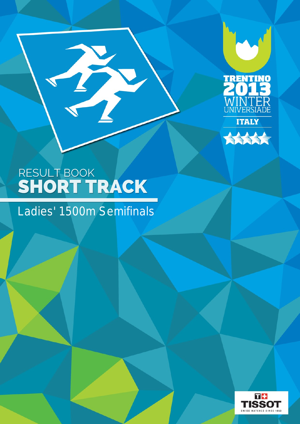



B

### Ladies' 1500m Semifinals

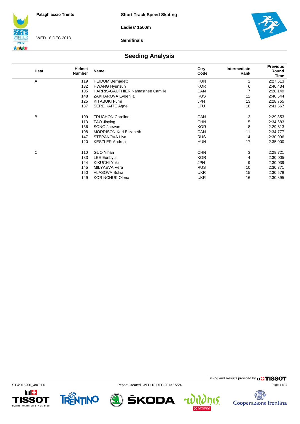**Ladies' 1500m**



WED 18 DEC 2013

**Semifinals**



### **Seeding Analysis**

| Heat | <b>Helmet</b><br><b>Number</b> | <b>Name</b>                              | Ctry<br>Code | Intermediate<br>Rank | <b>Previous</b><br>Round<br>Time |
|------|--------------------------------|------------------------------------------|--------------|----------------------|----------------------------------|
| A    | 119                            | <b>HEIDUM Bernadett</b>                  | <b>HUN</b>   |                      | 2:27.513                         |
|      | 132                            | <b>HWANG Hyunsun</b>                     | <b>KOR</b>   | 6                    | 2:40.434                         |
|      | 105                            | <b>HARRIS-GAUTHIER Namasthee Camille</b> | CAN          | 7                    | 2:28.149                         |
|      | 148                            | ZAKHAROVA Evgenija                       | <b>RUS</b>   | 12                   | 2:40.644                         |
|      | 125                            | KITABUKI Fumi                            | <b>JPN</b>   | 13                   | 2:28.755                         |
|      | 137                            | <b>SEREIKAITE Agne</b>                   | LTU          | 18                   | 2:41.567                         |
| В    | 109                            | <b>TRUCHON Caroline</b>                  | <b>CAN</b>   | 2                    | 2:29.353                         |
|      | 113                            | TAO Jiaying                              | <b>CHN</b>   | 5                    | 2:34.683                         |
|      | 136                            | SONG Jaewon                              | <b>KOR</b>   | 8                    | 2:29.813                         |
|      | 108                            | <b>MORRISON Keri Elizabeth</b>           | CAN          | 11                   | 2:34.777                         |
|      | 147                            | STEPANOVA Liya                           | <b>RUS</b>   | 14                   | 2:30.096                         |
|      | 120                            | <b>KESZLER Andrea</b>                    | <b>HUN</b>   | 17                   | 2:35.000                         |
| C    | 110                            | <b>GUO Yihan</b>                         | <b>CHN</b>   | 3                    | 2:29.721                         |
|      | 133                            | <b>LEE Eunbyul</b>                       | <b>KOR</b>   | 4                    | 2:30.005                         |
|      | 124                            | <b>KIKUCHI Yuki</b>                      | <b>JPN</b>   | 9                    | 2:30.039                         |
|      | 145                            | MILYAEVA Vera                            | <b>RUS</b>   | 10                   | 2:30.371                         |
|      | 150                            | <b>VLASOVA Sofiia</b>                    | <b>UKR</b>   | 15                   | 2:30.578                         |
|      | 149                            | <b>KORINCHUK Olena</b>                   | <b>UKR</b>   | 16                   | 2:30.895                         |





STW015200\_48C 1.0 Report Created WED 18 DEC 2013 15:24



Timing and Results provided by **THISSOT** 

15.

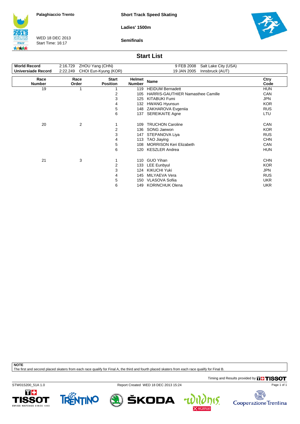**Short Track Speed Skating**

**Ladies' 1500m**



WED 18 DEC 2013 Start Time: 16:17

**Semifinals**



#### **Start List**

| <b>World Record</b>       | 2:16.729      | ZHOU Yang (CHN)                 |                         | 9 FEB 2008<br>Salt Lake City (USA) |              |
|---------------------------|---------------|---------------------------------|-------------------------|------------------------------------|--------------|
| <b>Universiade Record</b> | 2:22.249      | CHOI Eun-Kyung (KOR)            |                         | 19 JAN 2005<br>Innsbruck (AUT)     |              |
| Race<br><b>Number</b>     | Race<br>Order | <b>Start</b><br><b>Position</b> | Helmet<br><b>Number</b> | <b>Name</b>                        | Ctry<br>Code |
| 19                        | 1             |                                 | 119                     | <b>HEIDUM Bernadett</b>            | <b>HUN</b>   |
|                           |               | 2                               | 105                     | HARRIS-GAUTHIER Namasthee Camille  | CAN          |
|                           |               | 3                               | 125                     | <b>KITABUKI Fumi</b>               | <b>JPN</b>   |
|                           |               | 4                               | 132                     | <b>HWANG Hyunsun</b>               | <b>KOR</b>   |
|                           |               | 5                               | 148                     | ZAKHAROVA Evgenija                 | <b>RUS</b>   |
|                           |               | 6                               | 137                     | <b>SEREIKAITE Agne</b>             | LTU          |
| 20                        | 2             |                                 | 109                     | <b>TRUCHON Caroline</b>            | CAN          |
|                           |               | 2                               | 136                     | SONG Jaewon                        | <b>KOR</b>   |
|                           |               | 3                               | 147                     | STEPANOVA Liya                     | <b>RUS</b>   |
|                           |               | 4                               | 113                     | TAO Jiaying                        | <b>CHN</b>   |
|                           |               | 5                               | 108                     | <b>MORRISON Keri Elizabeth</b>     | CAN          |
|                           |               | 6                               | 120                     | <b>KESZLER Andrea</b>              | <b>HUN</b>   |
| 21                        | 3             |                                 | 110                     | <b>GUO Yihan</b>                   | <b>CHN</b>   |
|                           |               | 2                               | 133                     | LEE Eunbyul                        | <b>KOR</b>   |
|                           |               | 3                               | 124                     | <b>KIKUCHI Yuki</b>                | <b>JPN</b>   |
|                           |               | 4                               | 145                     | MILYAEVA Vera                      | <b>RUS</b>   |
|                           |               | 5                               | 150                     | <b>VLASOVA Sofiia</b>              | <b>UKR</b>   |
|                           |               | 6                               | 149                     | <b>KORINCHUK Olena</b>             | <b>UKR</b>   |

**NOTE**

The first and second placed skaters from each race qualify for Final A, the third and fourth placed skaters from each race qualify for Final B.

Timing and Results provided by **THISSOT** 

STW015200\_51A 1.0 Report Created WED 18 DEC 2013 15:24





ŠKODA



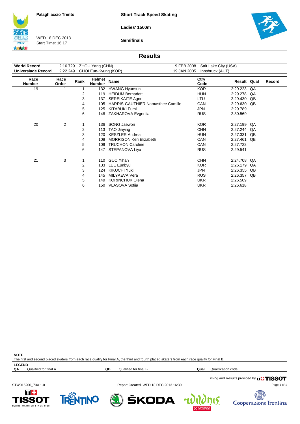**Short Track Speed Skating**

**Ladies' 1500m**



WED 18 DEC 2013 Start Time: 16:17

**Semifinals**



#### **Results**

| <b>World Record</b>   | 2:16.729       |      | ZHOU Yang (CHN)         | 9 FEB 2008                               | Salt Lake City (USA)     |                      |          |        |
|-----------------------|----------------|------|-------------------------|------------------------------------------|--------------------------|----------------------|----------|--------|
| Universiade Record    | 2:22.249       |      | CHOI Eun-Kyung (KOR)    | 19 JAN 2005                              | Innsbruck (AUT)          |                      |          |        |
| Race<br><b>Number</b> | Race<br>Order  | Rank | Helmet<br><b>Number</b> | Name                                     | Ctry<br>Code             | Result Qual          |          | Record |
| 19                    | 1              |      | 132                     | <b>HWANG Hyunsun</b>                     | <b>KOR</b>               | 2:29.223             | QA       |        |
|                       |                | 2    | 119                     | <b>HEIDUM Bernadett</b>                  | <b>HUN</b>               | 2:29.278             | QA       |        |
|                       |                | 3    | 137                     | <b>SEREIKAITE Agne</b>                   | LTU                      | 2:29.430             | QB       |        |
|                       |                | 4    | 105                     | <b>HARRIS-GAUTHIER Namasthee Camille</b> | CAN                      | 2:29.630             | QB       |        |
|                       |                | 5    | 125                     | <b>KITABUKI Fumi</b>                     | <b>JPN</b>               | 2:29.789             |          |        |
|                       |                | 6    | 148                     | ZAKHAROVA Evgenija                       | <b>RUS</b>               | 2:30.569             |          |        |
| 20                    | $\overline{2}$ | 2    | 136<br>113              | SONG Jaewon<br>TAO Jiaying               | <b>KOR</b><br><b>CHN</b> | 2:27.199<br>2:27.244 | QA<br>QA |        |
|                       |                | 3    | 120                     | <b>KESZLER Andrea</b>                    | <b>HUN</b>               | 2:27.331             | QB       |        |
|                       |                | 4    | 108                     | <b>MORRISON Keri Elizabeth</b>           | CAN                      | 2:27.461             | QB       |        |
|                       |                | 5    | 109                     | <b>TRUCHON Caroline</b>                  | CAN                      | 2:27.722             |          |        |
|                       |                | 6    | 147                     | STEPANOVA Liya                           | <b>RUS</b>               | 2:29.541             |          |        |
| 21                    | 3              |      | 110                     | <b>GUO Yihan</b>                         | <b>CHN</b>               | 2:24.708             | QA       |        |
|                       |                | 2    | 133                     | <b>LEE Eunbyul</b>                       | <b>KOR</b>               | 2:26.179             | QA       |        |
|                       |                | 3    | 124                     | <b>KIKUCHI Yuki</b>                      | <b>JPN</b>               | 2:26.355             | QB       |        |
|                       |                | 4    | 145                     | MILYAEVA Vera                            | <b>RUS</b>               | 2:26.357             | QB       |        |
|                       |                | 5    | 149                     | <b>KORINCHUK Olena</b>                   | <b>UKR</b>               | 2:26.509             |          |        |
|                       |                | 6    | 150                     | VLASOVA Sofiia                           | <b>UKR</b>               | 2:26.618             |          |        |

**NOTE** The first and second placed skaters from each race qualify for Final A, the third and fourth placed skaters from each race qualify for Final B.

**LEGEND**<br>QA Qualified for final A

**QB** Qualified for final B **Qualification Code Qualification code** 

15.

T+

**ISSOT** 

WATCHES SINCE 1853

STW015200\_73A 1.0 Report Created WED 18 DEC 2013 16:30

Timing and Results provided by **THISSOT** 





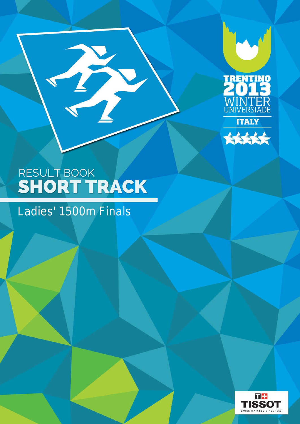



B

### Ladies' 1500m Finals

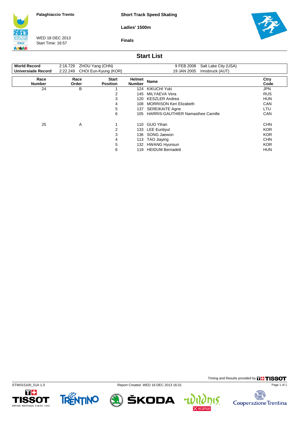**Short Track Speed Skating**

**Ladies' 1500m**



WED 18 DEC 2013 Start Time: 16:57

**Finals**



### **Start List**

| <b>World Record</b>       | 2:16.729 ZHOU Yang (CHN) |                                 |                         | Salt Lake City (USA)<br>9 FEB 2008       |              |
|---------------------------|--------------------------|---------------------------------|-------------------------|------------------------------------------|--------------|
| <b>Universiade Record</b> | 2:22.249                 | CHOI Eun-Kyung (KOR)            |                         | 19 JAN 2005<br>Innsbruck (AUT)           |              |
| Race<br><b>Number</b>     | Race<br>Order            | <b>Start</b><br><b>Position</b> | Helmet<br><b>Number</b> | <b>Name</b>                              | Ctry<br>Code |
| 24                        | В                        |                                 | 124                     | KIKUCHI Yuki                             | <b>JPN</b>   |
|                           |                          | 2                               | 145                     | MILYAEVA Vera                            | <b>RUS</b>   |
|                           |                          | 3                               | 120                     | <b>KESZLER Andrea</b>                    | <b>HUN</b>   |
|                           |                          | 4                               | 108                     | <b>MORRISON Keri Elizabeth</b>           | <b>CAN</b>   |
|                           |                          | 5                               | 137                     | <b>SEREIKAITE Agne</b>                   | LTU          |
|                           |                          | 6                               | 105                     | <b>HARRIS-GAUTHIER Namasthee Camille</b> | <b>CAN</b>   |
| 25                        | A                        | 1                               | 110                     | <b>GUO Yihan</b>                         | <b>CHN</b>   |
|                           |                          | 2                               | 133                     | <b>LEE Eunbyul</b>                       | <b>KOR</b>   |
|                           |                          | 3                               | 136                     | SONG Jaewon                              | <b>KOR</b>   |
|                           |                          | 4                               | 113                     | TAO Jiaying                              | <b>CHN</b>   |
|                           |                          | 5                               | 132                     | <b>HWANG Hyunsun</b>                     | <b>KOR</b>   |
|                           |                          | 6                               | 119                     | <b>HEIDUM Bernadett</b>                  | <b>HUN</b>   |





STW015100\_51A 1.0 Report Created WED 18 DEC 2013 16:31



Timing and Results provided by **THISSOT** 

15.

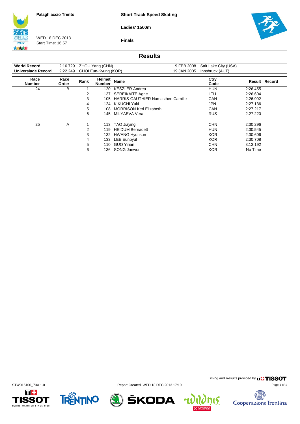**Short Track Speed Skating**

**Ladies' 1500m**



WED 18 DEC 2013 Start Time: 16:57



**Finals**

### **Results**

| <b>World Record</b>   |               |      | 2:16.729 ZHOU Yang (CHN)       | 9 FEB 2008                               | Salt Lake City (USA) |          |               |
|-----------------------|---------------|------|--------------------------------|------------------------------------------|----------------------|----------|---------------|
| Universiade Record    |               |      | 2:22.249 CHOI Eun-Kyung (KOR)  | 19 JAN 2005                              | Innsbruck (AUT)      |          |               |
| Race<br><b>Number</b> | Race<br>Order | Rank | <b>Helmet</b><br><b>Number</b> | Name                                     | Ctry<br>Code         |          | Result Record |
| 24                    | в             |      | 120                            | <b>KESZLER Andrea</b>                    | <b>HUN</b>           | 2:26.455 |               |
|                       |               | 2    | 137                            | <b>SEREIKAITE Agne</b>                   | LTU                  | 2:26.604 |               |
|                       |               | 3    | 105                            | <b>HARRIS-GAUTHIER Namasthee Camille</b> | <b>CAN</b>           | 2:26.902 |               |
|                       |               | 4    |                                | 124 KIKUCHI Yuki                         | JPN.                 | 2:27.136 |               |
|                       |               | 5    | 108.                           | <b>MORRISON Keri Elizabeth</b>           | <b>CAN</b>           | 2:27.217 |               |
|                       |               | 6    | 145                            | MILYAEVA Vera                            | <b>RUS</b>           | 2:27.220 |               |
| 25                    | A             |      | 113                            | TAO Jiaying                              | <b>CHN</b>           | 2:30.296 |               |
|                       |               | 2    | 119                            | <b>HEIDUM Bernadett</b>                  | HUN                  | 2:30.545 |               |
|                       |               | 3    |                                | 132 HWANG Hyunsun                        | <b>KOR</b>           | 2:30.606 |               |
|                       |               | 4    |                                | 133 LEE Eunbyul                          | <b>KOR</b>           | 2:30.708 |               |
|                       |               | 5    | 110                            | <b>GUO Yihan</b>                         | <b>CHN</b>           | 3:13.192 |               |
|                       |               | 6    | 136.                           | SONG Jaewon                              | <b>KOR</b>           | No Time  |               |











nis.

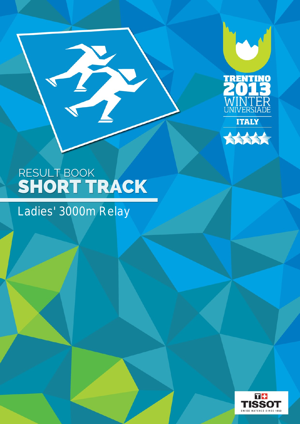



H

### Ladies' 3000m Relay

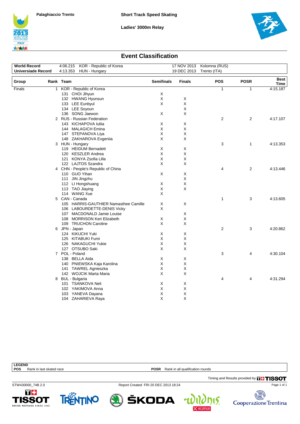





#### **Event Classification**

| <b>World Record</b> | 4:06.215 KOR - Republic of Korea | 17 NOV 2013 Kolomna (RUS)             |                   |                           |              |                |                     |
|---------------------|----------------------------------|---------------------------------------|-------------------|---------------------------|--------------|----------------|---------------------|
| Universiade Record  |                                  | 4:13.353<br>HUN - Hungary             |                   | 19 DEC 2013               | Trento (ITA) |                |                     |
| Group               |                                  | Rank Team                             | <b>Semifinals</b> | <b>Finals</b>             | <b>POS</b>   | <b>POSR</b>    | <b>Best</b><br>Time |
| Finals              |                                  | 1 KOR - Republic of Korea             |                   |                           | 1            | $\mathbf{1}$   | 4:15.187            |
|                     |                                  | 131 CHOI Jihyun                       | Χ                 |                           |              |                |                     |
|                     |                                  | 132 HWANG Hyunsun                     | $\mathsf X$       | X                         |              |                |                     |
|                     |                                  | 133 LEE Eunbyul                       | X                 | X                         |              |                |                     |
|                     |                                  | 134 LEE Soyoun                        |                   | X                         |              |                |                     |
|                     |                                  | 136 SONG Jaewon                       | X                 | X                         |              |                |                     |
|                     |                                  | 2 RUS - Russian Federation            |                   |                           | 2            | $\overline{2}$ | 4:17.107            |
|                     |                                  | 143 KICHAPOVA Iuliia                  | X                 | X                         |              |                |                     |
|                     |                                  | 144 MALAGICH Emina                    | X                 | X                         |              |                |                     |
|                     |                                  | 147 STEPANOVA Liya                    | X                 | X                         |              |                |                     |
|                     |                                  | 148 ZAKHAROVA Evgeniia                | X                 | X                         |              |                |                     |
|                     |                                  | 3 HUN - Hungary                       |                   |                           | 3            | $\mathbf{1}$   | 4:13.353            |
|                     |                                  | 119 HEIDUM Bernadett                  | Χ                 | Χ                         |              |                |                     |
|                     |                                  | 120 KESZLER Andrea                    | X                 | X                         |              |                |                     |
|                     |                                  | 121 KONYA Zsofia Lilla                | X                 | $\boldsymbol{\mathsf{X}}$ |              |                |                     |
|                     |                                  | 122 LAJTOS Szandra                    | X                 | Χ                         |              |                |                     |
|                     |                                  | 4 CHN - People's Republic of China    |                   |                           | 4            | $\overline{2}$ | 4:13.446            |
|                     |                                  | 110 GUO Yihan                         | X                 | Х                         |              |                |                     |
|                     |                                  | 111 JIN Jingzhu                       |                   | X                         |              |                |                     |
|                     |                                  | 112 LI Hongshuang                     | X                 | X                         |              |                |                     |
|                     |                                  | 113 TAO Jiaying                       | X                 | X                         |              |                |                     |
|                     |                                  | 114 WANG Xue                          | X                 |                           |              |                |                     |
|                     |                                  | 5 CAN - Canada                        |                   |                           | 1            | 3              | 4:13.605            |
|                     |                                  | 105 HARRIS-GAUTHIER Namasthee Camille | X                 | Χ                         |              |                |                     |
|                     |                                  | 106 LABOURDETTE-DENIS Vicky           | X                 |                           |              |                |                     |
|                     |                                  | 107 MACDONALD Jamie Louise            |                   | X                         |              |                |                     |
|                     |                                  | 108 MORRISON Keri Elizabeth           | X                 | X                         |              |                |                     |
|                     |                                  | 109 TRUCHON Caroline                  | X                 | X                         |              |                |                     |
|                     |                                  | 6 JPN - Japan                         |                   |                           | 2            | 3              | 4:20.862            |
|                     |                                  | 124 KIKUCHI Yuki                      | X                 | Χ                         |              |                |                     |
|                     |                                  | 125 KITABUKI Fumi                     | X                 | X                         |              |                |                     |
|                     |                                  | 126 NAKAGUCHI Yukie                   | X                 | Χ                         |              |                |                     |
|                     |                                  | 127 OTSUBO Saki                       | X                 | $\boldsymbol{\mathsf{X}}$ |              |                |                     |
|                     |                                  | 7 POL - Poland                        |                   |                           | 3            | 4              | 4:30.104            |
|                     |                                  | 138 BELLA Aida                        | Χ                 | X                         |              |                |                     |
|                     |                                  | 140 PNIEWSKA Kaja Karolina            | X                 | X                         |              |                |                     |
|                     |                                  | 141 TAWREL Agnieszka                  | X                 | X                         |              |                |                     |
|                     |                                  | 142 WOJCIK Marta Maria                | X                 | X                         |              |                |                     |
|                     |                                  | 8 BUL - Bulgaria                      |                   |                           | 4            | 4              | 4:31.294            |
|                     |                                  | 101 TSANKOVA Neli                     | X                 | X                         |              |                |                     |
|                     |                                  | 102 YAKIMOVA Anna                     | X                 | X                         |              |                |                     |
|                     |                                  | 103 YANEVA Dayana                     | X                 | X                         |              |                |                     |
|                     |                                  | 104 ZAHARIEVA Raya                    | X                 | X                         |              |                |                     |

| <b>LEGEND</b>   |                                  |                     |                                                |
|-----------------|----------------------------------|---------------------|------------------------------------------------|
| <b>DOC</b><br>υ | Rank<br>race<br>: in last skated | <b>DOCD</b><br>וכטי | Rank in a<br>at qualification.<br>⊧rounds<br>. |
|                 |                                  |                     |                                                |

T+ **1SSOT** WATCHES SINCE 1853



STW430000\_74B 2.0 Report Created FRI 20 DEC 2013 18:24

ŠKODA

15.

 $\mathbf{r}$ 



Page 1 of 1

Timing and Results provided by **THISSOT**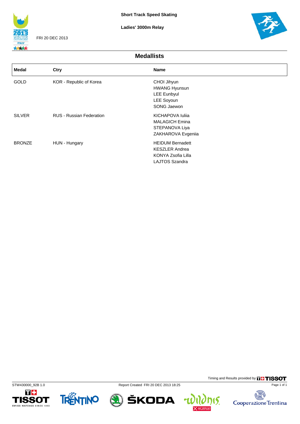

FRI 20 DEC 2013

**Ladies' 3000m Relay**



**Medallists**

| Medal         | Ctry                     | <b>Name</b>                                                                                     |
|---------------|--------------------------|-------------------------------------------------------------------------------------------------|
| <b>GOLD</b>   | KOR - Republic of Korea  | CHOI Jihyun<br><b>HWANG Hyunsun</b><br><b>LEE Eunbyul</b><br>LEE Soyoun<br>SONG Jaewon          |
| <b>SILVER</b> | RUS - Russian Federation | KICHAPOVA Iulija<br><b>MALAGICH Emina</b><br>STEPANOVA Liya<br>ZAKHAROVA Evgeniia               |
| <b>BRONZE</b> | HUN - Hungary            | <b>HEIDUM Bernadett</b><br><b>KESZLER Andrea</b><br>KONYA Zsofia Lilla<br><b>LAJTOS Szandra</b> |









Timing and Results provided by **THISSOT** Page 1 of 1

**nis.** 

碣 Cooperazione Trentina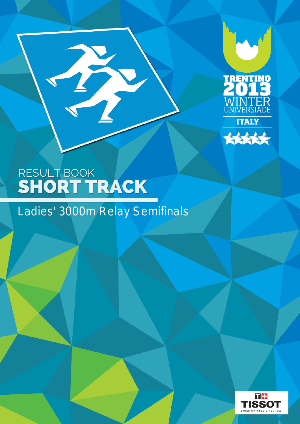



B

### Ladies' 3000m Relay Semifinals

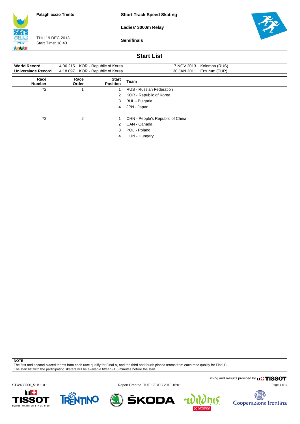**Short Track Speed Skating**

**Ladies' 3000m Relay**



THU 19 DEC 2013 Start Time: 18:43

**Semifinals**



#### **Start List**

| <b>World Record</b><br>Universiade Record | 4:06.215 KOR - Republic of Korea<br>4:18.097 | KOR - Republic of Korea         | 17 NOV 2013<br>Kolomna (RUS)<br>Erzurum (TUR)<br>30 JAN 2011 |
|-------------------------------------------|----------------------------------------------|---------------------------------|--------------------------------------------------------------|
| Race<br><b>Number</b>                     | Race<br>Order                                | <b>Start</b><br><b>Position</b> | Team                                                         |
| 72                                        |                                              |                                 | <b>RUS - Russian Federation</b>                              |
|                                           |                                              | 2                               | KOR - Republic of Korea                                      |
|                                           |                                              | 3                               | <b>BUL</b> - Bulgaria                                        |
|                                           |                                              | 4                               | JPN - Japan                                                  |
| 73                                        | 2                                            |                                 | CHN - People's Republic of China                             |
|                                           |                                              | 2                               | CAN - Canada                                                 |
|                                           |                                              | 3                               | POL - Poland                                                 |
|                                           |                                              | 4                               | HUN - Hungary                                                |

**NOTE**

The first and second placed teams from each race qualify for Final A, and the third and fourth placed teams from each race qualify for Final B.

The start list with the participating skaters will be available fifteen (15) minutes before the start.

Timing and Results provided by **THISSOT** 

STW430200\_51B 1.0 Report Created TUE 17 DEC 2013 16:01









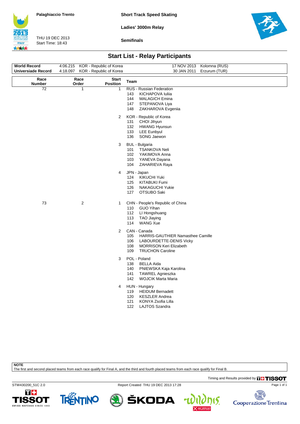**Short Track Speed Skating**

**Ladies' 3000m Relay**



THU 19 DEC 2013 Start Time: 18:43

**Semifinals**



### **Start List - Relay Participants**

| <b>World Record</b>       | 4:06.215 KOR - Republic of Korea |                                 | 17 NOV 2013 Kolomna (RUS)                                                                                                                                                    |
|---------------------------|----------------------------------|---------------------------------|------------------------------------------------------------------------------------------------------------------------------------------------------------------------------|
| <b>Universiade Record</b> | 4:18.097                         | KOR - Republic of Korea         | 30 JAN 2011<br>Erzurum (TUR)                                                                                                                                                 |
| Race<br><b>Number</b>     | Race<br>Order                    | <b>Start</b><br><b>Position</b> | Team                                                                                                                                                                         |
| 72                        | 1                                | 1                               | RUS - Russian Federation<br>143<br>KICHAPOVA Iuliia<br>144<br><b>MALAGICH Emina</b><br>147<br>STEPANOVA Liya<br>148<br>ZAKHAROVA Evgeniia                                    |
|                           |                                  | 2                               | KOR - Republic of Korea<br>CHOI Jihyun<br>131<br>132<br><b>HWANG Hyunsun</b><br>133<br><b>LEE Eunbyul</b><br>136<br>SONG Jaewon                                              |
|                           |                                  | 3                               | <b>BUL</b> - Bulgaria<br><b>TSANKOVA Neli</b><br>101<br>102<br>YAKIMOVA Anna<br>103<br>YANEVA Dayana<br>104<br>ZAHARIEVA Raya                                                |
|                           |                                  | 4                               | JPN - Japan<br>KIKUCHI Yuki<br>124<br>125<br>KITABUKI Fumi<br>126<br>NAKAGUCHI Yukie<br>127<br>OTSUBO Saki                                                                   |
| 73                        | $\overline{c}$                   | 1                               | CHN - People's Republic of China<br><b>GUO Yihan</b><br>110<br>112<br>LI Hongshuang<br>113<br><b>TAO Jiaying</b><br>114<br><b>WANG Xue</b>                                   |
|                           |                                  | $\overline{2}$                  | CAN - Canada<br>105<br><b>HARRIS-GAUTHIER Namasthee Camille</b><br>LABOURDETTE-DENIS Vicky<br>106<br>108<br><b>MORRISON Keri Elizabeth</b><br>109<br><b>TRUCHON Caroline</b> |
|                           |                                  | 3                               | POL - Poland<br>138<br><b>BELLA Aida</b><br>140<br>PNIEWSKA Kaja Karolina<br>141<br>TAWREL Agnieszka<br>142<br><b>WOJCIK Marta Maria</b>                                     |
|                           |                                  | $\overline{4}$                  | HUN - Hungary<br><b>HEIDUM Bernadett</b><br>119<br>120<br><b>KESZLER Andrea</b><br>121<br>KONYA Zsofia Lilla<br>122<br><b>LAJTOS Szandra</b>                                 |
|                           |                                  |                                 |                                                                                                                                                                              |

**NOTE**

The first and second placed teams from each race qualify for Final A, and the third and fourth placed teams from each race qualify for Final B.

Timing and Results provided by **THISSOT** 

STW430200\_51C 2.0 Report Created THU 19 DEC 2013 17:28





ŠKODA



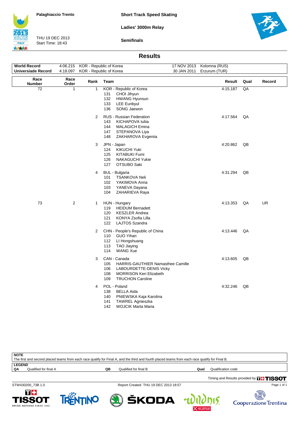



THU 19 DEC 2013 Start Time: 18:43

**ITALY** 大大大大 **Semifinals**

| <b>Results</b> |
|----------------|
|----------------|

| <b>World Record</b>       |                | 4:06.215 KOR - Republic of Korea |                                                                                                                                                                       |             | 17 NOV 2013 Kolomna (RUS) |      |           |
|---------------------------|----------------|----------------------------------|-----------------------------------------------------------------------------------------------------------------------------------------------------------------------|-------------|---------------------------|------|-----------|
| <b>Universiade Record</b> | 4:18.097       | KOR - Republic of Korea          |                                                                                                                                                                       | 30 JAN 2011 | Erzurum (TUR)             |      |           |
| Race<br><b>Number</b>     | Race<br>Order  | Rank                             | Team                                                                                                                                                                  |             | Result                    | Qual | Record    |
| 72                        | $\mathbf{1}$   | $\mathbf{1}$                     | KOR - Republic of Korea<br>CHOI Jihyun<br>131<br>132<br><b>HWANG Hyunsun</b><br>133<br><b>LEE Eunbyul</b><br>136<br>SONG Jaewon                                       |             | 4:15.187                  | QA   |           |
|                           |                | $\overline{2}$                   | RUS - Russian Federation<br>KICHAPOVA Iuliia<br>143<br>144<br><b>MALAGICH Emina</b><br>147<br>STEPANOVA Liya<br>148<br>ZAKHAROVA Evgenija                             |             | 4:17.564                  | QA   |           |
|                           |                | 3                                | JPN - Japan<br><b>KIKUCHI Yuki</b><br>124<br>125<br><b>KITABUKI Fumi</b><br>126<br><b>NAKAGUCHI Yukie</b><br>127<br>OTSUBO Saki                                       |             | 4:20.862                  | QB   |           |
|                           |                | 4                                | <b>BUL</b> - Bulgaria<br><b>TSANKOVA Neli</b><br>101<br>102<br>YAKIMOVA Anna<br>103<br>YANEVA Dayana<br>104<br>ZAHARIEVA Raya                                         |             | 4:31.294                  | QB   |           |
| 73                        | $\overline{2}$ | 1                                | HUN - Hungary<br><b>HEIDUM Bernadett</b><br>119<br>120<br><b>KESZLER Andrea</b><br>121<br>KONYA Zsofia Lilla<br>122<br><b>LAJTOS Szandra</b>                          |             | 4:13.353                  | QA   | <b>UR</b> |
|                           |                | $\overline{2}$                   | CHN - People's Republic of China<br><b>GUO Yihan</b><br>110<br>112<br>LI Hongshuang<br><b>TAO Jiaying</b><br>113<br><b>WANG Xue</b><br>114                            |             | 4:13.446                  | QA   |           |
|                           |                | 3                                | CAN - Canada<br>HARRIS-GAUTHIER Namasthee Camille<br>105<br>106<br>LABOURDETTE-DENIS Vicky<br>108<br><b>MORRISON Keri Elizabeth</b><br><b>TRUCHON Caroline</b><br>109 |             | 4:13.605                  | QB   |           |
|                           |                | 4                                | POL - Poland<br>138<br><b>BELLA Aida</b><br>140<br>PNIEWSKA Kaja Karolina<br>141<br><b>TAWREL Agnieszka</b><br>142<br><b>WOJCIK Marta Maria</b>                       |             | 4:32.246                  | QB   |           |

Timing and Results provided by **THISSOT NOTE** The first and second placed teams from each race qualify for Final A, and the third and fourth placed teams from each race qualify for Final B. **LEGEND**<br>QA Qualified for final A **QB** Qualified for final B **Qualification Code Qualification code** 

STW430200\_73B 1.0 Report Created THU 19 DEC 2013 18:57

ŠKODA







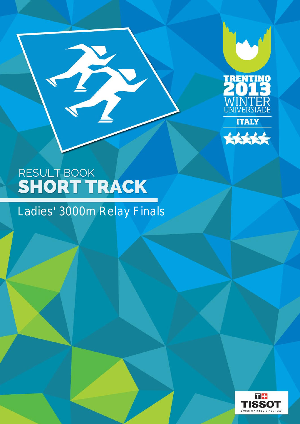



### Ladies' 3000m Relay Finals

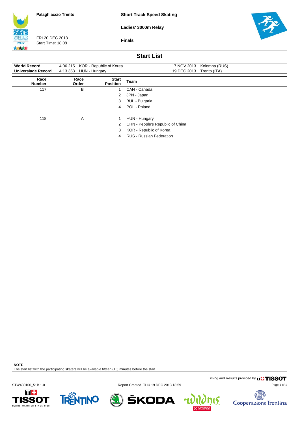**Short Track Speed Skating**

**Ladies' 3000m Relay**



FRI 20 DEC 2013 Start Time: 18:08

**Finals**



### **Start List**

| <b>World Record</b>   | 4:06.215 KOR - Republic of Korea |                                 | Kolomna (RUS)<br>17 NOV 2013     |
|-----------------------|----------------------------------|---------------------------------|----------------------------------|
| Universiade Record    | 4:13.353<br>HUN - Hungary        |                                 | 19 DEC 2013<br>Trento (ITA)      |
| Race<br><b>Number</b> | Race<br>Order                    | <b>Start</b><br><b>Position</b> | Team                             |
| 117                   | В                                |                                 | CAN - Canada                     |
|                       |                                  | 2                               | JPN - Japan                      |
|                       |                                  | 3                               | BUL - Bulgaria                   |
|                       |                                  | 4                               | POL - Poland                     |
| 118                   | A                                |                                 | HUN - Hungary                    |
|                       |                                  | 2                               | CHN - People's Republic of China |
|                       |                                  | 3                               | KOR - Republic of Korea          |
|                       |                                  | 4                               | <b>RUS - Russian Federation</b>  |

**NOTE**

The start list with the participating skaters will be available fifteen (15) minutes before the start.

Timing and Results provided by **THISSOT** 

STW430100\_51B 1.0 Report Created THU 19 DEC 2013 18:59





ŠKODA



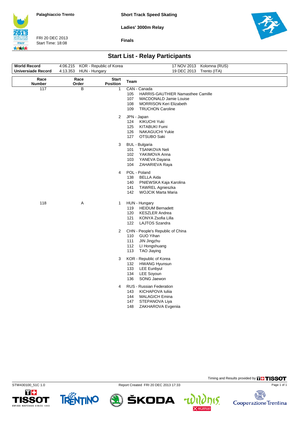**Short Track Speed Skating**

**Ladies' 3000m Relay**



FRI 20 DEC 2013 Start Time: 18:08

**Finals**



## **Start List - Relay Participants**

| <b>World Record</b>       | 4:06.215 KOR - Republic of Korea |                          | 17 NOV 2013 Kolomna (RUS)                                                                                                                                                   |  |  |
|---------------------------|----------------------------------|--------------------------|-----------------------------------------------------------------------------------------------------------------------------------------------------------------------------|--|--|
| <b>Universiade Record</b> | 4:13.353 HUN - Hungary           |                          | 19 DEC 2013<br>Trento (ITA)                                                                                                                                                 |  |  |
| Race<br>Number            | Race<br>Order                    | <b>Start</b><br>Position | Team                                                                                                                                                                        |  |  |
| 117                       | B                                | $\mathbf{1}$             | CAN - Canada<br>105<br>HARRIS-GAUTHIER Namasthee Camille<br>107<br><b>MACDONALD Jamie Louise</b><br>108<br><b>MORRISON Keri Elizabeth</b><br>109<br><b>TRUCHON Caroline</b> |  |  |
|                           |                                  | $\overline{2}$           | JPN - Japan<br>124<br><b>KIKUCHI Yuki</b><br>125<br><b>KITABUKI Fumi</b><br>126<br>NAKAGUCHI Yukie<br>127<br>OTSUBO Saki                                                    |  |  |
|                           |                                  | 3                        | <b>BUL</b> - Bulgaria<br>101<br>TSANKOVA Neli<br>102<br>YAKIMOVA Anna<br>103<br>YANEVA Dayana<br>104<br>ZAHARIEVA Raya                                                      |  |  |
|                           |                                  | $\overline{4}$           | POL - Poland<br>138<br><b>BELLA Aida</b><br>140<br>PNIEWSKA Kaja Karolina<br>141<br><b>TAWREL Agnieszka</b><br>142<br><b>WOJCIK Marta Maria</b>                             |  |  |
| 118                       | Α                                | 1                        | HUN - Hungary<br><b>HEIDUM Bernadett</b><br>119<br>120<br><b>KESZLER Andrea</b><br>121<br>KONYA Zsofia Lilla<br>122<br><b>LAJTOS Szandra</b>                                |  |  |
|                           |                                  | $\overline{2}$           | CHN - People's Republic of China<br><b>GUO Yihan</b><br>110<br>JIN Jingzhu<br>111<br>112<br>LI Hongshuang<br>113<br><b>TAO Jiaying</b>                                      |  |  |
|                           |                                  | 3                        | KOR - Republic of Korea<br>132<br><b>HWANG Hyunsun</b><br>133<br><b>LEE Eunbyul</b><br>134<br>LEE Soyoun<br>SONG Jaewon<br>136                                              |  |  |
|                           |                                  | $\overline{4}$           | RUS - Russian Federation<br>143<br>KICHAPOVA Iuliia<br>144<br><b>MALAGICH Emina</b><br>147<br>STEPANOVA Liya<br>148<br>ZAKHAROVA Evgeniia                                   |  |  |
|                           |                                  |                          |                                                                                                                                                                             |  |  |



TRENTINO



ŠKODA





Page 1 of 1

Timing and Results provided by **THISSOT**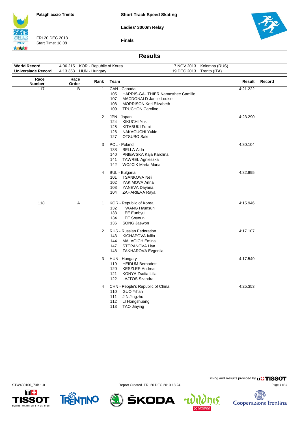**Short Track Speed Skating**



**ITALY** 大大大大

FRI 20 DEC 2013 Start Time: 18:08

**Finals**



### **Results**

| World Record<br><b>Universiade Record</b> | 4:06.215 KOR - Republic of Korea<br>4:13.353 | HUN - Hungary |                                                                | 19 DEC 2013 Trento (ITA)                                                                                                        | 17 NOV 2013 Kolomna (RUS) |          |        |
|-------------------------------------------|----------------------------------------------|---------------|----------------------------------------------------------------|---------------------------------------------------------------------------------------------------------------------------------|---------------------------|----------|--------|
| Race<br><b>Number</b>                     | Race<br>Order                                | Rank          | Team                                                           |                                                                                                                                 |                           | Result   | Record |
| 117                                       | B                                            | $\mathbf{1}$  | CAN - Canada<br>105<br>107<br>108<br>109                       | HARRIS-GAUTHIER Namasthee Camille<br><b>MACDONALD Jamie Louise</b><br><b>MORRISON Keri Elizabeth</b><br><b>TRUCHON Caroline</b> |                           | 4:21.222 |        |
|                                           |                                              | 2             | JPN - Japan<br>124<br>125<br>126<br>127                        | <b>KIKUCHI Yuki</b><br><b>KITABUKI Fumi</b><br><b>NAKAGUCHI Yukie</b><br>OTSUBO Saki                                            |                           | 4:23.290 |        |
|                                           |                                              | 3             | POL - Poland<br>138<br>140<br>141<br>142                       | <b>BELLA Aida</b><br>PNIEWSKA Kaja Karolina<br><b>TAWREL Agnieszka</b><br><b>WOJCIK Marta Maria</b>                             |                           | 4:30.104 |        |
|                                           |                                              | 4             | <b>BUL</b> - Bulgaria<br>101<br>102 <sub>2</sub><br>103<br>104 | TSANKOVA Neli<br>YAKIMOVA Anna<br>YANEVA Dayana<br>ZAHARIEVA Raya                                                               |                           | 4:32.895 |        |
| 118                                       | Α                                            | $\mathbf{1}$  | 132<br>133<br>134<br>136                                       | KOR - Republic of Korea<br><b>HWANG Hyunsun</b><br><b>LEE Eunbyul</b><br><b>LEE Soyoun</b><br>SONG Jaewon                       |                           | 4:15.946 |        |
|                                           |                                              | 2             | 143<br>144<br>147<br>148                                       | RUS - Russian Federation<br>KICHAPOVA Iuliia<br><b>MALAGICH Emina</b><br>STEPANOVA Liya<br>ZAKHAROVA Evgeniia                   |                           | 4:17.107 |        |
|                                           |                                              | 3             | HUN - Hungary<br>119<br>120<br>121<br>122                      | <b>HEIDUM Bernadett</b><br><b>KESZLER Andrea</b><br>KONYA Zsofia Lilla<br>LAJTOS Szandra                                        |                           | 4:17.549 |        |
|                                           |                                              | 4             | 110<br>111<br>112<br>113                                       | CHN - People's Republic of China<br><b>GUO Yihan</b><br>JIN Jingzhu<br>LI Hongshuang<br>TAO Jiaying                             |                           | 4:25.353 |        |



П÷

SWISS WATCHES SINCE 1853

**TISSOT** 

TRENTINO

STW430100\_73B 1.0 Report Created FRI 20 DEC 2013 18:24

ŠKODA



Page 1 of 1

屠

Timing and Results provided by **THISSOT**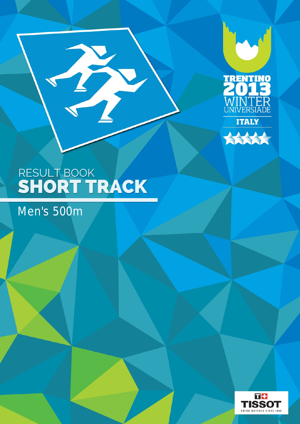



## Men's 500m

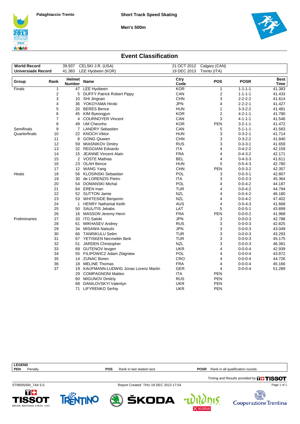**Men's 500m**





### **Event Classification**

| <b>World Record</b>       |      |                         | 39.937 CELSKI J.R. (USA)                   |              | 21 OCT 2012 Calgary (CAN) |                 |                     |
|---------------------------|------|-------------------------|--------------------------------------------|--------------|---------------------------|-----------------|---------------------|
| <b>Universiade Record</b> |      | 41.383                  | LEE Hyobeen (KOR)                          | 19 DEC 2013  | Trento (ITA)              |                 |                     |
| Group                     | Rank | Helmet<br><b>Number</b> | Name                                       | Ctry<br>Code | <b>POS</b>                | <b>POSR</b>     | Best<br><b>Time</b> |
| Finals                    | 1    | 47                      | <b>LEE Hyobeen</b>                         | <b>KOR</b>   | 1                         | $1 - 1 - 1 - 1$ | 41.383              |
|                           | 2    | 5                       | <b>DUFFY Patrick Robert Pippy</b>          | CAN          | $\overline{c}$            | $1 - 1 - 1 - 1$ | 41.433              |
|                           | 3    | 10                      | SHI Jingnan                                | <b>CHN</b>   | 3                         | $2 - 2 - 2 - 2$ | 41.614              |
|                           | 4    | 36                      | YOKOYAMA Hiroki                            | <b>JPN</b>   | 4                         | $2 - 2 - 2 - 1$ | 41.427              |
|                           | 5    | 20                      | <b>BERES</b> Bence                         | <b>HUN</b>   | $\mathbf{1}$              | $3 - 3 - 2 - 2$ | 41.481              |
|                           | 6    | 45                      | KIM Byeongjun                              | <b>KOR</b>   | $\overline{2}$            | $4 - 2 - 1 - 1$ | 41.780              |
|                           | 7    | 4                       | <b>COURNOYER Vincent</b>                   | CAN          | 3                         | $4 - 1 - 1 - 1$ | 41.546              |
|                           | 8    | 49                      | UM Cheonho                                 | <b>KOR</b>   | <b>PEN</b>                | $3 - 2 - 1 - 1$ | 41.472              |
| Semifinals                | 9    | 7                       | <b>LANDRY Sebastien</b>                    | CAN          | 5                         | $5 - 1 - 1 - 1$ | 41.583              |
| Quarterfinals             | 10   | 22                      | <b>KNOCH Viktor</b>                        | <b>HUN</b>   | 3                         | $0 - 3 - 2 - 1$ | 41.714              |
|                           | 11   | 8                       | <b>GONG Qiuwen</b>                         | <b>CHN</b>   | 3                         | $0 - 3 - 2 - 2$ | 41.840              |
|                           | 12   | 59                      | <b>MIASNIKOV Dmitry</b>                    | <b>RUS</b>   | 3                         | $0 - 3 - 3 - 1$ | 41.659              |
|                           | 13   |                         | 32 REGGIANI Edoardo                        | <b>ITA</b>   | 4                         | $0 - 4 - 2 - 2$ | 42.159              |
|                           | 14   | 15                      | <b>JEANNE Vincent Alain</b>                | <b>FRA</b>   | 4                         | $0 - 4 - 3 - 2$ | 42.171              |
|                           | 15   |                         | 2 VOSTE Mathias                            | BEL          | 4                         | $0 - 4 - 3 - 3$ | 41.611              |
|                           | 16   | 23                      | <b>OLAH Bence</b>                          | <b>HUN</b>   | 5                         | $0 - 5 - 4 - 3$ | 42.780              |
|                           | 17   |                         | 12 WANG Yang                               | <b>CHN</b>   | <b>PEN</b>                | $0 - 0 - 3 - 2$ | 42.357              |
| Heats                     | 18   | 56                      | KLOSINSKI Sebastian                        | POL          | 3                         | $0 - 0 - 3 - 1$ | 42.807              |
|                           | 19   | 30                      | de LORENZIS Pietro                         | <b>ITA</b>   | 3                         | $0 - 0 - 3 - 3$ | 45.364              |
|                           | 20   | 54                      | <b>DOMANSKI Michal</b>                     | POL          | 4                         | $0 - 0 - 4 - 2$ | 44.187              |
|                           | 21   |                         | 64 EREN Inan                               | <b>TUR</b>   | 4                         | $0 - 0 - 4 - 2$ | 44.794              |
|                           | 22   |                         | 52 SUTTON Jamie                            | <b>NZL</b>   | 4                         | $0 - 0 - 4 - 2$ | 46.180              |
|                           | 23   |                         | 53 WHITESIDE Benjamin                      | <b>NZL</b>   | 4                         | $0 - 0 - 4 - 2$ | 47.402              |
|                           | 24   | 1                       | <b>HENRY Nathanial Keith</b>               | <b>AUS</b>   | 4                         | $0 - 0 - 4 - 3$ | 41.668              |
|                           | 25   | 50                      | <b>SAULITIS Jekabs</b>                     | LAT          | 5                         | $0 - 0 - 5 - 1$ | 43.899              |
|                           | 26   | 16                      | MASSON Jeremy Henri                        | <b>FRA</b>   | <b>PEN</b>                | $0 - 0 - 0 - 2$ | 41.968              |
| Preliminaries             | 27   | 33                      | <b>ITO Satoki</b>                          | <b>JPN</b>   | 3                         | $0 - 0 - 0 - 3$ | 42.788              |
|                           | 28   | 61                      | <b>MIKHASEV Andrey</b>                     | <b>RUS</b>   | 3                         | $0 - 0 - 0 - 3$ | 42.825              |
|                           | 29   | 34                      | MISAWA Natsuhi                             | <b>JPN</b>   | 3                         | $0 - 0 - 0 - 3$ | 43.049              |
|                           | 30   | 66                      | <b>TANRIKULU Selim</b>                     | <b>TUR</b>   | 3                         | $0 - 0 - 0 - 3$ | 43.293              |
|                           | 31   |                         | 67 YETISKEN Necmettin Berk                 | <b>TUR</b>   | 3                         | $0 - 0 - 0 - 3$ | 45.175              |
|                           | 32   | 51                      | JARDEN Christopher                         | <b>NZL</b>   | 3                         | $0 - 0 - 0 - 3$ | 46.381              |
|                           | 33   | 69                      | <b>GUTENOV levgen</b>                      | <b>UKR</b>   | 4                         | $0 - 0 - 0 - 4$ | 42.939              |
|                           | 34   | 55                      | FILIPOWICZ Adam Zbigniew                   | <b>POL</b>   | 4                         | $0 - 0 - 0 - 4$ | 43.872              |
|                           | 35   |                         | 14 ZUNAC Boren                             | CRO          | 4                         | $0 - 0 - 0 - 4$ | 44.726              |
|                           | 36   | 18                      | <b>MELINE Thomas</b>                       | <b>FRA</b>   | 4                         | $0 - 0 - 0 - 4$ | 45.166              |
|                           | 37   | 19                      | <b>KAUFMANN-LUDWIG Jonas Lorenz Martin</b> | <b>GER</b>   | 4                         | $0 - 0 - 0 - 4$ | 51.289              |
|                           |      | 29                      | <b>COMPAGNONI Matteo</b>                   | ITA          | <b>PEN</b>                |                 |                     |
|                           |      | 60                      | <b>MIGUNOV Dmitriy</b>                     | <b>RUS</b>   | <b>PEN</b>                |                 |                     |
|                           |      | 68                      | DANILOVSKYI Valentyn                       | <b>UKR</b>   | <b>PEN</b>                |                 |                     |
|                           |      | 71                      | LIFYRENKO Serhiy                           | <b>UKR</b>   | <b>PEN</b>                |                 |                     |

| <b>LEGEND</b>         |                                        |                                               |
|-----------------------|----------------------------------------|-----------------------------------------------|
| Penalty<br><b>PEN</b> | Rank in last skated race<br><b>POS</b> | Rank in all qualification rounds<br>POSR      |
|                       |                                        | Timing and Results provided by <b>THISSOT</b> |
| STM005000 74A 5.0     | Report Created THU 19 DEC 2013 17:54   | Page 1 of                                     |

 $\bigcirc$  škoda  $\psi$ 

Page 1 of 1





**Example 18**<br>Cooperazione Trentina  $\eta$ ıs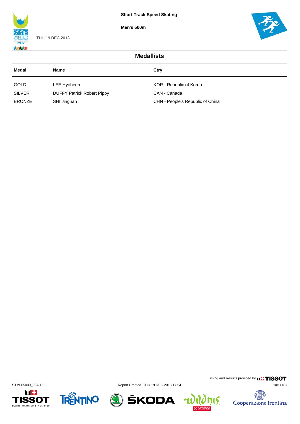**Men's 500m**



THU 19 DEC 2013



| <b>Medallists</b> |                                   |                                  |  |  |  |  |  |
|-------------------|-----------------------------------|----------------------------------|--|--|--|--|--|
| Medal             | <b>Name</b>                       | Ctry                             |  |  |  |  |  |
| <b>GOLD</b>       | LEE Hyobeen                       | KOR - Republic of Korea          |  |  |  |  |  |
| <b>SILVER</b>     | <b>DUFFY Patrick Robert Pippy</b> | CAN - Canada                     |  |  |  |  |  |
| <b>BRONZE</b>     | SHI Jingnan                       | CHN - People's Republic of China |  |  |  |  |  |











**nis.** 

u

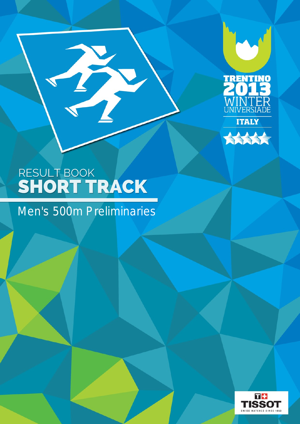



B

Men's 500m Preliminaries

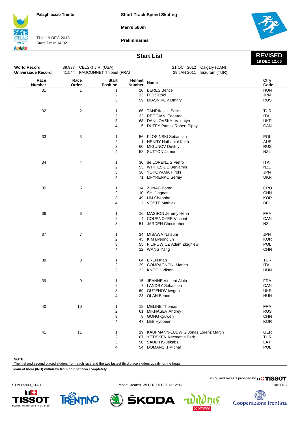**Short Track Speed Skating**

**Men's 500m**

**ITALY** 大大大大

THU 19 DEC 2013 Start Time: 14:02

**Preliminaries**



**REVISED 18 DEC 12:06**

## **Start List**

| <b>World Record</b>       | 39.937 CELSKI J.R. (USA) |                              |               | 21 OCT 2012 Calgary (CAN)              |                          |
|---------------------------|--------------------------|------------------------------|---------------|----------------------------------------|--------------------------|
| <b>Universiade Record</b> | 41.544                   | FAUCONNET Thibaut (FRA)      |               | Erzurum (TUR)<br>29 JAN 2011           |                          |
| Race                      | Race                     | <b>Start</b>                 | Helmet        | Name                                   | Ctry                     |
| Number                    | Order                    | <b>Position</b>              | <b>Number</b> |                                        | Code                     |
| 31                        | 1                        | $\mathbf{1}$                 |               | 20 BERES Bence                         | <b>HUN</b>               |
|                           |                          | $\overline{2}$               |               | 33 ITO Satoki                          | JPN                      |
|                           |                          | 3                            |               | 59 MIASNIKOV Dmitry                    | <b>RUS</b>               |
| 32                        | 2                        | 1                            |               | 66 TANRIKULU Selim                     | <b>TUR</b>               |
|                           |                          | $\overline{c}$               |               | 32 REGGIANI Edoardo                    | <b>ITA</b>               |
|                           |                          | 3                            |               | 68 DANILOVSKYI Valentyn                | <b>UKR</b>               |
|                           |                          | 4                            |               | 5 DUFFY Patrick Robert Pippy           | CAN                      |
|                           |                          |                              |               |                                        |                          |
| 33                        | 3                        | 1                            |               | 56 KLOSINSKI Sebastian                 | POL                      |
|                           |                          | $\overline{\mathbf{c}}$      |               | 1 HENRY Nathanial Keith                | AUS                      |
|                           |                          | 3                            |               | 60 MIGUNOV Dmitriy                     | <b>RUS</b>               |
|                           |                          | 4                            |               | 52 SUTTON Jamie                        | <b>NZL</b>               |
|                           |                          |                              |               |                                        |                          |
| 34                        | 4                        | 1                            |               | 30 de LORENZIS Pietro                  | <b>ITA</b>               |
|                           |                          | $\overline{c}$               |               | 53 WHITESIDE Benjamin                  | <b>NZL</b>               |
|                           |                          | 3                            |               | 36 YOKOYAMA Hiroki                     | <b>JPN</b>               |
|                           |                          | 4                            |               | 71 LIFYRENKO Serhiy                    | <b>UKR</b>               |
|                           |                          |                              |               |                                        |                          |
| 35                        | 5                        | 1                            |               | 14 ZUNAC Boren                         | CRO                      |
|                           |                          | $\overline{\mathbf{c}}$<br>3 |               | 10 SHI Jingnan<br>49 UM Cheonho        | <b>CHN</b><br><b>KOR</b> |
|                           |                          | 4                            |               | 2 VOSTE Mathias                        | <b>BEL</b>               |
|                           |                          |                              |               |                                        |                          |
| 36                        | 6                        | 1                            |               | 16 MASSON Jeremy Henri                 | <b>FRA</b>               |
|                           |                          | $\overline{c}$               |               | 4 COURNOYER Vincent                    | CAN                      |
|                           |                          | 3                            |               | 51 JARDEN Christopher                  | <b>NZL</b>               |
|                           |                          |                              |               |                                        |                          |
| 37                        | 7                        | 1                            |               | 34 MISAWA Natsuhi                      | <b>JPN</b>               |
|                           |                          | $\overline{\mathbf{c}}$      |               | 45 KIM Byeongjun                       | <b>KOR</b>               |
|                           |                          | 3                            |               | 55 FILIPOWICZ Adam Zbigniew            | POL                      |
|                           |                          | 4                            |               | 12 WANG Yang                           | <b>CHN</b>               |
| 38                        | 8                        | 1                            |               | 64 EREN Inan                           | <b>TUR</b>               |
|                           |                          | 2                            |               | 29 COMPAGNONI Matteo                   | <b>ITA</b>               |
|                           |                          | 3                            |               | 22 KNOCH Viktor                        | <b>HUN</b>               |
|                           |                          |                              |               |                                        |                          |
| 39                        | 9                        | 1                            |               | 15 JEANNE Vincent Alain                | <b>FRA</b>               |
|                           |                          | $\overline{2}$               |               | 7 LANDRY Sebastien                     | CAN                      |
|                           |                          | 3                            |               | 69 GUTENOV levgen                      | <b>UKR</b>               |
|                           |                          | 4                            |               | 23 OLAH Bence                          | <b>HUN</b>               |
|                           |                          |                              |               |                                        |                          |
| 40                        | 10                       | 1<br>2                       |               | 18 MELINE Thomas<br>61 MIKHASEV Andrey | <b>FRA</b><br><b>RUS</b> |
|                           |                          | 3                            |               | 8 GONG Qiuwen                          | <b>CHN</b>               |
|                           |                          | 4                            |               | 47 LEE Hyobeen                         | <b>KOR</b>               |
|                           |                          |                              |               |                                        |                          |
| 41                        | 11                       | 1                            |               | 19 KAUFMANN-LUDWIG Jonas Lorenz Martin | GER                      |
|                           |                          | 2                            |               | 67 YETISKEN Necmettin Berk             | <b>TUR</b>               |
|                           |                          | 3                            |               | 50 SAULITIS Jekabs                     | LAT                      |
|                           |                          | 4                            |               | 54 DOMANSKI Michal                     | POL                      |

**NOTE**

The first and second placed skaters from each race and the two fastest third place skaters qualify for the heats.

**Team of India (IND) withdraw from competition completely**

Timing and Results provided by **THISSOT** 





STM005900\_51A 1.2 Report Created WED 18 DEC 2013 12:06

ŠKODA

٣



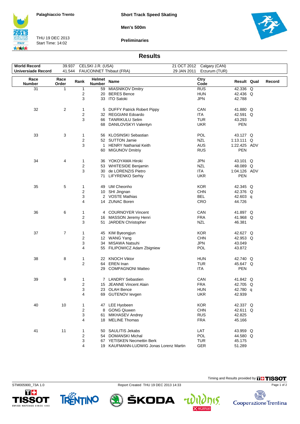**Short Track Speed Skating**

**Men's 500m**



THU 19 DEC 2013 Start Time: 14:02

**Preliminaries**



### **Results**

| <b>World Record</b>       | 39.937 CELSKI J.R. (USA) |                                   |                         |                                        | 21 OCT 2012 Calgary (CAN)    |              |              |  |        |
|---------------------------|--------------------------|-----------------------------------|-------------------------|----------------------------------------|------------------------------|--------------|--------------|--|--------|
| <b>Universiade Record</b> |                          | 41.544<br>FAUCONNET Thibaut (FRA) |                         |                                        | 29 JAN 2011<br>Erzurum (TUR) |              |              |  |        |
|                           |                          |                                   |                         |                                        |                              |              |              |  |        |
| Race<br><b>Number</b>     | Race<br>Order            | Rank                              | Helmet<br><b>Number</b> | <b>Name</b>                            |                              | Ctry<br>Code | Result Qual  |  | Record |
| 31                        | 1                        | 1                                 | 59                      | <b>MIASNIKOV Dmitry</b>                |                              | <b>RUS</b>   | 42.336 Q     |  |        |
|                           |                          | 2                                 |                         | 20 BERES Bence                         |                              | <b>HUN</b>   | 42.436 Q     |  |        |
|                           |                          | 3                                 |                         |                                        |                              |              |              |  |        |
|                           |                          |                                   |                         | 33 ITO Satoki                          |                              | <b>JPN</b>   | 42.788       |  |        |
| 32                        | $\overline{c}$           | 1                                 |                         | 5 DUFFY Patrick Robert Pippy           |                              | CAN          | 41.880 Q     |  |        |
|                           |                          |                                   |                         |                                        |                              |              |              |  |        |
|                           |                          | 2                                 |                         | 32 REGGIANI Edoardo                    |                              | <b>ITA</b>   | 42.591 Q     |  |        |
|                           |                          | 3                                 |                         | 66 TANRIKULU Selim                     |                              | <b>TUR</b>   | 43.293       |  |        |
|                           |                          |                                   | 68                      | DANILOVSKYI Valentyn                   |                              | <b>UKR</b>   | PEN          |  |        |
| 33                        | 3                        | 1                                 |                         | 56 KLOSINSKI Sebastian                 |                              | POL          | 43.127 Q     |  |        |
|                           |                          |                                   |                         |                                        |                              |              |              |  |        |
|                           |                          | 2                                 |                         | 52 SUTTON Jamie                        |                              | <b>NZL</b>   | 1:13.111 $Q$ |  |        |
|                           |                          | 3                                 |                         | 1 HENRY Nathanial Keith                |                              | <b>AUS</b>   | 1:22.425 ADV |  |        |
|                           |                          |                                   | 60                      | <b>MIGUNOV Dmitriy</b>                 |                              | <b>RUS</b>   | <b>PEN</b>   |  |        |
| 34                        | 4                        | 1                                 |                         | 36 YOKOYAMA Hiroki                     |                              | <b>JPN</b>   | 43.101 Q     |  |        |
|                           |                          |                                   |                         |                                        |                              |              |              |  |        |
|                           |                          | 2                                 | 53                      | WHITESIDE Benjamin                     |                              | <b>NZL</b>   | 48.089 Q     |  |        |
|                           |                          | 3                                 | 30                      | de LORENZIS Pietro                     |                              | ITA          | 1:04.126 ADV |  |        |
|                           |                          |                                   | 71                      | <b>LIFYRENKO Serhiy</b>                |                              | <b>UKR</b>   | PEN          |  |        |
| 35                        | 5                        | 1                                 |                         | 49 UM Cheonho                          |                              | <b>KOR</b>   | 42.345 Q     |  |        |
|                           |                          | 2                                 |                         | 10 SHI Jingnan                         |                              | <b>CHN</b>   | 42.376 Q     |  |        |
|                           |                          | 3                                 |                         | 2 VOSTE Mathias                        |                              | BEL          |              |  |        |
|                           |                          |                                   |                         |                                        |                              |              | 42.603 q     |  |        |
|                           |                          | 4                                 |                         | 14 ZUNAC Boren                         |                              | CRO          | 44.726       |  |        |
| 36                        | 6                        | 1                                 |                         | 4 COURNOYER Vincent                    |                              | CAN          | 41.897 Q     |  |        |
|                           |                          | 2                                 |                         | 16 MASSON Jeremy Henri                 |                              | <b>FRA</b>   | 41.968 Q     |  |        |
|                           |                          | 3                                 |                         | 51 JARDEN Christopher                  |                              | <b>NZL</b>   | 46.381       |  |        |
|                           |                          |                                   |                         |                                        |                              |              |              |  |        |
| 37                        | $\overline{7}$           | 1                                 |                         | 45 KIM Byeongjun                       |                              | <b>KOR</b>   | 42.627 Q     |  |        |
|                           |                          | $\overline{\mathbf{c}}$           |                         | 12 WANG Yang                           |                              | <b>CHN</b>   | 42.953 Q     |  |        |
|                           |                          | 3                                 | 34                      | MISAWA Natsuhi                         |                              | <b>JPN</b>   | 43.049       |  |        |
|                           |                          | 4                                 |                         | 55 FILIPOWICZ Adam Zbigniew            |                              | POL          | 43.872       |  |        |
|                           |                          |                                   |                         |                                        |                              |              |              |  |        |
| 38                        | 8                        | 1                                 |                         | 22 KNOCH Viktor                        |                              | <b>HUN</b>   | 42.740 Q     |  |        |
|                           |                          | 2                                 | 64                      | EREN Inan                              |                              | <b>TUR</b>   | 45.647 Q     |  |        |
|                           |                          |                                   | 29                      | <b>COMPAGNONI Matteo</b>               |                              | ITA          | <b>PEN</b>   |  |        |
|                           |                          |                                   |                         |                                        |                              |              |              |  |        |
| 39                        | 9                        | 1                                 |                         | 7 LANDRY Sebastien                     |                              | CAN          | 41.842 Q     |  |        |
|                           |                          | 2                                 |                         | 15 JEANNE Vincent Alain                |                              | <b>FRA</b>   | 42.705 Q     |  |        |
|                           |                          | 3                                 |                         | 23 OLAH Bence                          |                              | <b>HUN</b>   | 42.780 q     |  |        |
|                           |                          | 4                                 |                         | 69 GUTENOV levgen                      |                              | <b>UKR</b>   | 42.939       |  |        |
|                           |                          |                                   |                         |                                        |                              |              |              |  |        |
| 40                        | 10                       | 1                                 |                         | 47 LEE Hyobeen                         |                              | <b>KOR</b>   | 42.337 Q     |  |        |
|                           |                          | 2                                 |                         | 8 GONG Qiuwen                          |                              | <b>CHN</b>   | 42.611 Q     |  |        |
|                           |                          | 3                                 |                         | 61 MIKHASEV Andrey                     |                              | <b>RUS</b>   | 42.825       |  |        |
|                           |                          | 4                                 |                         | 18 MELINE Thomas                       |                              | <b>FRA</b>   | 45.166       |  |        |
|                           |                          |                                   |                         |                                        |                              |              |              |  |        |
| 41                        | 11                       | 1                                 |                         | 50 SAULITIS Jekabs                     |                              | LAT          | 43.959 Q     |  |        |
|                           |                          | 2                                 |                         | 54 DOMANSKI Michal                     |                              | POL          | 44.580 Q     |  |        |
|                           |                          | 3                                 |                         | 67 YETISKEN Necmettin Berk             |                              | <b>TUR</b>   | 45.175       |  |        |
|                           |                          | 4                                 |                         | 19 KAUFMANN-LUDWIG Jonas Lorenz Martin |                              | GER          | 51.289       |  |        |









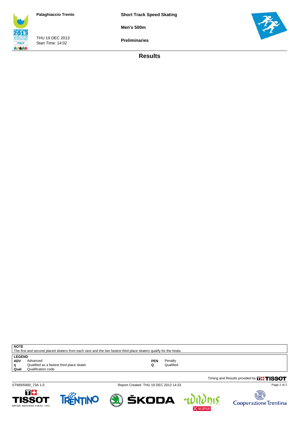**Short Track Speed Skating**

**Men's 500m**

THU 19 DEC 2013 Start Time: 14:02

**ITALY** 大大大大 **Preliminaries**

**Results**



**q** Qualified as a faste<br>**Qual** Qualification code

**NOTE**

LEGEND<br>ADV A



STM005900\_73A 1.0 Report Created THU 19 DEC 2013 14:33

The first and second placed skaters from each race and the two fastest third place skaters qualify for the heats.

**ADV** Advanced **PEN** Penalty **q** Qualified as a fastest third place skater **Q** Qualified







Page 2 of 2

Timing and Results provided by **THISSOT**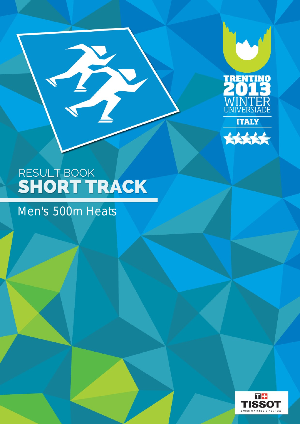



T

## Men's 500m Heats

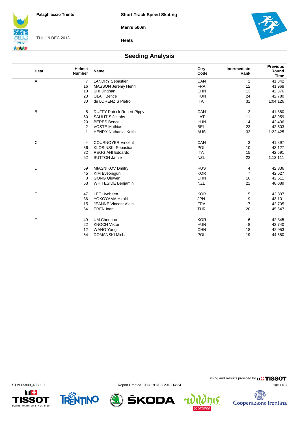**Men's 500m**



THU 19 DEC 2013



**Heats**

### **Seeding Analysis**

| Heat        | <b>Helmet</b><br><b>Number</b> | <b>Name</b>                       | Ctry<br>Code | Intermediate<br>Rank | <b>Previous</b><br>Round<br><b>Time</b> |
|-------------|--------------------------------|-----------------------------------|--------------|----------------------|-----------------------------------------|
| A           | $\overline{7}$                 | <b>LANDRY Sebastien</b>           | CAN          | 1                    | 41.842                                  |
|             | 16                             | MASSON Jeremy Henri               | <b>FRA</b>   | 12                   | 41.968                                  |
|             | 10                             | SHI Jingnan                       | CHN          | 13                   | 42.376                                  |
|             | 23                             | OLAH Bence                        | <b>HUN</b>   | 24                   | 42.780                                  |
|             | 30                             | de LORENZIS Pietro                | <b>ITA</b>   | 31                   | 1:04.126                                |
| B           | 5                              | <b>DUFFY Patrick Robert Pippy</b> | CAN          | 2                    | 41.880                                  |
|             | 50                             | <b>SAULITIS Jekabs</b>            | LAT          | 11                   | 43.959                                  |
|             | 20                             | <b>BERES</b> Bence                | <b>HUN</b>   | 14                   | 42.436                                  |
|             | 2                              | <b>VOSTE Mathias</b>              | <b>BEL</b>   | 23                   | 42.603                                  |
|             | $\mathbf{1}$                   | <b>HENRY Nathanial Keith</b>      | <b>AUS</b>   | 32                   | 1:22.425                                |
| $\mathsf C$ | 4                              | <b>COURNOYER Vincent</b>          | CAN          | 3                    | 41.897                                  |
|             | 56                             | <b>KLOSINSKI Sebastian</b>        | POL          | 10                   | 43.127                                  |
|             | 32                             | <b>REGGIANI Edoardo</b>           | <b>ITA</b>   | 15                   | 42.591                                  |
|             | 52                             | <b>SUTTON Jamie</b>               | <b>NZL</b>   | 22                   | 1:13.111                                |
| D           | 59                             | <b>MIASNIKOV Dmitry</b>           | <b>RUS</b>   | 4                    | 42.336                                  |
|             | 45                             | KIM Byeongjun                     | <b>KOR</b>   | $\overline{7}$       | 42.627                                  |
|             | 8                              | <b>GONG Qiuwen</b>                | <b>CHN</b>   | 16                   | 42.611                                  |
|             | 53                             | <b>WHITESIDE Benjamin</b>         | <b>NZL</b>   | 21                   | 48.089                                  |
| E           | 47                             | <b>LEE Hyobeen</b>                | <b>KOR</b>   | 5                    | 42.337                                  |
|             | 36                             | YOKOYAMA Hiroki                   | <b>JPN</b>   | 9                    | 43.101                                  |
|             | 15                             | <b>JEANNE Vincent Alain</b>       | <b>FRA</b>   | 17                   | 42.705                                  |
|             | 64                             | EREN Inan                         | <b>TUR</b>   | 20                   | 45.647                                  |
| F           | 49                             | <b>UM Cheonho</b>                 | <b>KOR</b>   | 6                    | 42.345                                  |
|             | 22                             | <b>KNOCH Viktor</b>               | <b>HUN</b>   | 8                    | 42.740                                  |
|             | 12                             | <b>WANG Yang</b>                  | <b>CHN</b>   | 18                   | 42.953                                  |
|             | 54                             | <b>DOMANSKI Michal</b>            | POL          | 19                   | 44.580                                  |

П÷

**TISSOT** 

WATCHES SINCE 1853

TRENTINO

STM005800\_48C 1.0 Report Created THU 19 DEC 2013 14:34



Timing and Results provided by **THISSOT** Page 1 of 1

15.

 $\overline{\mathbf{r}}$ 

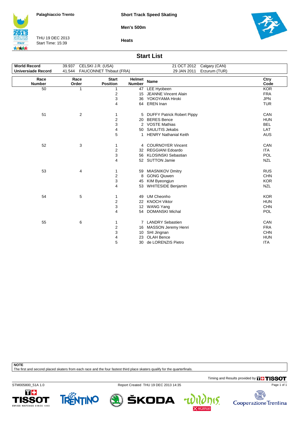**Short Track Speed Skating**

**Men's 500m**



THU 19 DEC 2013 Start Time: 15:39





#### **Start List**

| <b>World Record</b>       | 39.937 CELSKI J.R. (USA) |                                 |                         | 21 OCT 2012<br>Calgary (CAN) |              |
|---------------------------|--------------------------|---------------------------------|-------------------------|------------------------------|--------------|
| <b>Universiade Record</b> |                          | 41.544 FAUCONNET Thibaut (FRA)  |                         | 29 JAN 2011<br>Erzurum (TUR) |              |
| Race<br><b>Number</b>     | Race<br>Order            | <b>Start</b><br><b>Position</b> | Helmet<br><b>Number</b> | <b>Name</b>                  | Ctry<br>Code |
| 50                        | 1                        | 1                               | 47                      | LEE Hyobeen                  | <b>KOR</b>   |
|                           |                          | 2                               | 15                      | <b>JEANNE Vincent Alain</b>  | <b>FRA</b>   |
|                           |                          | 3                               |                         | 36 YOKOYAMA Hiroki           | <b>JPN</b>   |
|                           |                          | $\overline{\mathbf{4}}$         |                         | 64 EREN Inan                 | <b>TUR</b>   |
| 51                        | 2                        | 1                               |                         | 5 DUFFY Patrick Robert Pippy | CAN          |
|                           |                          | $\overline{\mathbf{c}}$         | 20                      | <b>BERES</b> Bence           | <b>HUN</b>   |
|                           |                          | 3                               |                         | 2 VOSTE Mathias              | <b>BEL</b>   |
|                           |                          | $\overline{4}$                  | 50                      | <b>SAULITIS Jekabs</b>       | LAT          |
|                           |                          | 5                               | 1                       | <b>HENRY Nathanial Keith</b> | <b>AUS</b>   |
| 52                        | 3                        | 1                               |                         | 4 COURNOYER Vincent          | CAN          |
|                           |                          | $\mathbf 2$                     |                         | 32 REGGIANI Edoardo          | <b>ITA</b>   |
|                           |                          | 3                               |                         | 56 KLOSINSKI Sebastian       | POL          |
|                           |                          | 4                               |                         | 52 SUTTON Jamie              | <b>NZL</b>   |
| 53                        | 4                        | 1                               |                         | 59 MIASNIKOV Dmitry          | <b>RUS</b>   |
|                           |                          | $\boldsymbol{2}$                | 8                       | <b>GONG Qiuwen</b>           | <b>CHN</b>   |
|                           |                          | 3                               |                         | 45 KIM Byeongjun             | <b>KOR</b>   |
|                           |                          | 4                               |                         | 53 WHITESIDE Benjamin        | <b>NZL</b>   |
| 54                        | 5                        | 1                               | 49                      | <b>UM Cheonho</b>            | <b>KOR</b>   |
|                           |                          | $\mathbf 2$                     | 22                      | <b>KNOCH Viktor</b>          | <b>HUN</b>   |
|                           |                          | 3                               | 12                      | <b>WANG Yang</b>             | <b>CHN</b>   |
|                           |                          | 4                               |                         | 54 DOMANSKI Michal           | POL          |
| 55                        | 6                        | 1                               |                         | 7 LANDRY Sebastien           | CAN          |
|                           |                          | 2                               | 16                      | MASSON Jeremy Henri          | <b>FRA</b>   |
|                           |                          | 3                               | 10                      | SHI Jingnan                  | <b>CHN</b>   |
|                           |                          | 4                               | 23                      | <b>OLAH Bence</b>            | <b>HUN</b>   |
|                           |                          | 5                               | 30                      | de LORENZIS Pietro           | <b>ITA</b>   |
|                           |                          |                                 |                         |                              |              |

**NOTE**

The first and second placed skaters from each race and the four fastest third place skaters qualify for the quarterfinals.

Timing and Results provided by **THISSOT** 

15.

STM005800\_51A 1.0 Report Created THU 19 DEC 2013 14:35







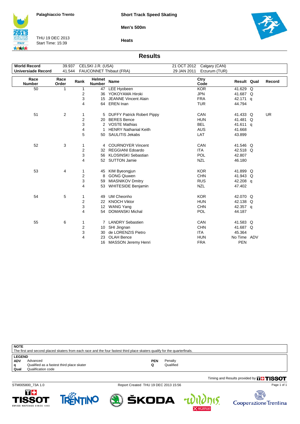**Men's 500m**



THU 19 DEC 2013 Start Time: 15:39



**Heats**

### **Results**

| <b>World Record</b>       |               |                | 39.937 CELSKI J.R. (USA) |                                   |             | 21 OCT 2012 Calgary (CAN) |             |           |
|---------------------------|---------------|----------------|--------------------------|-----------------------------------|-------------|---------------------------|-------------|-----------|
| <b>Universiade Record</b> | 41.544        |                |                          | FAUCONNET Thibaut (FRA)           | 29 JAN 2011 | Erzurum (TUR)             |             |           |
| Race<br><b>Number</b>     | Race<br>Order | Rank           | Helmet<br>Number         | Name                              |             | Ctry<br>Code              | Result Qual | Record    |
| 50                        | 1             | 1              | 47                       | LEE Hyobeen                       |             | <b>KOR</b>                | 41.629 Q    |           |
|                           |               | 2              |                          | 36 YOKOYAMA Hiroki                |             | <b>JPN</b>                | 41.687 Q    |           |
|                           |               | 3              | 15                       | <b>JEANNE Vincent Alain</b>       |             | <b>FRA</b>                | 42.171 q    |           |
|                           |               | 4              |                          | 64 EREN Inan                      |             | <b>TUR</b>                | 44.794      |           |
| 51                        | 2             | 1              | 5                        | <b>DUFFY Patrick Robert Pippy</b> |             | CAN                       | 41.433 Q    | <b>UR</b> |
|                           |               | $\overline{2}$ | 20                       | <b>BERES</b> Bence                |             | <b>HUN</b>                | 41.481 Q    |           |
|                           |               | 3              |                          | 2 VOSTE Mathias                   |             | <b>BEL</b>                | 41.611 q    |           |
|                           |               | 4              | 1                        | <b>HENRY Nathanial Keith</b>      |             | <b>AUS</b>                | 41.668      |           |
|                           |               | 5              |                          | 50 SAULITIS Jekabs                |             | LAT                       | 43.899      |           |
|                           |               |                |                          |                                   |             |                           |             |           |
| 52                        | 3             | 1              |                          | 4 COURNOYER Vincent               |             | CAN                       | 41.546 Q    |           |
|                           |               | $\overline{2}$ | 32                       | <b>REGGIANI Edoardo</b>           |             | <b>ITA</b>                | 42.518 Q    |           |
|                           |               | 3              |                          | 56 KLOSINSKI Sebastian            |             | <b>POL</b>                | 42.807      |           |
|                           |               | 4              |                          | 52 SUTTON Jamie                   |             | <b>NZL</b>                | 46.180      |           |
|                           |               |                |                          |                                   |             |                           |             |           |
| 53                        | 4             | 1              |                          | 45 KIM Byeongjun                  |             | <b>KOR</b>                | 41.899 Q    |           |
|                           |               | $\overline{2}$ | 8                        | <b>GONG Qiuwen</b>                |             | <b>CHN</b>                | 41.943 Q    |           |
|                           |               | 3              | 59                       | <b>MIASNIKOV Dmitry</b>           |             | <b>RUS</b>                | 42.208 q    |           |
|                           |               | 4              |                          | 53 WHITESIDE Benjamin             |             | <b>NZL</b>                | 47.402      |           |
| 54                        | 5             | 1              | 49                       | UM Cheonho                        |             | <b>KOR</b>                | 42.070 Q    |           |
|                           |               | 2              | 22                       | <b>KNOCH Viktor</b>               |             | <b>HUN</b>                | 42.138 Q    |           |
|                           |               | 3              | 12 <sup>°</sup>          | <b>WANG Yang</b>                  |             | <b>CHN</b>                | 42.357 q    |           |
|                           |               | 4              | 54                       | <b>DOMANSKI Michal</b>            |             | <b>POL</b>                | 44.187      |           |
|                           |               |                |                          |                                   |             |                           |             |           |
| 55                        | 6             | $\mathbf{1}$   |                          | 7 LANDRY Sebastien                |             | CAN                       | 41.583 Q    |           |
|                           |               | $\overline{2}$ | 10                       | SHI Jingnan                       |             | <b>CHN</b>                | 41.687 Q    |           |
|                           |               | 3              | 30                       | de LORENZIS Pietro                |             | <b>ITA</b>                | 45.364      |           |
|                           |               | 4              | 23                       | <b>OLAH Bence</b>                 |             | <b>HUN</b>                | No Time ADV |           |
|                           |               |                |                          | 16 MASSON Jeremy Henri            |             | <b>FRA</b>                | <b>PEN</b>  |           |

**NOTE**

| NVIE                                                                                                                       |                                           |     |           |  |  |  |  |  |
|----------------------------------------------------------------------------------------------------------------------------|-------------------------------------------|-----|-----------|--|--|--|--|--|
| The first and second placed skaters from each race and the four fastest third place skaters qualify for the quarterfinals. |                                           |     |           |  |  |  |  |  |
| <b>LEGEND</b>                                                                                                              |                                           |     |           |  |  |  |  |  |
| <b>ADV</b>                                                                                                                 | Advanced                                  | PEN | Penalty   |  |  |  |  |  |
|                                                                                                                            |                                           |     |           |  |  |  |  |  |
| q                                                                                                                          | Qualified as a fastest third place skater |     | Qualified |  |  |  |  |  |
| Qual                                                                                                                       | Qualification code                        |     |           |  |  |  |  |  |

STM005800\_73A 1.0 Report Created THU 19 DEC 2013 15:56

Timing and Results provided by **THISSOT** 





ŠKODA



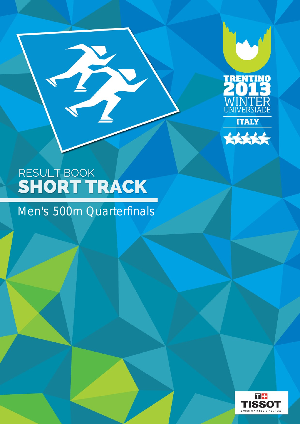



B

Men's 500m Quarterfinals

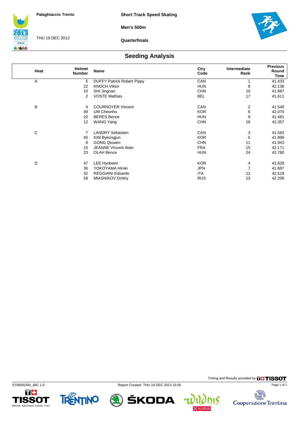**Men's 500m**



THU 19 DEC 2013

**Quarterfinals**



### **Seeding Analysis**

| Heat | Helmet<br><b>Number</b> | <b>Name</b>                       | Ctry<br>Code | Intermediate<br>Rank | <b>Previous</b><br>Round<br><b>Time</b> |
|------|-------------------------|-----------------------------------|--------------|----------------------|-----------------------------------------|
| A    | 5                       | <b>DUFFY Patrick Robert Pippy</b> | CAN          |                      | 41.433                                  |
|      | 22                      | <b>KNOCH Viktor</b>               | <b>HUN</b>   | 8                    | 42.138                                  |
|      | 10                      | SHI Jingnan                       | <b>CHN</b>   | 10                   | 41.687                                  |
|      | $\overline{2}$          | <b>VOSTE Mathias</b>              | <b>BEL</b>   | 17                   | 41.611                                  |
| B    | 4                       | <b>COURNOYER Vincent</b>          | CAN          | 2                    | 41.546                                  |
|      | 49                      | UM Cheonho                        | <b>KOR</b>   | 6                    | 42.070                                  |
|      | 20                      | <b>BERES Bence</b>                | <b>HUN</b>   | 9                    | 41.481                                  |
|      | 12                      | <b>WANG Yang</b>                  | <b>CHN</b>   | 16                   | 42.357                                  |
| С    | 7                       | <b>LANDRY Sebastien</b>           | CAN          | 3                    | 41.583                                  |
|      | 45                      | KIM Byeongjun                     | <b>KOR</b>   | 5                    | 41.899                                  |
|      | 8                       | <b>GONG Qiuwen</b>                | <b>CHN</b>   | 11                   | 41.943                                  |
|      | 15                      | <b>JEANNE Vincent Alain</b>       | <b>FRA</b>   | 15                   | 42.171                                  |
|      | 23                      | <b>OLAH Bence</b>                 | <b>HUN</b>   | 24                   | 42.780                                  |
| D    | 47                      | LEE Hyobeen                       | <b>KOR</b>   | 4                    | 41.629                                  |
|      | 36                      | YOKOYAMA Hiroki                   | <b>JPN</b>   | $\overline{7}$       | 41.687                                  |
|      | 32                      | <b>REGGIANI Edoardo</b>           | <b>ITA</b>   | 12                   | 42.518                                  |
|      | 59                      | <b>MIASNIKOV Dmitry</b>           | <b>RUS</b>   | 13                   | 42.208                                  |









Timing and Results provided by **THISSOT** 

15.

 $\overline{\mathbf{r}}$ 

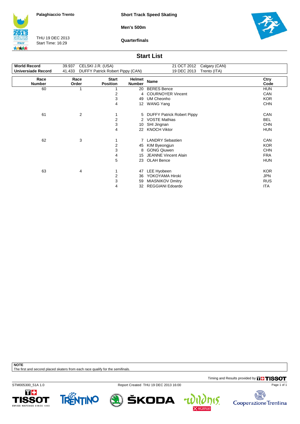**Short Track Speed Skating**

**Men's 500m**



THU 19 DEC 2013 Start Time: 16:29

**Quarterfinals**



### **Start List**

| <b>World Record</b>       | 39.937        | CELSKI J.R. (USA)                |                         | 21 OCT 2012<br>Calgary (CAN) |              |
|---------------------------|---------------|----------------------------------|-------------------------|------------------------------|--------------|
| <b>Universiade Record</b> | 41.433        | DUFFY Patrick Robert Pippy (CAN) |                         | 19 DEC 2013<br>Trento (ITA)  |              |
| Race<br><b>Number</b>     | Race<br>Order | <b>Start</b><br><b>Position</b>  | Helmet<br><b>Number</b> | <b>Name</b>                  | Ctry<br>Code |
| 60                        | 1             |                                  | 20                      | <b>BERES</b> Bence           | <b>HUN</b>   |
|                           |               | 2                                | 4                       | <b>COURNOYER Vincent</b>     | <b>CAN</b>   |
|                           |               | 3                                | 49                      | UM Cheonho                   | <b>KOR</b>   |
|                           |               | 4                                | 12                      | <b>WANG Yang</b>             | <b>CHN</b>   |
| 61                        | 2             |                                  |                         | 5 DUFFY Patrick Robert Pippy | CAN          |
|                           |               | $\overline{c}$                   |                         | 2 VOSTE Mathias              | <b>BEL</b>   |
|                           |               | 3                                | 10                      | SHI Jingnan                  | <b>CHN</b>   |
|                           |               | 4                                | 22                      | <b>KNOCH Viktor</b>          | <b>HUN</b>   |
| 62                        | 3             | 1                                |                         | 7 LANDRY Sebastien           | CAN          |
|                           |               | 2                                | 45                      | KIM Byeongjun                | <b>KOR</b>   |
|                           |               | 3                                | 8                       | <b>GONG Qiuwen</b>           | <b>CHN</b>   |
|                           |               | 4                                | 15                      | <b>JEANNE Vincent Alain</b>  | <b>FRA</b>   |
|                           |               | 5                                | 23                      | <b>OLAH Bence</b>            | <b>HUN</b>   |
| 63                        | 4             | 1                                | 47                      | LEE Hyobeen                  | <b>KOR</b>   |
|                           |               | 2                                | 36                      | YOKOYAMA Hiroki              | <b>JPN</b>   |
|                           |               | 3                                | 59                      | <b>MIASNIKOV Dmitry</b>      | <b>RUS</b>   |
|                           |               | 4                                | 32                      | <b>REGGIANI Edoardo</b>      | ITA          |

**NOTE**

The first and second placed skaters from each race qualify for the semifinals.

Timing and Results provided by **THISSOT** 

STM005300\_51A 1.0 Report Created THU 19 DEC 2013 16:00





ŠKODA

15.

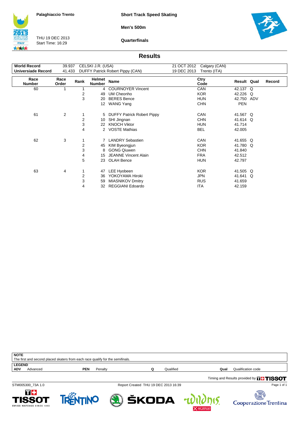**Short Track Speed Skating**

**Men's 500m**

**ITALY** 大大大大

THU 19 DEC 2013 Start Time: 16:29

**Quarterfinals**



#### **Results**

| <b>World Record</b>       | 39.937<br>CELSKI J.R. (USA) |      |                         | 21 OCT 2012                        | Calgary (CAN) |                   |                      |   |        |
|---------------------------|-----------------------------|------|-------------------------|------------------------------------|---------------|-------------------|----------------------|---|--------|
| <b>Universiade Record</b> | 41.433                      |      |                         | DUFFY Patrick Robert Pippy (CAN)   | 19 DEC 2013   | Trento (ITA)      |                      |   |        |
| Race<br><b>Number</b>     | Race<br>Order               | Rank | Helmet<br><b>Number</b> | Name                               |               | Ctry<br>Code      | Result Qual          |   | Record |
| 60                        | 1                           |      |                         | 4 COURNOYER Vincent                |               | CAN               | 42.137 Q             |   |        |
|                           |                             | 2    | 49                      | UM Cheonho                         |               | <b>KOR</b>        | 42.226               | Q |        |
|                           |                             | 3    | 20                      | <b>BERES</b> Bence                 |               | <b>HUN</b>        | 42.750 ADV           |   |        |
|                           |                             |      | 12 <sup>2</sup>         | <b>WANG Yang</b>                   |               | <b>CHN</b>        | <b>PEN</b>           |   |        |
| 61                        | $\overline{2}$              | 2    | 5                       | <b>DUFFY Patrick Robert Pippy</b>  |               | CAN<br><b>CHN</b> | 41.567 Q<br>41.614 Q |   |        |
|                           |                             | 3    | 10                      | SHI Jingnan<br><b>KNOCH Viktor</b> |               | <b>HUN</b>        | 41.714               |   |        |
|                           |                             | 4    | 22<br>2                 | <b>VOSTE Mathias</b>               |               | <b>BEL</b>        | 42.005               |   |        |
| 62                        | 3                           | 1    | 7                       | <b>LANDRY Sebastien</b>            |               | CAN               | 41.655 Q             |   |        |
|                           |                             | 2    | 45                      | KIM Byeongjun                      |               | <b>KOR</b>        | 41.780 Q             |   |        |
|                           |                             | 3    | 8                       | <b>GONG Qiuwen</b>                 |               | <b>CHN</b>        | 41.840               |   |        |
|                           |                             | 4    | 15                      | JEANNE Vincent Alain               |               | <b>FRA</b>        | 42.512               |   |        |
|                           |                             | 5    | 23                      | <b>OLAH Bence</b>                  |               | <b>HUN</b>        | 42.797               |   |        |
| 63                        | 4                           |      | 47                      | LEE Hyobeen                        |               | <b>KOR</b>        | 41.505 Q             |   |        |
|                           |                             | 2    | 36                      | YOKOYAMA Hiroki                    |               | <b>JPN</b>        | 41.641 Q             |   |        |
|                           |                             | 3    | 59                      | <b>MIASNIKOV Dmitry</b>            |               | <b>RUS</b>        | 41.659               |   |        |
|                           |                             | 4    | 32                      | <b>REGGIANI Edoardo</b>            |               | <b>ITA</b>        | 42.159               |   |        |

| <b>NOTE</b>                                                                    |          |     |         |  |           |      |                    |  |
|--------------------------------------------------------------------------------|----------|-----|---------|--|-----------|------|--------------------|--|
| The first and second placed skaters from each race qualify for the semifinals. |          |     |         |  |           |      |                    |  |
| <b>LEGEND</b>                                                                  |          |     |         |  |           |      |                    |  |
| <b>ADV</b>                                                                     | Advanced | PEN | Penalty |  | Qualified | Qual | Qualification code |  |
|                                                                                |          |     |         |  |           |      |                    |  |

Timing and Results provided by **THISSOT** 

STM005300\_73A 1.0 Report Created THU 19 DEC 2013 16:39

ŠKODA







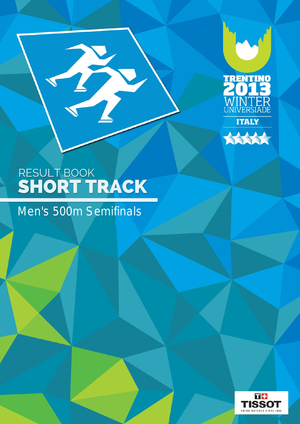



## Men's 500m Semifinals

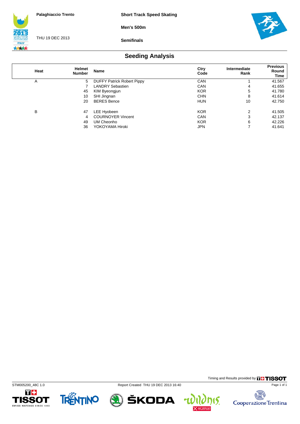**Men's 500m**



THU 19 DEC 2013

**Semifinals**



### **Seeding Analysis**

| Heat | <b>Helmet</b><br><b>Number</b> | <b>Name</b>                       | Ctry<br>Code | Intermediate<br>Rank | <b>Previous</b><br>Round<br>Time |
|------|--------------------------------|-----------------------------------|--------------|----------------------|----------------------------------|
| A    | 5                              | <b>DUFFY Patrick Robert Pippy</b> | <b>CAN</b>   |                      | 41.567                           |
|      |                                | <b>LANDRY Sebastien</b>           | CAN          | 4                    | 41.655                           |
|      | 45                             | KIM Byeongjun                     | <b>KOR</b>   | 5                    | 41.780                           |
|      | 10                             | SHI Jingnan                       | <b>CHN</b>   | 8                    | 41.614                           |
|      | 20                             | <b>BERES Bence</b>                | <b>HUN</b>   | 10                   | 42.750                           |
| В    | 47                             | LEE Hyobeen                       | <b>KOR</b>   | 2                    | 41.505                           |
|      | 4                              | <b>COURNOYER Vincent</b>          | CAN          | 3                    | 42.137                           |
|      | 49                             | UM Cheonho                        | <b>KOR</b>   | 6                    | 42.226                           |
|      | 36                             | YOKOYAMA Hiroki                   | <b>JPN</b>   | ⇁                    | 41.641                           |









Timing and Results provided by **THISSOT** 

15.

4

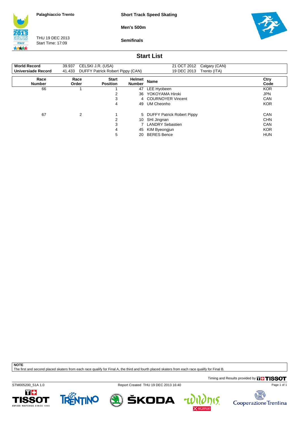**Short Track Speed Skating**

**Men's 500m**



THU 19 DEC 2013 Start Time: 17:09

**Semifinals**



### **Start List**

| <b>World Record</b>   | 39.937 CELSKI J.R. (USA) |                                         |                                | 21 OCT 2012 Calgary (CAN)    |              |
|-----------------------|--------------------------|-----------------------------------------|--------------------------------|------------------------------|--------------|
| Universiade Record    |                          | 41.433 DUFFY Patrick Robert Pippy (CAN) |                                | 19 DEC 2013 Trento (ITA)     |              |
| Race<br><b>Number</b> | Race<br>Order            | <b>Start</b><br><b>Position</b>         | <b>Helmet</b><br><b>Number</b> | <b>Name</b>                  | Ctry<br>Code |
| 66                    |                          |                                         | 47                             | LEE Hyobeen                  | <b>KOR</b>   |
|                       |                          | 2                                       |                                | 36 YOKOYAMA Hiroki           | <b>JPN</b>   |
|                       |                          | 3                                       |                                | 4 COURNOYER Vincent          | CAN          |
|                       |                          | 4                                       | 49                             | UM Cheonho                   | <b>KOR</b>   |
| 67                    | 2                        |                                         |                                | 5 DUFFY Patrick Robert Pippy | <b>CAN</b>   |
|                       |                          | 2                                       |                                | 10 SHI Jingnan               | <b>CHN</b>   |
|                       |                          | 3                                       |                                | 7 LANDRY Sebastien           | <b>CAN</b>   |
|                       |                          | 4                                       | 45                             | KIM Byeongjun                | <b>KOR</b>   |
|                       |                          | 5                                       | 20.                            | <b>BERES Bence</b>           | <b>HUN</b>   |

**NOTE**

The first and second placed skaters from each race qualify for Final A, the third and fourth placed skaters from each race qualify for Final B.

Timing and Results provided by **THISSOT** 

STM005200\_51A 1.0 Report Created THU 19 DEC 2013 16:40







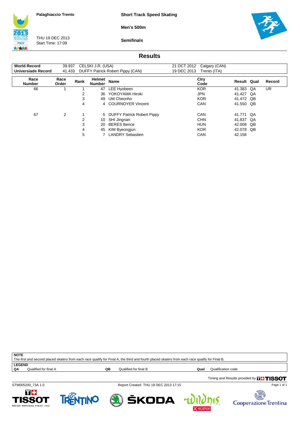**Short Track Speed Skating**

**Men's 500m**



THU 19 DEC 2013 Start Time: 17:09

**Semifinals**



#### **Results**

| <b>World Record</b>   | 39.937        |                  | CELSKI J.R. (USA)       |                                                                                                        |             | 21 OCT 2012 Calgary (CAN)                            |                                                   |                |        |
|-----------------------|---------------|------------------|-------------------------|--------------------------------------------------------------------------------------------------------|-------------|------------------------------------------------------|---------------------------------------------------|----------------|--------|
| Universiade Record    | 41.433        |                  |                         | DUFFY Patrick Robert Pippy (CAN)                                                                       | 19 DEC 2013 | Trento (ITA)                                         |                                                   |                |        |
| Race<br><b>Number</b> | Race<br>Order | Rank             | Helmet<br><b>Number</b> | Name                                                                                                   |             | Ctry<br>Code                                         | <b>Result Qual</b>                                |                | Record |
| 66                    |               |                  | 47                      | LEE Hyobeen                                                                                            |             | <b>KOR</b>                                           | 41.383                                            | QA             | UR     |
|                       |               |                  | 36                      | YOKOYAMA Hiroki                                                                                        |             | <b>JPN</b>                                           | 41.427                                            | QA             |        |
|                       |               | 3                | 49.                     | UM Cheonho                                                                                             |             | <b>KOR</b>                                           | 41.472 QB                                         |                |        |
|                       |               | 4                |                         | 4 COURNOYER Vincent                                                                                    |             | <b>CAN</b>                                           | 41.550 QB                                         |                |        |
| 67                    | 2             | 2<br>3<br>4<br>5 | 10<br>20<br>45          | 5 DUFFY Patrick Robert Pippy<br>SHI Jingnan<br><b>BERES Bence</b><br>KIM Byeongjun<br>LANDRY Sebastien |             | CAN<br><b>CHN</b><br><b>HUN</b><br><b>KOR</b><br>CAN | 41.771 QA<br>41.837<br>42.008<br>42.078<br>42.158 | QA<br>QB<br>QB |        |
|                       |               |                  |                         |                                                                                                        |             |                                                      |                                                   |                |        |

| <b>NOTF</b>                                                                                                                                                                                               |  |
|-----------------------------------------------------------------------------------------------------------------------------------------------------------------------------------------------------------|--|
| n race qualify for F<br>The first and,<br>the third and fourth.<br>Final A.<br>placed<br>race<br>∕ for I<br>∵ ⊢inal ь.<br>J skaters from each.<br>d skaters from each.<br>placed<br>quality .<br>d second |  |

**LEGEND**<br>QA Qualified for final A

**QB** Qualified for final B **Qualification Code** 

Timing and Results provided by **THISSOT** 

T+ **ISSOT** WATCHES SINCE 1853



STM005200\_73A 1.0 Report Created THU 19 DEC 2013 17:15

ŠKODA

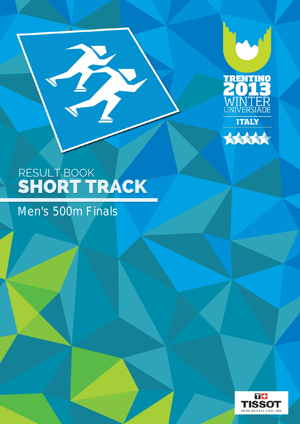



T

## Men's 500m Finals

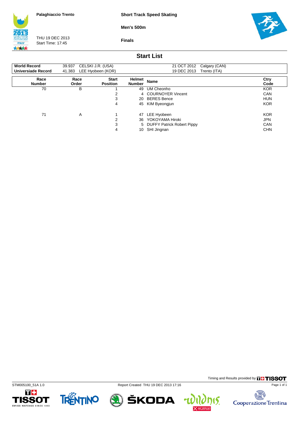**Short Track Speed Skating**

**Men's 500m**

**ITALY** 大大大大

THU 19 DEC 2013 Start Time: 17:45

**Finals**



### **Start List**

| <b>World Record</b><br>Universiade Record | 39.937<br>41.383 | CELSKI J.R. (USA)<br>LEE Hyobeen (KOR) |                         | 21 OCT 2012<br>Calgary (CAN)<br>19 DEC 2013<br>Trento (ITA) |              |
|-------------------------------------------|------------------|----------------------------------------|-------------------------|-------------------------------------------------------------|--------------|
| Race<br><b>Number</b>                     | Race<br>Order    | <b>Start</b><br><b>Position</b>        | Helmet<br><b>Number</b> | <b>Name</b>                                                 | Ctry<br>Code |
| 70                                        | В                |                                        | 49                      | UM Cheonho                                                  | <b>KOR</b>   |
|                                           |                  | ົ                                      |                         | 4 COURNOYER Vincent                                         | <b>CAN</b>   |
|                                           |                  | 3                                      | 20                      | <b>BERES Bence</b>                                          | <b>HUN</b>   |
|                                           |                  | 4                                      | 45                      | KIM Byeongjun                                               | <b>KOR</b>   |
| 71                                        | A                |                                        | 47                      | LEE Hyobeen                                                 | <b>KOR</b>   |
|                                           |                  | 2                                      | 36                      | YOKOYAMA Hiroki                                             | <b>JPN</b>   |
|                                           |                  | 3                                      |                         | 5 DUFFY Patrick Robert Pippy                                | <b>CAN</b>   |
|                                           |                  | 4                                      | 10                      | SHI Jingnan                                                 | <b>CHN</b>   |









Timing and Results provided by **THISSOT** 

15.

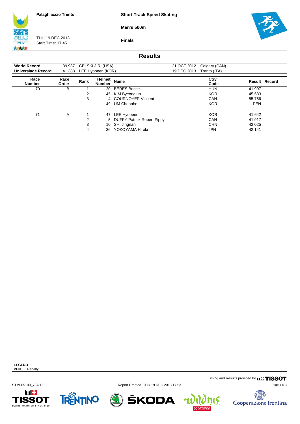**Short Track Speed Skating**

**Men's 500m**

**ITALY** 大大大大

THU 19 DEC 2013 Start Time: 17:45

**Finals**



### **Results**

| <b>World Record</b>   | 39.937        |      | CELSKI J.R. (USA)       |                              | 21 OCT 2012 | Calgary (CAN) |            |                      |
|-----------------------|---------------|------|-------------------------|------------------------------|-------------|---------------|------------|----------------------|
| Universiade Record    | 41.383        |      | LEE Hyobeen (KOR)       |                              | 19 DEC 2013 | Trento (ITA)  |            |                      |
| Race<br><b>Number</b> | Race<br>Order | Rank | Helmet<br><b>Number</b> | <b>Name</b>                  |             | Ctry<br>Code  |            | <b>Result Record</b> |
| 70                    | В             |      | 20                      | <b>BERES Bence</b>           |             | <b>HUN</b>    | 41.997     |                      |
|                       |               | 2    | 45                      | KIM Byeongjun                |             | <b>KOR</b>    | 45.633     |                      |
|                       |               | 3    |                         | 4 COURNOYER Vincent          |             | CAN           | 55.756     |                      |
|                       |               |      | 49                      | UM Cheonho                   |             | <b>KOR</b>    | <b>PEN</b> |                      |
| 71                    | A             |      | 47                      | LEE Hyobeen                  |             | <b>KOR</b>    | 41.642     |                      |
|                       |               | 2    |                         | 5 DUFFY Patrick Robert Pippy |             | CAN           | 41.917     |                      |
|                       |               | 3    | 10                      | SHI Jingnan                  |             | <b>CHN</b>    | 42.025     |                      |
|                       |               | 4    | 36                      | YOKOYAMA Hiroki              |             | <b>JPN</b>    | 42.141     |                      |

**LEGEND PEN** Penalty

Timing and Results provided by **THISSOT** 

STM005100\_73A 1.0 Report Created THU 19 DEC 2013 17:53





ŠKODA



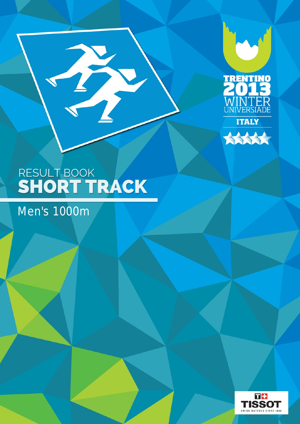



Men's 1000m

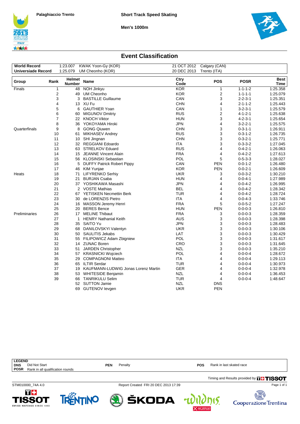**Men's 1000m**





**h 15.** Cooperazione Trentina

### **Event Classification**

| <b>World Record</b><br><b>Universiade Record</b> |                | 1:23.007<br>1:25.079    | KWAK Yoon-Gy (KOR)<br>UM Cheonho (KOR) | 20 DEC 2013  | 21 OCT 2012 Calgary (CAN)<br>Trento (ITA) |                                    |              |
|--------------------------------------------------|----------------|-------------------------|----------------------------------------|--------------|-------------------------------------------|------------------------------------|--------------|
| Group                                            | Rank           | Helmet<br><b>Number</b> | <b>Name</b>                            | Ctry<br>Code | <b>POS</b>                                | <b>POSR</b>                        | Best<br>Time |
| Finals                                           | 1              | 48                      | NOH Jinkyu                             | <b>KOR</b>   | $\mathbf{1}$                              | $1 - 1 - 1 - 2$                    | 1:25.358     |
|                                                  | $\overline{2}$ | 49                      | UM Cheonho                             | <b>KOR</b>   | 2                                         | $1 - 1 - 1 - 1$                    | 1:25.079     |
|                                                  | 3              | 3                       | <b>BASTILLE Guillaume</b>              | CAN          | 3                                         | $2 - 2 - 3 - 1$                    | 1:25.351     |
|                                                  | 4              |                         | 13 XU Fu                               | <b>CHN</b>   | 4                                         | $2 - 1 - 1 - 2$                    | 1:25.443     |
|                                                  | 5              | 6                       | <b>GAUTHIER Yoan</b>                   | CAN          | $\mathbf{1}$                              | $3 - 2 - 3 - 1$                    | 1:25.579     |
|                                                  | 6              | 60                      | <b>MIGUNOV Dmitriy</b>                 | <b>RUS</b>   | $\overline{\mathbf{c}}$                   | $4 - 1 - 2 - 1$                    | 1:25.638     |
|                                                  | $\overline{7}$ |                         | 22 KNOCH Viktor                        | <b>HUN</b>   | 3                                         | $4 - 2 - 3 - 1$                    | 1:25.654     |
|                                                  | 8              | 36                      | YOKOYAMA Hiroki                        | <b>JPN</b>   | 4                                         | $3 - 2 - 2 - 1$                    | 1:25.575     |
| Quarterfinals                                    | 9              | 8                       | <b>GONG Qiuwen</b>                     | <b>CHN</b>   | 3                                         | $0 - 3 - 1 - 1$                    | 1:26.911     |
|                                                  | 10             | 61                      | <b>MIKHASEV Andrey</b>                 | <b>RUS</b>   | 3                                         | $0 - 3 - 1 - 2$                    | 1:26.735     |
|                                                  | 11             |                         | 10 SHI Jingnan                         | <b>CHN</b>   | 3                                         | $0 - 3 - 2 - 1$                    | 1:25.771     |
|                                                  | 12             |                         | 32 REGGIANI Edoardo                    | ITA          | 3                                         | $0 - 3 - 3 - 2$                    | 1:27.045     |
|                                                  | 13             |                         | 63 STRELKOV Eduard                     | <b>RUS</b>   | 4                                         | $0 - 4 - 2 - 1$                    | 1:26.063     |
|                                                  | 14             | 15                      | JEANNE Vincent Alain                   | <b>FRA</b>   | 4                                         | $0 - 4 - 2 - 2$                    | 1:27.613     |
|                                                  | 15             | 56                      | KLOSINSKI Sebastian                    | <b>POL</b>   | 5                                         | $0 - 5 - 3 - 3$                    | 1:28.027     |
|                                                  | 16             | 5                       | <b>DUFFY Patrick Robert Pippy</b>      | CAN          | <b>PEN</b>                                | $0 - 0 - 1 - 2$                    | 1:26.480     |
|                                                  | 17             | 46                      | KIM Yunjae                             | <b>KOR</b>   | <b>PEN</b>                                | $0 - 0 - 2 - 1$                    | 1:26.609     |
| Heats                                            | 18             | 71                      | <b>LIFYRENKO Serhiy</b>                | <b>UKR</b>   | 3                                         | $0 - 0 - 3 - 2$                    | 1:30.210     |
|                                                  | 19             | 21                      | <b>BURJAN Csaba</b>                    | <b>HUN</b>   | 4                                         | $0 - 0 - 4 - 1$                    | 1:27.989     |
|                                                  | 20             |                         | 37 YOSHIKAWA Masashi                   | <b>JPN</b>   | 4                                         | $0 - 0 - 4 - 2$                    | 1:26.995     |
|                                                  | 21             | 2                       | <b>VOSTE Mathias</b>                   | <b>BEL</b>   | 4                                         | $0 - 0 - 4 - 2$                    | 1:28.342     |
|                                                  | 22             |                         | 67 YETISKEN Necmettin Berk             | <b>TUR</b>   | 4                                         | $0 - 0 - 4 - 2$                    | 1:28.724     |
|                                                  | 23             |                         | 30 de LORENZIS Pietro                  | <b>ITA</b>   | 4                                         | $0 - 0 - 4 - 3$                    | 1:33.746     |
|                                                  | 24             |                         | 16 MASSON Jeremy Henri                 | <b>FRA</b>   | 5                                         | $0 - 0 - 5 - 2$                    | 1:27.247     |
|                                                  | 25             |                         | 20 BERES Bence                         | <b>HUN</b>   | <b>PEN</b>                                | $0 - 0 - 0 - 3$                    | 1:26.810     |
| Preliminaries                                    | 26             |                         | 17 MELINE Thibaut                      | <b>FRA</b>   | 3                                         | $0 - 0 - 0 - 3$                    | 1:28.359     |
|                                                  | 27             | 1                       | <b>HENRY Nathanial Keith</b>           | <b>AUS</b>   | 3                                         | $0 - 0 - 0 - 3$                    | 1:28.398     |
|                                                  | 28             |                         | 35 SAITO Yu                            | <b>JPN</b>   | 3                                         | $0 - 0 - 0 - 3$                    | 1:28.483     |
|                                                  | 29             |                         | 68 DANILOVSKYI Valentyn                | <b>UKR</b>   | 3                                         | $0 - 0 - 0 - 3$                    | 1:30.106     |
|                                                  | 30             | 50                      | SAULITIS Jekabs                        | LAT          | 3                                         | $0 - 0 - 0 - 3$                    | 1:30.429     |
|                                                  | 31             |                         | 55 FILIPOWICZ Adam Zbigniew            | POL          | 3                                         | $0 - 0 - 0 - 3$                    | 1:31.617     |
|                                                  | 32             |                         | 14 ZUNAC Boren                         | CRO          | 3                                         | $0 - 0 - 0 - 3$                    | 1:31.645     |
|                                                  | 33             | 51                      | <b>JARDEN Christopher</b>              | <b>NZL</b>   | 3                                         | $0 - 0 - 0 - 3$                    | 1:35.210     |
|                                                  | 34             |                         | 57 KRASNICKI Wojciech                  | POL          | 4                                         | $0 - 0 - 0 - 4$                    | 1:28.672     |
|                                                  | 35             | 29                      | <b>COMPAGNONI Matteo</b>               | <b>ITA</b>   | 4                                         | $0 - 0 - 0 - 4$                    | 1:29.113     |
|                                                  | 36             |                         | <b>ILTIR Serdar</b>                    | <b>TUR</b>   |                                           |                                    | 1:30.973     |
|                                                  | 37             | 65<br>19                | KAUFMANN-LUDWIG Jonas Lorenz Martin    | <b>GER</b>   | 4<br>4                                    | $0 - 0 - 0 - 4$<br>$0 - 0 - 0 - 4$ | 1:32.978     |
|                                                  |                |                         |                                        |              |                                           |                                    |              |
|                                                  | 38             |                         | 53 WHITESIDE Benjamin                  | <b>NZL</b>   | 4                                         | $0 - 0 - 0 - 4$                    | 1:36.453     |
|                                                  | 39             | 66                      | <b>TANRIKULU Selim</b>                 | <b>TUR</b>   | 4                                         | $0 - 0 - 0 - 4$                    | 1:48.647     |
|                                                  |                |                         | 52 SUTTON Jamie                        | <b>NZL</b>   | <b>DNS</b>                                |                                    |              |
|                                                  |                | 69                      | <b>GUTENOV levgen</b>                  | <b>UKR</b>   | <b>PEN</b>                                |                                    |              |

| <b>LEGEND</b>                                   |            |                                      |            |                                               |
|-------------------------------------------------|------------|--------------------------------------|------------|-----------------------------------------------|
| Did Not Start<br><b>DNS</b>                     | <b>PEN</b> | Penalty                              | <b>POS</b> | Rank in last skated race                      |
| <b>POSR</b><br>Rank in all qualification rounds |            |                                      |            |                                               |
|                                                 |            |                                      |            | Timing and Results provided by <b>THISSOT</b> |
| STM010000 74A 4.0                               |            | Report Created FRI 20 DEC 2013 17:39 |            | Page 1 of 1                                   |
| m m<br>__                                       |            |                                      |            | 51172                                         |



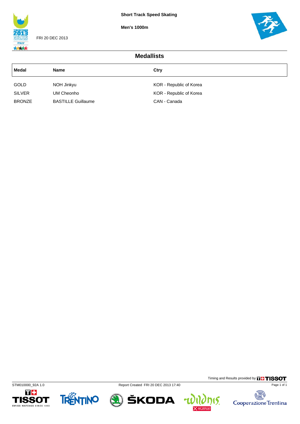**Men's 1000m**



FRI 20 DEC 2013



| <b>Medallists</b>            |                           |                         |  |  |  |
|------------------------------|---------------------------|-------------------------|--|--|--|
| Medal<br>Ctry<br><b>Name</b> |                           |                         |  |  |  |
| GOLD                         | NOH Jinkyu                | KOR - Republic of Korea |  |  |  |
| <b>SILVER</b>                | UM Cheonho                | KOR - Republic of Korea |  |  |  |
| <b>BRONZE</b>                | <b>BASTILLE Guillaume</b> | CAN - Canada            |  |  |  |





STM010000\_92A 1.0 Report Created FRI 20 DEC 2013 17:40



Timing and Results provided by **THISSOT** 

**nis.** 

u

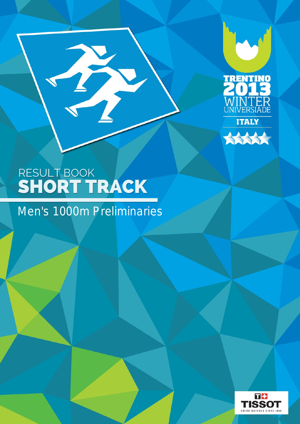



B

## Men's 1000m Preliminaries

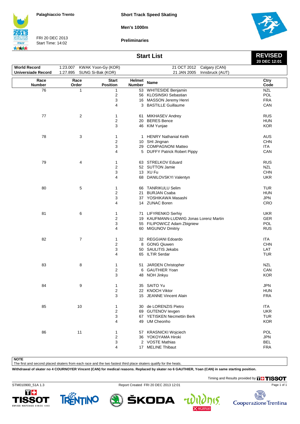**Short Track Speed Skating**

**Men's 1000m**



FRI 20 DEC 2013 Start Time: 14:02

**Preliminaries**



**REVISED**

#### **Start List**

|                           |              |                    |              |                                        | 20 DEC 12:01 |
|---------------------------|--------------|--------------------|--------------|----------------------------------------|--------------|
| <b>World Record</b>       | 1:23.007     | KWAK Yoon-Gy (KOR) |              | Calgary (CAN)<br>21 OCT 2012           |              |
| <b>Universiade Record</b> | 1:27.895     | SUNG Si-Bak (KOR)  |              | 21 JAN 2005<br>Innsbruck (AUT)         |              |
| Race                      | Race         | <b>Start</b>       | Helmet       | Name                                   | Ctry         |
| <b>Number</b>             | Order        | <b>Position</b>    | Number       |                                        | Code         |
| 76                        | $\mathbf{1}$ | 1                  |              | 53 WHITESIDE Benjamin                  | <b>NZL</b>   |
|                           |              | 2                  |              | 56 KLOSINSKI Sebastian                 | POL          |
|                           |              | 3                  |              | 16 MASSON Jeremy Henri                 | <b>FRA</b>   |
|                           |              | 4                  |              | 3 BASTILLE Guillaume                   | CAN          |
| 77                        | 2            | 1                  |              | 61 MIKHASEV Andrey                     | <b>RUS</b>   |
|                           |              | 2                  |              | 20 BERES Bence                         | <b>HUN</b>   |
|                           |              | 3                  |              | 46 KIM Yunjae                          | <b>KOR</b>   |
| 78                        | 3            | 1                  | $\mathbf{1}$ | <b>HENRY Nathanial Keith</b>           | <b>AUS</b>   |
|                           |              | $\overline{c}$     |              | 10 SHI Jingnan                         | <b>CHN</b>   |
|                           |              |                    |              |                                        | <b>ITA</b>   |
|                           |              | 3                  |              | 29 COMPAGNONI Matteo                   |              |
|                           |              | 4                  |              | 5 DUFFY Patrick Robert Pippy           | CAN          |
| 79                        | 4            | 1                  |              | 63 STRELKOV Eduard                     | <b>RUS</b>   |
|                           |              | 2                  |              | 52 SUTTON Jamie                        | <b>NZL</b>   |
|                           |              | 3                  |              | 13 XU Fu                               | <b>CHN</b>   |
|                           |              | 4                  |              | 68 DANILOVSKYI Valentyn                | <b>UKR</b>   |
| 80                        | 5            | 1                  |              | 66 TANRIKULU Selim                     | <b>TUR</b>   |
|                           |              | 2                  |              | 21 BURJAN Csaba                        | <b>HUN</b>   |
|                           |              | 3                  |              | 37 YOSHIKAWA Masashi                   | JPN          |
|                           |              | 4                  |              | 14 ZUNAC Boren                         | CRO          |
| 81                        | 6            | 1                  |              | 71 LIFYRENKO Serhiy                    | <b>UKR</b>   |
|                           |              | 2                  |              | 19 KAUFMANN-LUDWIG Jonas Lorenz Martin | GER          |
|                           |              | 3                  |              | 55 FILIPOWICZ Adam Zbigniew            | POL          |
|                           |              | 4                  |              | 60 MIGUNOV Dmitriy                     | <b>RUS</b>   |
|                           |              |                    |              |                                        |              |
| 82                        | 7            | 1                  |              | 32 REGGIANI Edoardo                    | <b>ITA</b>   |
|                           |              | 2                  |              | 8 GONG Qiuwen                          | <b>CHN</b>   |
|                           |              | 3                  |              | 50 SAULITIS Jekabs                     | LAT          |
|                           |              | 4                  |              | 65 ILTIR Serdar                        | <b>TUR</b>   |
| 83                        | 8            | 1                  |              | 51 JARDEN Christopher                  | NZL          |
|                           |              | $\overline{c}$     |              | 6 GAUTHIER Yoan                        | CAN          |
|                           |              | 3                  | 48           | NOH Jinkyu                             | <b>KOR</b>   |
|                           |              |                    |              |                                        |              |
| 84                        | 9            | 1                  |              | 35 SAITO Yu                            | <b>JPN</b>   |
|                           |              | $\boldsymbol{2}$   |              | 22 KNOCH Viktor                        | <b>HUN</b>   |
|                           |              | 3                  |              | 15 JEANNE Vincent Alain                | <b>FRA</b>   |
| 85                        | 10           | 1                  |              | 30 de LORENZIS Pietro                  | <b>ITA</b>   |
|                           |              | 2                  |              | 69 GUTENOV levgen                      | <b>UKR</b>   |
|                           |              | 3                  |              | 67 YETISKEN Necmettin Berk             | <b>TUR</b>   |
|                           |              | 4                  |              | 49 UM Cheonho                          | <b>KOR</b>   |
| 86                        | 11           | 1                  |              | 57 KRASNICKI Wojciech                  | POL          |
|                           |              | 2                  |              | 36 YOKOYAMA Hiroki                     | <b>JPN</b>   |
|                           |              | 3                  |              | 2 VOSTE Mathias                        | <b>BEL</b>   |
|                           |              | 4                  |              | 17 MELINE Thibaut                      | <b>FRA</b>   |

**NOTE**

The first and second placed skaters from each race and the two fastest third place skaters qualify for the heats.

**Withdrawal of skater no 4 COURNOYER Vincent (CAN) for medical reasons. Replaced by skater no 6 GAUTHIER, Yoan (CAN) in same starting position.**

Timing and Results provided by **THISSOT** 

15.





STM010900\_51A 1.3 Report Created FRI 20 DEC 2013 12:01

ŠKODA

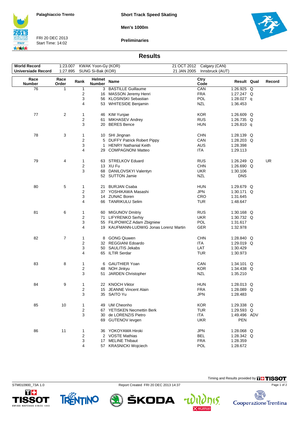**Short Track Speed Skating**

**Men's 1000m**



FRI 20 DEC 2013 Start Time: 14:02

**Preliminaries**



#### **Results**

| <b>World Record</b>       | 1:23.007       |                         | KWAK Yoon-Gy (KOR)      |                                        |             | 21 OCT 2012 Calgary (CAN) |              |           |
|---------------------------|----------------|-------------------------|-------------------------|----------------------------------------|-------------|---------------------------|--------------|-----------|
| <b>Universiade Record</b> | 1:27.895       |                         | SUNG Si-Bak (KOR)       |                                        | 21 JAN 2005 | Innsbruck (AUT)           |              |           |
| Race<br><b>Number</b>     | Race<br>Order  | Rank                    | Helmet<br><b>Number</b> | Name                                   |             | Ctry<br>Code              | Result Qual  | Record    |
| 76                        | 1              | 1                       | 3                       | <b>BASTILLE Guillaume</b>              |             | CAN                       | 1:26.925 Q   |           |
|                           |                | 2                       |                         | 16 MASSON Jeremy Henri                 |             | <b>FRA</b>                | 1:27.247 Q   |           |
|                           |                | 3                       |                         | 56 KLOSINSKI Sebastian                 |             | POL                       | 1:28.027 $q$ |           |
|                           |                | 4                       |                         | 53 WHITESIDE Benjamin                  |             | <b>NZL</b>                | 1:36.453     |           |
| 77                        | $\overline{c}$ | 1                       | 46                      | KIM Yunjae                             |             | <b>KOR</b>                | 1:26.609 Q   |           |
|                           |                | $\overline{\mathbf{c}}$ | 61                      | MIKHASEV Andrey                        |             | <b>RUS</b>                | 1:26.735 $Q$ |           |
|                           |                | 3                       | 20                      | <b>BERES Bence</b>                     |             | <b>HUN</b>                | 1:26.810 q   |           |
| 78                        | 3              | 1                       |                         | 10 SHI Jingnan                         |             | <b>CHN</b>                | 1:28.139 $Q$ |           |
|                           |                | 2                       |                         | 5 DUFFY Patrick Robert Pippy           |             | CAN                       | 1:28.203 Q   |           |
|                           |                | 3                       | $\mathbf{1}$            | <b>HENRY Nathanial Keith</b>           |             | <b>AUS</b>                | 1:28.398     |           |
|                           |                | 4                       | 29.                     | <b>COMPAGNONI Matteo</b>               |             | ITA                       | 1:29.113     |           |
| 79                        | 4              | 1                       |                         | 63 STRELKOV Eduard                     |             | <b>RUS</b>                | 1:26.249 Q   | <b>UR</b> |
|                           |                | 2                       |                         | 13 XU Fu                               |             | <b>CHN</b>                | 1:26.690 Q   |           |
|                           |                | 3                       | 68                      | DANILOVSKYI Valentyn                   |             | <b>UKR</b>                | 1:30.106     |           |
|                           |                |                         |                         | 52 SUTTON Jamie                        |             | <b>NZL</b>                | <b>DNS</b>   |           |
| 80                        | 5              | 1                       | 21                      | <b>BURJAN Csaba</b>                    |             | <b>HUN</b>                | 1:29.679 Q   |           |
|                           |                | 2                       |                         | 37 YOSHIKAWA Masashi                   |             | <b>JPN</b>                | 1:30.171 Q   |           |
|                           |                | 3                       |                         | 14 ZUNAC Boren                         |             | CRO                       | 1:31.645     |           |
|                           |                | 4                       |                         | 66 TANRIKULU Selim                     |             | <b>TUR</b>                | 1:48.647     |           |
| 81                        | 6              | 1                       |                         | 60 MIGUNOV Dmitriy                     |             | <b>RUS</b>                | 1:30.168 $Q$ |           |
|                           |                | 2                       |                         | 71 LIFYRENKO Serhiy                    |             | <b>UKR</b>                | 1:30.732 Q   |           |
|                           |                | 3                       |                         | 55 FILIPOWICZ Adam Zbigniew            |             | POL                       | 1:31.617     |           |
|                           |                | 4                       |                         | 19 KAUFMANN-LUDWIG Jonas Lorenz Martin |             | GER                       | 1:32.978     |           |
| 82                        | $\overline{7}$ | 1                       |                         | 8 GONG Qiuwen                          |             | <b>CHN</b>                | 1:28.840 Q   |           |
|                           |                | 2                       |                         | 32 REGGIANI Edoardo                    |             | ITA                       | 1:29.019 Q   |           |
|                           |                | 3                       |                         | 50 SAULITIS Jekabs                     |             | LAT                       | 1:30.429     |           |
|                           |                | 4                       |                         | 65 ILTIR Serdar                        |             | <b>TUR</b>                | 1:30.973     |           |
| 83                        | 8              | 1                       |                         | 6 GAUTHIER Yoan                        |             | CAN                       | 1:34.101 Q   |           |
|                           |                | 2                       | 48                      | NOH Jinkyu                             |             | <b>KOR</b>                | 1:34.438 Q   |           |
|                           |                | 3                       | 51                      | <b>JARDEN Christopher</b>              |             | <b>NZL</b>                | 1:35.210     |           |
| 84                        | 9              | 1                       |                         | 22 KNOCH Viktor                        |             | <b>HUN</b>                | 1:28.013 Q   |           |
|                           |                | $\overline{2}$          |                         | 15 JEANNE Vincent Alain                |             | <b>FRA</b>                | 1:28.089 Q   |           |
|                           |                | 3                       |                         | 35 SAITO Yu                            |             | <b>JPN</b>                | 1:28.483     |           |
| 85                        | 10             | 1                       |                         | 49 UM Cheonho                          |             | <b>KOR</b>                | 1:29.338 Q   |           |
|                           |                | 2                       |                         | 67 YETISKEN Necmettin Berk             |             | <b>TUR</b>                | 1:29.593 Q   |           |
|                           |                | 3                       |                         | 30 de LORENZIS Pietro                  |             | ITA                       | 1:49.496 ADV |           |
|                           |                |                         |                         | 69 GUTENOV levgen                      |             | <b>UKR</b>                | PEN          |           |
| 86                        | 11             | 1                       |                         | 36 YOKOYAMA Hiroki                     |             | <b>JPN</b>                | 1:28.068 Q   |           |
|                           |                | 2                       |                         | 2 VOSTE Mathias                        |             | <b>BEL</b>                | 1:28.342 Q   |           |
|                           |                | 3                       |                         | 17 MELINE Thibaut                      |             | <b>FRA</b>                | 1:28.359     |           |
|                           |                | 4                       |                         | 57 KRASNICKI Wojciech                  |             | POL                       | 1:28.672     |           |

ŠKODA









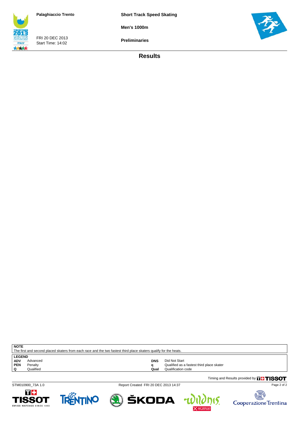**Short Track Speed Skating**

**Men's 1000m**

FRI 20 DEC 2013 Start Time: 14:02 **ITALY** 大大大大

**Preliminaries**



**Results**

| The first and second placed skaters from each race and the two fastest third place skaters qualify for the heats. |           |      |                                           |  |  |  |  |
|-------------------------------------------------------------------------------------------------------------------|-----------|------|-------------------------------------------|--|--|--|--|
| <b>LEGEND</b>                                                                                                     |           |      |                                           |  |  |  |  |
| <b>ADV</b>                                                                                                        | Advanced  | DNS  | Did Not Start                             |  |  |  |  |
| PEN                                                                                                               | Penalty   |      | Qualified as a fastest third place skater |  |  |  |  |
|                                                                                                                   | Qualified | Qual | Qualification code                        |  |  |  |  |

Timing and Results provided by **THISSOT** 

**NOTE**

STM010900\_73A 1.0 Report Created FRI 20 DEC 2013 14:37

Page 2 of 2









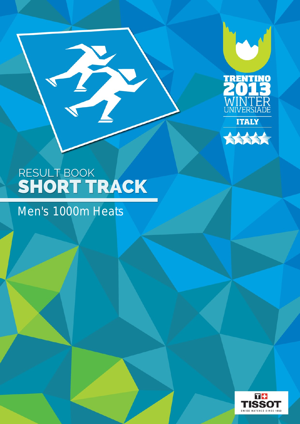



T

## Men's 1000m Heats

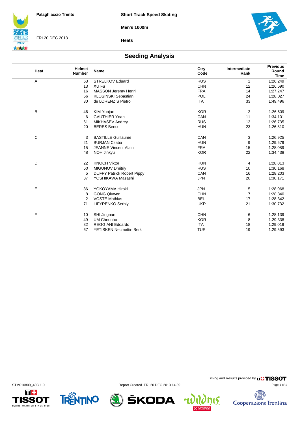**Men's 1000m**



FRI 20 DEC 2013



#### **Heats**

### **Seeding Analysis**

| Heat         | <b>Helmet</b><br><b>Number</b> | <b>Name</b>                       | Ctry<br>Code | Intermediate<br>Rank | <b>Previous</b><br>Round<br><b>Time</b> |  |
|--------------|--------------------------------|-----------------------------------|--------------|----------------------|-----------------------------------------|--|
| A            | 63                             | STRELKOV Eduard                   | <b>RUS</b>   | 1                    | 1:26.249                                |  |
|              | 13                             | XU Fu                             | <b>CHN</b>   | 12                   | 1:26.690                                |  |
|              | 16                             | MASSON Jeremy Henri               | <b>FRA</b>   | 14                   | 1:27.247                                |  |
|              | 56                             | <b>KLOSINSKI Sebastian</b>        | POL          | 24                   | 1:28.027                                |  |
|              | 30                             | de LORENZIS Pietro                | <b>ITA</b>   | 33                   | 1:49.496                                |  |
| B            | 46                             | KIM Yunjae                        | <b>KOR</b>   | 2                    | 1:26.609                                |  |
|              | 6                              | <b>GAUTHIER Yoan</b>              | CAN          | 11                   | 1:34.101                                |  |
|              | 61                             | MIKHASEV Andrey                   | <b>RUS</b>   | 13                   | 1:26.735                                |  |
|              | 20                             | <b>BERES</b> Bence                | <b>HUN</b>   | 23                   | 1:26.810                                |  |
| $\mathsf{C}$ | 3                              | <b>BASTILLE Guillaume</b>         | CAN          | 3                    | 1:26.925                                |  |
|              | 21                             | <b>BURJAN Csaba</b>               | <b>HUN</b>   | 9                    | 1:29.679                                |  |
|              | 15                             | <b>JEANNE Vincent Alain</b>       | <b>FRA</b>   | 15                   | 1:28.089                                |  |
|              | 48                             | NOH Jinkyu                        | <b>KOR</b>   | 22                   | 1:34.438                                |  |
| D            | 22                             | <b>KNOCH Viktor</b>               | <b>HUN</b>   | 4                    | 1:28.013                                |  |
|              | 60                             | <b>MIGUNOV Dmitriy</b>            | <b>RUS</b>   | 10                   | 1:30.168                                |  |
|              | 5                              | <b>DUFFY Patrick Robert Pippy</b> | CAN          | 16                   | 1:28.203                                |  |
|              | 37                             | YOSHIKAWA Masashi                 | <b>JPN</b>   | 20                   | 1:30.171                                |  |
| Ε            | 36                             | YOKOYAMA Hiroki                   | <b>JPN</b>   | 5                    | 1:28.068                                |  |
|              | 8                              | <b>GONG Qiuwen</b>                | <b>CHN</b>   | $\overline{7}$       | 1:28.840                                |  |
|              | $\overline{2}$                 | <b>VOSTE Mathias</b>              | <b>BEL</b>   | 17                   | 1:28.342                                |  |
|              | 71                             | <b>LIFYRENKO Serhiy</b>           | <b>UKR</b>   | 21                   | 1:30.732                                |  |
| F            | 10                             | SHI Jingnan                       | <b>CHN</b>   | 6                    | 1:28.139                                |  |
|              | 49                             | <b>UM Cheonho</b>                 | <b>KOR</b>   | 8                    | 1:29.338                                |  |
|              | 32                             | <b>REGGIANI Edoardo</b>           | <b>ITA</b>   | 18                   | 1:29.019                                |  |
|              | 67                             | <b>YETISKEN Necmettin Berk</b>    | <b>TUR</b>   | 19                   | 1:29.593                                |  |





STM010800\_48C 1.0 Report Created FRI 20 DEC 2013 14:39

ŠKODA  $\mathbf{r}$ 

15.

Page 1 of 1

Timing and Results provided by **THISSOT** 

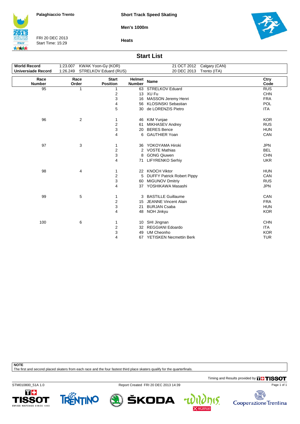**Short Track Speed Skating**

**Men's 1000m**



FRI 20 DEC 2013 Start Time: 15:29





### **Start List**

| <b>World Record</b>       | 1:23.007 KWAK Yoon-Gy (KOR) |                                 |                                | 21 OCT 2012 Calgary (CAN)    |              |
|---------------------------|-----------------------------|---------------------------------|--------------------------------|------------------------------|--------------|
| <b>Universiade Record</b> |                             | 1:26.249 STRELKOV Eduard (RUS)  |                                | 20 DEC 2013<br>Trento (ITA)  |              |
| Race<br><b>Number</b>     | Race<br>Order               | <b>Start</b><br><b>Position</b> | <b>Helmet</b><br><b>Number</b> | <b>Name</b>                  | Ctry<br>Code |
| 95                        | 1                           | 1                               |                                | 63 STRELKOV Eduard           | <b>RUS</b>   |
|                           |                             | 2                               |                                | 13 XU Fu                     | <b>CHN</b>   |
|                           |                             | 3                               |                                | 16 MASSON Jeremy Henri       | <b>FRA</b>   |
|                           |                             | 4                               |                                | 56 KLOSINSKI Sebastian       | POL          |
|                           |                             | 5                               |                                | 30 de LORENZIS Pietro        | <b>ITA</b>   |
| 96                        | 2                           | 1                               |                                | 46 KIM Yunjae                | <b>KOR</b>   |
|                           |                             | 2                               | 61                             | <b>MIKHASEV Andrey</b>       | <b>RUS</b>   |
|                           |                             | 3                               | 20                             | <b>BERES Bence</b>           | <b>HUN</b>   |
|                           |                             | 4                               | 6                              | <b>GAUTHIER Yoan</b>         | CAN          |
| 97                        | 3                           | 1                               | 36                             | YOKOYAMA Hiroki              | <b>JPN</b>   |
|                           |                             | 2                               | 2                              | <b>VOSTE Mathias</b>         | <b>BEL</b>   |
|                           |                             | 3                               | 8                              | <b>GONG Qiuwen</b>           | <b>CHN</b>   |
|                           |                             | 4                               | 71                             | <b>LIFYRENKO Serhiy</b>      | <b>UKR</b>   |
| 98                        | 4                           | 1                               |                                | 22 KNOCH Viktor              | <b>HUN</b>   |
|                           |                             | 2                               |                                | 5 DUFFY Patrick Robert Pippy | CAN          |
|                           |                             | 3                               |                                | 60 MIGUNOV Dmitriy           | <b>RUS</b>   |
|                           |                             | 4                               |                                | 37 YOSHIKAWA Masashi         | <b>JPN</b>   |
| 99                        | 5                           | 1                               |                                | 3 BASTILLE Guillaume         | CAN          |
|                           |                             | 2                               | 15                             | <b>JEANNE Vincent Alain</b>  | <b>FRA</b>   |
|                           |                             | 3                               | 21                             | <b>BURJAN Csaba</b>          | <b>HUN</b>   |
|                           |                             | 4                               |                                | 48 NOH Jinkyu                | <b>KOR</b>   |
| 100                       | 6                           | 1                               |                                | 10 SHI Jingnan               | <b>CHN</b>   |
|                           |                             | 2                               |                                | 32 REGGIANI Edoardo          | <b>ITA</b>   |
|                           |                             | 3                               | 49                             | <b>UM Cheonho</b>            | <b>KOR</b>   |
|                           |                             | 4                               |                                | 67 YETISKEN Necmettin Berk   | <b>TUR</b>   |

**NOTE**

The first and second placed skaters from each race and the four fastest third place skaters qualify for the quarterfinals.

Timing and Results provided by **THISSOT** 

15.

碣

Cooperazione Trentina

Page 1 of 1

STM010800\_51A 1.0 Report Created FRI 20 DEC 2013 14:39





ŠKODA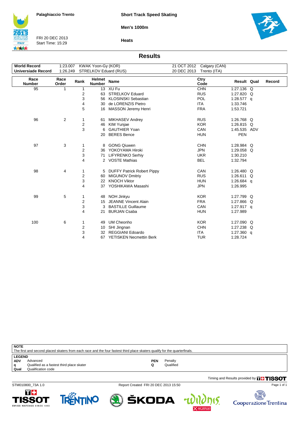**Men's 1000m**



FRI 20 DEC 2013 Start Time: 15:29



**Heats**

### **Results**

| <b>World Record</b><br><b>Universiade Record</b> | 1:23.007<br>KWAK Yoon-Gy (KOR)<br>1:26.249<br>STRELKOV Eduard (RUS) |                         |                         |                                | Calgary (CAN)<br>21 OCT 2012<br>20 DEC 2013<br>Trento (ITA) |              |        |
|--------------------------------------------------|---------------------------------------------------------------------|-------------------------|-------------------------|--------------------------------|-------------------------------------------------------------|--------------|--------|
| Race<br><b>Number</b>                            | Race<br>Order                                                       | Rank                    | Helmet<br><b>Number</b> | <b>Name</b>                    | Ctry<br>Code                                                | Result Qual  | Record |
| 95                                               | 1                                                                   | 1                       |                         | 13 XU Fu                       | <b>CHN</b>                                                  | 1:27.136 Q   |        |
|                                                  |                                                                     | 2                       | 63                      | <b>STRELKOV Eduard</b>         | <b>RUS</b>                                                  | 1:27.820 Q   |        |
|                                                  |                                                                     | 3                       | 56                      | <b>KLOSINSKI Sebastian</b>     | POL                                                         | 1:28.577 g   |        |
|                                                  |                                                                     | 4                       | 30                      | de LORENZIS Pietro             | <b>ITA</b>                                                  | 1:33.746     |        |
|                                                  |                                                                     | 5                       | 16                      | <b>MASSON Jeremy Henri</b>     | <b>FRA</b>                                                  | 1:53.721     |        |
| 96                                               | 2                                                                   | 1                       | 61                      | <b>MIKHASEV Andrey</b>         | <b>RUS</b>                                                  | 1:26.768 Q   |        |
|                                                  |                                                                     | 2                       | 46                      | <b>KIM Yunjae</b>              | <b>KOR</b>                                                  | 1:26.815 Q   |        |
|                                                  |                                                                     | 3                       | 6                       | <b>GAUTHIER Yoan</b>           | CAN                                                         | 1:45.535 ADV |        |
|                                                  |                                                                     |                         | 20                      | <b>BERES</b> Bence             | <b>HUN</b>                                                  | <b>PEN</b>   |        |
| 97                                               | 3                                                                   | 1                       | 8                       | <b>GONG Qiuwen</b>             | <b>CHN</b>                                                  | 1:28.984 Q   |        |
|                                                  |                                                                     | 2                       | 36                      | YOKOYAMA Hiroki                | <b>JPN</b>                                                  | 1:29.058 Q   |        |
|                                                  |                                                                     | 3                       | 71                      | <b>LIFYRENKO Serhiv</b>        | <b>UKR</b>                                                  | 1:30.210     |        |
|                                                  |                                                                     | 4                       |                         | 2 VOSTE Mathias                | <b>BEL</b>                                                  | 1:32.794     |        |
| 98                                               | 4                                                                   | 1                       |                         | 5 DUFFY Patrick Robert Pippy   | CAN                                                         | 1:26.480 Q   |        |
|                                                  |                                                                     | 2                       | 60                      | <b>MIGUNOV Dmitriy</b>         | <b>RUS</b>                                                  | 1:26.611 Q   |        |
|                                                  |                                                                     | 3                       | 22                      | <b>KNOCH Viktor</b>            | <b>HUN</b>                                                  | 1:26.684 q   |        |
|                                                  |                                                                     | 4                       | 37                      | YOSHIKAWA Masashi              | <b>JPN</b>                                                  | 1:26.995     |        |
| 99                                               | 5                                                                   | 1                       | 48                      | NOH Jinkyu                     | <b>KOR</b>                                                  | 1:27.799 Q   |        |
|                                                  |                                                                     | 2                       | 15                      | <b>JEANNE Vincent Alain</b>    | <b>FRA</b>                                                  | 1:27.866 Q   |        |
|                                                  |                                                                     | 3                       | 3                       | <b>BASTILLE Guillaume</b>      | CAN                                                         | 1:27.917 q   |        |
|                                                  |                                                                     | 4                       | 21                      | <b>BURJAN Csaba</b>            | <b>HUN</b>                                                  | 1:27.989     |        |
| 100                                              | 6                                                                   | 1                       | 49                      | <b>UM Cheonho</b>              | <b>KOR</b>                                                  | 1:27.090 Q   |        |
|                                                  |                                                                     | $\overline{\mathbf{c}}$ | 10                      | SHI Jingnan                    | <b>CHN</b>                                                  | 1:27.238 Q   |        |
|                                                  |                                                                     | 3                       | 32                      | <b>REGGIANI Edoardo</b>        | <b>ITA</b>                                                  | 1:27.360 q   |        |
|                                                  |                                                                     | 4                       | 67                      | <b>YETISKEN Necmettin Berk</b> | <b>TUR</b>                                                  | 1:28.724     |        |

**NOTE**

The first and second placed skaters from each race and the four fastest third place skaters qualify for the quarterfinals. LEGEND<br>ADV A **ADV** Advanced **PEN** Penalty **q** Qualified as a fastest third place skater **Q** Qualified **q** Qualified as a faste<br>**Qual** Qualification code

Timing and Results provided by **THISSOT** 

STM010800\_73A 1.0 Report Created FRI 20 DEC 2013 15:50

ŠKODA







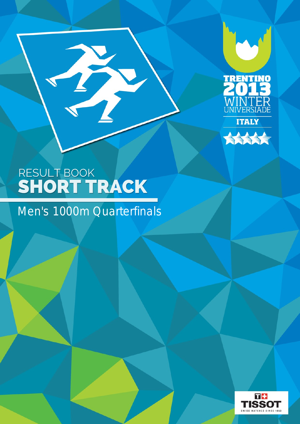



B

Men's 1000m Quarterfinals

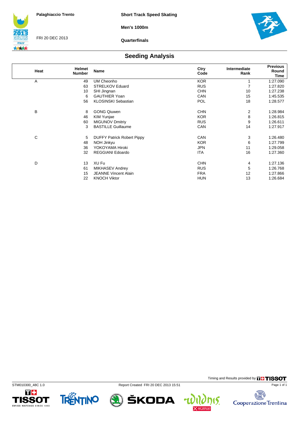**Men's 1000m**



FRI 20 DEC 2013

**Quarterfinals**



Timing and Results provided by **THISSOT** 

15.

4

电元 碣

Cooperazione Trentina

Page 1 of 1

### **Seeding Analysis**

| Heat | Helmet<br><b>Number</b> | Name                              | Ctry<br>Code | Intermediate<br>Rank | <b>Previous</b><br>Round<br>Time |
|------|-------------------------|-----------------------------------|--------------|----------------------|----------------------------------|
| A    | 49                      | UM Cheonho                        | <b>KOR</b>   | 1                    | 1:27.090                         |
|      | 63                      | <b>STRELKOV Eduard</b>            | <b>RUS</b>   | 7                    | 1:27.820                         |
|      | 10                      | SHI Jingnan                       | <b>CHN</b>   | 10                   | 1:27.238                         |
|      | 6                       | <b>GAUTHIER Yoan</b>              | CAN          | 15                   | 1:45.535                         |
|      | 56                      | <b>KLOSINSKI Sebastian</b>        | <b>POL</b>   | 18                   | 1:28.577                         |
| B    | 8                       | <b>GONG Qiuwen</b>                | <b>CHN</b>   | 2                    | 1:28.984                         |
|      | 46                      | KIM Yunjae                        | <b>KOR</b>   | 8                    | 1:26.815                         |
|      | 60                      | <b>MIGUNOV Dmitriy</b>            | <b>RUS</b>   | 9                    | 1:26.611                         |
|      | 3                       | <b>BASTILLE Guillaume</b>         | CAN          | 14                   | 1:27.917                         |
| С    | 5                       | <b>DUFFY Patrick Robert Pippy</b> | CAN          | 3                    | 1:26.480                         |
|      | 48                      | NOH Jinkyu                        | <b>KOR</b>   | 6                    | 1:27.799                         |
|      | 36                      | YOKOYAMA Hiroki                   | <b>JPN</b>   | 11                   | 1:29.058                         |
|      | 32                      | <b>REGGIANI Edoardo</b>           | <b>ITA</b>   | 16                   | 1:27.360                         |
| D    | 13                      | XU Fu                             | <b>CHN</b>   | 4                    | 1:27.136                         |
|      | 61                      | MIKHASEV Andrey                   | <b>RUS</b>   | 5                    | 1:26.768                         |
|      | 15                      | <b>JEANNE Vincent Alain</b>       | <b>FRA</b>   | 12                   | 1:27.866                         |
|      | 22                      | <b>KNOCH Viktor</b>               | <b>HUN</b>   | 13                   | 1:26.684                         |
|      |                         |                                   |              |                      |                                  |





STM010300\_48C 1.0 Report Created FRI 20 DEC 2013 15:51

ŠKODA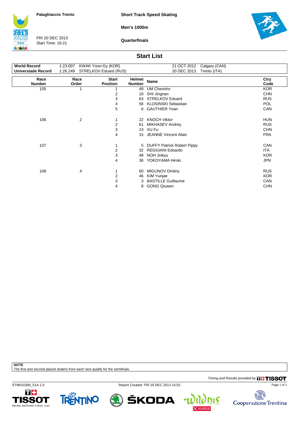**Short Track Speed Skating**

**Men's 1000m**

**ITALY** 大大大大

FRI 20 DEC 2013 Start Time: 16:21

**Quarterfinals**



### **Start List**

| Ctry<br>Code |
|--------------|
| <b>KOR</b>   |
| <b>CHN</b>   |
| <b>RUS</b>   |
| <b>POL</b>   |
| CAN          |
| <b>HUN</b>   |
| <b>RUS</b>   |
| <b>CHN</b>   |
| <b>FRA</b>   |
| <b>CAN</b>   |
| <b>ITA</b>   |
| <b>KOR</b>   |
| JPN          |
| <b>RUS</b>   |
| <b>KOR</b>   |
| CAN          |
| <b>CHN</b>   |
|              |

**NOTE**

The first and second placed skaters from each race qualify for the semifinals.

Timing and Results provided by **THISSOT** 

STM010300\_51A 1.0 Report Created FRI 20 DEC 2013 15:52









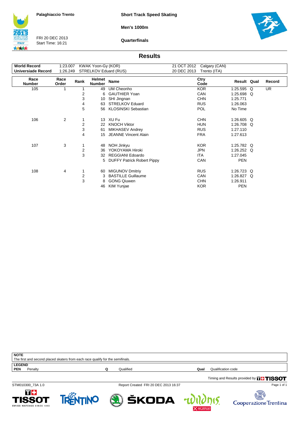**Short Track Speed Skating**

**Men's 1000m**



FRI 20 DEC 2013 Start Time: 16:21

**Quarterfinals**



#### **Results**

| <b>World Record</b>       | 1:23.007      |      | KWAK Yoon-Gy (KOR)      |                                   | 21 OCT 2012 | Calgary (CAN) |              |   |           |
|---------------------------|---------------|------|-------------------------|-----------------------------------|-------------|---------------|--------------|---|-----------|
| <b>Universiade Record</b> | 1:26.249      |      |                         | STRELKOV Eduard (RUS)             | 20 DEC 2013 | Trento (ITA)  |              |   |           |
| Race<br><b>Number</b>     | Race<br>Order | Rank | Helmet<br><b>Number</b> | Name                              |             | Ctry<br>Code  | Result Qual  |   | Record    |
| 105                       | 1             |      | 49                      | UM Cheonho                        |             | <b>KOR</b>    | 1:25.595     | Q | <b>UR</b> |
|                           |               | 2    | 6                       | <b>GAUTHIER Yoan</b>              |             | CAN           | 1:25.698 Q   |   |           |
|                           |               | 3    | 10                      | SHI Jingnan                       |             | <b>CHN</b>    | 1:25.771     |   |           |
|                           |               | 4    | 63                      | <b>STRELKOV Eduard</b>            |             | <b>RUS</b>    | 1:26.063     |   |           |
|                           |               | 5    | 56                      | <b>KLOSINSKI Sebastian</b>        |             | <b>POL</b>    | No Time      |   |           |
| 106                       | 2             |      | 13                      | XU Fu                             |             | <b>CHN</b>    | 1:26.605 Q   |   |           |
|                           |               | 2    | 22                      | <b>KNOCH Viktor</b>               |             | <b>HUN</b>    | 1:26.708     | O |           |
|                           |               | 3    | 61                      | <b>MIKHASEV Andrey</b>            |             | <b>RUS</b>    | 1:27.110     |   |           |
|                           |               | 4    | 15                      | <b>JEANNE Vincent Alain</b>       |             | <b>FRA</b>    | 1:27.613     |   |           |
| 107                       | 3             | 1    | 48                      | NOH Jinkyu                        |             | <b>KOR</b>    | 1:25.782 Q   |   |           |
|                           |               | 2    | 36                      | YOKOYAMA Hiroki                   |             | <b>JPN</b>    | 1:26.252 $Q$ |   |           |
|                           |               | 3    | 32                      | <b>REGGIANI Edoardo</b>           |             | <b>ITA</b>    | 1:27.045     |   |           |
|                           |               |      | 5                       | <b>DUFFY Patrick Robert Pippy</b> |             | CAN           | <b>PEN</b>   |   |           |
| 108                       | 4             | 1    | 60                      | <b>MIGUNOV Dmitriy</b>            |             | <b>RUS</b>    | 1:26.723 Q   |   |           |
|                           |               | 2    | 3                       | <b>BASTILLE Guillaume</b>         |             | CAN           | 1:26.827 Q   |   |           |
|                           |               | 3    | 8                       | <b>GONG Qiuwen</b>                |             | <b>CHN</b>    | 1:26.911     |   |           |
|                           |               |      | 46                      | <b>KIM Yunjae</b>                 |             | <b>KOR</b>    | <b>PEN</b>   |   |           |

| <b>NOTE</b>                                                                    |           |      |                                           |
|--------------------------------------------------------------------------------|-----------|------|-------------------------------------------|
| The first and second placed skaters from each race qualify for the semifinals. |           |      |                                           |
| <b>LEGEND</b>                                                                  |           |      |                                           |
| <b>PEN</b><br>Penalty                                                          | Qualified | Qual | Qualification code                        |
|                                                                                |           |      | Timing and Results provided by THE TISSOT |

STM010300\_73A 1.0 Report Created FRI 20 DEC 2013 16:37

ŠKODA

 $\mathbf{r}$ 

15.

Page 1 of 1

安全

Cooperazione Trentina



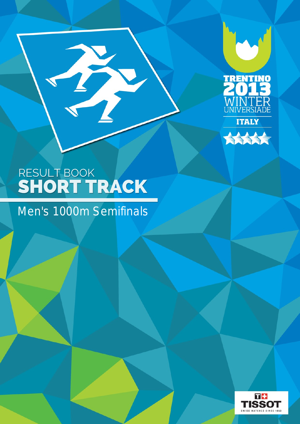



B

## Men's 1000m Semifinals

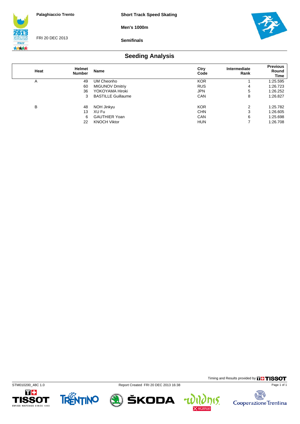**Short Track Speed Skating**

**Men's 1000m**



FRI 20 DEC 2013

**Semifinals**



## **Seeding Analysis**

| Heat | Helmet<br><b>Number</b> | Name                      | Ctry<br>Code | Intermediate<br>Rank | <b>Previous</b><br>Round<br>Time |
|------|-------------------------|---------------------------|--------------|----------------------|----------------------------------|
| A    | 49                      | UM Cheonho                | <b>KOR</b>   |                      | 1:25.595                         |
|      | 60                      | <b>MIGUNOV Dmitriy</b>    | <b>RUS</b>   | 4                    | 1:26.723                         |
|      | 36                      | YOKOYAMA Hiroki           | <b>JPN</b>   | 5                    | 1:26.252                         |
|      | 3                       | <b>BASTILLE Guillaume</b> | CAN          | 8                    | 1:26.827                         |
| В    | 48                      | NOH Jinkyu                | <b>KOR</b>   | 2                    | 1:25.782                         |
|      | 13                      | XU Fu                     | <b>CHN</b>   | 3                    | 1:26.605                         |
|      | 6                       | <b>GAUTHIER Yoan</b>      | CAN          | 6                    | 1:25.698                         |
|      | 22                      | <b>KNOCH Viktor</b>       | <b>HUN</b>   | 7                    | 1:26.708                         |









Timing and Results provided by **THISSOT** 

15.

4

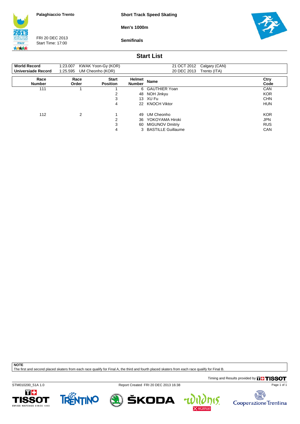**Short Track Speed Skating**

**Men's 1000m**

**ITALY** 大大大大

FRI 20 DEC 2013 Start Time: 17:00

**Semifinals**



### **Start List**

| <b>World Record</b><br>Universiade Record | 1:23.007 KWAK Yoon-Gy (KOR)<br>1:25.595 UM Cheonho (KOR) |                                 |                         | 21 OCT 2012 Calgary (CAN)<br>20 DEC 2013 Trento (ITA) |              |
|-------------------------------------------|----------------------------------------------------------|---------------------------------|-------------------------|-------------------------------------------------------|--------------|
| Race<br><b>Number</b>                     | Race<br>Order                                            | <b>Start</b><br><b>Position</b> | Helmet<br><b>Number</b> | <b>Name</b>                                           | Ctry<br>Code |
| 111                                       |                                                          |                                 |                         | 6 GAUTHIER Yoan                                       | <b>CAN</b>   |
|                                           |                                                          | ◠                               |                         | 48 NOH Jinkyu                                         | <b>KOR</b>   |
|                                           |                                                          | 3                               |                         | 13 XU Fu                                              | <b>CHN</b>   |
|                                           |                                                          | 4                               |                         | 22 KNOCH Viktor                                       | <b>HUN</b>   |
| 112                                       | 2                                                        |                                 | 49                      | UM Cheonho                                            | <b>KOR</b>   |
|                                           |                                                          | 2                               | 36                      | YOKOYAMA Hiroki                                       | <b>JPN</b>   |
|                                           |                                                          | 3                               |                         | 60 MIGUNOV Dmitriy                                    | <b>RUS</b>   |
|                                           |                                                          | 4                               |                         | 3 BASTILLE Guillaume                                  | CAN          |

**NOTE**

The first and second placed skaters from each race qualify for Final A, the third and fourth placed skaters from each race qualify for Final B.

Timing and Results provided by **THISSOT** 

Page 1 of 1

STM010200\_51A 1.0 Report Created FRI 20 DEC 2013 16:38

4







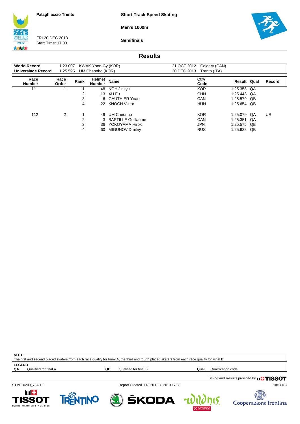**Short Track Speed Skating**

**Men's 1000m**



FRI 20 DEC 2013 Start Time: 17:00

**Semifinals**



### **Results**

| <b>World Record</b><br>Universiade Record | 1:23.007      |      | KWAK Yoon-Gy (KOR)<br>1:25.595 UM Cheonho (KOR) |                           | 21 OCT 2012<br>20 DEC 2013 | Calgary (CAN)<br>Trento (ITA) |             |             |           |
|-------------------------------------------|---------------|------|-------------------------------------------------|---------------------------|----------------------------|-------------------------------|-------------|-------------|-----------|
| Race<br><b>Number</b>                     | Race<br>Order | Rank | Helmet<br><b>Number</b>                         | <b>Name</b>               |                            | Ctry<br>Code                  |             | Result Qual | Record    |
| 111                                       |               |      | 48                                              | NOH Jinkyu                |                            | <b>KOR</b>                    | 1:25.358 QA |             |           |
|                                           |               | 2    |                                                 | 13 XU Fu                  |                            | <b>CHN</b>                    | 1:25.443 QA |             |           |
|                                           |               | 3    |                                                 | 6 GAUTHIER Yoan           |                            | CAN                           | 1:25.579 QB |             |           |
|                                           |               | 4    |                                                 | 22 KNOCH Viktor           |                            | <b>HUN</b>                    | 1:25.654 QB |             |           |
| 112                                       | 2             |      | 49                                              | UM Cheonho                |                            | <b>KOR</b><br>1:25.079        |             | -QA         | <b>UR</b> |
|                                           |               | 2    | 3                                               | <b>BASTILLE Guillaume</b> |                            | CAN<br>1:25.351               |             | -QA         |           |
|                                           |               | 3    | 36                                              | YOKOYAMA Hiroki           |                            | <b>JPN</b>                    | 1:25.575 QB |             |           |
|                                           |               | 4    | 60                                              | <b>MIGUNOV Dmitriy</b>    |                            | <b>RUS</b>                    | 1:25.638    | QB          |           |

**NOTE** The first and second placed skaters from each race qualify for Final A, the third and fourth placed skaters from each race qualify for Final B.

**LEGEND**<br>QA Qualified for final A

**QB** Qualified for final B **Qualification Code Qualification code** 

15.

Timing and Results provided by **THISSOT** 





Page 1 of 1

Cooperazione Trentina

STM010200\_73A 1.0 Report Created FRI 20 DEC 2013 17:08

ŠKODA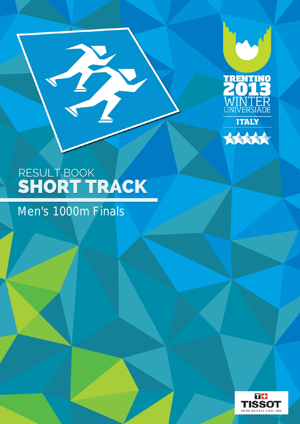



# Men's 1000m Finals

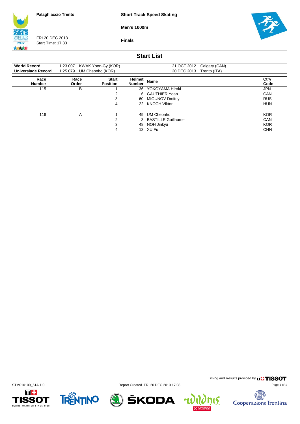**Short Track Speed Skating**

**Men's 1000m**

**ITALY** 大大大大

FRI 20 DEC 2013 Start Time: 17:33

**Finals**



### **Start List**

| <b>World Record</b><br>Universiade Record | 1:23.007<br>1:25.079 | KWAK Yoon-Gy (KOR)<br>UM Cheonho (KOR) |                         | 21 OCT 2012<br>Calgary (CAN)<br>20 DEC 2013<br>Trento (ITA) |              |
|-------------------------------------------|----------------------|----------------------------------------|-------------------------|-------------------------------------------------------------|--------------|
| Race<br><b>Number</b>                     | Race<br>Order        | <b>Start</b><br><b>Position</b>        | Helmet<br><b>Number</b> | <b>Name</b>                                                 | Ctry<br>Code |
| 115                                       | B                    |                                        | 36                      | YOKOYAMA Hiroki                                             | <b>JPN</b>   |
|                                           |                      | າ                                      |                         | 6 GAUTHIER Yoan                                             | CAN          |
|                                           |                      | 3                                      |                         | 60 MIGUNOV Dmitriy                                          | <b>RUS</b>   |
|                                           |                      | 4                                      | 22                      | <b>KNOCH Viktor</b>                                         | <b>HUN</b>   |
| 116                                       | A                    |                                        | 49                      | UM Cheonho                                                  | <b>KOR</b>   |
|                                           |                      | 2                                      |                         | 3 BASTILLE Guillaume                                        | <b>CAN</b>   |
|                                           |                      | 3                                      | 48                      | NOH Jinkyu                                                  | <b>KOR</b>   |
|                                           |                      | 4                                      |                         | 13 XU Fu                                                    | <b>CHN</b>   |











Timing and Results provided by **THISSOT** 

电大学 Cooperazione Trentina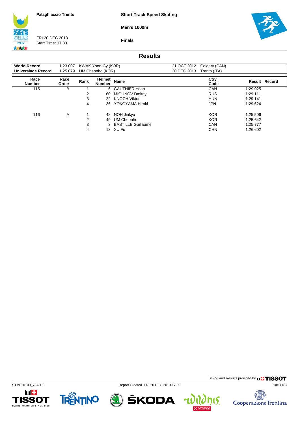**Short Track Speed Skating**

**Men's 1000m**

**Finals**



FRI 20 DEC 2013 Start Time: 17:33



### **Results**

| <b>World Record</b><br>Universiade Record | 1:23.007<br>1:25.079 |      | KWAK Yoon-Gy (KOR)<br>UM Cheonho (KOR) |                        | 21 OCT 2012<br>20 DEC 2013 | Calgary (CAN)<br>Trento (ITA) |                      |  |
|-------------------------------------------|----------------------|------|----------------------------------------|------------------------|----------------------------|-------------------------------|----------------------|--|
| Race<br><b>Number</b>                     | Race<br>Order        | Rank | Helmet<br><b>Number</b>                | <b>Name</b>            |                            | Ctry<br>Code                  | <b>Result Record</b> |  |
| 115                                       | В                    |      |                                        | 6 GAUTHIER Yoan        |                            | CAN                           | 1:29.025             |  |
|                                           |                      | 2    | 60                                     | <b>MIGUNOV Dmitriy</b> |                            | <b>RUS</b>                    | 1:29.111             |  |
|                                           |                      | 3    | 22                                     | <b>KNOCH Viktor</b>    |                            | <b>HUN</b>                    | 1:29.141             |  |
|                                           |                      | 4    | 36                                     | YOKOYAMA Hiroki        |                            | <b>JPN</b>                    | 1:29.624             |  |
| 116                                       | A                    |      | 48                                     | NOH Jinkyu             |                            | <b>KOR</b>                    | 1:25.506             |  |
|                                           |                      | 2    | 49                                     | UM Cheonho             |                            | <b>KOR</b>                    | 1:25.642             |  |
|                                           |                      | 3    |                                        | 3 BASTILLE Guillaume   |                            | CAN                           | 1:25.777             |  |
|                                           |                      | 4    |                                        | 13 XU Fu               |                            | <b>CHN</b>                    | 1:26.602             |  |







ŠKODA  $\mathbf{r}$ 



Timing and Results provided by **THISSOT** 

15.

电大学 Cooperazione Trentina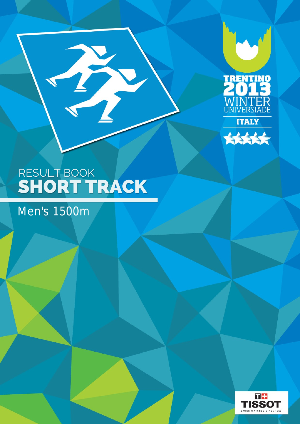



Men's 1500m

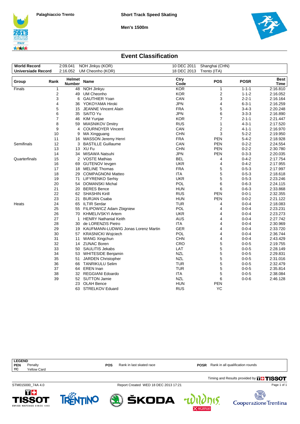**Men's 1500m**





 $\eta$  ( $\zeta$  Cooperazione Trentina

### **Event Classification**

| NOH Jinkyu (KOR)<br><b>World Record</b><br>2:09.041 |                |                         |                                                    | 10 DEC 2011<br>Shanghai (CHN) |                |             |              |  |
|-----------------------------------------------------|----------------|-------------------------|----------------------------------------------------|-------------------------------|----------------|-------------|--------------|--|
| <b>Universiade Record</b>                           |                | 2:16.052                | UM Cheonho (KOR)                                   | 18 DEC 2013                   | Trento (ITA)   |             |              |  |
| Group                                               | Rank           | Helmet<br><b>Number</b> | <b>Name</b>                                        | Ctry<br>Code                  | <b>POS</b>     | <b>POSR</b> | Best<br>Time |  |
| Finals                                              | 1              | 48                      | NOH Jinkyu                                         | <b>KOR</b>                    | 1              | $1 - 1 - 1$ | 2:16.810     |  |
|                                                     | $\overline{2}$ | 49                      | UM Cheonho                                         | <b>KOR</b>                    | 2              | $1 - 1 - 2$ | 2:16.052     |  |
|                                                     | 3              | 6                       | <b>GAUTHIER Yoan</b>                               | CAN                           | 3              | $2 - 2 - 1$ | 2:16.164     |  |
|                                                     | 4              | 36                      | YOKOYAMA Hiroki                                    | <b>JPN</b>                    | 4              | $6 - 3 - 1$ | 2:16.259     |  |
|                                                     | 5              | 15                      | <b>JEANNE Vincent Alain</b>                        | <b>FRA</b>                    | 5              | $3 - 4 - 3$ | 2:20.248     |  |
|                                                     | 6              | 35                      | SAITO Yu                                           | <b>JPN</b>                    | 6              | $3 - 3 - 3$ | 2:16.890     |  |
|                                                     | $\overline{7}$ | 46                      | KIM Yunjae                                         | <b>KOR</b>                    | $\overline{7}$ | $2 - 1 - 1$ | 2:21.447     |  |
|                                                     | 8              | 59                      | <b>MIASNIKOV Dmitry</b>                            | <b>RUS</b>                    | 1              | $4 - 3 - 1$ | 2:17.520     |  |
|                                                     | 9              | 4                       | <b>COURNOYER Vincent</b>                           | CAN                           | $\overline{2}$ | $4 - 1 - 1$ | 2:16.970     |  |
|                                                     | 10             | 9                       | MA Xingguang                                       | <b>CHN</b>                    | 3              | $5 - 2 - 2$ | 2:19.950     |  |
|                                                     | 11             | 16                      | <b>MASSON Jeremy Henri</b>                         | <b>FRA</b>                    | <b>PEN</b>     | $5 - 4 - 2$ | 2:18.928     |  |
| Semifinals                                          | 12             | 3                       | <b>BASTILLE Guillaume</b>                          | CAN                           | <b>PEN</b>     | $0 - 2 - 2$ | 2:24.554     |  |
|                                                     | 13             |                         | 13 XU Fu                                           | <b>CHN</b>                    | <b>PEN</b>     | $0 - 2 - 2$ | 2:30.780     |  |
|                                                     | 14             | 34                      | MISAWA Natsuhi                                     | <b>JPN</b>                    | <b>PEN</b>     | $0 - 3 - 3$ | 2:20.035     |  |
| Quarterfinals                                       | 15             |                         | 2 VOSTE Mathias                                    | <b>BEL</b>                    | 4              | $0 - 4 - 2$ | 2:17.754     |  |
|                                                     | 16             | 69                      | <b>GUTENOV levgen</b>                              | <b>UKR</b>                    | 4              | $0 - 4 - 2$ | 2:17.955     |  |
|                                                     | 17             |                         | 18 MELINE Thomas                                   | <b>FRA</b>                    | 5              | $0 - 5 - 3$ | 2:17.997     |  |
|                                                     | 18             | 29                      | <b>COMPAGNONI Matteo</b>                           | <b>ITA</b>                    | 5              | $0 - 5 - 3$ | 2:18.618     |  |
|                                                     | 19             | 71                      | <b>LIFYRENKO Serhiy</b>                            | <b>UKR</b>                    | 5              | $0 - 5 - 3$ | 2:23.246     |  |
|                                                     | 20             |                         | 54 DOMANSKI Michal                                 | POL                           | 6              | $0 - 6 - 3$ | 2:24.115     |  |
|                                                     | 21             | 20                      | <b>BERES</b> Bence                                 | <b>HUN</b>                    | 6              | $0 - 6 - 3$ | 2:33.868     |  |
|                                                     | 22             |                         | 62 SHASHIN Kirill                                  | <b>RUS</b>                    | <b>PEN</b>     | $0 - 0 - 1$ | 2:32.355     |  |
|                                                     | 23             | 21                      | <b>BURJAN Csaba</b>                                | <b>HUN</b>                    | <b>PEN</b>     | $0 - 0 - 2$ | 2:21.122     |  |
| Heats                                               | 24             | 65                      | <b>ILTIR Serdar</b>                                | <b>TUR</b>                    | 4              | $0 - 0 - 4$ | 2:18.083     |  |
|                                                     | 25             | 55                      | FILIPOWICZ Adam Zbigniew                           | POL                           | 4              | $0 - 0 - 4$ | 2:23.231     |  |
|                                                     | 26             | 70                      | KHMELIVSKYI Artem                                  | <b>UKR</b>                    | 4              | $0 - 0 - 4$ | 2:23.273     |  |
|                                                     | 27             | $\mathbf{1}$            | <b>HENRY Nathanial Keith</b>                       | <b>AUS</b>                    | 4              | $0 - 0 - 4$ | 2:27.742     |  |
|                                                     | 28             | 30                      | de LORENZIS Pietro                                 | <b>ITA</b>                    | 4              | $0 - 0 - 4$ | 2:30.969     |  |
|                                                     | 29             |                         | 19 KAUFMANN-LUDWIG Jonas Lorenz Martin             | <b>GER</b>                    | 4              | $0 - 0 - 4$ | 2:33.720     |  |
|                                                     | 30             |                         | 57 KRASNICKI Wojciech                              | POL                           | 4              | $0 - 0 - 4$ | 2:36.744     |  |
|                                                     | 31             | 11                      | <b>WANG Xingchun</b>                               | <b>CHN</b>                    | 4              | $0 - 0 - 4$ | 2:43.429     |  |
|                                                     | 32             |                         | 14 ZUNAC Boren                                     | CRO                           | 5              | $0 - 0 - 5$ | 2:19.755     |  |
|                                                     | 33             | 50                      | SAULITIS Jekabs                                    | LAT                           | 5              | $0 - 0 - 5$ | 2:28.149     |  |
|                                                     | 34             |                         |                                                    | <b>NZL</b>                    | 5              | $0 - 0 - 5$ | 2:29.831     |  |
|                                                     | 35             |                         | 53 WHITESIDE Benjamin<br><b>JARDEN Christopher</b> | <b>NZL</b>                    | 5              | $0 - 0 - 5$ | 2:31.016     |  |
|                                                     |                | 51                      |                                                    |                               |                |             |              |  |
|                                                     | 36             | 66                      | <b>TANRIKULU Selim</b>                             | <b>TUR</b>                    | 5              | $0 - 0 - 5$ | 2:32.479     |  |
|                                                     | 37             | 64                      | <b>EREN</b> Inan                                   | <b>TUR</b>                    | 5              | $0 - 0 - 5$ | 2:35.814     |  |
|                                                     | 38             | 32                      | <b>REGGIANI Edoardo</b>                            | <b>ITA</b>                    | 5              | $0 - 0 - 5$ | 2:38.084     |  |
|                                                     | 39             | 52                      | <b>SUTTON Jamie</b>                                | <b>NZL</b>                    | 6              | $0 - 0 - 6$ | 2:46.128     |  |
|                                                     |                | 23                      | <b>OLAH Bence</b>                                  | <b>HUN</b>                    | <b>PEN</b>     |             |              |  |
|                                                     |                | 63                      | <b>STRELKOV Eduard</b>                             | <b>RUS</b>                    | <b>YC</b>      |             |              |  |

| <b>LEGEND</b> |                    |     |                                      |                                              |
|---------------|--------------------|-----|--------------------------------------|----------------------------------------------|
| <b>PEN</b>    | Penalty            | POS | Rank in last skated race             | <b>POSR</b> Rank in all qualification rounds |
| YC            | <b>Yellow Card</b> |     |                                      |                                              |
|               |                    |     |                                      | Timing and Results provided by <b>THESOT</b> |
|               | STM015000 74A 4.0  |     | Report Created WED 18 DEC 2013 17:21 | Page 1 of 1                                  |



SWISS WATCHES SINCE 1853

TRÄTINO & ŠKODA 101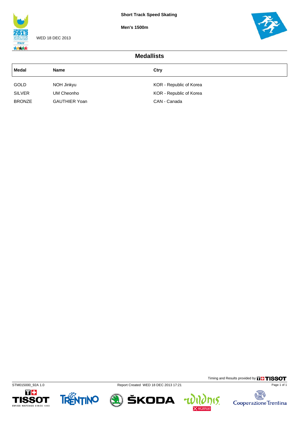**Men's 1500m**



WED 18 DEC 2013



| <b>Medallists</b> |                      |                         |  |  |
|-------------------|----------------------|-------------------------|--|--|
| Medal             | <b>Name</b>          | Ctry                    |  |  |
| <b>GOLD</b>       | NOH Jinkyu           | KOR - Republic of Korea |  |  |
| <b>SILVER</b>     | UM Cheonho           | KOR - Republic of Korea |  |  |
| <b>BRONZE</b>     | <b>GAUTHIER Yoan</b> | CAN - Canada            |  |  |









Timing and Results provided by **THISSOT** 

**his.** 

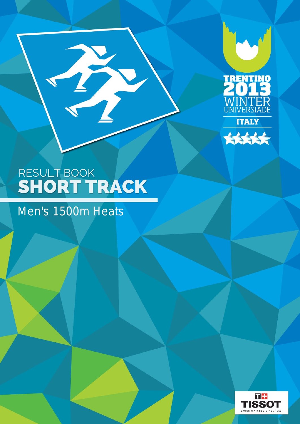



T

## Men's 1500m Heats

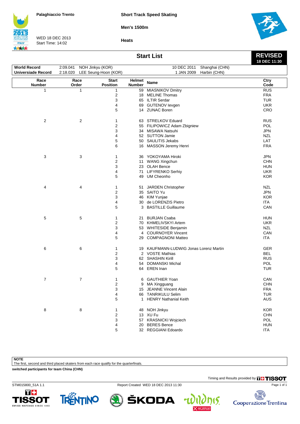**Short Track Speed Skating**

**Men's 1500m**

**Heats**



WED 18 DEC 2013 Start Time: 14:02



**REVISED 18 DEC 11:30**

**Start List**

| <b>World Record</b>       | 2:09.041 NOH Jinkyu (KOR)     |                                 |                  | 10 DEC 2011 Shanghai (CHN)             |              |
|---------------------------|-------------------------------|---------------------------------|------------------|----------------------------------------|--------------|
| <b>Universiade Record</b> | 2:18.020 LEE Seung-Hoon (KOR) |                                 |                  | 1 JAN 2009<br>Harbin (CHN)             |              |
|                           |                               |                                 |                  |                                        |              |
| Race<br><b>Number</b>     | Race<br>Order                 | <b>Start</b><br><b>Position</b> | Helmet<br>Number | <b>Name</b>                            | Ctry<br>Code |
| 1                         | 1                             | 1                               |                  | 59 MIASNIKOV Dmitry                    | RUS          |
|                           |                               | $\overline{\mathbf{c}}$         |                  | 18 MELINE Thomas                       | <b>FRA</b>   |
|                           |                               | 3                               |                  | 65 ILTIR Serdar                        | <b>TUR</b>   |
|                           |                               | 4                               |                  | 69 GUTENOV levgen                      | <b>UKR</b>   |
|                           |                               | 5                               |                  | 14 ZUNAC Boren                         | CRO          |
| $\overline{c}$            | $\overline{2}$                | 1                               |                  | 63 STRELKOV Eduard                     | <b>RUS</b>   |
|                           |                               | $\overline{2}$                  |                  | 55 FILIPOWICZ Adam Zbigniew            | <b>POL</b>   |
|                           |                               | 3                               |                  | 34 MISAWA Natsuhi                      | <b>JPN</b>   |
|                           |                               |                                 |                  | 52 SUTTON Jamie                        |              |
|                           |                               | 4                               |                  |                                        | <b>NZL</b>   |
|                           |                               | 5                               |                  | 50 SAULITIS Jekabs                     | LAT          |
|                           |                               | 6                               |                  | 16 MASSON Jeremy Henri                 | <b>FRA</b>   |
| 3                         | 3                             | 1                               |                  | 36 YOKOYAMA Hiroki                     | <b>JPN</b>   |
|                           |                               | $\boldsymbol{2}$                |                  | 11 WANG Xingchun                       | <b>CHN</b>   |
|                           |                               | 3                               |                  | 23 OLAH Bence                          | <b>HUN</b>   |
|                           |                               | 4                               |                  | 71 LIFYRENKO Serhiy                    | <b>UKR</b>   |
|                           |                               | 5                               |                  | 49 UM Cheonho                          | <b>KOR</b>   |
| 4                         | 4                             | 1                               |                  | 51 JARDEN Christopher                  | <b>NZL</b>   |
|                           |                               | $\mathbf 2$                     |                  | 35 SAITO Yu                            | <b>JPN</b>   |
|                           |                               | 3                               |                  | 46 KIM Yunjae                          | <b>KOR</b>   |
|                           |                               | 4                               |                  | 30 de LORENZIS Pietro                  | ITA.         |
|                           |                               | 5                               |                  | 3 BASTILLE Guillaume                   | CAN          |
|                           |                               |                                 |                  |                                        |              |
| 5                         | 5                             | 1                               | 21               | <b>BURJAN Csaba</b>                    | <b>HUN</b>   |
|                           |                               | $\overline{\mathbf{c}}$         |                  | 70 KHMELIVSKYI Artem                   | <b>UKR</b>   |
|                           |                               | 3                               |                  | 53 WHITESIDE Benjamin                  | <b>NZL</b>   |
|                           |                               | 4                               |                  | 4 COURNOYER Vincent                    | CAN          |
|                           |                               | 5                               |                  | 29 COMPAGNONI Matteo                   | <b>ITA</b>   |
| 6                         | 6                             | 1                               |                  | 19 KAUFMANN-LUDWIG Jonas Lorenz Martin | GER          |
|                           |                               | 2                               |                  | 2 VOSTE Mathias                        | BEL          |
|                           |                               | 3                               |                  | 62 SHASHIN Kirill                      | <b>RUS</b>   |
|                           |                               | 4                               |                  | 54 DOMANSKI Michal                     | POL          |
|                           |                               | 5                               |                  | 64 EREN Inan                           | TUR          |
| $\overline{7}$            |                               |                                 |                  |                                        | CAN          |
|                           | $\overline{7}$                | 1                               | 6                | <b>GAUTHIER Yoan</b>                   |              |
|                           |                               | $\overline{2}$                  |                  | 9 MA Xingguang                         | <b>CHN</b>   |
|                           |                               | 3                               |                  | 15 JEANNE Vincent Alain                | <b>FRA</b>   |
|                           |                               | 4                               |                  | 66 TANRIKULU Selim                     | <b>TUR</b>   |
|                           |                               | 5                               |                  | 1 HENRY Nathanial Keith                | AUS          |
| 8                         | 8                             | 1                               |                  | 48 NOH Jinkyu                          | <b>KOR</b>   |
|                           |                               | 2                               |                  | 13 XU Fu                               | <b>CHN</b>   |
|                           |                               | 3                               |                  | 57 KRASNICKI Wojciech                  | POL          |
|                           |                               | 4                               |                  | 20 BERES Bence                         | <b>HUN</b>   |
|                           |                               | 5                               |                  | 32 REGGIANI Edoardo                    | <b>ITA</b>   |

**NOTE**

The first, second and third placed skaters from each race qualify for the quarterfinals.

**switched participants for team China (CHN)**

Timing and Results provided by **THISSOT** 

Page 1 of 1

STM015800\_51A 1.1 Report Created WED 18 DEC 2013 11:30





ŠKODA

 $\mathbf{r}$ 

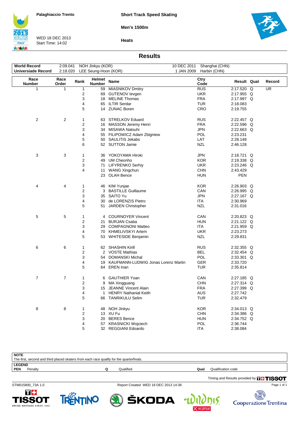**Short Track Speed Skating**

**Men's 1500m**

**Heats**



WED 18 DEC 2013 Start Time: 14:02



**Results**

| <b>World Record</b>       | 2:09.041       |                         | NOH Jinkyu (KOR)        |                                     |            | 10 DEC 2011 Shanghai (CHN) |             |                          |
|---------------------------|----------------|-------------------------|-------------------------|-------------------------------------|------------|----------------------------|-------------|--------------------------|
| <b>Universiade Record</b> | 2:18.020       |                         | LEE Seung-Hoon (KOR)    |                                     | 1 JAN 2009 | Harbin (CHN)               |             |                          |
| Race                      | Race           |                         |                         |                                     |            | Ctry                       |             |                          |
| <b>Number</b>             | Order          | Rank                    | Helmet<br><b>Number</b> | <b>Name</b>                         |            | Code                       | Result Qual | Record                   |
| $\mathbf{1}$              | 1              | $\mathbf{1}$            | 59                      | <b>MIASNIKOV Dmitry</b>             |            | RUS                        | 2:17.520 Q  | $\overline{\mathsf{UR}}$ |
|                           |                | $\boldsymbol{2}$        |                         | 69 GUTENOV levgen                   |            | <b>UKR</b>                 | 2:17.955 Q  |                          |
|                           |                | 3                       |                         | 18 MELINE Thomas                    |            | <b>FRA</b>                 | 2:17.997 Q  |                          |
|                           |                | 4                       |                         | 65 ILTIR Serdar                     |            | <b>TUR</b>                 | 2:18.083    |                          |
|                           |                | 5                       | 14                      | <b>ZUNAC Boren</b>                  |            | CRO                        | 2:19.755    |                          |
| 2                         | 2              | 1                       |                         | 63 STRELKOV Eduard                  |            | <b>RUS</b>                 | 2:22.457 Q  |                          |
|                           |                | $\boldsymbol{2}$        |                         | 16 MASSON Jeremy Henri              |            | <b>FRA</b>                 | 2:22.596 Q  |                          |
|                           |                | 3                       |                         | 34 MISAWA Natsuhi                   |            | <b>JPN</b>                 | 2:22.663 Q  |                          |
|                           |                | 4                       |                         | 55 FILIPOWICZ Adam Zbigniew         |            | <b>POL</b>                 | 2:23.231    |                          |
|                           |                | 5                       |                         | 50 SAULITIS Jekabs                  |            | LAT                        | 2:28.149    |                          |
|                           |                | 6                       |                         | 52 SUTTON Jamie                     |            | <b>NZL</b>                 | 2:46.128    |                          |
| 3                         | 3              | 1                       |                         | 36 YOKOYAMA Hiroki                  |            | <b>JPN</b>                 | 2:18.721 Q  |                          |
|                           |                | $\boldsymbol{2}$        |                         | 49 UM Cheonho                       |            | <b>KOR</b>                 | 2:19.338 Q  |                          |
|                           |                | 3                       |                         | 71 LIFYRENKO Serhiy                 |            | <b>UKR</b>                 | 2:23.246 Q  |                          |
|                           |                |                         |                         |                                     |            |                            |             |                          |
|                           |                | 4                       | 11                      | <b>WANG Xingchun</b>                |            | <b>CHN</b>                 | 2:43.429    |                          |
|                           |                |                         |                         | 23 OLAH Bence                       |            | <b>HUN</b>                 | PEN         |                          |
| 4                         | 4              | 1                       | 46                      | KIM Yunjae                          |            | KOR.                       | 2:26.903 Q  |                          |
|                           |                | $\overline{2}$          |                         | 3 BASTILLE Guillaume                |            | CAN                        | 2:26.995 Q  |                          |
|                           |                | 3                       |                         | 35 SAITO Yu                         |            | <b>JPN</b>                 | 2:27.167 Q  |                          |
|                           |                | 4                       | 30                      | de LORENZIS Pietro                  |            | ITA                        | 2:30.969    |                          |
|                           |                | 5                       | 51                      | JARDEN Christopher                  |            | <b>NZL</b>                 | 2:31.016    |                          |
|                           |                |                         |                         |                                     |            |                            |             |                          |
| 5                         | 5              | 1                       |                         | 4 COURNOYER Vincent                 |            | CAN                        | 2:20.823 Q  |                          |
|                           |                | $\overline{2}$          | 21                      | <b>BURJAN Csaba</b>                 |            | <b>HUN</b>                 | 2:21.122 Q  |                          |
|                           |                | 3                       |                         | 29 COMPAGNONI Matteo                |            | ITA                        | 2:21.959 Q  |                          |
|                           |                | 4                       | 70                      | KHMELIVSKYI Artem                   |            | <b>UKR</b>                 | 2:23.273    |                          |
|                           |                | 5                       | 53                      | WHITESIDE Benjamin                  |            | <b>NZL</b>                 | 2:29.831    |                          |
| 6                         | 6              | 1                       |                         | 62 SHASHIN Kirill                   |            | <b>RUS</b>                 | 2:32.355 Q  |                          |
|                           |                | $\boldsymbol{2}$        |                         | 2 VOSTE Mathias                     |            | <b>BEL</b>                 | 2:32.454 Q  |                          |
|                           |                | 3                       |                         | 54 DOMANSKI Michal                  |            | POL                        | 2:33.301 Q  |                          |
|                           |                | 4                       | 19                      | KAUFMANN-LUDWIG Jonas Lorenz Martin |            | <b>GER</b>                 | 2:33.720    |                          |
|                           |                | 5                       |                         | 64 EREN Inan                        |            | TUR                        | 2:35.814    |                          |
| 7                         | $\overline{7}$ | 1                       | 6                       | <b>GAUTHIER Yoan</b>                |            | CAN                        | 2:27.185 Q  |                          |
|                           |                | $\overline{\mathbf{c}}$ |                         | MA Xingguang                        |            | <b>CHN</b>                 | 2:27.314 Q  |                          |
|                           |                | 3                       | 9                       |                                     |            |                            | 2:27.399 Q  |                          |
|                           |                |                         |                         | 15 JEANNE Vincent Alain             |            | <b>FRA</b>                 |             |                          |
|                           |                | 4                       | 1                       | <b>HENRY Nathanial Keith</b>        |            | <b>AUS</b>                 | 2:27.742    |                          |
|                           |                | 5                       |                         | 66 TANRIKULU Selim                  |            | <b>TUR</b>                 | 2:32.479    |                          |
| 8                         | 8              | 1                       | 48                      | NOH Jinkyu                          |            | <b>KOR</b>                 | 2:34.013 Q  |                          |
|                           |                | $\overline{c}$          |                         | 13 XU Fu                            |            | <b>CHN</b>                 | 2:34.386 Q  |                          |
|                           |                | 3                       | 20                      | <b>BERES</b> Bence                  |            | <b>HUN</b>                 | 2:34.752 Q  |                          |
|                           |                | 4                       |                         | 57 KRASNICKI Wojciech               |            | POL                        | 2:36.744    |                          |
|                           |                | 5                       |                         | 32 REGGIANI Edoardo                 |            | <b>ITA</b>                 | 2:38.084    |                          |
|                           |                |                         |                         |                                     |            |                            |             |                          |

| <b>NOTE</b>   |                                                                                          |  |           |      |                    |  |  |  |  |  |
|---------------|------------------------------------------------------------------------------------------|--|-----------|------|--------------------|--|--|--|--|--|
|               | The first, second and third placed skaters from each race qualify for the quarterfinals. |  |           |      |                    |  |  |  |  |  |
| <b>LEGEND</b> |                                                                                          |  |           |      |                    |  |  |  |  |  |
| $ $ PEN       | Penalty                                                                                  |  | Qualified | Qual | Qualification code |  |  |  |  |  |
|               |                                                                                          |  |           |      |                    |  |  |  |  |  |

Timing and Results provided by **THISSOT** 

15.

STM015800\_73A 1.0 Report Created WED 18 DEC 2013 14:38







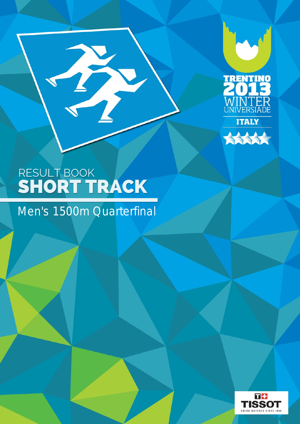



B

Men's 1500m Quarterfinal

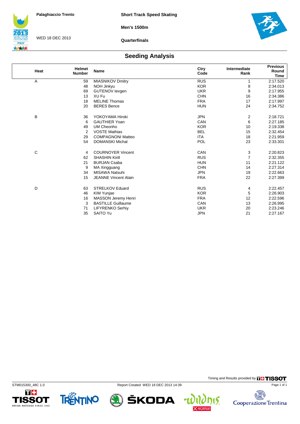**Men's 1500m**



WED 18 DEC 2013

**Quarterfinals**



### **Seeding Analysis**

| Heat | <b>Helmet</b><br><b>Number</b> | <b>Name</b>                 | Ctry<br>Code | Intermediate<br>Rank | <b>Previous</b><br>Round<br><b>Time</b> |
|------|--------------------------------|-----------------------------|--------------|----------------------|-----------------------------------------|
| Α    | 59                             | <b>MIASNIKOV Dmitry</b>     | <b>RUS</b>   | 1                    | 2:17.520                                |
|      | 48                             | NOH Jinkyu                  | <b>KOR</b>   | 8                    | 2:34.013                                |
|      | 69                             | <b>GUTENOV levgen</b>       | <b>UKR</b>   | 9                    | 2:17.955                                |
|      | 13                             | XU Fu                       | <b>CHN</b>   | 16                   | 2:34.386                                |
|      | 18                             | <b>MELINE Thomas</b>        | <b>FRA</b>   | 17                   | 2:17.997                                |
|      | 20                             | <b>BERES</b> Bence          | <b>HUN</b>   | 24                   | 2:34.752                                |
| B    | 36                             | YOKOYAMA Hiroki             | <b>JPN</b>   | 2                    | 2:18.721                                |
|      | 6                              | <b>GAUTHIER Yoan</b>        | CAN          | 6                    | 2:27.185                                |
|      | 49                             | UM Cheonho                  | <b>KOR</b>   | 10                   | 2:19.338                                |
|      | 2                              | <b>VOSTE Mathias</b>        | <b>BEL</b>   | 15                   | 2:32.454                                |
|      | 29                             | <b>COMPAGNONI Matteo</b>    | <b>ITA</b>   | 18                   | 2:21.959                                |
|      | 54                             | <b>DOMANSKI Michal</b>      | POL          | 23                   | 2:33.301                                |
| C    | 4                              | <b>COURNOYER Vincent</b>    | CAN          | 3                    | 2:20.823                                |
|      | 62                             | <b>SHASHIN Kirill</b>       | <b>RUS</b>   | $\overline{7}$       | 2:32.355                                |
|      | 21                             | <b>BURJAN Csaba</b>         | <b>HUN</b>   | 11                   | 2:21.122                                |
|      | 9                              | MA Xingguang                | <b>CHN</b>   | 14                   | 2:27.314                                |
|      | 34                             | <b>MISAWA Natsuhi</b>       | <b>JPN</b>   | 19                   | 2:22.663                                |
|      | 15                             | <b>JEANNE Vincent Alain</b> | <b>FRA</b>   | 22                   | 2:27.399                                |
| D    | 63                             | <b>STRELKOV Eduard</b>      | <b>RUS</b>   | 4                    | 2:22.457                                |
|      | 46                             | KIM Yunjae                  | <b>KOR</b>   | 5                    | 2:26.903                                |
|      | 16                             | MASSON Jeremy Henri         | <b>FRA</b>   | 12                   | 2:22.596                                |
|      | 3                              | <b>BASTILLE Guillaume</b>   | CAN          | 13                   | 2:26.995                                |
|      | 71                             | LIFYRENKO Serhiy            | <b>UKR</b>   | 20                   | 2:23.246                                |
|      | 35                             | <b>SAITO Yu</b>             | <b>JPN</b>   | 21                   | 2:27.167                                |

STM015300\_48C 1.0 Report Created WED 18 DEC 2013 14:39 T+

TRENTINO **1SSOT** SWISS WATCHES SINCE 1853





ŠKODA

15.  $\overline{\mathbf{r}}$ 



Page 1 of 1

Timing and Results provided by **THISSOT**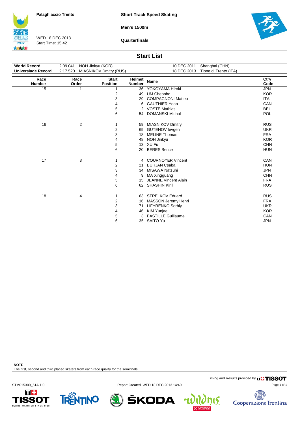**Short Track Speed Skating**

**Men's 1500m**

**ITALY** 大大大大

WED 18 DEC 2013 Start Time: 15:42

**Quarterfinals**



#### **Start List**

| <b>World Record</b>       | 2:09.041      | NOH Jinkyu (KOR)                |                         | 10 DEC 2011                 | Shanghai (CHN)        |              |
|---------------------------|---------------|---------------------------------|-------------------------|-----------------------------|-----------------------|--------------|
| <b>Universiade Record</b> | 2:17.520      | <b>MIASNIKOV Dmitry (RUS)</b>   |                         | 18 DEC 2013                 | Tione di Trento (ITA) |              |
| Race<br><b>Number</b>     | Race<br>Order | <b>Start</b><br><b>Position</b> | Helmet<br><b>Number</b> | <b>Name</b>                 |                       | Ctry<br>Code |
| 15                        | 1             | 1                               | 36                      | YOKOYAMA Hiroki             |                       | <b>JPN</b>   |
|                           |               | 2                               | 49                      | UM Cheonho                  |                       | <b>KOR</b>   |
|                           |               | 3                               | 29                      | <b>COMPAGNONI Matteo</b>    |                       | <b>ITA</b>   |
|                           |               | 4                               | 6                       | <b>GAUTHIER Yoan</b>        |                       | CAN          |
|                           |               | 5                               | 2                       | <b>VOSTE Mathias</b>        |                       | <b>BEL</b>   |
|                           |               | 6                               | 54                      | <b>DOMANSKI Michal</b>      |                       | POL          |
|                           |               |                                 |                         |                             |                       |              |
| 16                        | 2             | 1                               |                         | 59 MIASNIKOV Dmitry         |                       | <b>RUS</b>   |
|                           |               | 2                               | 69                      | <b>GUTENOV levgen</b>       |                       | <b>UKR</b>   |
|                           |               | 3                               | 18                      | <b>MELINE Thomas</b>        |                       | <b>FRA</b>   |
|                           |               | 4                               | 48                      | NOH Jinkyu                  |                       | <b>KOR</b>   |
|                           |               | 5                               |                         | 13 XU Fu                    |                       | <b>CHN</b>   |
|                           |               | 6                               | 20                      | <b>BERES</b> Bence          |                       | <b>HUN</b>   |
|                           |               |                                 |                         |                             |                       |              |
| 17                        | 3             | 1                               |                         | 4 COURNOYER Vincent         |                       | CAN          |
|                           |               | 2                               | 21                      | <b>BURJAN Csaba</b>         |                       | <b>HUN</b>   |
|                           |               | 3                               | 34                      | MISAWA Natsuhi              |                       | <b>JPN</b>   |
|                           |               | 4                               | 9                       | MA Xingguang                |                       | <b>CHN</b>   |
|                           |               | 5                               | 15                      | <b>JEANNE Vincent Alain</b> |                       | <b>FRA</b>   |
|                           |               | 6                               |                         | 62 SHASHIN Kirill           |                       | <b>RUS</b>   |
|                           |               |                                 |                         |                             |                       |              |
| 18                        | 4             | 1                               |                         | 63 STRELKOV Eduard          |                       | <b>RUS</b>   |
|                           |               | 2                               | 16                      | <b>MASSON Jeremy Henri</b>  |                       | <b>FRA</b>   |
|                           |               | 3                               | 71                      | <b>LIFYRENKO Serhiy</b>     |                       | <b>UKR</b>   |
|                           |               | 4                               | 46                      | KIM Yunjae                  |                       | <b>KOR</b>   |
|                           |               | 5                               | 3                       | <b>BASTILLE Guillaume</b>   |                       | CAN          |
|                           |               | 6                               |                         | 35 SAITO Yu                 |                       | <b>JPN</b>   |

**NOTE**

The first, second and third placed skaters from each race qualify for the semifinals.

Timing and Results provided by **THISSOT** 

STM015300\_51A 1.0 Report Created WED 18 DEC 2013 14:40





ŠKODA



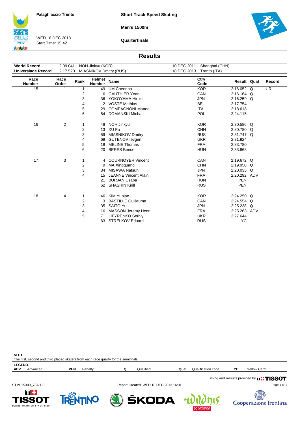**Short Track Speed Skating**

**Men's 1500m**

**ITALY** 大大大大

WED 18 DEC 2013 Start Time: 15:42

**Quarterfinals**



#### **Results**

| <b>World Record</b>   | 2:09.041<br>NOH Jinkyu (KOR) |      | 10 DEC 2011             | Shanghai (CHN)                |             |              |              |           |
|-----------------------|------------------------------|------|-------------------------|-------------------------------|-------------|--------------|--------------|-----------|
| Universiade Record    | 2:17.520                     |      |                         | <b>MIASNIKOV Dmitry (RUS)</b> | 18 DEC 2013 | Trento (ITA) |              |           |
| Race<br><b>Number</b> | Race<br>Order                | Rank | Helmet<br><b>Number</b> | <b>Name</b>                   |             | Ctry<br>Code | Result Qual  | Record    |
| 15                    | 1                            | 1    | 49                      | <b>UM Cheonho</b>             |             | <b>KOR</b>   | 2:16.052 Q   | <b>UR</b> |
|                       |                              | 2    | 6                       | <b>GAUTHIER Yoan</b>          |             | CAN          | 2:16.164 Q   |           |
|                       |                              | 3    | 36                      | YOKOYAMA Hiroki               |             | <b>JPN</b>   | $2:16.259$ Q |           |
|                       |                              | 4    | $\overline{2}$          | <b>VOSTE Mathias</b>          |             | <b>BEL</b>   | 2:17.754     |           |
|                       |                              | 5    | 29                      | <b>COMPAGNONI Matteo</b>      |             | <b>ITA</b>   | 2:18.618     |           |
|                       |                              | 6    | 54                      | <b>DOMANSKI Michal</b>        |             | <b>POL</b>   | 2:24.115     |           |
| 16                    | 2                            | 1    | 48                      | NOH Jinkyu                    |             | <b>KOR</b>   | 2:30.586 Q   |           |
|                       |                              | 2    | 13 <sup>2</sup>         | XU Fu                         |             | <b>CHN</b>   | 2:30.780 Q   |           |
|                       |                              | 3    | 59                      | <b>MIASNIKOV Dmitry</b>       |             | <b>RUS</b>   | 2:31.747 Q   |           |
|                       |                              | 4    | 69                      | <b>GUTENOV levgen</b>         |             | <b>UKR</b>   | 2:31.924     |           |
|                       |                              | 5    | 18                      | <b>MELINE Thomas</b>          |             | <b>FRA</b>   | 2:33.780     |           |
|                       |                              | 6    | 20                      | <b>BERES</b> Bence            |             | <b>HUN</b>   | 2:33.868     |           |
| 17                    | 3                            | 1    | 4                       | <b>COURNOYER Vincent</b>      |             | CAN          | 2:19.672 Q   |           |
|                       |                              | 2    | 9                       | MA Xingguang                  |             | <b>CHN</b>   | 2:19.950 Q   |           |
|                       |                              | 3    | 34                      | <b>MISAWA Natsuhi</b>         |             | <b>JPN</b>   | 2:20.035 Q   |           |
|                       |                              | 4    | 15                      | <b>JEANNE Vincent Alain</b>   |             | <b>FRA</b>   | 2:20.292 ADV |           |
|                       |                              |      | 21                      | <b>BURJAN Csaba</b>           |             | <b>HUN</b>   | <b>PEN</b>   |           |
|                       |                              |      | 62                      | <b>SHASHIN Kirill</b>         |             | <b>RUS</b>   | <b>PEN</b>   |           |
| 18                    | 4                            | 1    | 46                      | <b>KIM Yunjae</b>             |             | <b>KOR</b>   | 2:24.250 Q   |           |
|                       |                              | 2    | 3                       | <b>BASTILLE Guillaume</b>     |             | CAN          | 2:24.554 Q   |           |
|                       |                              | 3    | 35                      | SAITO Yu                      |             | <b>JPN</b>   | 2:25.238 Q   |           |
|                       |                              | 4    | 16                      | <b>MASSON Jeremy Henri</b>    |             | <b>FRA</b>   | 2:25.263 ADV |           |
|                       |                              | 5    | 71                      | <b>LIFYRENKO Serhiv</b>       |             | <b>UKR</b>   | 2:27.644     |           |
|                       |                              |      | 63                      | <b>STRELKOV Eduard</b>        |             | <b>RUS</b>   | <b>YC</b>    |           |

| <b>NOTE</b>                             | The first, second and third placed skaters from each race qualify for the semifinals. |           |      |                    |    |                                               |  |
|-----------------------------------------|---------------------------------------------------------------------------------------|-----------|------|--------------------|----|-----------------------------------------------|--|
| <b>LEGEND</b><br><b>ADV</b><br>Advanced | Penalty<br>PEN                                                                        | Qualified | Qual | Qualification code | YC | Yellow Card                                   |  |
|                                         |                                                                                       |           |      |                    |    | Timing and Results provided by <b>THISSOT</b> |  |

STM015300\_73A 1.0 Report Created WED 18 DEC 2013 16:01



15.

4





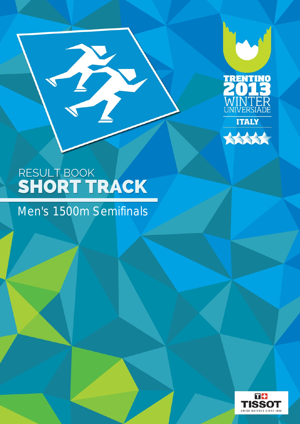



B

## Men's 1500m Semifinals

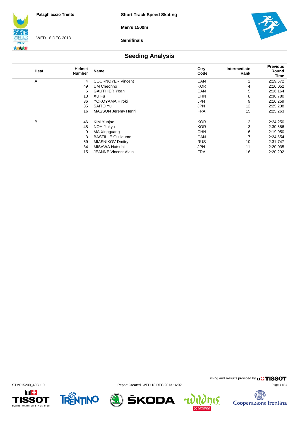**Men's 1500m**



WED 18 DEC 2013

**Semifinals**



## **Seeding Analysis**

| Heat | <b>Helmet</b><br><b>Number</b> | <b>Name</b>                 | Ctry<br>Code | Intermediate<br>Rank | <b>Previous</b><br>Round<br>Time |
|------|--------------------------------|-----------------------------|--------------|----------------------|----------------------------------|
| Α    | 4                              | <b>COURNOYER Vincent</b>    | CAN          |                      | 2:19.672                         |
|      | 49                             | UM Cheonho                  | <b>KOR</b>   | 4                    | 2:16.052                         |
|      | 6                              | <b>GAUTHIER Yoan</b>        | CAN          | 5                    | 2:16.164                         |
|      | 13                             | XU Fu                       | <b>CHN</b>   | 8                    | 2:30.780                         |
|      | 36                             | YOKOYAMA Hiroki             | JPN          | 9                    | 2:16.259                         |
|      | 35                             | SAITO Yu                    | JPN          | 12                   | 2:25.238                         |
|      | 16                             | <b>MASSON Jeremy Henri</b>  | <b>FRA</b>   | 15                   | 2:25.263                         |
| B    | 46                             | KIM Yunjae                  | <b>KOR</b>   | 2                    | 2:24.250                         |
|      | 48                             | NOH Jinkyu                  | <b>KOR</b>   | 3                    | 2:30.586                         |
|      | 9                              | MA Xingguang                | <b>CHN</b>   | 6                    | 2:19.950                         |
|      | 3                              | <b>BASTILLE Guillaume</b>   | CAN          | 7                    | 2:24.554                         |
|      | 59                             | <b>MIASNIKOV Dmitry</b>     | <b>RUS</b>   | 10                   | 2:31.747                         |
|      | 34                             | MISAWA Natsuhi              | JPN          | 11                   | 2:20.035                         |
|      | 15                             | <b>JEANNE Vincent Alain</b> | <b>FRA</b>   | 16                   | 2:20.292                         |







ŠKODA 4 Timing and Results provided by **THISSOT** Page 1 of 1

15.

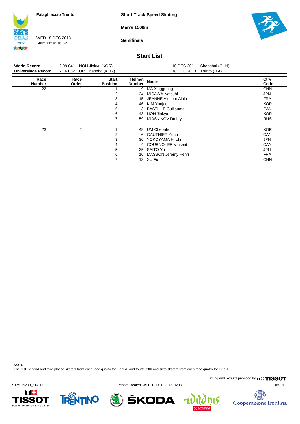**Short Track Speed Skating**

**Men's 1500m**



WED 18 DEC 2013 Start Time: 16:32

**Semifinals**



### **Start List**

| <b>World Record</b><br>Universiade Record | 2:09.041<br>2:16.052 | NOH Jinkyu (KOR)<br>UM Cheonho (KOR) |                                | 10 DEC 2011<br>Shanghai (CHN)<br>18 DEC 2013<br>Trento (ITA) |              |  |  |  |
|-------------------------------------------|----------------------|--------------------------------------|--------------------------------|--------------------------------------------------------------|--------------|--|--|--|
| Race<br><b>Number</b>                     | Race<br>Order        | <b>Start</b><br><b>Position</b>      | <b>Helmet</b><br><b>Number</b> | <b>Name</b>                                                  | Ctry<br>Code |  |  |  |
| 22                                        |                      |                                      | 9                              | MA Xingguang                                                 | <b>CHN</b>   |  |  |  |
|                                           |                      | 2                                    | 34                             | <b>MISAWA Natsuhi</b>                                        | JPN          |  |  |  |
|                                           |                      | 3                                    | 15                             | <b>JEANNE Vincent Alain</b>                                  | <b>FRA</b>   |  |  |  |
|                                           |                      | 4                                    | 46                             | KIM Yunjae                                                   | <b>KOR</b>   |  |  |  |
|                                           |                      | 5                                    | 3                              | <b>BASTILLE Guillaume</b>                                    | <b>CAN</b>   |  |  |  |
|                                           |                      | 6                                    | 48                             | NOH Jinkyu                                                   | <b>KOR</b>   |  |  |  |
|                                           |                      | 7                                    | 59                             | <b>MIASNIKOV Dmitry</b>                                      | <b>RUS</b>   |  |  |  |
| 23                                        | 2                    | 4                                    | 49                             | UM Cheonho                                                   | <b>KOR</b>   |  |  |  |
|                                           |                      | 2                                    | 6                              | <b>GAUTHIER Yoan</b>                                         | <b>CAN</b>   |  |  |  |
|                                           |                      | 3                                    | 36                             | YOKOYAMA Hiroki                                              | <b>JPN</b>   |  |  |  |
|                                           |                      | 4                                    |                                | 4 COURNOYER Vincent                                          | <b>CAN</b>   |  |  |  |
|                                           |                      | 5                                    | 35                             | SAITO Yu                                                     | JPN          |  |  |  |
|                                           |                      | 6                                    | 16                             | <b>MASSON Jeremy Henri</b>                                   | <b>FRA</b>   |  |  |  |
|                                           |                      | 7                                    | 13                             | XU Fu                                                        | <b>CHN</b>   |  |  |  |

**NOTE**

The first, second and third placed skaters from each race qualify for Final A, and fourth, fifth and sixth skaters from each race qualify for Final B.

Timing and Results provided by **THISSOT** 

STM015200\_51A 1.0 Report Created WED 18 DEC 2013 16:03





ŠKODA



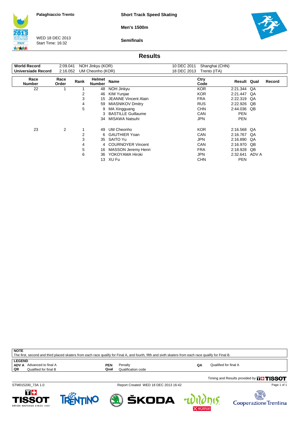**Short Track Speed Skating**

**Men's 1500m**

**ITALY** 结构结

WED 18 DEC 2013 Start Time: 16:32

**Semifinals**



### **Results**

| <b>World Record</b>   | 2:09.041      |      | NOH Jinkyu (KOR)        |                             | 10 DEC 2011 | Shanghai (CHN) |                    |           |        |
|-----------------------|---------------|------|-------------------------|-----------------------------|-------------|----------------|--------------------|-----------|--------|
| Universiade Record    | 2:16.052      |      | UM Cheonho (KOR)        |                             | 18 DEC 2013 | Trento (ITA)   |                    |           |        |
| Race<br><b>Number</b> | Race<br>Order | Rank | Helmet<br><b>Number</b> | <b>Name</b>                 |             | Ctry<br>Code   | <b>Result Qual</b> |           | Record |
| 22                    |               |      | 48                      | NOH Jinkyu                  |             | <b>KOR</b>     | 2:21.344           | QA        |        |
|                       |               | 2    | 46                      | KIM Yunjae                  |             | <b>KOR</b>     | 2:21.447           | QA        |        |
|                       |               | 3    | 15                      | <b>JEANNE Vincent Alain</b> |             | <b>FRA</b>     | 2:22.319           | <b>QA</b> |        |
|                       |               | 4    | 59                      | <b>MIASNIKOV Dmitry</b>     |             | <b>RUS</b>     | 2:22.926           | QB        |        |
|                       |               | 5    |                         | MA Xingguang                |             | <b>CHN</b>     | 2:44.036           | QB        |        |
|                       |               |      | 3                       | <b>BASTILLE Guillaume</b>   |             | CAN            | <b>PEN</b>         |           |        |
|                       |               |      | 34                      | MISAWA Natsuhi              |             | <b>JPN</b>     | <b>PEN</b>         |           |        |
| 23                    | 2             |      | 49                      | UM Cheonho                  |             | <b>KOR</b>     | 2:16.568 QA        |           |        |
|                       |               | 2    | 6.                      | <b>GAUTHIER Yoan</b>        |             | <b>CAN</b>     | 2:16.767           | QA        |        |
|                       |               | 3    | 35                      | SAITO Yu                    |             | <b>JPN</b>     | 2:16.890           | QA        |        |
|                       |               | 4    | 4                       | <b>COURNOYER Vincent</b>    |             | CAN            | 2:16.970           | QB        |        |
|                       |               | 5    | 16                      | MASSON Jeremy Henri         |             | <b>FRA</b>     | 2:18.928           | QB        |        |
|                       |               | 6    | 36                      | YOKOYAMA Hiroki             |             | JPN            | 2:32.641 ADV A     |           |        |
|                       |               |      |                         | 13 XU Fu                    |             | <b>CHN</b>     | <b>PEN</b>         |           |        |

| <b>NOTE</b>                                                                                                                                            |                                  |      |                    |    |                       |  |  |  |
|--------------------------------------------------------------------------------------------------------------------------------------------------------|----------------------------------|------|--------------------|----|-----------------------|--|--|--|
| The first, second and third placed skaters from each race qualify for Final A, and fourth, fifth and sixth skaters from each race qualify for Final B. |                                  |      |                    |    |                       |  |  |  |
| <b>LEGEND</b>                                                                                                                                          |                                  |      |                    |    |                       |  |  |  |
|                                                                                                                                                        | <b>ADV A</b> Advanced to final A | PEN  | Penalty            | Q٨ | Qualified for final A |  |  |  |
| QB                                                                                                                                                     | Qualified for final B            | Qual | Qualification code |    |                       |  |  |  |
|                                                                                                                                                        |                                  |      |                    |    |                       |  |  |  |

STM015200\_73A 1.0 Report Created WED 18 DEC 2013 16:42

ŠKODA

Timing and Results provided by **THISSOT** Page 1 of 1

15.

 $\overline{\mathbf{f}}$ 





 $\frac{1}{2}$ 

Cooperazione Trentina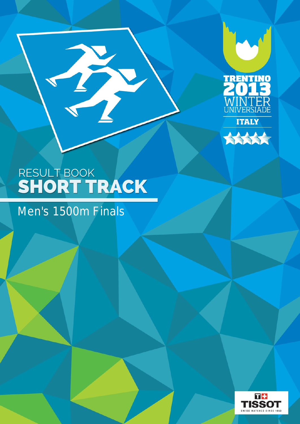



T

# Men's 1500m Finals

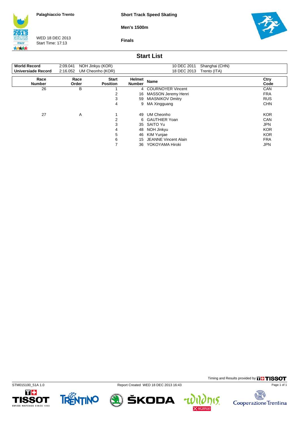**Short Track Speed Skating**

**Men's 1500m**



WED 18 DEC 2013 Start Time: 17:13

**Finals**



### **Start List**

| <b>World Record</b>   | 2:09.041      | NOH Jinkyu (KOR)                | 10 DEC 2011<br>Shanghai (CHN) |                             |              |  |  |
|-----------------------|---------------|---------------------------------|-------------------------------|-----------------------------|--------------|--|--|
| Universiade Record    | 2:16.052      | UM Cheonho (KOR)                |                               | 18 DEC 2013<br>Trento (ITA) |              |  |  |
| Race<br><b>Number</b> | Race<br>Order | <b>Start</b><br><b>Position</b> | Helmet<br><b>Number</b>       | <b>Name</b>                 | Ctry<br>Code |  |  |
| 26                    | B             |                                 |                               | 4 COURNOYER Vincent         | CAN          |  |  |
|                       |               | 2                               | 16                            | MASSON Jeremy Henri         | <b>FRA</b>   |  |  |
|                       |               | 3                               | 59                            | <b>MIASNIKOV Dmitry</b>     | <b>RUS</b>   |  |  |
|                       |               | 4                               | 9                             | MA Xingguang                | <b>CHN</b>   |  |  |
| 27                    | A             |                                 | 49                            | UM Cheonho                  | <b>KOR</b>   |  |  |
|                       |               | 2                               |                               | 6 GAUTHIER Yoan             | <b>CAN</b>   |  |  |
|                       |               | 3                               |                               | 35 SAITO Yu                 | <b>JPN</b>   |  |  |
|                       |               | 4                               | 48                            | NOH Jinkyu                  | <b>KOR</b>   |  |  |
|                       |               | 5                               | 46                            | KIM Yunjae                  | <b>KOR</b>   |  |  |
|                       |               | 6                               | 15                            | <b>JEANNE Vincent Alain</b> | <b>FRA</b>   |  |  |
|                       |               | ⇁                               | 36.                           | YOKOYAMA Hiroki             | <b>JPN</b>   |  |  |









Timing and Results provided by **THISSOT** 

15.

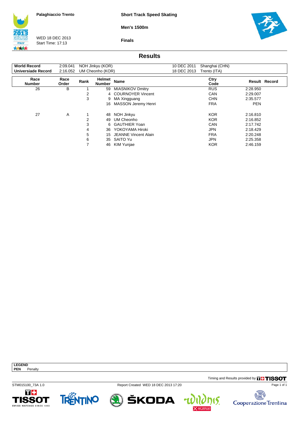**Short Track Speed Skating**

**Men's 1500m**

**Finals**



WED 18 DEC 2013 Start Time: 17:13



## **Results**

| <b>World Record</b>   | 2:09.041      |      | NOH Jinkyu (KOR)        |                            | 10 DEC 2011 | Shanghai (CHN) |            |                      |
|-----------------------|---------------|------|-------------------------|----------------------------|-------------|----------------|------------|----------------------|
| Universiade Record    | 2:16.052      |      | UM Cheonho (KOR)        |                            | 18 DEC 2013 | Trento (ITA)   |            |                      |
| Race<br><b>Number</b> | Race<br>Order | Rank | Helmet<br><b>Number</b> | <b>Name</b>                |             | Ctry<br>Code   |            | <b>Result Record</b> |
| 26                    | В             |      | 59                      | <b>MIASNIKOV Dmitry</b>    |             | <b>RUS</b>     | 2:28.950   |                      |
|                       |               | 2    |                         | 4 COURNOYER Vincent        |             | <b>CAN</b>     | 2:29.007   |                      |
|                       |               | 3    | 9                       | MA Xingguang               |             | <b>CHN</b>     | 2:35.577   |                      |
|                       |               |      | 16                      | <b>MASSON Jeremy Henri</b> |             | <b>FRA</b>     | <b>PEN</b> |                      |
| 27                    | A             |      | 48                      | NOH Jinkyu                 |             | <b>KOR</b>     | 2:16.810   |                      |
|                       |               | 2    | 49                      | UM Cheonho                 |             | <b>KOR</b>     | 2:16.852   |                      |
|                       |               | 3    |                         | 6 GAUTHIER Yoan            |             | CAN            | 2:17.742   |                      |
|                       |               | 4    | 36                      | YOKOYAMA Hiroki            |             | <b>JPN</b>     | 2:18.429   |                      |
|                       |               | 5    | 15                      | JEANNE Vincent Alain       |             | <b>FRA</b>     | 2:20.248   |                      |
|                       |               | 6    | 35                      | SAITO Yu                   |             | <b>JPN</b>     | 2:25.358   |                      |
|                       |               |      | 46                      | KIM Yunjae                 |             | <b>KOR</b>     | 2:46.159   |                      |

**PEN** Penalty

**LEGEND**

Timing and Results provided by **THISSOT** 

STM015100\_73A 1.0 Report Created WED 18 DEC 2013 17:20

ŠKODA







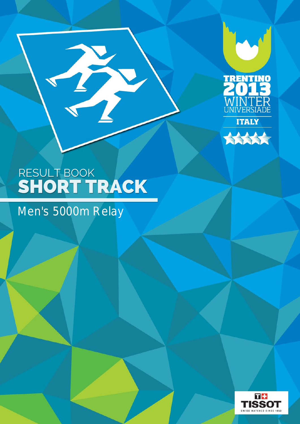



## Men's 5000m Relay

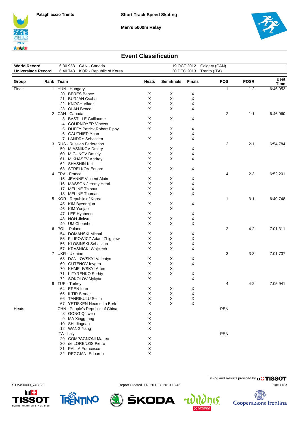





### **Event Classification**

| <b>World Record</b><br>CAN - Canada<br>6:30.958 |                                     |           | 19 OCT 2012 Calgary (CAN)        |                             |                   |               |            |             |              |
|-------------------------------------------------|-------------------------------------|-----------|----------------------------------|-----------------------------|-------------------|---------------|------------|-------------|--------------|
| <b>Universiade Record</b>                       | 6:40.748<br>KOR - Republic of Korea |           |                                  | 20 DEC 2013<br>Trento (ITA) |                   |               |            |             |              |
| Group                                           |                                     | Rank Team |                                  | Heats                       | <b>Semifinals</b> | <b>Finals</b> | <b>POS</b> | <b>POSR</b> | Best<br>Time |
| Finals                                          |                                     |           | 1 HUN - Hungary                  |                             |                   |               | 1          | $1 - 2$     | 6:46.953     |
|                                                 |                                     | 20        | <b>BERES</b> Bence               | X                           | X                 | X             |            |             |              |
|                                                 |                                     | 21        | <b>BURJAN Csaba</b>              | X                           | X                 | X             |            |             |              |
|                                                 |                                     |           | 22 KNOCH Viktor                  | X                           | X                 | $\mathsf X$   |            |             |              |
|                                                 |                                     |           | 23 OLAH Bence                    | X                           | X                 | X             |            |             |              |
|                                                 |                                     |           | 2 CAN - Canada                   |                             |                   |               | 2          | $1 - 1$     | 6:46.960     |
|                                                 |                                     |           | 3 BASTILLE Guillaume             | X                           | X                 | X             |            |             |              |
|                                                 |                                     |           | 4 COURNOYER Vincent              | X                           |                   |               |            |             |              |
|                                                 |                                     |           | 5 DUFFY Patrick Robert Pippy     | X                           | X                 | X             |            |             |              |
|                                                 |                                     | 6         | <b>GAUTHIER Yoan</b>             |                             | X                 | X             |            |             |              |
|                                                 |                                     |           | 7 LANDRY Sebastien               | X                           | X                 | X             |            |             |              |
|                                                 |                                     |           | 3 RUS - Russian Federation       |                             |                   |               | 3          | $2 - 1$     | 6:54.784     |
|                                                 |                                     |           | 59 MIASNIKOV Dmitry              |                             | X                 | X             |            |             |              |
|                                                 |                                     |           | 60 MIGUNOV Dmitriy               | X                           | X                 | X             |            |             |              |
|                                                 |                                     |           | 61 MIKHASEV Andrey               | X                           | X                 | X             |            |             |              |
|                                                 |                                     |           | 62 SHASHIN Kirill                | X                           |                   |               |            |             |              |
|                                                 |                                     |           | 63 STRELKOV Eduard               | X                           | X                 | X             |            |             |              |
|                                                 |                                     |           | 4 FRA - France                   |                             |                   |               | 4          | $2 - 3$     | 6:52.201     |
|                                                 |                                     |           | 15 JEANNE Vincent Alain          | X                           | X                 | Х             |            |             |              |
|                                                 |                                     |           | 16 MASSON Jeremy Henri           | X                           | X                 | X             |            |             |              |
|                                                 |                                     |           | 17 MELINE Thibaut                | X                           | X                 | X             |            |             |              |
|                                                 |                                     |           | 18 MELINE Thomas                 | X                           | X                 | X             |            |             |              |
|                                                 |                                     |           | 5 KOR - Republic of Korea        |                             |                   |               | 1          | $3 - 1$     | 6:40.748     |
|                                                 |                                     |           | 45 KIM Byeongjun                 | X                           | X                 | X             |            |             |              |
|                                                 |                                     |           | 46 KIM Yunjae                    |                             | X                 |               |            |             |              |
|                                                 |                                     |           |                                  | X                           |                   |               |            |             |              |
|                                                 |                                     |           | 47 LEE Hyobeen                   | X                           | X                 | X             |            |             |              |
|                                                 |                                     | 48        | NOH Jinkyu                       | X                           | X                 | X             |            |             |              |
|                                                 |                                     |           | 49 UM Cheonho                    |                             |                   | X             |            |             |              |
|                                                 |                                     |           | 6 POL - Poland                   |                             |                   |               | 2          | 4-2         | 7:01.311     |
|                                                 |                                     |           | 54 DOMANSKI Michal               | Χ                           | X                 | X             |            |             |              |
|                                                 |                                     |           | 55 FILIPOWICZ Adam Zbigniew      | X<br>X                      | X<br>X            | Χ             |            |             |              |
|                                                 |                                     |           | 56 KLOSINSKI Sebastian           |                             |                   | X             |            |             |              |
|                                                 |                                     |           | 57 KRASNICKI Wojciech            | X                           | X                 | X             |            |             |              |
|                                                 |                                     |           | 7 UKR - Ukraine                  |                             |                   |               | 3          | $3-3$       | 7:01.737     |
|                                                 |                                     |           | 68 DANILOVSKYI Valentyn          | X                           | X                 | X             |            |             |              |
|                                                 |                                     |           | 69 GUTENOV levgen                | X                           | X                 | X             |            |             |              |
|                                                 |                                     |           | 70 KHMELIVSKYI Artem             |                             | х                 |               |            |             |              |
|                                                 |                                     |           | 71 LIFYRENKO Serhiy              | X                           | X                 | X             |            |             |              |
|                                                 |                                     |           | 72 SOKOLOV Mykyta                | X                           |                   | X             |            |             |              |
|                                                 |                                     |           | 8 TUR - Turkey                   |                             |                   |               | 4          | 4-2         | 7:05.941     |
|                                                 |                                     |           | 64 EREN Inan                     | X                           | X                 | Х             |            |             |              |
|                                                 |                                     |           | 65 ILTIR Serdar                  | X                           | X                 | Х             |            |             |              |
|                                                 |                                     | 66        | <b>TANRIKULU Selim</b>           | X                           | х                 | Х             |            |             |              |
|                                                 |                                     |           | 67 YETISKEN Necmettin Berk       | X                           | X                 | X             |            |             |              |
| Heats                                           |                                     |           | CHN - People's Republic of China |                             |                   |               | <b>PEN</b> |             |              |
|                                                 |                                     |           | 8 GONG Qiuwen                    | X                           |                   |               |            |             |              |
|                                                 |                                     |           | 9 MA Xingguang                   | X                           |                   |               |            |             |              |
|                                                 |                                     |           | 10 SHI Jingnan                   | $\mathsf X$                 |                   |               |            |             |              |
|                                                 |                                     |           | 12 WANG Yang                     | X                           |                   |               |            |             |              |
|                                                 |                                     |           | ITA - Italy                      |                             |                   |               | PEN        |             |              |
|                                                 |                                     |           | 29 COMPAGNONI Matteo             | X                           |                   |               |            |             |              |
|                                                 |                                     |           | 30 de LORENZIS Pietro            | X                           |                   |               |            |             |              |
|                                                 |                                     |           | 31 PALLA Francesco               | X                           |                   |               |            |             |              |
|                                                 |                                     |           | 32 REGGIANI Edoardo              | X                           |                   |               |            |             |              |





STM450000\_74B 3.0 Report Created FRI 20 DEC 2013 18:46

ŠKODA

4



Timing and Results provided by **THISSOT**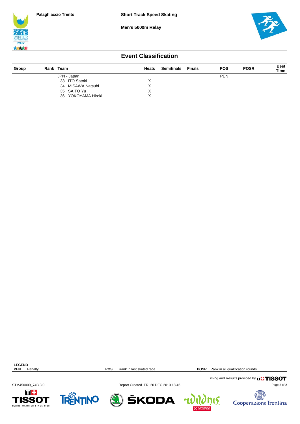





### **Event Classification**

| ∣ Group | Rank Team             | <b>Heats</b> | <b>Semifinals</b> | Finals | <b>POS</b> | <b>POSR</b> | <b>Best</b><br><b>Time</b> |
|---------|-----------------------|--------------|-------------------|--------|------------|-------------|----------------------------|
|         | JPN - Japan           |              |                   |        | <b>PEN</b> |             |                            |
|         | 33 ITO Satoki         |              |                   |        |            |             |                            |
|         | 34 MISAWA Natsuhi     |              |                   |        |            |             |                            |
|         | 35 SAITO Yu           |              |                   |        |            |             |                            |
|         | YOKOYAMA Hiroki<br>36 |              |                   |        |            |             |                            |

**LEGEND**<br>**PEN** Penalty

**POS** Rank in last skated race **POSR** Rank in all qualification rounds

 $\overline{\mathfrak{h}}$ 

STM450000\_74B 3.0 Report Created FRI 20 DEC 2013 18:46

Timing and Results provided by **THISSOT** 

T+

**1SSOT** 

WATCHES SINCE 1853



ŠKODA



Page 2 of 2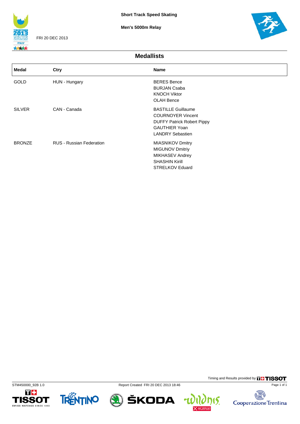

FRI 20 DEC 2013

**Men's 5000m Relay**



Timing and Results provided by **THISSOT** 

nis.

u

碣

Cooperazione Trentina

Page 1 of 1

**Medallists**

| <b>Medal</b>  | Ctry                            | <b>Name</b>                                                                                                                                   |
|---------------|---------------------------------|-----------------------------------------------------------------------------------------------------------------------------------------------|
| <b>GOLD</b>   | HUN - Hungary                   | <b>BERES Bence</b><br><b>BURJAN Csaba</b><br><b>KNOCH Viktor</b><br><b>OLAH Bence</b>                                                         |
| <b>SILVER</b> | CAN - Canada                    | <b>BASTILLE Guillaume</b><br><b>COURNOYER Vincent</b><br><b>DUFFY Patrick Robert Pippy</b><br><b>GAUTHIER Yoan</b><br><b>LANDRY Sebastien</b> |
| <b>BRONZE</b> | <b>RUS - Russian Federation</b> | <b>MIASNIKOV Dmitry</b><br><b>MIGUNOV Dmitriy</b><br>MIKHASEV Andrey<br><b>SHASHIN Kirill</b><br><b>STRELKOV Eduard</b>                       |







**A) ŠKODA**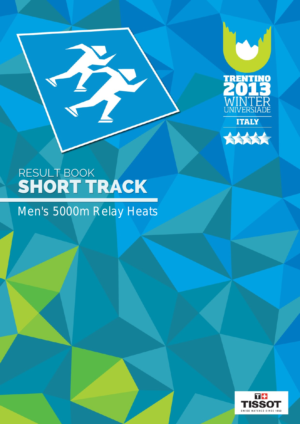



H

## Men's 5000m Relay Heats

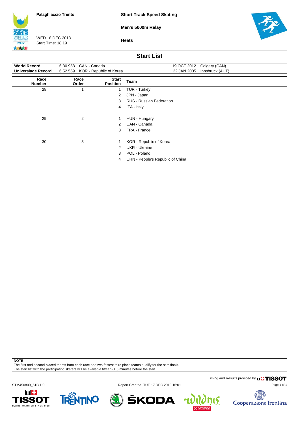**Short Track Speed Skating**

**Men's 5000m Relay**



WED 18 DEC 2013 Start Time: 18:19

**Heats**



### **Start List**

| <b>World Record</b>       | CAN - Canada<br>6:30.958         |                                 | 19 OCT 2012<br>Calgary (CAN)     |
|---------------------------|----------------------------------|---------------------------------|----------------------------------|
| <b>Universiade Record</b> | 6:52.559 KOR - Republic of Korea |                                 | 22 JAN 2005<br>Innsbruck (AUT)   |
| Race<br><b>Number</b>     | Race<br>Order                    | <b>Start</b><br><b>Position</b> | Team                             |
| 28                        |                                  | 1                               | TUR - Turkey                     |
|                           |                                  | 2                               | JPN - Japan                      |
|                           |                                  | 3                               | <b>RUS - Russian Federation</b>  |
|                           |                                  | 4                               | ITA - Italy                      |
| 29                        | $\overline{2}$                   | 1                               | HUN - Hungary                    |
|                           |                                  | 2                               | CAN - Canada                     |
|                           |                                  | 3                               | FRA - France                     |
| 30                        | 3                                |                                 | KOR - Republic of Korea          |
|                           |                                  | 2                               | <b>UKR</b> - Ukraine             |
|                           |                                  | 3                               | POL - Poland                     |
|                           |                                  | 4                               | CHN - People's Republic of China |

**NOTE**

The first and second placed teams from each race and two fastest third place teams qualify for the semifinals. The start list with the participating skaters will be available fifteen (15) minutes before the start.

Timing and Results provided by **THISSOT** 

STM450800\_51B 1.0 Report Created TUE 17 DEC 2013 16:01









٣

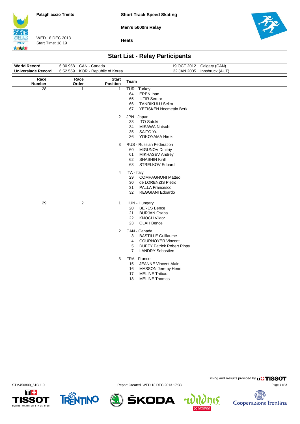**Short Track Speed Skating**

**Men's 5000m Relay**



WED 18 DEC 2013 Start Time: 18:19

**Heats**



## **Start List - Relay Participants**

| <b>World Record</b>       | 6:30.958 CAN - Canada            |                                 | 19 OCT 2012 Calgary (CAN)                                                                                                                                              |
|---------------------------|----------------------------------|---------------------------------|------------------------------------------------------------------------------------------------------------------------------------------------------------------------|
| <b>Universiade Record</b> | 6:52.559 KOR - Republic of Korea |                                 | 22 JAN 2005 Innsbruck (AUT)                                                                                                                                            |
| Race<br>Number            | Race<br>Order                    | <b>Start</b><br><b>Position</b> | Team                                                                                                                                                                   |
| $\overline{28}$           | $\mathbf{1}$                     | $\mathbf{1}$                    | TUR - Turkey<br>64<br><b>EREN</b> Inan<br>65<br><b>ILTIR Serdar</b><br><b>TANRIKULU Selim</b><br>66<br>67<br>YETISKEN Necmettin Berk                                   |
|                           |                                  | $\overline{2}$                  | JPN - Japan<br>33<br><b>ITO Satoki</b><br>34<br>MISAWA Natsuhi<br>SAITO Yu<br>35<br>YOKOYAMA Hiroki<br>36                                                              |
|                           |                                  | 3                               | RUS - Russian Federation<br><b>MIGUNOV Dmitriy</b><br>60<br>61<br>MIKHASEV Andrey<br><b>SHASHIN Kirill</b><br>62<br>63<br>STRELKOV Eduard                              |
|                           |                                  | 4                               | ITA - Italy<br>29<br><b>COMPAGNONI Matteo</b><br>de LORENZIS Pietro<br>30<br><b>PALLA Francesco</b><br>31<br>32<br><b>REGGIANI Edoardo</b>                             |
| 29                        | $\overline{\mathbf{c}}$          | $\mathbf{1}$                    | HUN - Hungary<br><b>BERES</b> Bence<br>20<br>21<br><b>BURJAN Csaba</b><br>22<br><b>KNOCH Viktor</b><br>23<br><b>OLAH Bence</b>                                         |
|                           |                                  | 2                               | CAN - Canada<br>3<br><b>BASTILLE Guillaume</b><br><b>COURNOYER Vincent</b><br>4<br><b>DUFFY Patrick Robert Pippy</b><br>5<br><b>LANDRY Sebastien</b><br>$\overline{7}$ |
|                           |                                  | 3                               | FRA - France<br><b>JEANNE Vincent Alain</b><br>15<br>16<br>MASSON Jeremy Henri<br><b>MELINE Thibaut</b><br>17<br>18<br><b>MELINE Thomas</b>                            |











Timing and Results provided by **THISSOT**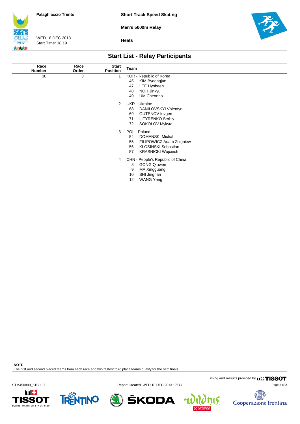



WED 18 DEC 2013 Start Time: 18:19

**Heats**



## **Start List - Relay Participants**

| Race<br><b>Number</b> | Race<br>Order | <b>Start</b><br><b>Position</b> | Team                             |
|-----------------------|---------------|---------------------------------|----------------------------------|
| 30                    | 3             | 1                               | KOR - Republic of Korea          |
|                       |               |                                 | 45<br>KIM Byeongjun              |
|                       |               |                                 | 47<br>LEE Hyobeen                |
|                       |               |                                 | NOH Jinkyu<br>48                 |
|                       |               |                                 | UM Cheonho<br>49                 |
|                       |               | 2                               | UKR - Ukraine                    |
|                       |               |                                 | 68<br>DANILOVSKYI Valentyn       |
|                       |               |                                 | 69<br><b>GUTENOV</b> levgen      |
|                       |               |                                 | <b>LIFYRENKO Serhiy</b><br>71    |
|                       |               |                                 | SOKOLOV Mykyta<br>72             |
|                       |               | 3                               | POL - Poland                     |
|                       |               |                                 | 54<br><b>DOMANSKI Michal</b>     |
|                       |               |                                 | FILIPOWICZ Adam Zbigniew<br>55   |
|                       |               |                                 | <b>KLOSINSKI Sebastian</b><br>56 |
|                       |               |                                 | 57<br><b>KRASNICKI Wojciech</b>  |
|                       |               | 4                               | CHN - People's Republic of China |
|                       |               |                                 | 8<br><b>GONG Qiuwen</b>          |
|                       |               |                                 | 9<br>MA Xingguang                |
|                       |               |                                 | SHI Jingnan<br>10                |
|                       |               |                                 | <b>WANG Yang</b><br>12           |

**NOTE**

The first and second placed teams from each race and two fastest third place teams qualify for the semifinals.

Timing and Results provided by **THISSOT** 

STM450800\_51C 1.0 Report Created WED 18 DEC 2013 17:33





ŠKODA





Page 2 of 2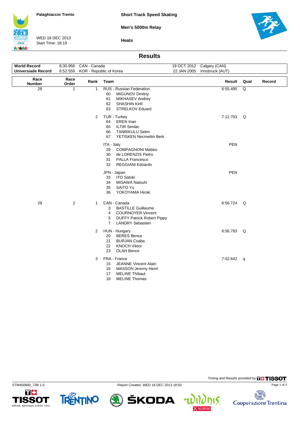**Short Track Speed Skating**



**Men's 5000m Relay**

WED 18 DEC 2013 Start Time: 18:19

**ITALY** 大大大大 **Heats**

### **Results**

| <b>World Record</b>       | 6:30.958       | CAN - Canada          |                                                                                                                                                                        |             | 19 OCT 2012 Calgary (CAN) |      |        |
|---------------------------|----------------|-----------------------|------------------------------------------------------------------------------------------------------------------------------------------------------------------------|-------------|---------------------------|------|--------|
| <b>Universiade Record</b> | 6:52.559       |                       | KOR - Republic of Korea                                                                                                                                                | 22 JAN 2005 | Innsbruck (AUT)           |      |        |
| Race<br><b>Number</b>     | Race<br>Order  | Rank                  | Team                                                                                                                                                                   |             | Result                    | Qual | Record |
| 28                        | $\mathbf{1}$   | $\mathbf{1}$          | RUS - Russian Federation<br>60<br><b>MIGUNOV Dmitriy</b><br>61<br>MIKHASEV Andrey<br>62<br><b>SHASHIN Kirill</b><br>63<br>STRELKOV Eduard                              |             | 6:55.495                  | Q    |        |
|                           |                | $\mathbf{2}^{\prime}$ | TUR - Turkey<br>64<br><b>EREN</b> Inan<br>65<br><b>ILTIR Serdar</b><br>66<br><b>TANRIKULU Selim</b><br>67<br>YETISKEN Necmettin Berk                                   |             | 7:12.793 Q                |      |        |
|                           |                |                       | ITA - Italy<br><b>COMPAGNONI Matteo</b><br>29<br>30<br>de LORENZIS Pietro<br><b>PALLA Francesco</b><br>31<br>32<br><b>REGGIANI Edoardo</b>                             |             | <b>PEN</b>                |      |        |
|                           |                |                       | JPN - Japan<br><b>ITO Satoki</b><br>33<br>34<br>MISAWA Natsuhi<br>35<br>SAITO Yu<br>36<br>YOKOYAMA Hiroki                                                              |             | <b>PEN</b>                |      |        |
| 29                        | $\overline{2}$ | 1                     | CAN - Canada<br>3<br><b>BASTILLE Guillaume</b><br>4<br><b>COURNOYER Vincent</b><br>5<br><b>DUFFY Patrick Robert Pippy</b><br>$\overline{7}$<br><b>LANDRY Sebastien</b> |             | 6:56.724 Q                |      |        |
|                           |                | $\overline{2}$        | HUN - Hungary<br><b>BERES</b> Bence<br>20<br>21<br><b>BURJAN Csaba</b><br>22<br><b>KNOCH Viktor</b><br>23<br><b>OLAH Bence</b>                                         |             | 6:56.783 Q                |      |        |
|                           |                | 3                     | FRA - France<br><b>JEANNE Vincent Alain</b><br>15<br>MASSON Jeremy Henri<br>16<br><b>MELINE Thibaut</b><br>17<br>18<br><b>MELINE Thomas</b>                            |             | 7:02.642 q                |      |        |











Timing and Results provided by **THISSOT**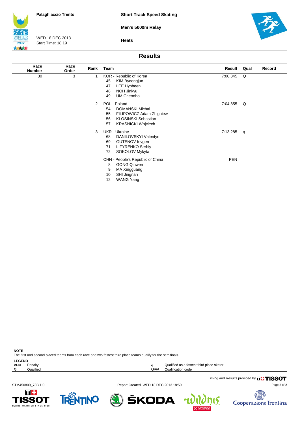**Men's 5000m Relay**



WED 18 DEC 2013 Start Time: 18:19

**Heats**



#### **Results**

| Race<br><b>Number</b> | Race<br>Order | Rank           | Team                                                                                                                                                  | Result     | Qual         | Record |
|-----------------------|---------------|----------------|-------------------------------------------------------------------------------------------------------------------------------------------------------|------------|--------------|--------|
| 30                    | 3             | 1              | KOR - Republic of Korea<br>45<br>KIM Byeongjun<br>47<br>LEE Hyobeen<br>NOH Jinkyu<br>48<br>49<br>UM Cheonho                                           | 7:00.345   | Q            |        |
|                       |               | $\overline{2}$ | POL - Poland<br><b>DOMANSKI Michal</b><br>54<br>FILIPOWICZ Adam Zbigniew<br>55<br><b>KLOSINSKI Sebastian</b><br>56<br>57<br><b>KRASNICKI Wojciech</b> | 7:04.855   | Q            |        |
|                       |               | 3              | <b>UKR</b> - Ukraine<br>68<br>DANILOVSKYI Valentyn<br>GUTENOV levgen<br>69<br>71<br><b>LIFYRENKO Serhiy</b><br>SOKOLOV Mykyta<br>72                   | 7:13.285   | $\mathsf{q}$ |        |
|                       |               |                | CHN - People's Republic of China<br><b>GONG Qiuwen</b><br>8<br>9<br>MA Xingguang<br>10<br>SHI Jingnan<br>12<br><b>WANG Yang</b>                       | <b>PEN</b> |              |        |

| <b>NOTE</b><br>The first and second placed teams from each race and two fastest third place teams qualify for the semifinals. |           |      |                                           |  |  |  |  |
|-------------------------------------------------------------------------------------------------------------------------------|-----------|------|-------------------------------------------|--|--|--|--|
| <b>LEGEND</b>                                                                                                                 |           |      |                                           |  |  |  |  |
| <b>PEN</b>                                                                                                                    | Penalty   |      | Qualified as a fastest third place skater |  |  |  |  |
|                                                                                                                               | Qualified | Qual | Qualification code                        |  |  |  |  |

Timing and Results provided by **THISSOT** 

STM450800\_73B 1.0 Report Created WED 18 DEC 2013 18:50





ŠKODA



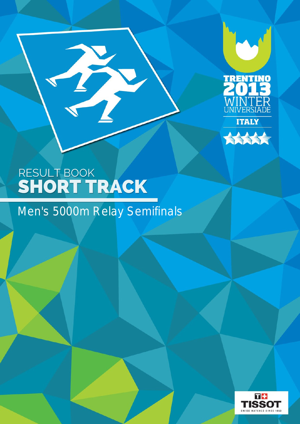



# RESULT BOOK SHORT TRACK

B

# Men's 5000m Relay Semifinals

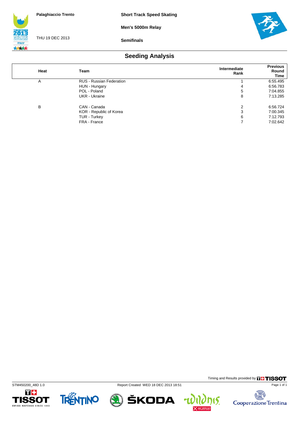**Men's 5000m Relay**



THU 19 DEC 2013

**Semifinals**



## **Seeding Analysis**

| Heat | Team                            | Intermediate<br>Rank | <b>Previous</b><br>Round<br>Time |
|------|---------------------------------|----------------------|----------------------------------|
| A    | <b>RUS - Russian Federation</b> |                      | 6:55.495                         |
|      | HUN - Hungary                   | 4                    | 6:56.783                         |
|      | POL - Poland                    | 5                    | 7:04.855                         |
|      | UKR - Ukraine                   | 8                    | 7:13.285                         |
| B    | CAN - Canada                    | $\overline{2}$       | 6:56.724                         |
|      | KOR - Republic of Korea         | 3                    | 7:00.345                         |
|      | TUR - Turkey                    | 6                    | 7:12.793                         |
|      | FRA - France                    | 7                    | 7:02.642                         |





STM450200\_48D 1.0 Report Created WED 18 DEC 2013 18:51



Timing and Results provided by **THISSOT** 

15.

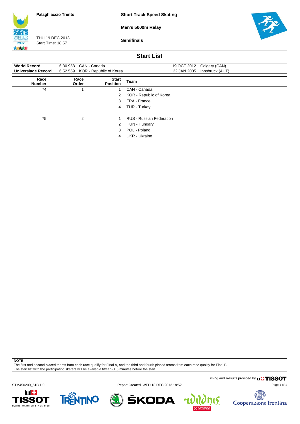**Short Track Speed Skating**

**Men's 5000m Relay**



THU 19 DEC 2013 Start Time: 18:57

**Semifinals**



### **Start List**

| <b>World Record</b><br><b>Universiade Record</b> | 6:30.958 CAN - Canada<br>6:52.559 KOR - Republic of Korea |                                 | 19 OCT 2012 Calgary (CAN)<br>22 JAN 2005 Innsbruck (AUT) |
|--------------------------------------------------|-----------------------------------------------------------|---------------------------------|----------------------------------------------------------|
| Race<br><b>Number</b>                            | Race<br>Order                                             | <b>Start</b><br><b>Position</b> | Team                                                     |
| 74                                               |                                                           |                                 | CAN - Canada                                             |
|                                                  |                                                           | 2                               | KOR - Republic of Korea                                  |
|                                                  |                                                           | 3                               | FRA - France                                             |
|                                                  |                                                           | 4                               | TUR - Turkey                                             |
| 75                                               | 2                                                         |                                 | <b>RUS - Russian Federation</b>                          |
|                                                  |                                                           | 2                               | HUN - Hungary                                            |
|                                                  |                                                           | 3                               | POL - Poland                                             |
|                                                  |                                                           | 4                               | UKR - Ukraine                                            |

**NOTE**

The first and second placed teams from each race qualify for Final A, and the third and fourth placed teams from each race qualify for Final B.

The start list with the participating skaters will be available fifteen (15) minutes before the start.

Timing and Results provided by **THISSOT** 

STM450200\_51B 1.0 Report Created WED 18 DEC 2013 18:52 П÷

TRENTINO **1SSOT** SWISS WATCHES SINCE 1853





碣 Cooperazione Trentina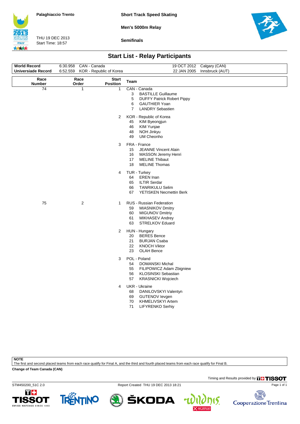**Short Track Speed Skating**

**Men's 5000m Relay**



THU 19 DEC 2013 Start Time: 18:57

**Semifinals**



# **Start List - Relay Participants**

| World Record              | 6:30.958<br>CAN - Canada            |                                 | 19 OCT 2012 Calgary (CAN)                                                                                                                                          |
|---------------------------|-------------------------------------|---------------------------------|--------------------------------------------------------------------------------------------------------------------------------------------------------------------|
| <b>Universiade Record</b> | 6:52.559<br>KOR - Republic of Korea |                                 | 22 JAN 2005<br>Innsbruck (AUT)                                                                                                                                     |
| Race<br><b>Number</b>     | Race<br>Order                       | <b>Start</b><br><b>Position</b> | Team                                                                                                                                                               |
| 74                        | 1                                   | 1                               | CAN - Canada<br><b>BASTILLE Guillaume</b><br>3<br>5<br><b>DUFFY Patrick Robert Pippy</b><br>6<br><b>GAUTHIER Yoan</b><br>$\overline{7}$<br><b>LANDRY Sebastien</b> |
|                           |                                     | $\overline{2}$                  | KOR - Republic of Korea<br>45<br>KIM Byeongjun<br>KIM Yunjae<br>46<br>48<br>NOH Jinkyu<br>UM Cheonho<br>49                                                         |
|                           |                                     | 3                               | FRA - France<br>15<br><b>JEANNE Vincent Alain</b><br>MASSON Jeremy Henri<br>16<br>17<br><b>MELINE Thibaut</b><br>18<br><b>MELINE Thomas</b>                        |
|                           |                                     | 4                               | TUR - Turkey<br>64<br><b>EREN</b> Inan<br>65<br><b>ILTIR Serdar</b><br><b>TANRIKULU Selim</b><br>66<br>67<br>YETISKEN Necmettin Berk                               |
| 75                        | $\overline{2}$                      | $\mathbf{1}$                    | RUS - Russian Federation<br>59<br><b>MIASNIKOV Dmitry</b><br>60<br><b>MIGUNOV Dmitriy</b><br>61<br><b>MIKHASEV Andrey</b><br>63<br>STRELKOV Eduard                 |
|                           |                                     | $\overline{2}$                  | HUN - Hungary<br>20<br><b>BERES</b> Bence<br>21<br><b>BURJAN Csaba</b><br>22<br><b>KNOCH Viktor</b><br>23<br><b>OLAH Bence</b>                                     |
|                           |                                     | 3                               | POL - Poland<br>54<br><b>DOMANSKI Michal</b><br>55<br>FILIPOWICZ Adam Zbigniew<br>56<br><b>KLOSINSKI Sebastian</b><br>57<br><b>KRASNICKI Wojciech</b>              |
|                           |                                     | 4                               | <b>UKR</b> - Ukraine<br>DANILOVSKYI Valentyn<br>68<br>69<br><b>GUTENOV levgen</b><br>70<br>KHMELIVSKYI Artem<br>71<br><b>LIFYRENKO Serhiy</b>                      |
|                           |                                     |                                 |                                                                                                                                                                    |

**NOTE**

The first and second placed teams from each race qualify for Final A, and the third and fourth placed teams from each race qualify for Final B.

**Change of Team Canada (CAN)**

Timing and Results provided by **THISSOT** 

STM450200\_51C 2.0 Report Created THU 19 DEC 2013 18:21





ŠKODA ٣



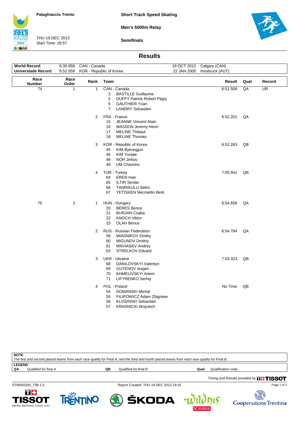



THU 19 DEC 2013 Start Time: 18:57

**Semifinals**



#### **Results**

| <b>World Record</b><br><b>Universiade Record</b> | 6:30.958<br>6:52.559 | CAN - Canada   | KOR - Republic of Korea                                                                                                                                            | 22 JAN 2005 | 19 OCT 2012 Calgary (CAN)<br>Innsbruck (AUT) |      |                          |
|--------------------------------------------------|----------------------|----------------|--------------------------------------------------------------------------------------------------------------------------------------------------------------------|-------------|----------------------------------------------|------|--------------------------|
| Race                                             | Race                 |                |                                                                                                                                                                    |             |                                              |      |                          |
| <b>Number</b>                                    | Order                | Rank           | Team                                                                                                                                                               |             | Result                                       | Qual | Record                   |
| $\overline{74}$                                  | $\mathbf{1}$         | $\mathbf{1}$   | CAN - Canada<br>3<br><b>BASTILLE Guillaume</b><br>5<br><b>DUFFY Patrick Robert Pippy</b><br>6<br><b>GAUTHIER Yoan</b><br>$\overline{7}$<br><b>LANDRY Sebastien</b> |             | 6:51.506                                     | QA   | $\overline{\mathsf{UR}}$ |
|                                                  |                      | $\overline{2}$ | FRA - France<br><b>JEANNE Vincent Alain</b><br>15<br><b>MASSON Jeremy Henri</b><br>16<br><b>MELINE Thibaut</b><br>17<br>18<br><b>MELINE Thomas</b>                 |             | 6:52.201                                     | QA   |                          |
|                                                  |                      | 3              | KOR - Republic of Korea<br>45<br>KIM Byeongjun<br>46<br>KIM Yunjae<br>NOH Jinkyu<br>48<br>49<br>UM Cheonho                                                         |             | 6:52.263                                     | QB   |                          |
|                                                  |                      | 4              | TUR - Turkey<br><b>EREN</b> Inan<br>64<br>65<br><b>ILTIR Serdar</b><br>66<br><b>TANRIKULU Selim</b><br><b>YETISKEN Necmettin Berk</b><br>67                        |             | 7:05.941                                     | QB   |                          |
| 75                                               | $\overline{2}$       | 1              | HUN - Hungary<br>20<br><b>BERES</b> Bence<br>21<br><b>BURJAN Csaba</b><br>22<br><b>KNOCH Viktor</b><br>23<br><b>OLAH Bence</b>                                     |             | 6:54.658                                     | QA   |                          |
|                                                  |                      | $\overline{2}$ | RUS - Russian Federation<br>59<br><b>MIASNIKOV Dmitry</b><br>60<br><b>MIGUNOV Dmitriy</b><br>61<br><b>MIKHASEV Andrey</b><br>63<br>STRELKOV Eduard                 |             | 6:54.784                                     | QA   |                          |
|                                                  |                      | 3              | <b>UKR</b> - Ukraine<br>DANILOVSKYI Valentyn<br>68<br>69<br><b>GUTENOV levgen</b><br>70<br><b>KHMELIVSKYI Artem</b><br>71<br>LIFYRENKO Serhiy                      |             | 7:03.323                                     | QB   |                          |
|                                                  |                      | 4              | POL - Poland<br><b>DOMANSKI Michal</b><br>54<br>55<br>FILIPOWICZ Adam Zbigniew<br>56<br><b>KLOSINSKI Sebastian</b><br>57<br><b>KRASNICKI Wojciech</b>              |             | No Time                                      | QB   |                          |

| <b>NOTE</b><br>The first and second placed teams from each race qualify for Final A, and the third and fourth placed teams from each race qualify for Final B. |    |                       |      |                                               |
|----------------------------------------------------------------------------------------------------------------------------------------------------------------|----|-----------------------|------|-----------------------------------------------|
| <b>LEGEND</b><br>Qualified for final A<br>QΛ                                                                                                                   | QB | Qualified for final B | Qual | Qualification code                            |
|                                                                                                                                                                |    |                       |      | Timing and Results provided by <b>THISSOT</b> |

STM450200\_73B 1.0 Report Created THU 19 DEC 2013 19:16

Page 1 of 1





ŠKODA



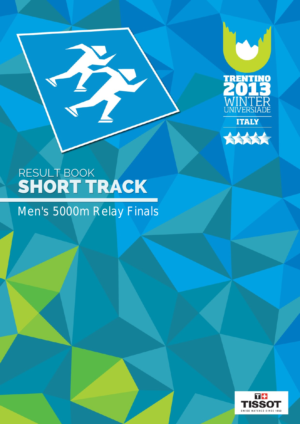



# RESULT BOOK SHORT TRACK

T

# Men's 5000m Relay Finals

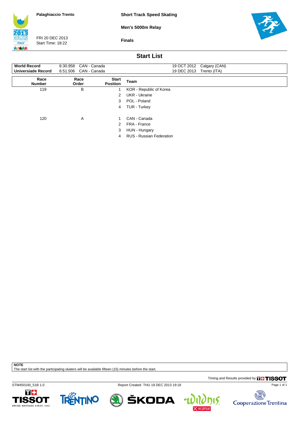**Short Track Speed Skating**

**Men's 5000m Relay**



FRI 20 DEC 2013 Start Time: 18:22

**Finals**



### **Start List**

| <b>World Record</b>       | CAN - Canada<br>6:30.958 |                                 | 19 OCT 2012 Calgary (CAN)       |
|---------------------------|--------------------------|---------------------------------|---------------------------------|
| <b>Universiade Record</b> | 6:51.506<br>CAN - Canada |                                 | 19 DEC 2013<br>Trento (ITA)     |
| Race<br><b>Number</b>     | Race<br>Order            | <b>Start</b><br><b>Position</b> | Team                            |
| 119                       | B                        |                                 | KOR - Republic of Korea         |
|                           |                          | 2                               | UKR - Ukraine                   |
|                           |                          | 3                               | POL - Poland                    |
|                           |                          | 4                               | TUR - Turkey                    |
| 120                       | A                        |                                 | CAN - Canada                    |
|                           |                          | 2                               | FRA - France                    |
|                           |                          | 3                               | HUN - Hungary                   |
|                           |                          | 4                               | <b>RUS - Russian Federation</b> |

**NOTE**

The start list with the participating skaters will be available fifteen (15) minutes before the start.

Timing and Results provided by **THISSOT** 

STM450100\_51B 1.0 Report Created THU 19 DEC 2013 19:18









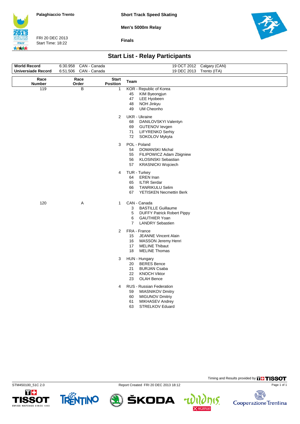**Short Track Speed Skating**

**Men's 5000m Relay**



FRI 20 DEC 2013 Start Time: 18:22

**Finals**



# **Start List - Relay Participants**

| <b>World Record</b>       | CAN - Canada<br>6:30.958 |                                 | 19 OCT 2012 Calgary (CAN)                                                                                                                                          |
|---------------------------|--------------------------|---------------------------------|--------------------------------------------------------------------------------------------------------------------------------------------------------------------|
| <b>Universiade Record</b> | 6:51.506<br>CAN - Canada |                                 | 19 DEC 2013 Trento (ITA)                                                                                                                                           |
| Race<br><b>Number</b>     | Race<br>Order            | <b>Start</b><br><b>Position</b> | Team                                                                                                                                                               |
| 119                       | B                        | 1                               | KOR - Republic of Korea<br>45<br>KIM Byeongjun<br>LEE Hyobeen<br>47<br>48<br>NOH Jinkyu<br><b>UM Cheonho</b><br>49                                                 |
|                           |                          | $\overline{2}$                  | <b>UKR</b> - Ukraine<br>DANILOVSKYI Valentyn<br>68<br>69<br><b>GUTENOV levgen</b><br>71<br>LIFYRENKO Serhiy<br>SOKOLOV Mykyta<br>72                                |
|                           |                          | 3                               | POL - Poland<br><b>DOMANSKI Michal</b><br>54<br>55<br>FILIPOWICZ Adam Zbigniew<br>56<br>KLOSINSKI Sebastian<br><b>KRASNICKI Wojciech</b><br>57                     |
|                           |                          | 4                               | TUR - Turkey<br>64<br><b>EREN</b> Inan<br>65<br><b>ILTIR Serdar</b><br>66<br><b>TANRIKULU Selim</b><br><b>YETISKEN Necmettin Berk</b><br>67                        |
| 120                       | A                        | $\mathbf{1}$                    | CAN - Canada<br>3<br><b>BASTILLE Guillaume</b><br>5<br><b>DUFFY Patrick Robert Pippy</b><br>6<br><b>GAUTHIER Yoan</b><br><b>LANDRY Sebastien</b><br>$\overline{7}$ |
|                           |                          | $\overline{2}$                  | FRA - France<br>15 JEANNE Vincent Alain<br><b>MASSON Jeremy Henri</b><br>16<br>17 MELINE Thibaut<br><b>MELINE Thomas</b><br>18                                     |
|                           |                          | 3                               | HUN - Hungary<br>20<br><b>BERES</b> Bence<br>21<br><b>BURJAN Csaba</b><br>22<br><b>KNOCH Viktor</b><br>23<br><b>OLAH Bence</b>                                     |
|                           |                          | 4                               | RUS - Russian Federation<br>59<br><b>MIASNIKOV Dmitry</b><br>60<br><b>MIGUNOV Dmitriy</b><br>MIKHASEV Andrey<br>61<br>63<br><b>STRELKOV Eduard</b>                 |
|                           |                          |                                 |                                                                                                                                                                    |

**1SSOT** 

SWISS WATCHES SINCE 1853

TRENTINO

STM450100\_51C 2.0 Report Created FRI 20 DEC 2013 18:12

ŠKODA

 $\mathbf{r}$ 



Timing and Results provided by **THISSOT**